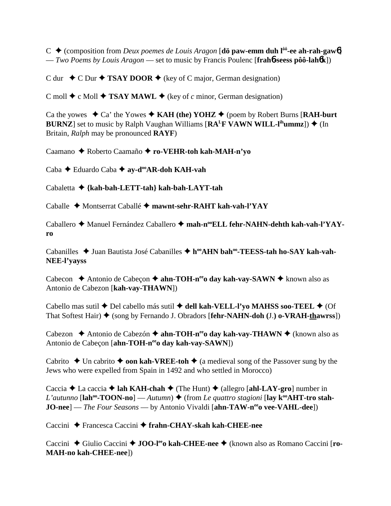$C \leftarrow$  (composition from *Deux poemes de Louis Aragon* [**dö paw-emm duh l<sup>** $ôo$ **</sup>-ee ah-rah-gaw6**] — *Two Poems by Louis Aragon* — set to music by Francis Poulenc [**frah**6**-seess pôô-lah**6**k**])

C dur  $\rightarrow$  C Dur  $\rightarrow$  **TSAY DOOR**  $\rightarrow$  (key of C major, German designation)

C moll  $\triangle$  c Moll  $\triangle$  **TSAY MAWL**  $\triangle$  (key of *c* minor, German designation)

Ca the yowes  $\rightarrow$  Ca' the Yowes  $\rightarrow$  KAH (the) YOHZ  $\rightarrow$  (poem by Robert Burns [RAH-burt] **BURNZ**] set to music by Ralph Vaughan Williams  $[RA<sup>L</sup>F VAWN WILL-l<sup>ih</sup>ummz])$   $\triangleq$  (In Britain, *Ralph* may be pronounced **RAYF**)

Caamano Roberto Caamaño **ro-VEHR-toh kah-MAH-n'yo**

Caba **←** Eduardo Caba ← av-d<sup>oo</sup>AR-doh KAH-vah

Cabaletta **{kah-bah-LETT-tah} kah-bah-LAYT-tah**

Caballe Montserrat Caballé **mawnt-sehr-RAHT kah-vah-l'YAY**

Caballero ◆ Manuel Fernández Caballero ◆ mah-n<sup>oo</sup>ELL fehr-NAHN-dehth kah-vah-l'YAY**ro**

Cabanilles ◆ Juan Bautista José Cabanilles ◆ h<sup>oo</sup>AHN bah<sup>oo</sup>-TEESS-tah ho-SAY kah-vah-**NEE-l'yayss**

Cabecon **→** Antonio de Cabeçon → ahn-TOH-n<sup>ee</sup>o day kah-vay-SAWN → known also as Antonio de Cabezon [**kah-vay-THAWN**])

Cabello mas sutil ◆ Del cabello más sutil ◆ dell kah-VELL-l'yo MAHSS soo-TEEL ◆ (Of That Softest Hair) ◆ (song by Fernando J. Obradors [**fehr-NAHN-doh** (J.) **o-VRAH-thawrss**])

Cabezon **→** Antonio de Cabezón → **ahn-TOH-n<sup>ee</sup>o day kah-vay-THAWN** → (known also as Antonio de Cabeçon [ahn-TOH-nee day kah-vay-SAWN])

Cabrito  $\triangle$  Un cabrito  $\triangle$  **oon kah-VREE-toh**  $\triangle$  (a medieval song of the Passover sung by the Jews who were expelled from Spain in 1492 and who settled in Morocco)

Caccia  $\triangle$  La caccia  $\triangle$  **lah KAH-chah**  $\triangle$  (The Hunt)  $\triangle$  (allegro [**ahl-LAY-gro**] number in *L'autunno* [ $\text{lah}^{\text{oo}}\text{-}\text{TOON-nol}$  — *Autumn*)  $\blacklozenge$  (from *Le quattro stagioni* [ $\text{lay } k^{\text{oo}}\text{AHT-tro stah-}$ ] **JO-nee**] — *The Four Seasons* — by Antonio Vivaldi [ahn-TAW-n<sup>ee</sup>o vee-VAHL-dee])

Caccini Francesca Caccini **frahn-CHAY-skah kah-CHEE-nee**

Caccini ◆ Giulio Caccini ◆ **JOO-l<sup>ee</sup>o kah-CHEE-nee ◆** (known also as Romano Caccini [ro-**MAH-no kah-CHEE-nee**])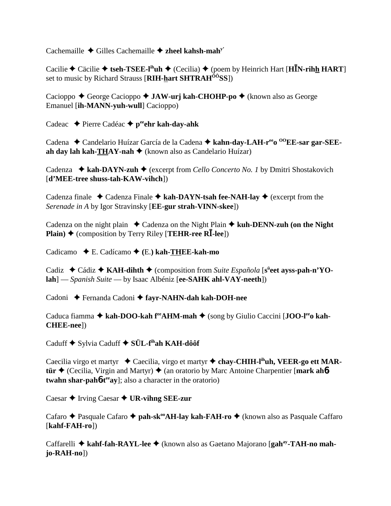Cachemaille Gilles Cachemaille **zheel kahsh-mahy'**

Cacilie  $\triangle$  Cäcilie  $\triangle$  tseh-TSEE-l<sup>ih</sup>uh  $\triangle$  (Cecilia)  $\triangle$  (poem by Heinrich Hart [H**I**N-rihh HART] set to music by Richard Strauss [**RIH-hart SHTRAHÔÔSS**])

Cacioppo ◆ George Cacioppo ◆ JAW-urj kah-CHOHP-po ◆ (known also as George Emanuel [**ih-MANN-yuh-wull**] Cacioppo)

Cadeac **→** Pierre Cadéac → peehr kah-day-ahk

Cadena ◆ Candelario Huízar García de la Cadena ◆ kahn-day-LAH-r<sup>ee</sup>o <sup>00</sup>EE-sar gar-SEE**ah day lah kah-THAY-nah ♦** (known also as Candelario Huízar)

Cadenza ◆ kah-DAYN-zuh ◆ (excerpt from *Cello Concerto No. 1* by Dmitri Shostakovich [**d'MEE-tree shuss-tah-KAW-vihch**])

Cadenza finale  $\triangleleft$  Cadenza Finale  $\triangleleft$  kah-DAYN-tsah fee-NAH-lay  $\triangleleft$  (excerpt from the *Serenade in A* by Igor Stravinsky [**EE-gur strah-VINN-skee**])

Cadenza on the night plain  $\triangle$  Cadenza on the Night Plain  $\triangle$  kuh-DENN-zuh (on the Night **Plain)**  $\triangle$  (composition by Terry Riley [**TEHR-ree RI**-lee])

Cadicamo E. Cadícamo **(**E.**) kah-THEE-kah-mo**

Cadiz ◆ Cádiz ◆ KAH-dihth ◆ (composition from *Suite Española* [s<sup>ü</sup>eet ayss-pah-n'YO**lah**] — *Spanish Suite* — by Isaac Albéniz [**ee-SAHK ahl-VAY-neeth**])

Cadoni Fernanda Cadoni **fayr-NAHN-dah kah-DOH-nee**

Caduca fiamma ◆ kah-DOO-kah f<sup>ee</sup>AHM-mah ◆ (song by Giulio Caccini [JOO-l<sup>ee</sup>o kah-**CHEE-nee**])

Caduff **→** Sylvia Caduff **→ SÜL-f<sup>ih</sup>ah KAH-dôôf** 

Caecilia virgo et martyr ◆ Caecilia, virgo et martyr ◆ chay-CHIH-l<sup>ih</sup>uh, VEER-go ett MAR**tür ♦** (Cecilia, Virgin and Martyr) ♦ (an oratorio by Marc Antoine Charpentier [mark ah**6twahn shar-pah<sup>6</sup>-t<sup>ee</sup>ay**]; also a character in the oratorio)

Caesar **→** Irving Caesar **→ UR-vihng SEE-zur** 

Cafaro **←** Pasquale Cafaro ← **pah-sk<sup>oo</sup>AH-lay kah-FAH-ro** ← (known also as Pasquale Caffaro [**kahf-FAH-ro**])

Caffarelli **kahf-fah-RAYL-lee** (known also as Gaetano Majorano [**gahay-TAH-no mahjo-RAH-no**])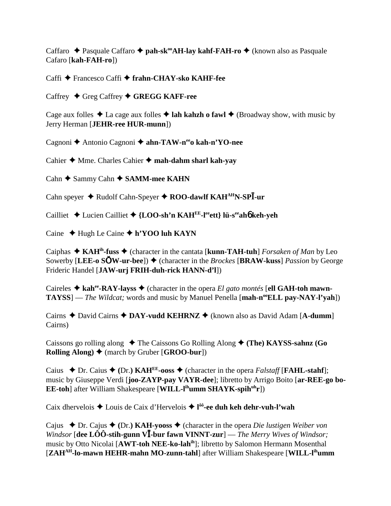Caffaro ◆ Pasquale Caffaro ◆ pah-sk<sup>oo</sup>AH-lay kahf-FAH-ro ◆ (known also as Pasquale Cafaro [**kah-FAH-ro**])

Caffi Francesco Caffi **frahn-CHAY-sko KAHF-fee**

Caffrey ◆ Greg Caffrey ◆ GREGG KAFF-ree

Cage aux folles  $\triangle$  La cage aux folles  $\triangle$  lah kahzh o fawl  $\triangle$  (Broadway show, with music by Jerry Herman [**JEHR-ree HUR-munn**])

Cagnoni **←** Antonio Cagnoni ← ahn-TAW-n<sup>ee</sup>o kah-n'YO-nee

Cahier **→** Mme. Charles Cahier → mah-dahm sharl kah-yay

Cahn **→** Sammy Cahn **→ SAMM-mee KAHN** 

Cahn speyer ◆ Rudolf Cahn-Speyer ◆ ROO-dawlf KAH<sup>AH</sup>N-SP<sup><sup>1</sup>-ur</sup>

Cailliet Lucien Cailliet **{LOO-sh'n KAHEE-leeett} lü-seeah**6 **keh-yeh**

Caine **↓** Hugh Le Caine ◆ **h'YOO luh KAYN** 

Caiphas ◆ KAH<sup>ih</sup>-fuss ◆ (character in the cantata [kunn-TAH-tuh] *Forsaken of Man* by Leo Sowerby [LEE-o  $\text{SOW-ur-beel}$ ]  $\blacklozenge$  (character in the *Brockes* [BRAW-kuss] *Passion* by George Frideric Handel [**JAW-urj FRIH-duh-rick HANN-d'l**])

Caireles  $\triangle$  kah<sup>ee</sup>-RAY-layss  $\triangle$  (character in the opera *El gato montés* [ell GAH-toh mawn-**TAYSS**] — *The Wildcat*; words and music by Manuel Penella [**mah-n<sup>oo</sup>ELL pay-NAY-l'yah**])

Cairns David Cairns **DAY-vudd KEHRNZ** (known also as David Adam [**A-dumm**] Cairns)

Caissons go rolling along  $\blacklozenge$  The Caissons Go Rolling Along  $\blacklozenge$  (The) KAYSS-sahnz (Go **Rolling Along)** (march by Gruber [**GROO-bur**])

Caius  $\blacklozenge$  Dr. Caius  $\blacklozenge$  (Dr.) **KAH<sup>EE</sup>-ooss**  $\blacklozenge$  (character in the opera *Falstaff* [**FAHL-stahf**]; music by Giuseppe Verdi [**joo-ZAYP-pay VAYR-dee**]; libretto by Arrigo Boito [**ar-REE-go bo-EE-toh**] after William Shakespeare [WILL-l<sup>ih</sup>umm SHAYK-spih<sup>uh</sup>r])

Caix dhervelois Louis de Caix d'Hervelois **l ôô-ee duh keh dehr-vuh-l'wah**

Cajus  $\rightarrow$  Dr. Cajus  $\rightarrow$  (Dr.) **KAH-yooss**  $\rightarrow$  (character in the opera *Die lustigen Weiber von Windsor* [dee LÔÔ-stih-gunn V<sup>I</sup>-bur fawn VINNT-zur] — *The Merry Wives of Windsor*; music by Otto Nicolai [**AWT-toh NEE-ko-lahih**]; libretto by Salomon Hermann Mosenthal [**ZAHAH-lo-mawn HEHR-mahn MO-zunn-tahl**] after William Shakespeare [**WILL-lihumm**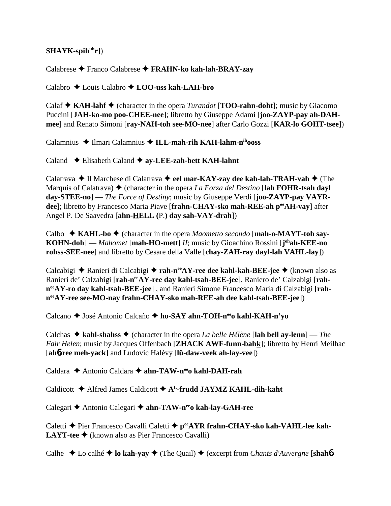# SHAYK-spih<sup>uh</sup>r])

Calabrese Franco Calabrese **FRAHN-ko kah-lah-BRAY-zay**

Calabro Louis Calabro **LOO-uss kah-LAH-bro**

Calaf  $\triangle$  **KAH-lahf**  $\triangle$  (character in the opera *Turandot* [**TOO-rahn-doht**]; music by Giacomo Puccini [**JAH-ko-mo poo-CHEE-nee**]; libretto by Giuseppe Adami [**joo-ZAYP-pay ah-DAHmee**] and Renato Simoni [**ray-NAH-toh see-MO-nee**] after Carlo Gozzi [**KAR-lo GOHT-tsee**])

Calamnius ◆ Ilmari Calamnius ◆ ILL-mah-rih KAH-lahm-n<sup>ih</sup>ooss

Caland  $\triangle$  Elisabeth Caland  $\triangle$  ay-LEE-zah-bett KAH-lahnt

Calatrava **→ Il Marchese di Calatrava → eel mar-KAY-zay dee kah-lah-TRAH-vah →** (The Marquis of Calatrava)  $\blacklozenge$  (character in the opera *La Forza del Destino* [**lah FOHR-tsah dayl day-STEE-no**] — *The Force of Destiny*; music by Giuseppe Verdi [**joo-ZAYP-pay VAYR**dee]; libretto by Francesco Maria Piave [frahn-CHAY-sko mah-REE-ah peeAH-vay] after Angel P. De Saavedra [**ahn-HELL (**P.**) day sah-VAY-drah**])

Calbo ◆ KAHL-bo ◆ (character in the opera *Maometto secondo* [**mah-o-MAYT-toh say-KOHN-doh**] — *Mahomet* [mah-HO-mett] *II*; music by Gioachino Rossini [j<sup>oh</sup>ah-KEE-no</sub> **rohss-SEE-nee**] and libretto by Cesare della Valle [**chay-ZAH-ray dayl-lah VAHL-lay**])

Calcabigi **→** Ranieri di Calcabigi → rah-n<sup>ee</sup>AY-ree dee kahl-kah-BEE-jee → (known also as Ranieri de' Calzabigi [rah-n<sup>ee</sup>AY-ree day kahl-tsah-BEE-jee], Raniero de' Calzabigi [rah**neeAY-ro day kahl-tsah-BEE-jee**] , and Ranieri Simone Francesco Maria di Calzabigi [**rahneeAY-ree see-MO-nay frahn-CHAY-sko mah-REE-ah dee kahl-tsah-BEE-jee**])

Calcano ◆ José Antonio Calcaño ◆ ho-SAY ahn-TOH-n<sup>ee</sup>o kahl-KAH-n'yo

Calchas  $\triangle$  kahl-shahss  $\triangle$  (character in the opera *La belle Hélène* [lah bell ay-lenn] — *The Fair Helen*; music by Jacques Offenbach [**ZHACK AWF-funn-bahk**]; libretto by Henri Meilhac [**ah**6**-ree meh-yack**] and Ludovic Halévy [**lü-daw-veek ah-lay-vee**])

Caldara ◆ Antonio Caldara ◆ ahn-TAW-n<sup>ee</sup>o kahl-DAH-rah

Caldicott  $\triangle$  Alfred James Caldicott  $\triangle$  A<sup>L</sup>-frudd JAYMZ KAHL-dih-kaht

Calegari **←** Antonio Calegari ← ahn-TAW-nee kah-lay-GAH-ree

Caletti ◆ Pier Francesco Cavalli Caletti ◆ p<sup>ee</sup>AYR frahn-CHAY-sko kah-VAHL-lee kah-**LAYT-tee ◆** (known also as Pier Francesco Cavalli)

Calhe **←** Lo calhé ← lo kah-yay ← (The Quail) ← (excerpt from *Chants d'Auvergne* [shah**6**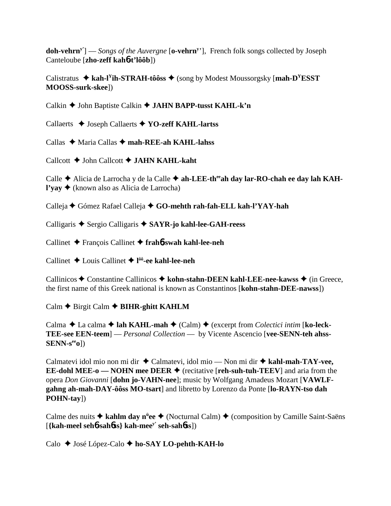**doh-vehrny'**] — *Songs of the Auvergne* [**o-vehrny** '], French folk songs collected by Joseph Canteloube [**zho-zeff kah**6**-t'lôôb**])

Calistratus  $\triangle$  kah-l<sup>Y</sup>ih-STRAH-tôôss  $\triangle$  (song by Modest Moussorgsky [mah-D<sup>Y</sup>ESST] **MOOSS-surk-skee**])

Calkin **→** John Baptiste Calkin **→ JAHN BAPP-tusst KAHL-k'n** 

Callaerts **→** Joseph Callaerts **→ YO-zeff KAHL-lartss** 

Callas ◆ Maria Callas ◆ mah-REE-ah KAHL-lahss

Callcott **←** John Callcott ← **JAHN KAHL-kaht** 

Calle **→** Alicia de Larrocha y de la Calle → ah-LEE-th<sup>ee</sup>ah day lar-RO-chah ee day lah KAH**l'yay** (known also as Alicia de Larrocha)

Calleja Gómez Rafael Calleja **GO-mehth rah-fah-ELL kah-l'YAY-hah**

Calligaris ◆ Sergio Calligaris ◆ SAYR-jo kahl-lee-GAH-reess

Callinet François Callinet **frah**6**-swah kahl-lee-neh**

Callinet Louis Callinet **l ôô-ee kahl-lee-neh**

Callinicos ♦ Constantine Callinicos ♦ kohn-stahn-DEEN kahl-LEE-nee-kawss ♦ (in Greece, the first name of this Greek national is known as Constantinos [**kohn-stahn-DEE-nawss**])

Calm **←** Birgit Calm ← **BIHR-ghitt KAHLM** 

Calma  $\triangle$  La calma  $\triangle$  lah KAHL-mah  $\triangle$  (Calm)  $\triangle$  (excerpt from *Colectici intim* [ko-leck-**TEE-see EEN-teem**] — *Personal Collection* — by Vicente Ascencio [**vee-SENN-teh ahss-SENN-seeo**])

Calmatevi idol mio non mi dir ◆ Calmatevi, idol mio — Non mi dir ◆ kahl-mah-TAY-vee, **EE-dohl MEE-o — NOHN mee DEER**  $\blacklozenge$  (recitative [**reh-suh-tuh-TEEV**] and aria from the opera *Don Giovanni* [**dohn jo-VAHN-nee**]; music by Wolfgang Amadeus Mozart [**VAWLFgahng ah-mah-DAY-ôôss MO-tsart**] and libretto by Lorenzo da Ponte [**lo-RAYN-tso dah POHN-tay**])

Calme des nuits **→ kahlm day n<sup>ü</sup>ee →** (Nocturnal Calm) ◆ (composition by Camille Saint-Saëns [**{kah-meel seh**6**-sah**6**ss} kah-meey' seh-sah**6**ss**])

Calo José López-Calo **ho-SAY LO-pehth-KAH-lo**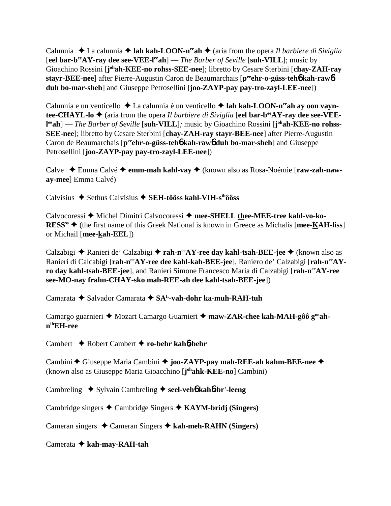Calunnia  $\triangle$  La calunnia  $\triangle$  **lah kah-LOON-n<sup>ee</sup>ah**  $\triangle$  (aria from the opera *Il barbiere di Siviglia* [**eel bar-beeAY-ray dee see-VEE-leeah**] — *The Barber of Seville* [**suh-VILL**]; music by Gioachino Rossini [**j**<sup>oh</sup>ah-KEE-no rohss-SEE-nee]; libretto by Cesare Sterbini [chay-ZAH-ray **stayr-BEE-nee**] after Pierre-Augustin Caron de Beaumarchais [**peeehr-o-güss-teh**6 **kah-raw**6 **duh bo-mar-sheh**] and Giuseppe Petrosellini [**joo-ZAYP-pay pay-tro-zayl-LEE-nee**])

Calunnia e un venticello ◆ La calunnia è un venticello ◆ lah kah-LOON-n<sup>ee</sup>ah ay oon vayn**tee-CHAYL-lo ♦** (aria from the opera *Il barbiere di Siviglia* [eel bar-b<sup>ee</sup>AY-ray dee see-VEEl<sup>ee</sup>ah] — *The Barber of Seville* [suh-VILL]; music by Gioachino Rossini [j<sup>oh</sup>ah-KEE-no rohss-**SEE-nee**]; libretto by Cesare Sterbini [**chay-ZAH-ray stayr-BEE-nee**] after Pierre-Augustin Caron de Beaumarchais [p<sup>ee</sup>ehr-o-güss-teh**6** kah-raw**6** duh bo-mar-sheh] and Giuseppe Petrosellini [**joo-ZAYP-pay pay-tro-zayl-LEE-nee**])

Calve Emma Calvé **emm-mah kahl-vay** (known also as Rosa-Noémie [**raw-zah-naway-mee**] Emma Calvé)

Calvisius **→** Sethus Calvisius → SEH-tôôss kahl-VIH-s<sup>ih</sup>ôôss

Calvocoressi ◆ Michel Dimitri Calvocoressi ◆ mee-SHELL thee-MEE-tree kahl-vo-ko-**RESS<sup>ss</sup> ♦ (the first name of this Greek National is known in Greece as Michalis [<b>mee-KAH-liss**] or Michail [**mee-kah-EEL**])

Calzabigi **→** Ranieri de' Calzabigi → rah-n<sup>ee</sup>AY-ree day kahl-tsah-BEE-jee → (known also as Ranieri di Calcabigi [rah-n<sup>ee</sup>AY-ree dee kahl-kah-BEE-jee], Raniero de' Calzabigi [rah-n<sup>ee</sup>AY**ro day kahl-tsah-BEE-jee**], and Ranieri Simone Francesco Maria di Calzabigi [**rah-neeAY-ree see-MO-nay frahn-CHAY-sko mah-REE-ah dee kahl-tsah-BEE-jee**])

Camarata **→** Salvador Camarata → SA<sup>L</sup>-vah-dohr ka-muh-RAH-tuh

Camargo guarnieri ◆ Mozart Camargo Guarnieri ◆ maw-ZAR-chee kah-MAH-gôô g<sup>oo</sup>ah**nihEH-ree**

Cambert Robert Cambert **ro-behr kah**6**-behr**

Cambini **←** Giuseppe Maria Cambini ← joo-ZAYP-pay mah-REE-ah kahm-BEE-nee ← (known also as Giuseppe Maria Gioacchino [**j ohahk-KEE-no**] Cambini)

Cambreling ◆ Sylvain Cambreling ◆ seel-veh**6** kah**6**-br'-leeng

Cambridge singers Cambridge Singers **KAYM-bridj (Singers)**

Cameran singers Cameran Singers **kah-meh-RAHN (Singers)**

Camerata **kah-may-RAH-tah**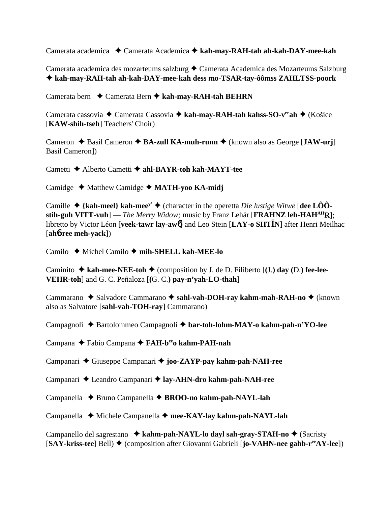Camerata academica Camerata Academica **kah-may-RAH-tah ah-kah-DAY-mee-kah**

Camerata academica des mozarteums salzburg ◆ Camerata Academica des Mozarteums Salzburg **kah-may-RAH-tah ah-kah-DAY-mee-kah dess mo-TSAR-tay-ôômss ZAHLTSS-poork**

Camerata bern **←** Camerata Bern ← kah-may-RAH-tah BEHRN

Camerata cassovia ◆ Camerata Cassovia ◆ kah-may-RAH-tah kahss-SO-v<sup>ee</sup>ah ◆ (Košice [**KAW-shih-tseh**] Teachers' Choir)

Cameron ◆ Basil Cameron ◆ **BA-zull KA-muh-runn** ◆ (known also as George [**JAW-urj**] Basil Cameron])

Cametti Alberto Cametti **ahl-BAYR-toh kah-MAYT-tee**

Camidge **→** Matthew Camidge → MATH-yoo KA-midj

Camille  $\triangle$  {kah-meel} kah-mee<sup>y'</sup>  $\triangle$  (character in the operetta *Die lustige Witwe* [dee LÔO**stih-guh VITT-vuh**] — *The Merry Widow;* music by Franz Lehár [**FRAHNZ leh-HAHAHR**]; libretto by Victor Léon [**veek-tawr lay-aw**6] and Leo Stein [**LAY-o SHTN**] after Henri Meilhac [**ah**6**-ree meh-yack**])

Camilo **→** Michel Camilo → mih-SHELL kah-MEE-lo

Caminito  $\blacklozenge$  **kah-mee-NEE-toh**  $\blacklozenge$  (composition by J. de D. Filiberto [(J.) **day** (D.) fee-lee-**VEHR-toh**] and G. C. Peñaloza [**(**G. C.**) pay-n'yah-LO-thah**]

Cammarano ◆ Salvadore Cammarano ◆ sahl-vah-DOH-ray kahm-mah-RAH-no ◆ (known also as Salvatore [**sahl-vah-TOH-ray**] Cammarano)

Campagnoli ◆ Bartolommeo Campagnoli ◆ bar-toh-lohm-MAY-o kahm-pah-n'YO-lee

Campana Fabio Campana **FAH-beeo kahm-PAH-nah**

Campanari Giuseppe Campanari **joo-ZAYP-pay kahm-pah-NAH-ree**

Campanari ◆ Leandro Campanari ◆ lay-AHN-dro kahm-pah-NAH-ree

Campanella Bruno Campanella  **BROO-no kahm-pah-NAYL-lah**

Campanella Michele Campanella **mee-KAY-lay kahm-pah-NAYL-lah**

Campanello del sagrestano **↓ kahm-pah-NAYL-lo dayl sah-gray-STAH-no ◆** (Sacristy [**SAY-kriss-tee**] Bell) ♦ (composition after Giovanni Gabrieli [**jo-VAHN-nee gahb-r<sup>ee</sup>AY-lee**])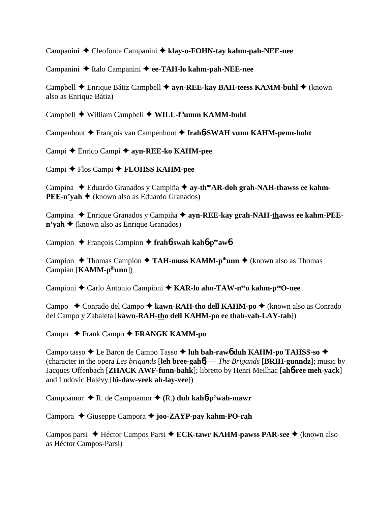Campanini Cleofonte Campanini **klay-o-FOHN-tay kahm-pah-NEE-nee**

Campanini ◆ Italo Campanini ◆ ee-TAH-lo kahm-pah-NEE-nee

Campbell **←** Enrique Bátiz Campbell ← ayn-REE-kay BAH-teess KAMM-buhl ← (known also as Enrique Bátiz)

Campbell **→** William Campbell ◆ WILL-l<sup>ih</sup>umm KAMM-buhl

Campenhout François van Campenhout **frah**6**-SWAH vunn KAHM-penn-hoht**

Campi Enrico Campi **ayn-REE-ko KAHM-pee**

Campi **←** Flos Campi ← **FLOHSS KAHM-pee** 

Campina ◆ Eduardo Granados y Campiña ◆ ay-th<sup>oo</sup>AR-doh grah-NAH-thawss ee kahm-**PEE-n'yah ♦** (known also as Eduardo Granados)

Campina ◆ Enrique Granados y Campiña ◆ ayn-REE-kay grah-NAH-thawss ee kahm-PEE**n'vah ◆** (known also as Enrique Granados)

Campion François Campion **frah**6**-swah kah**6**-peeaw**6

Campion **→** Thomas Campion → TAH-muss KAMM-p<sup>ih</sup>unn → (known also as Thomas Campian [**KAMM-pihunn**])

Campioni ◆ Carlo Antonio Campioni ◆ KAR-lo ahn-TAW-n<sup>ee</sup>o kahm-p<sup>ee</sup>O-nee

Campo **←** Conrado del Campo ← kawn-RAH-tho dell KAHM-po ← (known also as Conrado del Campo y Zabaleta [**kawn-RAH-tho dell KAHM-po ee thah-vah-LAY-tah**])

Campo **← Frank Campo ← FRANGK KAMM-po** 

Campo tasso ◆ Le Baron de Campo Tasso ◆ luh bah-raw<sub>0</sub> duh KAHM-po TAHSS-so ◆ (character in the opera *Les brigands* [**leh bree-gah**6] — *The Brigands* [**BRIH-gunndz**]; music by Jacques Offenbach [**ZHACK AWF-funn-bahk**]; libretto by Henri Meilhac [**ah**6**-ree meh-yack**] and Ludovic Halévy [**lü-daw-veek ah-lay-vee**])

Campoamor  $\triangle$  R. de Campoamor  $\triangle$  (R.) duh kah**6**-p'wah-mawr

Campora Giuseppe Campora **joo-ZAYP-pay kahm-PO-rah**

Campos parsi **→** Héctor Campos Parsi **→ ECK-tawr KAHM-pawss PAR-see** → (known also as Héctor Campos-Parsi)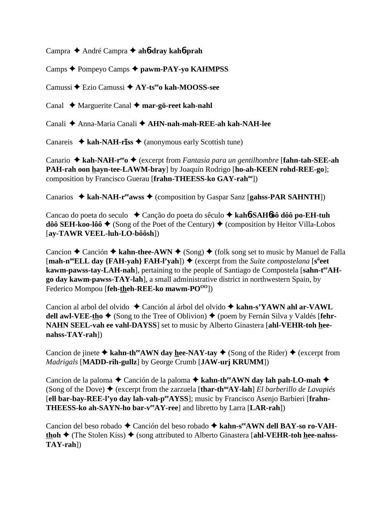Campra André Campra **ah**6**-dray kah**6**-prah**

Camps Pompeyo Camps **pawm-PAY-yo KAHMPSS**

Camussi Ezio Camussi **AY-tseeo kah-MOOSS-see**

Canal ◆ Marguerite Canal ◆ **mar-gö-reet kah-nahl** 

Canali **→** Anna-Maria Canali → **AHN-nah-mah-REE-ah kah-NAH-lee** 

Canareis  $\triangleleft$  **kah-NAH-riss**  $\triangleleft$  (anonymous early Scottish tune)

Canario ◆ kah-NAH-r<sup>ee</sup>o ◆ (excerpt from *Fantasia para un gentilhombre* [fahn-tah-SEE-ah **PAH-rah oon hayn-tee-LAWM-bray**] by Joaquín Rodrigo [**ho-ah-KEEN rohd-REE-go**]; composition by Francisco Guerau [**frahn-THEESS-ko GAY-rahoo**])

Canarios  $\triangle$  kah-NAH-r<sup>ee</sup>awss  $\triangle$  (composition by Gaspar Sanz [gahss-PAR SAHNTH])

Cancao do poeta do seculo Canção do poeta do sêculo **kah**6**-SAH**6**ôô dôô po-EH-tuh dôô SEH-koo-lôô ♦** (Song of the Poet of the Century) ♦ (composition by Heitor Villa-Lobos [**ay-TAWR VEEL-luh-LO-bôôsh**])

Cancion  $\triangle$  Canción  $\triangle$  kahn-thee-AWN  $\triangle$  (Song)  $\triangle$  (folk song set to music by Manuel de Falla [**mah-n<sup>oo</sup>ELL day** {**FAH-yah**} **FAH-l'yah**]) ♦ (excerpt from the *Suite compostelana* [s<sup>ü</sup>eet kawm-pawss-tay-LAH-nah], pertaining to the people of Santiago de Compostela [sahn-t<sup>ee</sup>AH**go day kawm-pawss-TAY-lah**], a small administrative district in northwestern Spain, by Federico Mompou [**feh-theh-REE-ko mawm-PO**<sup>00</sup>])

Cancion al arbol del olvido Canción al árbol del olvido **kahn-s'YAWN ahl ar-VAWL dell awl-VEE-tho**  $\blacklozenge$  (Song to the Tree of Oblivion)  $\blacklozenge$  (poem by Fernán Silva y Valdés [fehr-**NAHN SEEL-vah ee vahl-DAYSS**] set to music by Alberto Ginastera [**ahl-VEHR-toh heenahss-TAY-rah**])

Cancion de jinete  $\triangle$  kahn-th<sup>ee</sup>AWN day hee-NAY-tay  $\triangle$  (Song of the Rider)  $\triangle$  (excerpt from *Madrigals* [**MADD-rih-gullz**] by George Crumb [**JAW-urj KRUMM**])

Cancion de la paloma  **←** Canción de la paloma ← kahn-th<sup>ee</sup>AWN day lah pah-LO-mah ← (Song of the Dove)  $\triangle$  (excerpt from the zarzuela [thar-th<sup>oo</sup>AY-lah] *El barberillo de Lavapiés* [ell bar-bay-REE-l'yo day lah-vah-peeAYSS]; music by Francisco Asenjo Barbieri [frahn-**THEESS-ko ah-SAYN-ho bar-v<sup>ee</sup>AY-ree**] and libretto by Larra [LAR-rah])

Cancion del beso robado ◆ Canción del beso robado ◆ kahn-s<sup>ee</sup>AWN dell BAY-so ro-VAH**thoh ♦** (The Stolen Kiss) ♦ (song attributed to Alberto Ginastera [ahl-VEHR-toh hee-nahss-**TAY-rah**])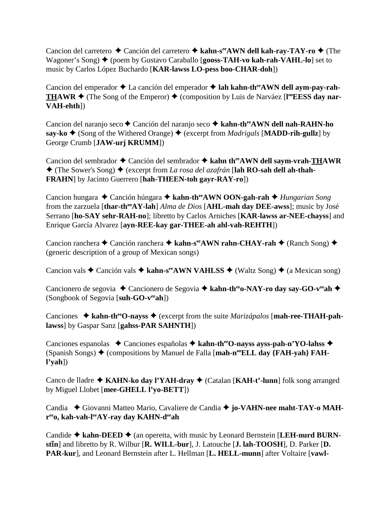Cancion del carretero **←** Canción del carretero ← kahn-s<sup>ee</sup>AWN dell kah-ray-TAY-ro ← (The Wagoner's Song)  $\blacklozenge$  (poem by Gustavo Caraballo [**gooss-TAH-vo kah-rah-VAHL-lo**] set to music by Carlos López Buchardo [**KAR-lawss LO-pess boo-CHAR-doh**])

Cancion del emperador ◆ La canción del emperador ◆ lah kahn-th<sup>ee</sup>AWN dell aym-pay-rah-**THAWR**  $\triangle$  (The Song of the Emperor)  $\triangle$  (composition by Luis de Narváez [l<sup>oo</sup>**EESS** day nar-**VAH-ehth**])

Cancion del naranjo seco **←** Canción del naranjo seco ← kahn-th<sup>ee</sup>AWN dell nah-RAHN-ho **say-ko ♦** (Song of the Withered Orange) ♦ (excerpt from *Madrigals* [MADD-rih-gullz] by George Crumb [**JAW-urj KRUMM**])

Cancion del sembrador ◆ Canción del sembrador ◆ kahn th<sup>ee</sup>AWN dell saym-vrah-THAWR  $\triangle$  (The Sower's Song)  $\triangle$  (excerpt from *La rosa del azafrán* [**lah RO-sah dell ah-thah-FRAHN**] by Jacinto Guerrero [**hah-THEEN-toh gayr-RAY-ro**])

Cancion hungara Canción húngara **kahn-theeAWN OON-gah-rah** *Hungarian Song* from the zarzuela [thar-th<sup>oo</sup>AY-lah] *Alma de Dios* [AHL-mah day DEE-awss]; music by José Serrano [**ho-SAY sehr-RAH-no**]; libretto by Carlos Arniches [**KAR-lawss ar-NEE-chayss**] and Enrique García Alvarez [**ayn-REE-kay gar-THEE-ah ahl-vah-REHTH**])

Cancion ranchera **←** Canción ranchera ← kahn-s<sup>ee</sup>AWN rahn-CHAY-rah ← (Ranch Song) ← (generic description of a group of Mexican songs)

Cancion vals  $\triangle$  Canción vals  $\triangle$  kahn-s<sup>ee</sup>AWN VAHLSS  $\triangle$  (Waltz Song)  $\triangle$  (a Mexican song)

Cancionero de segovia **→** Cancionero de Segovia **→ kahn-th<sup>ee</sup>o-NAY-ro day say-GO-v<sup>ee</sup>ah** → (Songbook of Segovia [**suh-GO-veeah**])

Canciones ◆ kahn-th<sup>ee</sup>O-nayss ◆ (excerpt from the suite *Marizápalos* [mah-ree-THAH-pah**lawss**] by Gaspar Sanz [**gahss-PAR SAHNTH**])

Canciones espanolas ◆ Canciones españolas ◆ kahn-th<sup>ee</sup>O-nayss ayss-pah-n'YO-lahss ◆ (Spanish Songs) ♦ (compositions by Manuel de Falla [**mah-n<sup>oo</sup>ELL day {FAH-yah} FAHl'yah**])

Canco de lladre ◆ KAHN-ko day l'YAH-dray ◆ (Catalan [KAH-t'-lunn] folk song arranged by Miguel Llobet [**mee-GHELL l'yo-BETT**])

Candia ◆ Giovanni Matteo Mario, Cavaliere de Candia ◆ jo-VAHN-nee maht-TAY-o MAH**reeo, kah-vah-leeAY-ray day KAHN-deeah**

Candide ◆ kahn-DEED ◆ (an operetta, with music by Leonard Bernstein [LEH-nurd BURN**stIn**] and libretto by R. Wilbur [**R. WILL-bur**], J. Latouche [**J. lah-TOOSH**], D. Parker [**D. PAR-kur**], and Leonard Bernstein after L. Hellman [**L. HELL-munn**] after Voltaire [**vawl-**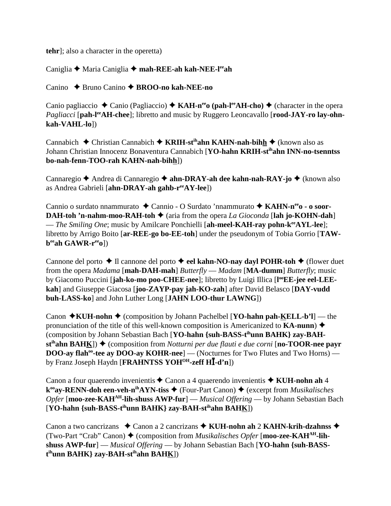**tehr**]; also a character in the operetta)

Caniglia Maria Caniglia **mah-REE-ah kah-NEE-leeah**

Canino Bruno Canino **BROO-no kah-NEE-no**

Canio pagliaccio  $\triangle$  Canio (Pagliaccio)  $\triangle$  KAH-n<sup>ee</sup> (pah-l<sup>ee</sup>AH-cho)  $\triangle$  (character in the opera *Pagliacci* [pah-l<sup>ee</sup>AH-chee]; libretto and music by Ruggero Leoncavallo [rood-JAY-ro lay-ohn**kah-VAHL-lo**])

Cannabich **→** Christian Cannabich **→ KRIH-st<sup>ih</sup>ahn KAHN-nah-bihh →** (known also as Johann Christian Innocenz Bonaventura Cannabich [**YO-hahn KRIH-stihahn INN-no-tsenntss bo-nah-fenn-TOO-rah KAHN-nah-bihh**])

Cannaregio ◆ Andrea di Cannaregio ◆ ahn-DRAY-ah dee kahn-nah-RAY-jo ◆ (known also as Andrea Gabrieli [**ahn-DRAY-ah gahb-r<sup>ee</sup>AY-lee**])

Cannio o surdato nnammurato ◆ Cannio - O Surdato 'nnammurato ◆ KAHN-n<sup>ee</sup>o - o soor-**DAH-toh 'n-nahm-moo-RAH-toh**  $\blacklozenge$  (aria from the opera *La Gioconda* [lah jo-KOHN-dah] — *The Smiling One*; music by Amilcare Ponchielli [ah-meel-KAH-ray pohn-k<sup>ee</sup>AYL-lee]; libretto by Arrigo Boito [**ar-REE-go bo-EE-toh**] under the pseudonym of Tobia Gorrio [**TAWbeeah GAWR-reeo**])

Cannone del porto  $\triangle$  Il cannone del porto  $\triangle$  **eel kahn-NO-nay dayl POHR-toh**  $\triangle$  (flower duet from the opera *Madama* [**mah-DAH-mah**] *Butterfly* — *Madam* [**MA-dumm**] *Butterfly*; music by Giacomo Puccini [jah-ko-mo poo-CHEE-nee]; libretto by Luigi Illica [l<sup>oo</sup>EE-jee eel-LEE**kah**] and Giuseppe Giacosa [**joo-ZAYP-pay jah-KO-zah**] after David Belasco [**DAY-vudd buh-LASS-ko**] and John Luther Long [**JAHN LOO-thur LAWNG**])

Canon  $\star$ **KUH-nohn**  $\star$  (composition by Johann Pachelbel [**YO-hahn pah-KELL-b'l**] — the pronunciation of the title of this well-known composition is Americanized to **KA-nunn**) (composition by Johann Sebastian Bach [**YO-hahn {suh-BASS-tihunn BAHK} zay-BAHst<sup>ih</sup>ahn BAH<u>K</u>]) ◆ (composition from** *Notturni per due flauti e due corni* **[<b>no-TOOR-nee payr DOO-ay flah<sup>oo</sup>-tee ay DOO-ay KOHR-nee**] — (Nocturnes for Two Flutes and Two Horns) by Franz Joseph Haydn [**FRAHNTSS YOHOH-zeff H-d'n**])

Canon a four quaerendo invenientis ◆ Canon a 4 quaerendo invenientis ◆ KUH-nohn ah 4 **k<sup>oo</sup>ay-RENN-doh een-veh-n<sup>ih</sup>AYN-tiss ♦** (Four-Part Canon) ♦ (excerpt from *Musikalisches Opfer* [**moo-zee-KAHAH-lih-shuss AWP-fur**] — *Musical Offering* — by Johann Sebastian Bach [**YO-hahn {suh-BASS-tihunn BAHK} zay-BAH-stihahn BAHK**])

Canon a two cancrizans **→** Canon a 2 cancrizans → KUH-nohn ah 2 KAHN-krih-dzahnss → (Two-Part "Crab" Canon) ♦ (composition from *Musikalisches Opfer* [**moo-zee-KAH**<sup>AH</sup>-lih**shuss AWP-fur**] — *Musical Offering* — by Johann Sebastian Bach [**YO-hahn {suh-BASSt ihunn BAHK} zay-BAH-stihahn BAHK**])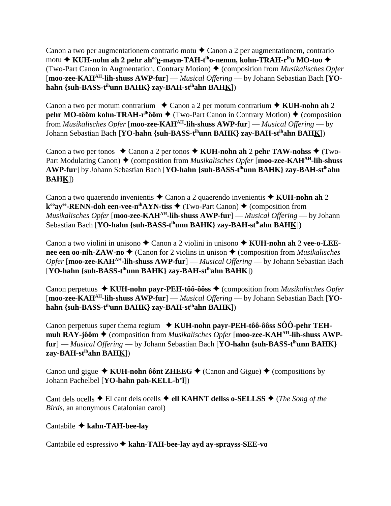Canon a two per augmentationem contrario motu  $\triangle$  Canon a 2 per augmentationem, contrario motu **→ KUH-nohn ah 2 pehr ah<sup>oo</sup>g-mayn-TAH-t<sup>ih</sup>o-nemm, kohn-TRAH-r<sup>ih</sup>o MO-too ◆** (Two-Part Canon in Augmentation, Contrary Motion) (composition from *Musikalisches Opfer* [**moo-zee-KAHAH-lih-shuss AWP-fur**] — *Musical Offering* — by Johann Sebastian Bach [**YOhahn {suh-BASS-tihunn BAHK} zay-BAH-stihahn BAHK**])

Canon a two per motum contrarium  $\triangle$  Canon a 2 per motum contrarium  $\triangle$  KUH-nohn ah 2 **pehr MO-tôôm kohn-TRAH-r<sup>ih</sup>ôôm ♦** (Two-Part Canon in Contrary Motion) ♦ (composition from *Musikalisches Opfer* [**moo-zee-KAHAH-lih-shuss AWP-fur**] — *Musical Offering* — by Johann Sebastian Bach [**YO-hahn {suh-BASS-tihunn BAHK} zay-BAH-stihahn BAHK**])

Canon a two per tonos  $\triangle$  Canon a 2 per tonos  $\triangle$  KUH-nohn ah 2 pehr TAW-nohss  $\triangle$  (Two-Part Modulating Canon) ♦ (composition from *Musikalisches Opfer* [**moo-zee-KAH<sup>AH</sup>-lih-shuss AWP-fur**] by Johann Sebastian Bach [**YO-hahn {suh-BASS-tihunn BAHK} zay-BAH-stihahn BAHK**])

Canon a two quaerendo invenientis ◆ Canon a 2 quaerendo invenientis ◆ KUH-nohn ah 2 **k<sup>oo</sup>ay<sup>ee</sup>-RENN-doh een-vee-n<sup>ih</sup>AYN-tiss ♦ (Two-Part Canon) ♦ (composition from** *Musikalisches Opfer* [**moo-zee-KAHAH-lih-shuss AWP-fur**] — *Musical Offering* — by Johann Sebastian Bach [**YO-hahn {suh-BASS-tihunn BAHK} zay-BAH-stihahn BAHK**])

Canon a two violini in unisono ◆ Canon a 2 violini in unisono ◆ KUH-nohn ah 2 vee-o-LEE**nee een oo-nih-ZAW-no**  $\triangle$  (Canon for 2 violins in unison  $\triangle$  (composition from *Musikalisches Opfer* [**moo-zee-KAHAH-lih-shuss AWP-fur**] — *Musical Offering* — by Johann Sebastian Bach [**YO-hahn {suh-BASS-tihunn BAHK} zay-BAH-stihahn BAHK**])

Canon perpetuus ◆ KUH-nohn payr-PEH-tôô-ôôss ◆ (composition from *Musikalisches Opfer* [**moo-zee-KAHAH-lih-shuss AWP-fur**] — *Musical Offering* — by Johann Sebastian Bach [**YOhahn {suh-BASS-tihunn BAHK} zay-BAH-stihahn BAHK**])

Canon perpetuus super thema regium **KUH-nohn payr-PEH-tôô-ôôss SÔÔ-pehr TEHmuh RAY-jôôm**  $\triangle$  (composition from *Musikalisches Opfer* [**moo-zee-KAH**<sup>AH</sup>-lih-shuss AWP**fur**] — *Musical Offering* — by Johann Sebastian Bach [**YO-hahn {suh-BASS-tihunn BAHK} zay-BAH-stihahn BAHK**])

Canon und gigue  $\triangle$  KUH-nohn ôônt ZHEEG  $\triangle$  (Canon and Gigue)  $\triangle$  (compositions by Johann Pachelbel [**YO-hahn pah-KELL-b'l**])

Cant dels ocells  $\triangle$  El cant dels ocells  $\triangle$  ell KAHNT dellss o-SELLSS  $\triangle$  (*The Song of the Birds*, an anonymous Catalonian carol)

# Cantabile **kahn-TAH-bee-lay**

Cantabile ed espressivo **kahn-TAH-bee-lay ayd ay-sprayss-SEE-vo**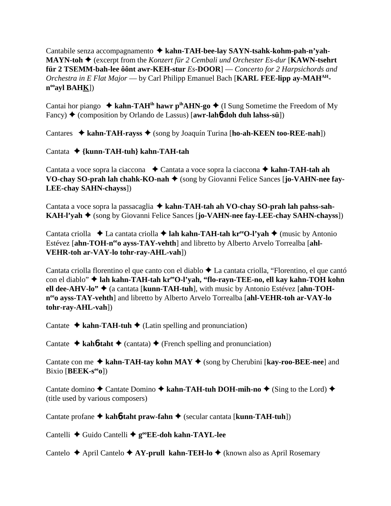Cantabile senza accompagnamento **kahn-TAH-bee-lay SAYN-tsahk-kohm-pah-n'yah-MAYN-toh** (excerpt from the *Konzert für 2 Cembali und Orchester Es-dur* [**KAWN-tsehrt für 2 TSEMM-bah-lee ôônt awr-KEH-stur** *Es***-DOOR**] — *Concerto for 2 Harpsichords and Orchestra in E Flat Major* — by Carl Philipp Emanuel Bach [KARL FEE-lipp ay-MAH<sup>AH</sup>**nooayl BAHK**])

Cantai hor piango  $\triangleq$  kahn-TAH<sup>ih</sup> hawr p<sup>ih</sup>AHN-go  $\triangleq$  (I Sung Sometime the Freedom of My Fancy) (composition by Orlando de Lassus) [**awr-lah**6**-doh duh lahss-sü**])

Cantares ◆ kahn-TAH-rayss ◆ (song by Joaquín Turina [ho-ah-KEEN too-REE-nah])

Cantata **{kunn-TAH-tuh} kahn-TAH-tah**

Cantata a voce sopra la ciaccona **→** Cantata a voce sopra la ciaccona → kahn-TAH-tah ah **VO-chay SO-prah lah chahk-KO-nah ♦** (song by Giovanni Felice Sances [**jo-VAHN-nee fay-LEE-chay SAHN-chayss**])

Cantata a voce sopra la passacaglia **kahn-TAH-tah ah VO-chay SO-prah lah pahss-sah-KAH-l'vah ♦** (song by Giovanni Felice Sances [**jo-VAHN-nee fay-LEE-chay SAHN-chayss**])

Cantata criolla **↓** La cantata criolla **→ lah kahn-TAH-tah kr<sup>ee</sup>O-l'yah →** (music by Antonio Estévez [ahn-TOH-n<sup>ee</sup>o ayss-TAY-vehth] and libretto by Alberto Arvelo Torrealba [ahl-**VEHR-toh ar-VAY-lo tohr-ray-AHL-vah**])

Cantata criolla florentino el que canto con el diablo  $\triangle$  La cantata criolla, "Florentino, el que cantó con el diablo" ◆ lah kahn-TAH-tah kr<sup>ee</sup>O-l'yah, "flo-rayn-TEE-no, ell kay kahn-TOH kohn **ell dee-AHV-lo"** (a cantata [**kunn-TAH-tuh**], with music by Antonio Estévez [**ahn-TOHneeo ayss-TAY-vehth**] and libretto by Alberto Arvelo Torrealba [**ahl-VEHR-toh ar-VAY-lo tohr-ray-AHL-vah**])

Cantate  $\triangle$  kahn-TAH-tuh  $\triangle$  (Latin spelling and pronunciation)

Cantate  $\triangle$  kah**6**-taht  $\triangle$  (cantata)  $\triangle$  (French spelling and pronunciation)

Cantate con me **→ kahn-TAH-tay kohn MAY** → (song by Cherubini [**kay-roo-BEE-nee**] and Bixio [**BEEK-seeo**])

Cantate domino  $\triangle$  Cantate Domino  $\triangle$  kahn-TAH-tuh DOH-mih-no  $\triangle$  (Sing to the Lord)  $\triangle$ (title used by various composers)

Cantate profane **kah**6**-taht praw-fahn** (secular cantata [**kunn-TAH-tuh**])

Cantelli **←** Guido Cantelli ←  $g^{\omega}EE$ -doh kahn-TAYL-lee

Cantelo **→** April Cantelo **→ AY-prull kahn-TEH-lo →** (known also as April Rosemary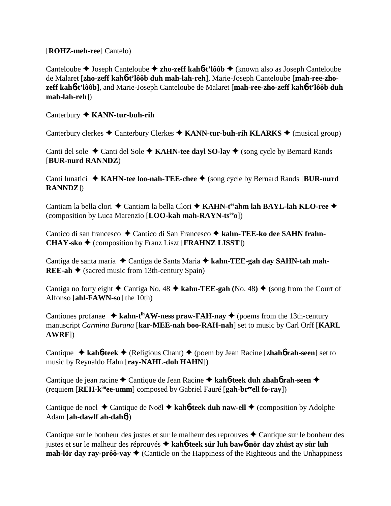[**ROHZ-meh-ree**] Cantelo)

Canteloube Joseph Canteloube **zho-zeff kah**6**-t'lôôb** (known also as Joseph Canteloube de Malaret [**zho-zeff kah**6**-t'lôôb duh mah-lah-reh**], Marie-Joseph Canteloube [**mah-ree-zhozeff kah**6**-t'lôôb**], and Marie-Joseph Canteloube de Malaret [**mah-ree-zho-zeff kah**6**-t'lôôb duh mah-lah-reh**])

Canterbury **KANN-tur-buh-rih**

Canterbury clerkes  $\triangle$  Canterbury Clerkes  $\triangle$  **KANN-tur-buh-rih KLARKS**  $\triangle$  (musical group)

Canti del sole  $\triangle$  Canti del Sole  $\triangle$  **KAHN-tee dayl SO-lay**  $\triangle$  (song cycle by Bernard Rands [**BUR-nurd RANNDZ**)

Canti lunatici ◆ KAHN-tee loo-nah-TEE-chee ◆ (song cycle by Bernard Rands [BUR-nurd **RANNDZ**])

Cantiam la bella clori ◆ Cantiam la bella Clori ◆ KAHN-t<sup>ee</sup>ahm lah BAYL-lah KLO-ree ◆ (composition by Luca Marenzio [**LOO-kah mah-RAYN-tseeo**])

Cantico di san francesco ◆ Cantico di San Francesco ◆ kahn-TEE-ko dee SAHN frahn-**CHAY-sko** (composition by Franz Liszt [**FRAHNZ LISST**])

Cantiga de santa maria ◆ Cantiga de Santa Maria ◆ kahn-TEE-gah day SAHN-tah mah-**REE-ah**  $\triangle$  (sacred music from 13th-century Spain)

Cantiga no forty eight  $\triangle$  Cantiga No. 48  $\triangle$  kahn-TEE-gah (No. 48)  $\triangle$  (song from the Court of Alfonso [**ahl-FAWN-so**] the 10th)

Cantiones profanae  $\triangleq$  kahn-t<sup>ih</sup>AW-ness praw-FAH-nay  $\triangleq$  (poems from the 13th-century manuscript *Carmina Burana* [**kar-MEE-nah boo-RAH-nah**] set to music by Carl Orff [**KARL AWRF**])

Cantique  $\triangle$  **kah<sup>6</sup>-teek**  $\triangle$  (Religious Chant)  $\triangle$  (poem by Jean Racine [**zhah<sup>6</sup> rah-seen**] set to music by Reynaldo Hahn [**ray-NAHL-doh HAHN**])

Cantique de jean racine Cantique de Jean Racine **kah**6**-teek duh zhah**6 **rah-seen** (requiem [**REH-kôôee-umm**] composed by Gabriel Fauré [**gah-breeell fo-ray**])

Cantique de noel ◆ Cantique de Noël ◆ kah**6-teek duh naw-ell** ◆ (composition by Adolphe Adam [**ah-dawlf ah-dah**6])

Cantique sur le bonheur des justes et sur le malheur des reprouves  $\triangle$  Cantique sur le bonheur des justes et sur le malheur des réprouvés **kah**6**-teek sür luh baw**6**-nör day zhüst ay sür luh mah-lör day ray-prôô-vay**  $\triangleleft$  (Canticle on the Happiness of the Righteous and the Unhappiness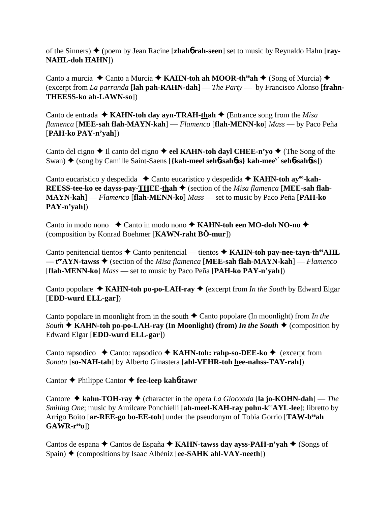of the Sinners) (poem by Jean Racine [**zhah**6 **rah-seen**] set to music by Reynaldo Hahn [**ray-NAHL-doh HAHN**])

Canto a murcia **→** Canto a Murcia **→ KAHN-toh ah MOOR-th<sup>ee</sup>ah →** (Song of Murcia) ◆ (excerpt from *La parranda* [**lah pah-RAHN-dah**] — *The Party* — by Francisco Alonso [**frahn-THEESS-ko ah-LAWN-so**])

Canto de entrada  $\triangle$  **KAHN-toh day ayn-TRAH-thah**  $\triangle$  (Entrance song from the *Misa flamenca* [**MEE-sah flah-MAYN-kah**] — *Flamenco* [**flah-MENN-ko**] *Mass* — by Paco Peña [**PAH-ko PAY-n'yah**])

Canto del cigno  $\triangle$  Il canto del cigno  $\triangle$  eel KAHN-toh dayl CHEE-n'yo  $\triangle$  (The Song of the Swan) ◆ (song by Camille Saint-Saens [{kah-meel sehb-sahbss} kah-mee<sup>y'</sup> sehb-sahbss])

Canto eucaristico y despedida **→** Canto eucaristico y despedida → **KAHN-toh ay<sup>oo</sup>-kah-REESS-tee-ko ee dayss-pay-THEE-thah ♦** (section of the *Misa flamenca* [MEE-sah flah-**MAYN-kah**] — *Flamenco* [**flah-MENN-ko**] *Mass* — set to music by Paco Peña [**PAH-ko PAY-n'yah**])

Canto in modo nono **↓** Canto in modo nono **↓ KAHN-toh een MO-doh NO-no ◆** (composition by Konrad Boehmer [**KAWN-raht BÖ-mur**])

Canto penitencial tientos  $\triangle$  Canto penitencial — tientos  $\triangle$  KAHN-toh pay-nee-tayn-th<sup>ee</sup>AHL — t<sup>ee</sup>AYN-tawss ◆ (section of the *Misa flamenca* [MEE-sah flah-MAYN-kah] — *Flamenco* [**flah-MENN-ko**] *Mass* — set to music by Paco Peña [**PAH-ko PAY-n'yah**])

Canto popolare  $\triangle$  **KAHN-toh po-po-LAH-ray**  $\triangle$  (excerpt from *In the South* by Edward Elgar [**EDD-wurd ELL-gar**])

Canto popolare in moonlight from in the south  $\triangle$  Canto popolare (In moonlight) from *In the South*  $\triangle$  **KAHN-toh po-po-LAH-ray (In Moonlight) (from)** *In the South*  $\triangle$  (composition by Edward Elgar [**EDD-wurd ELL-gar**])

Canto rapsodico ◆ Canto: rapsodico ◆ KAHN-toh: rahp-so-DEE-ko ◆ (excerpt from *Sonata* [**so-NAH-tah**] by Alberto Ginastera [**ahl-VEHR-toh hee-nahss-TAY-rah**])

Cantor Philippe Cantor **fee-leep kah**6**-tawr**

Cantore  $\triangle$  **kahn-TOH-ray**  $\triangle$  (character in the opera *La Gioconda* [la jo-KOHN-dah] — *The Smiling One*; music by Amilcare Ponchielli [ah-meel-KAH-ray pohn-k<sup>ee</sup>AYL-lee]; libretto by Arrigo Boito [**ar-REE-go bo-EE-toh**] under the pseudonym of Tobia Gorrio [**TAW-beeah GAWR-reeo**])

Cantos de espana ◆ Cantos de España ◆ KAHN-tawss day ayss-PAH-n'yah ◆ (Songs of Spain) ♦ (compositions by Isaac Albéniz [ee-SAHK ahl-VAY-neeth])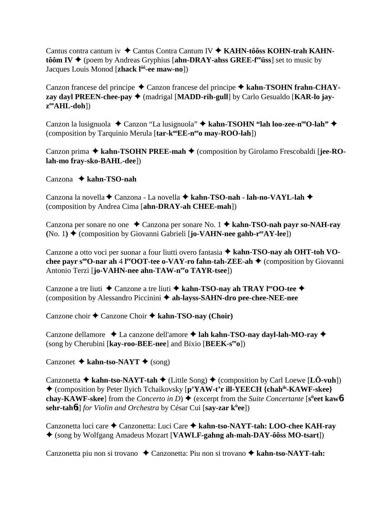Cantus contra cantum iv **→** Cantus Contra Cantum IV ◆ KAHN-tôôss KOHN-trah KAHN**tôôm IV**  $\blacklozenge$  (poem by Andreas Gryphius [ahn-DRAY-ahss GREE-f<sup>ee</sup> usubs] set to music by Jacques Louis Monod [**zhack** l<sup>ôô</sup>-ee maw-no])

Canzon francese del principe ◆ Canzon francese del principe ◆ kahn-TSOHN frahn-CHAY**zay dayl PREEN-chee-pay ♦** (madrigal [MADD-rih-gull] by Carlo Gesualdo [KAR-lo jay**zooAHL-doh**])

Canzon la lusignuola ◆ Canzon "La lusignuola" ◆ kahn-TSOHN "lah loo-zee-n<sup>oo</sup>O-lah" ◆ (composition by Tarquinio Merula [tar-k<sup>oo</sup>EE-n<sup>ee</sup>o may-ROO-lah])

Canzon prima  $\triangle$  kahn-TSOHN PREE-mah  $\triangle$  (composition by Girolamo Frescobaldi [jee-RO**lah-mo fray-sko-BAHL-dee**])

# Canzona **kahn-TSO-nah**

Canzona la novella ◆ Canzona - La novella ◆ kahn-TSO-nah - lah-no-VAYL-lah ◆ (composition by Andrea Cima [**ahn-DRAY-ah CHEE-mah**])

Canzona per sonare no one ◆ Canzona per sonare No. 1 ◆ kahn-TSO-nah payr so-NAH-ray **(No. 1)**  $\blacklozenge$  (composition by Giovanni Gabrieli [**jo-VAHN-nee gahb-r<sup>ee</sup>AY-lee**])

Canzone a otto voci per suonar a four liutti overo fantasia **kahn-TSO-nay ah OHT-toh VOchee payr s<sup>∞</sup>O-nar ah 4<sup>e</sup> OOT-tee o-VAY-ro fahn-tah-ZEE-ah ◆ (composition by Giovanni** Antonio Terzi [**jo-VAHN-nee ahn-TAW-n<sup>ee</sup>o TAYR-tsee**])

Canzone a tre liuti ◆ Canzone a tre liuti ◆ kahn-TSO-nay ah TRAY l<sup>ee</sup>OO-tee ◆ (composition by Alessandro Piccinini **ah-layss-SAHN-dro pee-chee-NEE-nee**

Canzone choir **←** Canzone Choir ← kahn-TSO-nay (Choir)

Canzone dellamore  $\triangle$  La canzone dell'amore **← lah kahn-TSO-nay dayl-lah-MO-ray** ← (song by Cherubini [**kay-roo-BEE-nee**] and Bixio [**BEEK-seeo**])

Canzonet  $\triangle$  kahn-tso-NAYT  $\triangle$  (song)

Canzonetta  $\blacklozenge$  **kahn-tso-NAYT-tah**  $\blacklozenge$  (Little Song)  $\blacklozenge$  (composition by Carl Loewe [LÖ-vuh]) (composition by Peter Ilyich Tchaikovsky [**p'YAW-t'r ill-YEECH {chahih-KAWF-skee} chay-KAWF-skee**] from the *Concerto in D*)  $\bigstar$  (excerpt from the *Suite Concertante* [s<sup>ü</sup>eet kaw6**sehr-tah**6**t**] *for Violin and Orchestra* by César Cui [**say-zar kü ee**])

Canzonetta luci care Canzonetta: Luci Care **kahn-tso-NAYT-tah: LOO-chee KAH-ray** (song by Wolfgang Amadeus Mozart [**VAWLF-gahng ah-mah-DAY-ôôss MO-tsart**])

Canzonetta piu non si trovano ◆ Canzonetta: Piu non si trovano ◆ kahn-tso-NAYT-tah: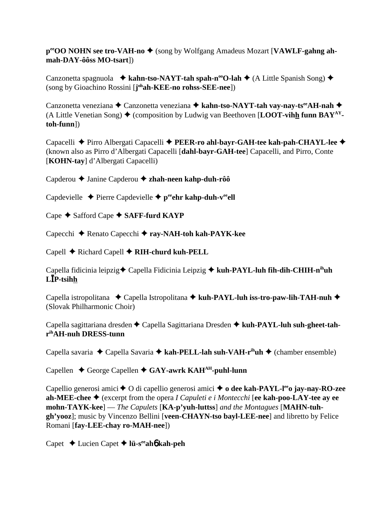**p<sup>ee</sup>OO NOHN see tro-VAH-no ♦** (song by Wolfgang Amadeus Mozart [VAWLF-gahng ah**mah-DAY-ôôss MO-tsart**])

Canzonetta spagnuola **↓ kahn-tso-NAYT-tah spah-n<sup>oo</sup>O-lah ↓** (A Little Spanish Song) ◆ (song by Gioachino Rossini [**j ohah-KEE-no rohss-SEE-nee**])

Canzonetta veneziana **←** Canzonetta veneziana ← kahn-tso-NAYT-tah vay-nay-ts<sup>ee</sup>AH-nah ← (A Little Venetian Song)  $\triangle$  (composition by Ludwig van Beethoven [**LOOT-vihh funn BAY**<sup>AY</sup>**toh-funn**])

Capacelli ◆ Pirro Albergati Capacelli ◆ PEER-ro ahl-bayr-GAH-tee kah-pah-CHAYL-lee ◆ (known also as Pirro d'Albergati Capacelli [**dahl-bayr-GAH-tee**] Capacelli, and Pirro, Conte [**KOHN-tay**] d'Albergati Capacelli)

Capderou Janine Capderou **zhah-neen kahp-duh-rôô**

Capdevielle  $\triangle$  Pierre Capdevielle  $\triangle$  p<sup>ee</sup>ehr kahp-duh-v<sup>ee</sup>ell

Cape **→** Safford Cape **→ SAFF-furd KAYP** 

Capecchi Renato Capecchi **ray-NAH-toh kah-PAYK-kee**

Capell Richard Capell **RIH-churd kuh-PELL**

Capella fidicinia leipzig ← Capella Fidicinia Leipzig ← kuh-PAYL-luh fih-dih-CHIH-n<sup>ih</sup>uh **LP-tsihh**

Capella istropolitana ◆ Capella Istropolitana ◆ kuh-PAYL-luh iss-tro-paw-lih-TAH-nuh ◆ (Slovak Philharmonic Choir)

Capella sagittariana dresden Capella Sagittariana Dresden **kuh-PAYL-luh suh-gheet-tahrihAH-nuh DRESS-tunn**

Capella savaria ◆ Capella Savaria ◆ kah-PELL-lah suh-VAH-r<sup>ih</sup>uh ◆ (chamber ensemble)

Capellen **←** George Capellen ← GAY-awrk KAH<sup>AH</sup>-puhl-lunn

Capellio generosi amici ◆ O di capellio generosi amici ◆ **o dee kah-PAYL-l<sup>ee</sup>o jay-nay-RO-zee ah-MEE-chee** (excerpt from the opera *I Capuleti e i Montecchi* [**ee kah-poo-LAY-tee ay ee mohn-TAYK-kee**] — *The Capulets* [**KA-p'yuh-luttss**] *and the Montagues* [**MAHN-tuhgh'yooz**]; music by Vincenzo Bellini [**veen-CHAYN-tso bayl-LEE-nee**] and libretto by Felice Romani [**fay-LEE-chay ro-MAH-nee**])

Capet Lucien Capet  **lü-seeah**6 **kah-peh**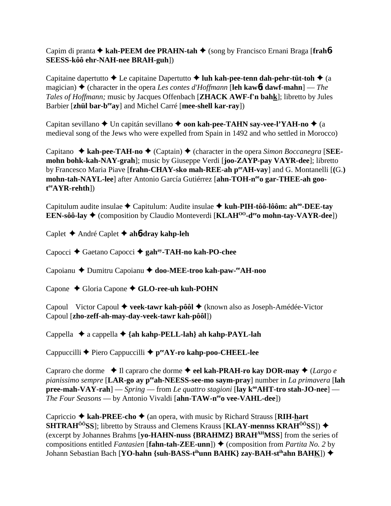Capim di pranta **★ kah-PEEM dee PRAHN-tah ◆** (song by Francisco Ernani Braga [frah6-**SEESS-kôô ehr-NAH-nee BRAH-guh**])

Capitaine dapertutto  $\triangle$  Le capitaine Dapertutto  $\triangle$  luh kah-pee-tenn dah-pehr-tüt-toh  $\triangle$  (a magician)  $\triangle$  (character in the opera *Les contes d'Hoffmann* [**leh kaw6t dawf-mahn**] — *The Tales of Hoffmann;* music by Jacques Offenbach [**ZHACK AWF-f'n bahk**]; libretto by Jules Barbier [**zhül bar-beeay**] and Michel Carré [**mee-shell kar-ray**])

Capitan sevillano **→** Un capitán sevillano → **oon kah-pee-TAHN say-vee-l'YAH-no** → (a medieval song of the Jews who were expelled from Spain in 1492 and who settled in Morocco)

Capitano  $\triangle$  **kah-pee-TAH-no**  $\triangle$  (Captain)  $\triangle$  (character in the opera *Simon Boccanegra* [**SEEmohn bohk-kah-NAY-grah**]; music by Giuseppe Verdi [**joo-ZAYP-pay VAYR-dee**]; libretto by Francesco Maria Piave [**frahn-CHAY-sko mah-REE-ah peeAH-vay**] and G. Montanelli [**(**G.**)** mohn-tah-NAYL-lee] after Antonio García Gutiérrez [ahn-TOH-n<sup>ee</sup>o gar-THEE-ah goo**t eeAYR-rehth**])

Capitulum audite insulae ◆ Capitulum: Audite insulae ◆ kuh-PIH-tôô-lôôm: ah<sup>oo</sup>-DEE-tay **EEN-sôô-lay**  $\triangleleft$  (composition by Claudio Monteverdi [**KLAH<sup>00</sup>-d<sup>ee</sup>o mohn-tay-VAYR-dee**])

Caplet André Caplet **ah**6**-dray kahp-leh**

Capocci ◆ Gaetano Capocci ◆ gah<sup>ay</sup>-TAH-no kah-PO-chee

Capoianu ◆ Dumitru Capoianu ◆ doo-MEE-troo kah-paw-<sup>ee</sup>AH-noo

Capone ◆ Gloria Capone ◆ GLO-ree-uh kuh-POHN

Capoul Victor Capoul ◆ veek-tawr kah-pôôl ◆ (known also as Joseph-Amédée-Victor Capoul [**zho-zeff-ah-may-day-veek-tawr kah-pôôl**])

Cappella  $\triangle$  a cappella  $\triangle$  {ah kahp-PELL-lah} ah kahp-PAYL-lah

Cappuccilli ◆ Piero Cappuccilli ◆ p<sup>ee</sup>AY-ro kahp-poo-CHEEL-lee

Capraro che dorme  $\triangle$  Il capraro che dorme **→ eel kah-PRAH-ro kay DOR-may** ◆ (*Largo e pianissimo sempre* [**LAR-go ay peeah-NEESS-see-mo saym-pray**] number in *La primavera* [**lah pree-mah-VAY-rah**] — *Spring* — from *Le quattro stagioni* [lay k<sup>oo</sup>AHT-tro stah-JO-nee] — *The Four Seasons* — by Antonio Vivaldi [**ahn-TAW-n<sup>ee</sup>o vee-VAHL-dee**])

Capriccio  $\triangle$  kah-PREE-cho  $\triangle$  (an opera, with music by Richard Strauss [RIH-hart] **SHTRAH<sup>ôô</sup>SS**]; libretto by Strauss and Clemens Krauss [**KLAY-mennss KRAH<sup>ôô</sup>SS**])  $\blacklozenge$ (excerpt by Johannes Brahms [**yo-HAHN-nuss {BRAHMZ} BRAHAHMSS**] from the series of compositions entitled *Fantasien* [**fahn-tah-ZEE-unn**])  $\triangle$  (composition from *Partita No. 2* by Johann Sebastian Bach [**YO-hahn {suh-BASS-t<sup>ih</sup>unn BAHK} zay-BAH-st<sup>ih</sup>ahn BAHK]) ◆**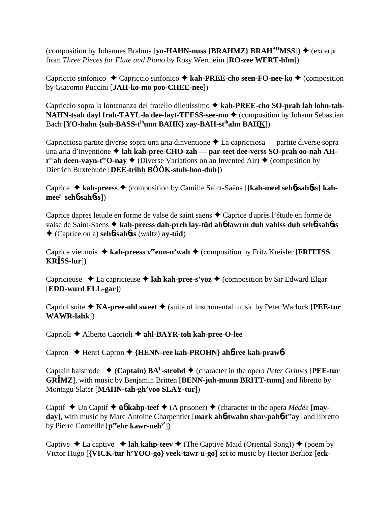(composition by Johannes Brahms [yo-HAHN-nuss {BRAHMZ} BRAH<sup>AH</sup>MSS]) ♦ (excerpt from *Three Pieces for Flute and Piano* by Rosy Wertheim [**RO-zee WERT-him**])

Capriccio sinfonico ◆ Capriccio sinfonico ◆ kah-PREE-cho seen-FO-nee-ko ◆ (composition by Giacomo Puccini [**JAH-ko-mo poo-CHEE-nee**])

Capriccio sopra la lontananza del fratello dilettissimo **kah-PREE-cho SO-prah lah lohn-tah-NAHN-tsah dayl frah-TAYL-lo dee-layt-TEESS-see-mo ♦ (composition by Johann Sebastian** Bach [**YO-hahn {suh-BASS-tihunn BAHK} zay-BAH-stihahn BAHK**])

Capricciosa partite diverse sopra una aria dinventione  $\triangle$  La capricciosa — partite diverse sopra una aria d'inventione **lah kah-pree-CHO-zah — par-teet dee-verss SO-prah oo-nah AH-** $\mathbf{r}^{\text{ee}}$ **ah deen-vayn-t<sup>ee</sup>O-nay**  $\blacklozenge$  (Diverse Variations on an Invented Air)  $\blacklozenge$  (composition by Dietrich Buxtehude [**DEE-trihh BÔÔK-stuh-hoo-duh**])

Caprice **kah-preess** (composition by Camille Saint-Saëns [**{kah-meel seh**6**-sah**6**ss} kahmeey' seh**6**-sah**6**ss**])

Caprice dapres letude en forme de valse de saint saens  $\triangle$  Caprice d'après l'étude en forme de valse de Saint-Saens **kah-preess dah-preh lay-tüd ah**6 **fawrm duh vahlss duh seh**6**-sah**6**ss** (Caprice on a) **seh**6**-sah**6**ss** (waltz) **ay-tüd**)

Caprice viennois ◆ kah-preess v<sup>ee</sup>enn-n'wah ◆ (composition by Fritz Kreisler [**FRITTSS KRSS-lur**])

Capricieuse  $\triangle$  La capricieuse  $\triangle$  **lah kah-pree-s'yöz**  $\triangle$  (composition by Sir Edward Elgar) [**EDD-wurd ELL-gar**])

Capriol suite **KA-pree-ohl sweet** (suite of instrumental music by Peter Warlock [**PEE-tur WAWR-lahk**])

Caprioli **←** Alberto Caprioli ← ahl-BAYR-toh kah-pree-O-lee

Capron Henri Capron **{HENN-ree kah-PROHN} ah**6**-ree kah-praw**6

Captain balstrode  $\bullet$  (Captain)  $BA^L$ -strohd  $\bullet$  (character in the opera *Peter Grimes* [**PEE-tur GRMZ**]*,* with music by Benjamin Britten [**BENN-juh-munn BRITT-tunn**] and libretto by Montagu Slater [**MAHN-tah-gh'yoo SLAY-tur**])

Captif  $\triangle$  Un Captif  $\triangle$  **ü<sub>6</sub>** kahp-teef  $\triangle$  (A prisoner)  $\triangle$  (character in the opera *Médée* [**mayday**], with music by Marc Antoine Charpentier [mark ah**6-twahn shar-pah6-t<sup>ee</sup>ay**] and libretto by Pierre Corneille [peehr kawr-neh<sup>y'</sup>])

Captive  $\triangle$  La captive  $\triangle$  **lah kahp-teev**  $\triangle$  (The Captive Maid (Oriental Song))  $\triangle$  (poem by Victor Hugo [**{VICK-tur h'YOO-go} veek-tawr ü-go**] set to music by Hector Berlioz [**eck-**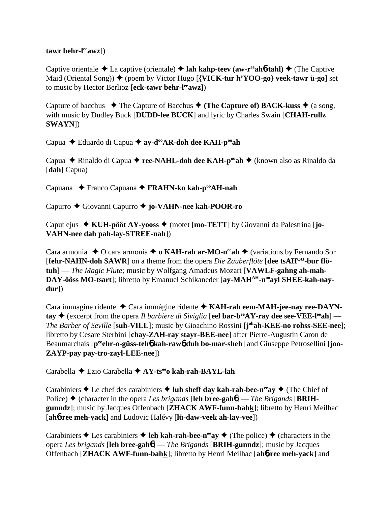#### **tawr behr-leeawz**])

Captive orientale  $\triangle$  La captive (orientale)  $\triangle$  lah kahp-teev (aw-r<sup>ee</sup>ah**6-tahl)**  $\triangle$  (The Captive Maid (Oriental Song)) ♦ (poem by Victor Hugo [**{VICK-tur h'YOO-go} veek-tawr ü-go**] set to music by Hector Berlioz [**eck-tawr behr-leeawz**])

Capture of bacchus  $\blacklozenge$  The Capture of Bacchus  $\blacklozenge$  (The Capture of) BACK-kuss  $\blacklozenge$  (a song, with music by Dudley Buck [**DUDD-lee BUCK**] and lyric by Charles Swain [**CHAH-rullz SWAYN**])

Capua ◆ Eduardo di Capua ◆ av-d<sup>oo</sup>AR-doh dee KAH-p<sup>oo</sup>ah

Capua ◆ Rinaldo di Capua ◆ **ree-NAHL-doh dee KAH-p<sup>oo</sup>ah** ◆ (known also as Rinaldo da [**dah**] Capua)

Capuana Franco Capuana **FRAHN-ko kah-pooAH-nah**

Capurro Giovanni Capurro **jo-VAHN-nee kah-POOR-ro**

Caput ejus ◆ KUH-pôôt AY-yooss ◆ (motet [mo-TETT] by Giovanni da Palestrina [jo-**VAHN-nee dah pah-lay-STREE-nah**])

Cara armonia  $\triangle$  O cara armonia  $\triangle$  **o KAH-rah ar-MO-n<sup>ee</sup>ah**  $\triangle$  (variations by Fernando Sor **[fehr-NAHN-doh SAWR**] on a theme from the opera *Die Zauberflöte* [dee tsAH<sup>00</sup>-bur flö**tuh**] — *The Magic Flute;* music by Wolfgang Amadeus Mozart [**VAWLF-gahng ah-mah-**DAY-ôôss MO-tsart]; libretto by Emanuel Schikaneder [ay-MAH<sup>AH</sup>-n<sup>oo</sup>ayl SHEE-kah-nay**dur**])

Cara immagine ridente Cara immágine ridente **KAH-rah eem-MAH-jee-nay ree-DAYN-** $\text{tav}$   $\blacklozenge$  (excerpt from the opera *Il barbiere di Siviglia* [eel bar-b<sup>ee</sup>AY-ray dee see-VEE-l<sup>ee</sup>ah] – *The Barber of Seville* [**suh-VILL**]; music by Gioachino Rossini [**j ohah-KEE-no rohss-SEE-nee**]; libretto by Cesare Sterbini [**chay-ZAH-ray stayr-BEE-nee**] after Pierre-Augustin Caron de Beaumarchais [p<sup>ee</sup>ehr-o-güss-teh**6** kah-rawb duh bo-mar-sheh] and Giuseppe Petrosellini [joo-**ZAYP-pay pay-tro-zayl-LEE-nee**])

Carabella Ezio Carabella **AY-tseeo kah-rah-BAYL-lah**

Carabiniers  $\triangle$  Le chef des carabiniers  $\triangle$  luh sheff day kah-rah-bee-n<sup>ee</sup>ay  $\triangle$  (The Chief of Police)  $\triangle$  (character in the opera *Les brigands* [leh bree-gah $\phi$ ] — *The Brigands* [BRIH**gunndz**]; music by Jacques Offenbach [**ZHACK AWF-funn-bahk**]; libretto by Henri Meilhac [**ah**6**-ree meh-yack**] and Ludovic Halévy [**lü-daw-veek ah-lay-vee**])

Carabiniers  $\triangle$  Les carabiniers  $\triangle$  **leh kah-rah-bee-n<sup>ee</sup>ay**  $\triangle$  (The police)  $\triangle$  (characters in the opera *Les brigands* [**leh bree-gah**6] — *The Brigands* [**BRIH-gunndz**]; music by Jacques Offenbach [**ZHACK AWF-funn-bahk**]; libretto by Henri Meilhac [**ah**6**-ree meh-yack**] and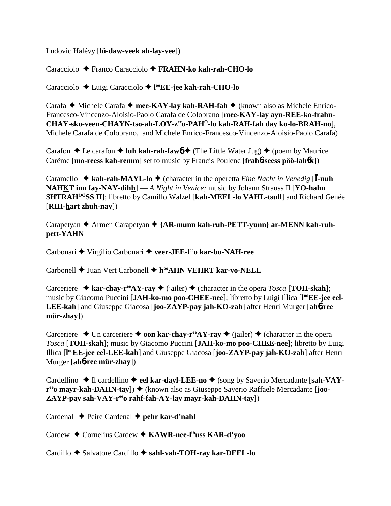Ludovic Halévy [**lü-daw-veek ah-lay-vee**])

Caracciolo Franco Caracciolo **FRAHN-ko kah-rah-CHO-lo**

Caracciolo Luigi Caracciolo **l ooEE-jee kah-rah-CHO-lo**

Carafa **→** Michele Carafa → mee-KAY-lay kah-RAH-fah → (known also as Michele Enrico-Francesco-Vincenzo-Aloisio-Paolo Carafa de Colobrano [**mee-KAY-lay ayn-REE-ko-frahn-CHAY-sko-veen-CHAYN-tso-ah-LOY-zeeo-PAHO-lo kah-RAH-fah day ko-lo-BRAH-no**], Michele Carafa de Colobrano, and Michele Enrico-Francesco-Vincenzo-Aloisio-Paolo Carafa)

Carafon  $\triangle$  Le carafon  $\triangle$  **luh kah-rah-faw<sub>0</sub>**  $\triangle$  (The Little Water Jug)  $\triangle$  (poem by Maurice Carême [**mo-reess kah-remm**] set to music by Francis Poulenc [**frah**6**-seess pôô-lah**6**k**])

Caramello  $\triangle$  **kah-rah-MAYL-lo**  $\triangle$  (character in the operetta *Eine Nacht in Venedig* [I-nuh **NAHKT inn fay-NAY-dihh**] — *A Night in Venice;* music by Johann Strauss II [**YO-hahn SHTRAHÔÔSS II**]; libretto by Camillo Walzel [**kah-MEEL-lo VAHL-tsull**] and Richard Genée [**RIH-hart zhuh-nay**])

Carapetyan ◆ Armen Carapetyan ◆ {AR-munn kah-ruh-PETT-yunn} ar-MENN kah-ruh**pett-YAHN**

Carbonari ◆ Virgilio Carbonari ◆ veer-JEE-l<sup>ee</sup>o kar-bo-NAH-ree

Carbonell **→** Juan Vert Carbonell ◆ h<sup>oo</sup>AHN VEHRT kar-vo-NELL

Carceriere  $\triangle$  kar-chay-r<sup>ee</sup>AY-ray  $\triangle$  (jailer)  $\triangle$  (character in the opera *Tosca* [**TOH-skah**]; music by Giacomo Puccini [JAH-ko-mo poo-CHEE-nee]; libretto by Luigi Illica [l<sup>oo</sup>EE-jee eel-**LEE-kah**] and Giuseppe Giacosa [**joo-ZAYP-pay jah-KO-zah**] after Henri Murger [**ah**6**-ree mür-zhay**])

Carceriere  $\triangle$  Un carceriere  $\triangle$  **oon kar-chay-r<sup>ee</sup>AY-ray**  $\triangle$  (jailer)  $\triangle$  (character in the opera *Tosca* [**TOH-skah**]; music by Giacomo Puccini [**JAH-ko-mo poo-CHEE-nee**]; libretto by Luigi Illica [**l ooEE-jee eel-LEE-kah**] and Giuseppe Giacosa [**joo-ZAYP-pay jah-KO-zah**] after Henri Murger [**ah**6**-ree mür-zhay**])

Cardellino ◆ Il cardellino ◆ eel kar-dayl-LEE-no ◆ (song by Saverio Mercadante [sah-VAY**r<sup>ee</sup>o mayr-kah-DAHN-tay**]) ♦ (known also as Giuseppe Saverio Raffaele Mercadante [**joo-**ZAYP-pay sah-VAY-r<sup>ee</sup>o rahf-fah-AY-lay mayr-kah-DAHN-tay])

Cardenal ◆ Peire Cardenal ◆ pehr kar-d'nahl

Cardew Cornelius Cardew **KAWR-nee-lihuss KAR-d'yoo**

Cardillo ◆ Salvatore Cardillo ◆ sahl-vah-TOH-ray kar-DEEL-lo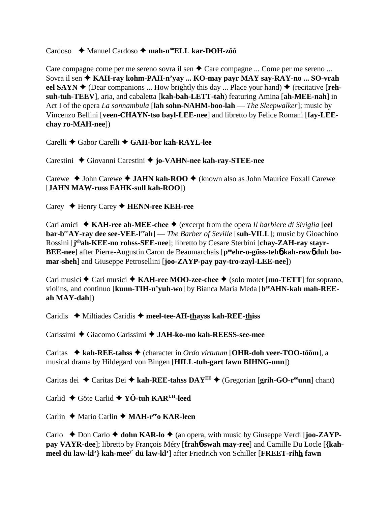## Cardoso **→** Manuel Cardoso → mah-n<sup>oo</sup>ELL kar-DOH-zôô

Care compagne come per me sereno sovra il sen  $\triangle$  Care compagne ... Come per me sereno ... Sovra il sen **KAH-ray kohm-PAH-n'yay ... KO-may payr MAY say-RAY-no ... SO-vrah** eel SAYN  $\blacklozenge$  (Dear companions ... How brightly this day ... Place your hand)  $\blacklozenge$  (recitative [**rehsuh-tuh-TEEV**], aria, and cabaletta [**kah-bah-LETT-tah**) featuring Amina [**ah-MEE-nah**] in Act I of the opera *La sonnambula* [**lah sohn-NAHM-boo-lah** — *The Sleepwalker*]; music by Vincenzo Bellini [**veen-CHAYN-tso bayl-LEE-nee**] and libretto by Felice Romani [**fay-LEEchay ro-MAH-nee**])

Carelli Gabor Carelli **GAH-bor kah-RAYL-lee**

Carestini ◆ Giovanni Carestini ◆ jo-VAHN-nee kah-ray-STEE-nee

Carewe ◆ John Carewe ◆ JAHN kah-ROO ◆ (known also as John Maurice Foxall Carewe [**JAHN MAW-russ FAHK-sull kah-ROO**])

Carey Henry Carey **HENN-ree KEH-ree**

Cari amici **KAH-ree ah-MEE-chee** (excerpt from the opera *Il barbiere di Siviglia* [**eel bar-b<sup>ee</sup>AY-ray dee see-VEE-l<sup>ee</sup>ah**] — *The Barber of Seville* [**suh-VILL**]; music by Gioachino Rossini [j<sup>oh</sup>ah-KEE-no rohss-SEE-nee]; libretto by Cesare Sterbini [chay-ZAH-ray stayr-**BEE-nee**] after Pierre-Augustin Caron de Beaumarchais [p<sup>ee</sup>ehr-o-güss-teh**6** kah-raw6 duh bo**mar-sheh**] and Giuseppe Petrosellini [**joo-ZAYP-pay pay-tro-zayl-LEE-nee**])

Cari musici  $\triangle$  Cari musici  $\triangle$  KAH-ree MOO-zee-chee  $\triangle$  (solo motet [**mo-TETT**] for soprano, violins, and continuo [kunn-TIH-n'yuh-wo] by Bianca Maria Meda [b<sup>ee</sup>AHN-kah mah-REE**ah MAY-dah**])

Caridis ◆ Miltiades Caridis ◆ meel-tee-AH-thayss kah-REE-thiss

Carissimi ◆ Giacomo Carissimi ◆ JAH-ko-mo kah-REESS-see-mee

Caritas **kah-REE-tahss** (character in *Ordo virtutum* [**OHR-doh veer-TOO-tôôm**], a musical drama by Hildegard von Bingen [**HILL-tuh-gart fawn BIHNG-unn**])

Caritas dei  $\triangle$  Caritas Dei  $\triangle$  kah-REE-tahss DAY<sup>EE</sup>  $\triangle$  (Gregorian [grih-GO-r<sup>ee</sup>unn] chant)

Carlid Göte Carlid **YÖ-tuh KARUH-leed**

Carlin ◆ Mario Carlin ◆ MAH-r<sup>ee</sup>o KAR-leen

Carlo ◆ Don Carlo ◆ **dohn KAR-lo** ◆ (an opera, with music by Giuseppe Verdi [**joo-ZAYPpay VAYR-dee**]; libretto by François Méry [**frah**6**-swah may-ree**] and Camille Du Locle [**{kahmeel dü law-kl'} kah-meey' dü law-kl'**] after Friedrich von Schiller [**FREET-rihh fawn**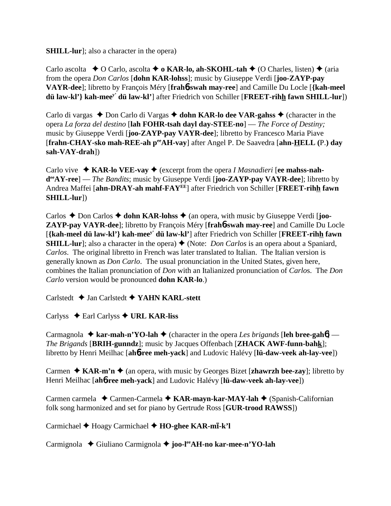#### **SHILL-lur**]; also a character in the opera)

Carlo ascolta  $\rightarrow$  O Carlo, ascolta  $\rightarrow$  **o KAR-lo, ah-SKOHL-tah**  $\rightarrow$  (O Charles, listen)  $\rightarrow$  (aria from the opera *Don Carlos* [**dohn KAR-lohss**]; music by Giuseppe Verdi [**joo-ZAYP-pay VAYR-dee**]; libretto by François Méry [**frah**6**-swah may-ree**] and Camille Du Locle [**{kah-meel dü law-kl'} kah-meey' dü law-kl'**] after Friedrich von Schiller [**FREET-rihh fawn SHILL-lur**])

Carlo di vargas  $\triangle$  Don Carlo di Vargas  $\triangle$  dohn KAR-lo dee VAR-gahss  $\triangle$  (character in the opera *La forza del destino* [**lah FOHR-tsah dayl day-STEE-no**] — *The Force of Destiny;* music by Giuseppe Verdi [**joo-ZAYP-pay VAYR-dee**]; libretto by Francesco Maria Piave [**frahn-CHAY-sko mah-REE-ah peeAH-vay**] after Angel P. De Saavedra [**ahn-HELL (**P.**) day sah-VAY-drah**])

Carlo vive  $\triangle$  **KAR-lo VEE-vay**  $\triangle$  (excerpt from the opera *I Masnadieri* [ee mahss-nah**deeAY-ree**] — *The Bandits*; music by Giuseppe Verdi [**joo-ZAYP-pay VAYR-dee**]; libretto by Andrea Maffei [**ahn-DRAY-ah mahf-FAYEE**] after Friedrich von Schiller [**FREET-rihh fawn SHILL-lur**])

Carlos  $\triangle$  Don Carlos  $\triangle$  dohn KAR-lohss  $\triangle$  (an opera, with music by Giuseppe Verdi [**joo**-**ZAYP-pay VAYR-dee**]; libretto by François Méry [**frah**6**-swah may-ree**] and Camille Du Locle [**{kah-meel dü law-kl'} kah-meey' dü law-kl'**] after Friedrich von Schiller [**FREET-rihh fawn SHILL-lur**]; also a character in the opera) ♦ (Note: *Don Carlos* is an opera about a Spaniard, *Carlos*. The original libretto in French was later translated to Italian. The Italian version is generally known as *Don Carlo*. The usual pronunciation in the United States, given here, combines the Italian pronunciation of *Don* with an Italianized pronunciation of *Carlo*s. The *Don Carlo* version would be pronounced **dohn KAR-lo**.)

Carlstedt Jan Carlstedt **YAHN KARL-stett**

Carlyss Earl Carlyss **URL KAR-liss**

Carmagnola  $\triangle$  **kar-mah-n'YO-lah**  $\triangle$  (character in the opera *Les brigands* [leh bree-gah**6**] — *The Brigands* [**BRIH-gunndz**]; music by Jacques Offenbach [**ZHACK AWF-funn-bahk**]; libretto by Henri Meilhac [**ah**6**-ree meh-yack**] and Ludovic Halévy [**lü-daw-veek ah-lay-vee**])

Carmen  $\triangle$  **KAR-m'n**  $\triangle$  (an opera, with music by Georges Bizet [**zhawrzh bee-zay**]; libretto by Henri Meilhac [**ah**6**-ree meh-yack**] and Ludovic Halévy [**lü-daw-veek ah-lay-vee**])

Carmen carmela **←** Carmen-Carmela ← KAR-mayn-kar-MAY-lah ← (Spanish-Californian folk song harmonized and set for piano by Gertrude Ross [**GUR-trood RAWSS**])

Carmichael ♦ Hoagy Carmichael ♦ HO-ghee KAR-mī-k'l

Carmignola Giuliano Carmignola **joo-leeAH-no kar-mee-n'YO-lah**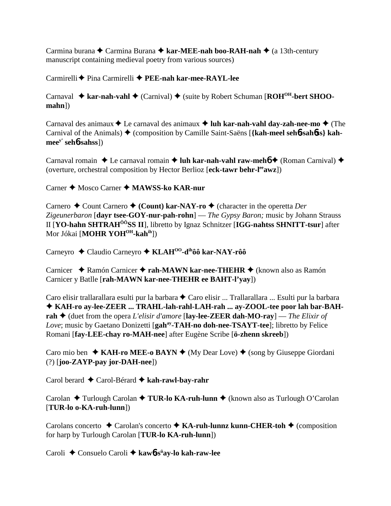Carmina burana ◆ Carmina Burana ◆ kar-MEE-nah boo-RAH-nah ◆ (a 13th-century manuscript containing medieval poetry from various sources)

Carmirelli Pina Carmirelli  **PEE-nah kar-mee-RAYL-lee**

Carnaval **→ kar-nah-vahl →** (Carnival) → (suite by Robert Schuman [**ROH<sup>OH</sup>-bert SHOOmahn**])

Carnaval des animaux  $\triangle$  Le carnaval des animaux  $\triangle$  luh kar-nah-vahl day-zah-nee-mo  $\triangle$  (The Carnival of the Animals) ♦ (composition by Camille Saint-Saëns [{kah-meel sehb-sahbss} kah**meey' seh**6**-sahss**])

Carnaval romain **→** Le carnaval romain **→ luh kar-nah-vahl raw-meh6 →** (Roman Carnival) → (overture, orchestral composition by Hector Berlioz [**eck-tawr behr-leeawz**])

Carner **→** Mosco Carner → **MAWSS-ko KAR-nur** 

Carnero ◆ Count Carnero ◆ (Count) kar-NAY-ro ◆ (character in the operetta *Der Zigeunerbaron* [**dayr tsee-GOY-nur-pah-rohn**] — *The Gypsy Baron;* music by Johann Strauss II [**YO-hahn SHTRAHÔÔSS II**], libretto by Ignaz Schnitzer [**IGG-nahtss SHNITT-tsur**] after Mor Jókai [MOHR YOH<sup>OH</sup>-kah<sup>ih</sup>])

Carneyro Claudio Carneyro  **KLAHOO-dihôô kar-NAY-rôô**

Carnicer **→** Ramón Carnicer → rah-MAWN kar-nee-THEHR → (known also as Ramón Carnicer y Batlle [**rah-MAWN kar-nee-THEHR ee BAHT-l'yay**])

Caro elisir trallarallara esulti pur la barbara  $\triangle$  Caro elisir ... Trallarallara ... Esulti pur la barbara **KAH-ro ay-lee-ZEER ... TRAHL-lah-rahl-LAH-rah ... ay-ZOOL-tee poor lah bar-BAHrah** (duet from the opera *L'elisir d'amore* [**lay-lee-ZEER dah-MO-ray**] — *The Elixir of Love*; music by Gaetano Donizetti [gah<sup>ay</sup>-TAH-no doh-nee-TSAYT-tee]; libretto by Felice Romani [**fay-LEE-chay ro-MAH-nee**] after Eugène Scribe [**ö-zhenn skreeb**])

Caro mio ben  $\triangle$  KAH-ro MEE-o BAYN  $\triangle$  (My Dear Love)  $\triangle$  (song by Giuseppe Giordani (?) [**joo-ZAYP-pay jor-DAH-nee**])

Carol berard Carol-Bérard **kah-rawl-bay-rahr**

Carolan ◆ Turlough Carolan ◆ **TUR-lo KA-ruh-lunn ◆** (known also as Turlough O'Carolan [**TUR-lo o-KA-ruh-lunn**])

Carolans concerto **←** Carolan's concerto ← **KA-ruh-lunnz kunn-CHER-toh** ← (composition for harp by Turlough Carolan [**TUR-lo KA-ruh-lunn**])

Caroli Consuelo Caroli **kaw**6**-sü ay-lo kah-raw-lee**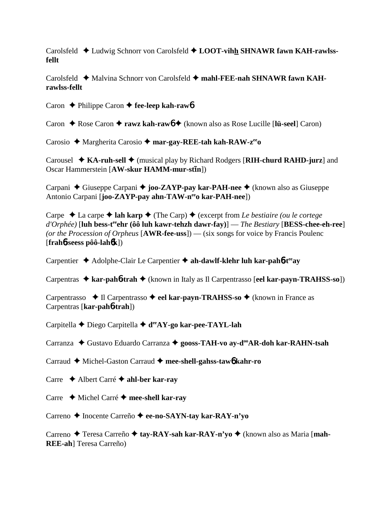Carolsfeld Ludwig Schnorr von Carolsfeld **LOOT-vihh SHNAWR fawn KAH-rawlssfellt**

Carolsfeld ◆ Malvina Schnorr von Carolsfeld ◆ mahl-FEE-nah SHNAWR fawn KAH**rawlss-fellt**

Caron **← Philippe Caron ← fee-leep kah-raw6** 

Caron ◆ Rose Caron ◆ **rawz kah-raw6** ◆ (known also as Rose Lucille [**lü-seel**] Caron)

Carosio ◆ Margherita Carosio ◆ mar-gay-REE-tah kah-RAW-z<sup>ee</sup>o

Carousel ◆ KA-ruh-sell ◆ (musical play by Richard Rodgers [RIH-churd RAHD-jurz] and Oscar Hammerstein [AW-skur HAMM-mur-stin])

Carpani ◆ Giuseppe Carpani ◆ **joo-ZAYP-pay kar-PAH-nee** ◆ (known also as Giuseppe Antonio Carpani [**joo-ZAYP-pay ahn-TAW-n<sup>ee</sup>o kar-PAH-nee**])

Carpe  $\triangle$  La carpe  $\triangle$  **lah karp**  $\triangle$  (The Carp)  $\triangle$  (excerpt from *Le bestiaire (ou le cortege d'Orphée)* [**luh bess-teeehr (ôô luh kawr-tehzh dawr-fay)**] — *The Bestiary* [**BESS-chee-eh-ree**] *(or the Procession of Orpheus* [**AWR-fee-uss**]) — (six songs for voice by Francis Poulenc [**frah**6**-seess pôô-lah**6**k**])

Carpentier  $\triangle$  Adolphe-Clair Le Carpentier  $\triangle$  ah-dawlf-klehr luh kar-pah**6**-t<sup>ee</sup>ay

Carpentras **kar-pah**6**-trah** (known in Italy as Il Carpentrasso [**eel kar-payn-TRAHSS-so**])

Carpentrasso **→ Il Carpentrasso → eel kar-payn-TRAHSS-so** → (known in France as Carpentras [**kar-pah**6**-trah**])

Carpitella Diego Carpitella **deeAY-go kar-pee-TAYL-lah**

Carranza ◆ Gustavo Eduardo Carranza ◆ gooss-TAH-vo av-d<sup>oo</sup>AR-doh kar-RAHN-tsah

Carraud Michel-Gaston Carraud **mee-shell-gahss-taw**6 **kahr-ro**

Carre Albert Carré **ahl-ber kar-ray**

Carre Michel Carré **mee-shell kar-ray**

Carreno **←** Inocente Carreño ← ee-no-SAYN-tay kar-RAY-n'yo

Carreno ◆ Teresa Carreño ◆ tay-RAY-sah kar-RAY-n'yo ◆ (known also as Maria [mah-**REE-ah**] Teresa Carreño)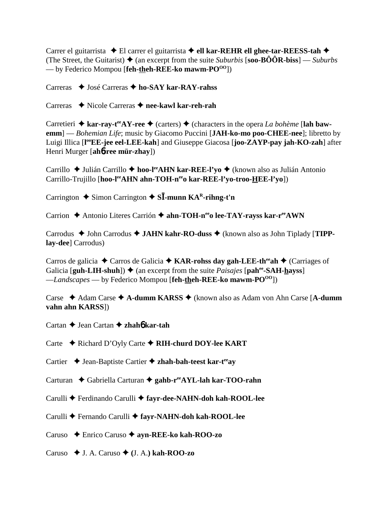Carrer el guitarrista  **←** El carrer el guitarrista **← ell kar-REHR ell ghee-tar-REESS-tah** ← (The Street, the Guitarist)  $\triangle$  (an excerpt from the suite *Suburbis* [**soo-BÔÔR-biss**] — *Suburbs*  $-$  by Federico Mompou [**feh-theh-REE-ko mawm-PO**<sup>00</sup>])

Carreras **→** José Carreras → ho-SAY kar-RAY-rahss

Carreras ◆ Nicole Carreras ◆ nee-kawl kar-reh-rah

Carretieri  $\triangle$  kar-ray-t<sup>ee</sup>AY-ree  $\triangle$  (carters)  $\triangle$  (characters in the opera *La bohème* [lah baw**emm**] — *Bohemian Life*; music by Giacomo Puccini [**JAH-ko-mo poo-CHEE-nee**]; libretto by Luigi Illica [**l ooEE-jee eel-LEE-kah**] and Giuseppe Giacosa [**joo-ZAYP-pay jah-KO-zah**] after Henri Murger [**ah**6**-ree mür-zhay**])

Carrillo ◆ Julián Carrillo ◆ hoo-l<sup>ee</sup>AHN kar-REE-l'yo ◆ (known also as Julián Antonio Carrillo-Trujillo [hoo-l<sup>ee</sup>AHN ahn-TOH-neeo kar-REE-l'yo-troo-HEE-l'yo])

Carrington  $\triangle$  Simon Carrington  $\triangle$  S**I**-munn KA<sup>R</sup>-rihng-t'n

Carrion **←** Antonio Literes Carrión ← ahn-TOH-n<sup>ee</sup>o lee-TAY-rayss kar-r<sup>ee</sup>AWN

Carrodus ◆ John Carrodus ◆ JAHN kahr-RO-duss ◆ (known also as John Tiplady [TIPP**lay-dee**] Carrodus)

Carros de galicia **→** Carros de Galicia → **KAR-rohss day gah-LEE-th<sup>ee</sup>ah** → (Carriages of Galicia  $[\text{guh-LIH-shuh}]$   $\blacklozenge$  (an excerpt from the suite *Paisajes*  $[\text{pah}^{\text{ee}}\text{-SAH-hayss}]$ ) —*Landscapes* — by Federico Mompou [**feh-theh-REE-ko mawm-PO**<sup>00</sup>])

Carse Adam Carse **A-dumm KARSS** (known also as Adam von Ahn Carse [**A-dumm vahn ahn KARSS**])

Cartan **→** Jean Cartan ◆ zhah**6** kar-tah

Carte ◆ Richard D'Oyly Carte ◆ RIH-churd DOY-lee KART

Cartier  $\triangle$  Jean-Baptiste Cartier  $\triangle$  zhah-bah-teest kar-t<sup>ee</sup>ay

Carturan **→** Gabriella Carturan → gahb-r<sup>ee</sup>AYL-lah kar-TOO-rahn

Carulli **←** Ferdinando Carulli ← favr-dee-NAHN-doh kah-ROOL-lee

Carulli Fernando Carulli **fayr-NAHN-doh kah-ROOL-lee**

Caruso Enrico Caruso **ayn-REE-ko kah-ROO-zo**

Caruso  $\blacklozenge$  J. A. Caruso  $\blacklozenge$  (J. A.) kah-ROO-zo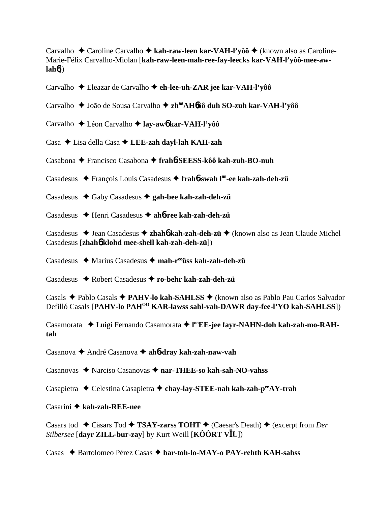Carvalho **→** Caroline Carvalho → kah-raw-leen kar-VAH-l'vôô → (known also as Caroline-Marie-Félix Carvalho-Miolan [**kah-raw-leen-mah-ree-fay-leecks kar-VAH-l'yôô-mee-awlah**6])

Carvalho Eleazar de Carvalho **eh-lee-uh-ZAR jee kar-VAH-l'yôô**

Carvalho João de Sousa Carvalho **zhôôAH**6**ôô duh SO-zuh kar-VAH-l'yôô**

Carvalho Léon Carvalho  **lay-aw**6 **kar-VAH-l'yôô**

Casa Lisa della Casa **LEE-zah dayl-lah KAH-zah**

Casabona Francisco Casabona **frah**6**-SEESS-kôô kah-zuh-BO-nuh**

Casadesus François Louis Casadesus **frah**6**-swah lôô-ee kah-zah-deh-zü**

Casadesus Gaby Casadesus **gah-bee kah-zah-deh-zü**

Casadesus Henri Casadesus **ah**6**-ree kah-zah-deh-zü**

Casadesus ◆ Jean Casadesus ◆ zhah**6** kah-zah-deh-zü ◆ (known also as Jean Claude Michel Casadesus [**zhah**6 **klohd mee-shell kah-zah-deh-zü**])

Casadesus Marius Casadesus **mah-reeüss kah-zah-deh-zü**

Casadesus Robert Casadesus **ro-behr kah-zah-deh-zü**

Casals Pablo Casals **PAHV-lo kah-SAHLSS** (known also as Pablo Pau Carlos Salvador Defilló Casals [PAHV-lo PAH<sup>00</sup> KAR-lawss sahl-vah-DAWR day-fee-l'YO kah-SAHLSS])

Casamorata Luigi Fernando Casamorata **l ooEE-jee fayr-NAHN-doh kah-zah-mo-RAHtah**

Casanova André Casanova **ah**6**-dray kah-zah-naw-vah**

Casanovas Narciso Casanovas **nar-THEE-so kah-sah-NO-vahss**

Casapietra **→** Celestina Casapietra → chay-lay-STEE-nah kah-zah-p<sup>ee</sup>AY-trah

#### Casarini **kah-zah-REE-nee**

Casars tod **←** Cäsars Tod ← TSAY-zarss TOHT ← (Caesar's Death) ← (excerpt from *Der Silbersee* [**dayr ZILL-bur-zay**] by Kurt Weill [**KÔÔRT VL**])

Casas Bartolomeo Pérez Casas **bar-toh-lo-MAY-o PAY-rehth KAH-sahss**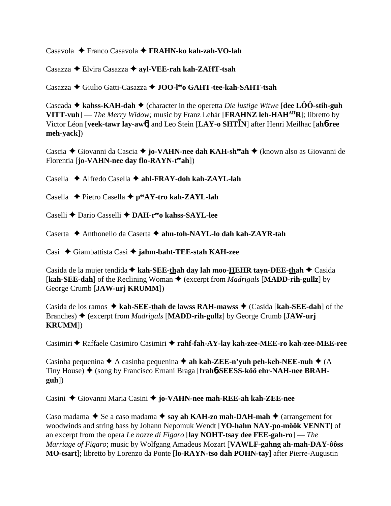Casavola Franco Casavola  **FRAHN-ko kah-zah-VO-lah**

Casazza Elvira Casazza **ayl-VEE-rah kah-ZAHT-tsah**

Casazza Giulio Gatti-Casazza **JOO-leeo GAHT-tee-kah-SAHT-tsah**

Cascada  $\blacklozenge$  **kahss-KAH-dah**  $\blacklozenge$  (character in the operetta *Die lustige Witwe* [dee LÔÔ-stih-guh **VITT-vuh**] — *The Merry Widow;* music by Franz Lehár [**FRAHNZ** leh-HAH<sup>AH</sup>R]; libretto by Victor Léon [**veek-tawr lay-aw**6] and Leo Stein [**LAY-o SHTN**] after Henri Meilhac [**ah**6**-ree meh-yack**])

Cascia **→** Giovanni da Cascia **→ jo-VAHN-nee dah KAH-sh<sup>ee</sup>ah →** (known also as Giovanni de Florentia [**jo-VAHN-nee day flo-RAYN-t<sup>ee</sup>ah**])

Casella Alfredo Casella **ahl-FRAY-doh kah-ZAYL-lah**

Casella **←** Pietro Casella ← p<sup>ee</sup>AY-tro kah-ZAYL-lah

Caselli Dario Casselli **DAH-reeo kahss-SAYL-lee**

Caserta Anthonello da Caserta **ahn-toh-NAYL-lo dah kah-ZAYR-tah**

Casi Giambattista Casi **jahm-baht-TEE-stah KAH-zee**

Casida de la mujer tendida **↓ kah-SEE-thah day lah moo-HEHR tayn-DEE-thah ◆** Casida [**kah-SEE-dah**] of the Reclining Woman ♦ (excerpt from *Madrigals* [MADD-rih-gullz] by George Crumb [**JAW-urj KRUMM**])

Casida de los ramos ◆ kah-SEE-thah de lawss RAH-mawss ◆ (Casida [kah-SEE-dah] of the Branches) (excerpt from *Madrigals* [**MADD-rih-gullz**] by George Crumb [**JAW-urj KRUMM**])

Casimiri ◆ Raffaele Casimiro Casimiri ◆ rahf-fah-AY-lay kah-zee-MEE-ro kah-zee-MEE-ree

Casinha pequenina  $\blacklozenge$  A casinha pequenina  $\blacklozenge$  **ah kah-ZEE-n'yuh peh-keh-NEE-nuh**  $\blacklozenge$  (A Tiny House) (song by Francisco Ernani Braga [**frah**6**-SEESS-kôô ehr-NAH-nee BRAHguh**])

Casini Giovanni Maria Casini **jo-VAHN-nee mah-REE-ah kah-ZEE-nee**

Caso madama  $\blacklozenge$  Se a caso madama  $\blacklozenge$  say ah KAH-zo mah-DAH-mah  $\blacklozenge$  (arrangement for woodwinds and string bass by Johann Nepomuk Wendt [**YO-hahn NAY-po-môôk VENNT**] of an excerpt from the opera *Le nozze di Figaro* [**lay NOHT-tsay dee FEE-gah-ro**] — *The Marriage of Figaro*; music by Wolfgang Amadeus Mozart [**VAWLF-gahng ah-mah-DAY-ôôss MO-tsart**]; libretto by Lorenzo da Ponte [**lo-RAYN-tso dah POHN-tay**] after Pierre-Augustin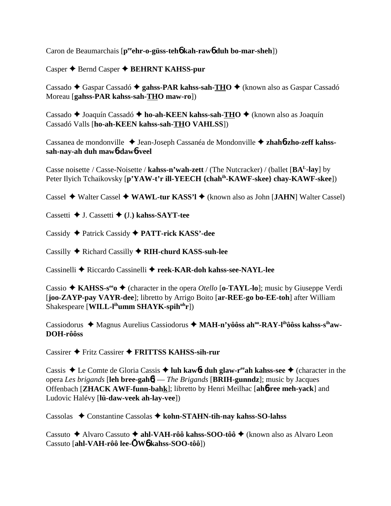Caron de Beaumarchais [**peeehr-o-güss-teh**6 **kah-raw**6 **duh bo-mar-sheh**])

Casper  $\triangle$  Bernd Casper  $\triangle$  **BEHRNT KAHSS-pur** 

Cassado ◆ Gaspar Cassadó ◆ gahss-PAR kahss-sah-THO ◆ (known also as Gaspar Cassadó Moreau [**gahss-PAR kahss-sah-THO maw-ro**])

Cassado ◆ Joaquín Cassadó ◆ ho-ah-KEEN kahss-sah-THO ◆ (known also as Joaquín Cassadó Valls [**ho-ah-KEEN kahss-sah-THO VAHLSS**])

Cassanea de mondonville Jean-Joseph Cassanéa de Mondonville **zhah**6**-zho-zeff kahsssah-nay-ah duh maw**6**-daw**6**-veel**

Casse noisette / Casse-Noisette / **kahss-n'wah-zett** / (The Nutcracker) / (ballet [**BAL-lay**] by Peter Ilyich Tchaikovsky [**p'YAW-t'r ill-YEECH {chahih-KAWF-skee} chay-KAWF-skee**])

Cassel Walter Cassel **WAWL-tur KASS'l** (known also as John [**JAHN**] Walter Cassel)

Cassetti J. Cassetti **(**J.**) kahss-SAYT-tee**

Cassidy Patrick Cassidy **PATT-rick KASS'-dee**

Cassilly Richard Cassilly  **RIH-churd KASS-suh-lee**

Cassinelli Riccardo Cassinelli **reek-KAR-doh kahss-see-NAYL-lee**

Cassio  $\triangle$  KAHSS-s<sup>ee</sup>  $\triangle$  (character in the opera *Otello* [**o-TAYL-lo**]; music by Giuseppe Verdi [**joo-ZAYP-pay VAYR-dee**]; libretto by Arrigo Boito [**ar-REE-go bo-EE-toh**] after William Shakespeare [**WILL-l<sup>ih</sup>umm SHAYK-spih<sup>uh</sup>r**])

Cassiodorus ◆ Magnus Aurelius Cassiodorus ◆ MAH-n'yôôss ah<sup>oo</sup>-RAY-l<sup>ih</sup>ôôss kahss-s<sup>ih</sup>aw-**DOH-rôôss**

Cassirer Fritz Cassirer **FRITTSS KAHSS-sih-rur**

Cassis  $\triangle$  Le Comte de Gloria Cassis  $\triangle$  luh kaw6**t duh glaw-r<sup>ee</sup>ah kahss-see**  $\triangle$  (character in the opera *Les brigands* [**leh bree-gah**6] — *The Brigands* [**BRIH-gunndz**]; music by Jacques Offenbach [**ZHACK AWF-funn-bahk**]; libretto by Henri Meilhac [**ah**6**-ree meh-yack**] and Ludovic Halévy [**lü-daw-veek ah-lay-vee**])

Cassolas Constantine Cassolas **kohn-STAHN-tih-nay kahss-SO-lahss**

Cassuto ◆ Alvaro Cassuto ◆ ahl-VAH-rôô kahss-SOO-tôô ◆ (known also as Alvaro Leon Cassuto [**ahl-VAH-rôô lee-W**6 **kahss-SOO-tôô**])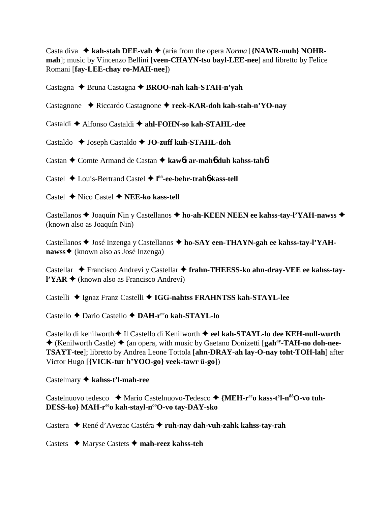Casta diva  $\rightarrow$  kah-stah DEE-vah  $\rightarrow$  (aria from the opera *Norma* [**{NAWR-muh} NOHRmah**]; music by Vincenzo Bellini [**veen-CHAYN-tso bayl-LEE-nee**] and libretto by Felice Romani [**fay-LEE-chay ro-MAH-nee**])

Castagna Bruna Castagna **BROO-nah kah-STAH-n'yah**

Castagnone Riccardo Castagnone **reek-KAR-doh kah-stah-n'YO-nay**

Castaldi Alfonso Castaldi **ahl-FOHN-so kah-STAHL-dee**

Castaldo ◆ Joseph Castaldo ◆ **JO-zuff kuh-STAHL-doh** 

Castan Comte Armand de Castan **kaw**6**t ar-mah**6 **duh kahss-tah**6

Castel Louis-Bertrand Castel **l ôô-ee-behr-trah**6 **kass-tell**

Castel Nico Castel **NEE-ko kass-tell**

Castellanos **→** Joaquín Nin y Castellanos → ho-ah-KEEN NEEN ee kahss-tay-l'YAH-nawss → (known also as Joaquín Nin)

Castellanos ◆ José Inzenga y Castellanos ◆ ho-SAY een-THAYN-gah ee kahss-tay-l'YAH**nawss** <del>♦</del> (known also as José Inzenga)

Castellar Francisco Andreví y Castellar **frahn-THEESS-ko ahn-dray-VEE ee kahss-tayl'YAR**  $\triangle$  (known also as Francisco Andreví)

Castelli Ignaz Franz Castelli **IGG-nahtss FRAHNTSS kah-STAYL-lee**

Castello Dario Castello **DAH-reeo kah-STAYL-lo**

Castello di kenilworth ♦ Il Castello di Kenilworth ♦ eel kah-STAYL-lo dee KEH-null-wurth **★** (Kenilworth Castle) ◆ (an opera, with music by Gaetano Donizetti [gah<sup>ay</sup>-TAH-no doh-nee-**TSAYT-tee**]; libretto by Andrea Leone Tottola [**ahn-DRAY-ah lay-O-nay toht-TOH-lah**] after Victor Hugo [**{VICK-tur h'YOO-go} veek-tawr ü-go**])

Castelmary **kahss-t'l-mah-ree**

Castelnuovo tedesco ◆ Mario Castelnuovo-Tedesco ◆ {MEH-r<sup>ee</sup>o kass-t'l-n<sup>ôô</sup>O-vo tuh-DESS-ko} MAH-r<sup>ee</sup>o kah-stayl-n<sup>oo</sup>O-vo tay-DAY-sko

Castera ◆ René d'Avezac Castéra ◆ ruh-nay dah-vuh-zahk kahss-tay-rah

Castets Maryse Castets **mah-reez kahss-teh**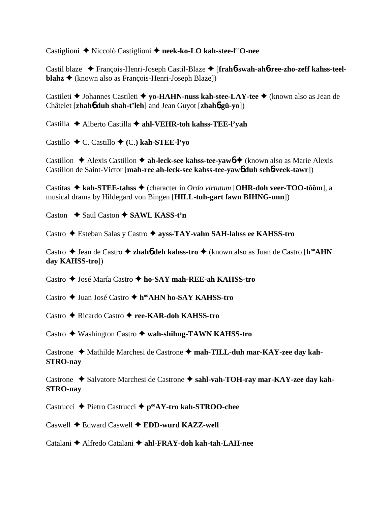Castiglioni ◆ Niccolò Castiglioni ◆ neek-ko-LO kah-stee-l<sup>ee</sup>O-nee

Castil blaze François-Henri-Joseph Castil-Blaze [**frah**6**-swah-ah**6**-ree-zho-zeff kahss-teelblahz ◆** (known also as François-Henri-Joseph Blaze])

Castileti Johannes Castileti **yo-HAHN-nuss kah-stee-LAY-tee** (known also as Jean de Châtelet [**zhah**6 **duh shah-t'leh**] and Jean Guyot [**zhah**6 **gü-yo**])

Castilla **→** Alberto Castilla → ahl-VEHR-toh kahss-TEE-l'yah

Castillo C. Castillo **(**C.**) kah-STEE-l'yo**

Castillon  $\triangle$  Alexis Castillon  $\triangle$  ah-leck-see kahss-tee-yaw<sub>0</sub>  $\triangle$  (known also as Marie Alexis Castillon de Saint-Victor [**mah-ree ah-leck-see kahss-tee-yaw**6 **duh seh**6**-veek-tawr**])

Castitas **kah-STEE-tahss** (character in *Ordo virtutum* [**OHR-doh veer-TOO-tôôm**], a musical drama by Hildegard von Bingen [**HILL-tuh-gart fawn BIHNG-unn**])

Caston **→ Saul Caston → SAWL KASS-t'n** 

Castro Esteban Salas y Castro **ayss-TAY-vahn SAH-lahss ee KAHSS-tro**

Castro ◆ Jean de Castro ◆ zhah**6** deh kahss-tro ◆ (known also as Juan de Castro [h<sup>oo</sup>AHN **day KAHSS-tro**])

Castro José María Castro **ho-SAY mah-REE-ah KAHSS-tro**

Castro ◆ Juan José Castro ◆ h<sup>oo</sup>AHN ho-SAY KAHSS-tro

Castro Ricardo Castro **ree-KAR-doh KAHSS-tro**

Castro Washington Castro **wah-shihng-TAWN KAHSS-tro**

Castrone ◆ Mathilde Marchesi de Castrone ◆ mah-TILL-duh mar-KAY-zee day kah-**STRO-nay**

Castrone  $\triangle$  Salvatore Marchesi de Castrone  $\triangle$  sahl-vah-TOH-ray mar-KAY-zee day kah-**STRO-nay**

Castrucci **←** Pietro Castrucci ← p<sup>ee</sup>AY-tro kah-STROO-chee

Caswell Edward Caswell **EDD-wurd KAZZ-well**

Catalani Alfredo Catalani **ahl-FRAY-doh kah-tah-LAH-nee**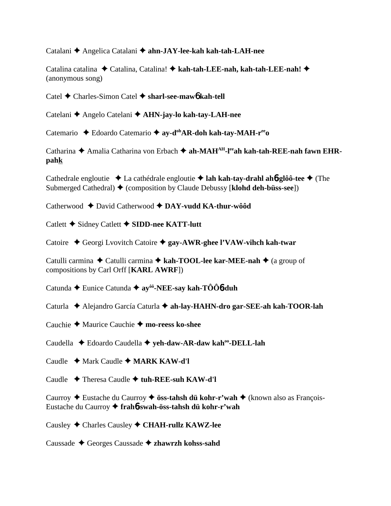Catalani Angelica Catalani **ahn-JAY-lee-kah kah-tah-LAH-nee**

Catalina catalina Catalina, Catalina! **kah-tah-LEE-nah, kah-tah-LEE-nah!**  (anonymous song)

Catel Charles-Simon Catel **sharl-see-maw**6 **kah-tell**

Catelani Angelo Catelani **AHN-jay-lo kah-tay-LAH-nee**

Catemario ◆ Edoardo Catemario ◆ ay-d<sup>oh</sup>AR-doh kah-tay-MAH-r<sup>ee</sup>o

Catharina ◆ Amalia Catharina von Erbach ◆ ah-MAH<sup>AH</sup>-l<sup>ee</sup>ah kah-tah-REE-nah fawn EHR**pahk**

Cathedrale engloutie La cathédrale engloutie **lah kah-tay-drahl ah**6**-glôô-tee** (The Submerged Cathedral)  $\blacklozenge$  (composition by Claude Debussy [**klohd deh-büss-see**])

Catherwood ◆ David Catherwood ◆ DAY-vudd KA-thur-wôôd

Catlett **←** Sidney Catlett ← SIDD-nee KATT-lutt

Catoire Georgi Lvovitch Catoire **gay-AWR-ghee l'VAW-vihch kah-twar**

Catulli carmina ◆ Catulli carmina ◆ kah-TOOL-lee kar-MEE-nah ◆ (a group of compositions by Carl Orff [**KARL AWRF**])

Catunda Eunice Catunda **ayôô-NEE-say kah-TÔÔ**6**-duh**

Caturla Alejandro García Caturla **ah-lay-HAHN-dro gar-SEE-ah kah-TOOR-lah**

Cauchie **←** Maurice Cauchie ← mo-reess ko-shee

Caudella Edoardo Caudella **yeh-daw-AR-daw kahoo-DELL-lah**

Caudle **↓** Mark Caudle ♦ **MARK KAW-d'l** 

Caudle Theresa Caudle **tuh-REE-suh KAW-d'l**

Caurroy **→** Eustache du Caurroy → **öss-tahsh dü kohr-r'wah** → (known also as François-Eustache du Caurroy **frah**6**-swah-öss-tahsh dü kohr-r'wah**

Causley Charles Causley **CHAH-rullz KAWZ-lee**

Caussade Georges Caussade **zhawrzh kohss-sahd**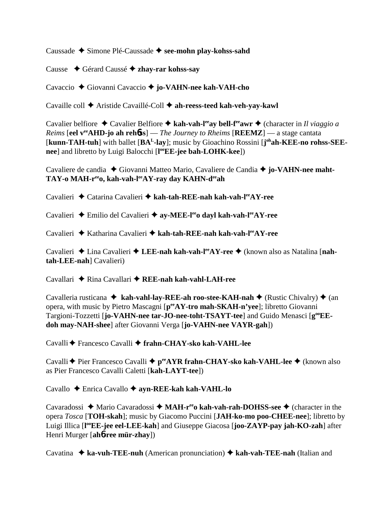Caussade **→** Simone Plé-Caussade → see-mohn play-kohss-sahd

Causse Gérard Caussé  **zhay-rar kohss-say**

Cavaccio Giovanni Cavaccio  **jo-VAHN-nee kah-VAH-cho**

Cavaille coll Aristide Cavaillé-Coll **ah-reess-teed kah-veh-yay-kawl**

Cavalier belfiore  $\triangle$  Cavalier Belfiore  $\triangle$  kah-vah-l<sup>ee</sup>ay bell-f<sup>ee</sup>awr  $\triangle$  (character in *Il viaggio a Reims* [**eel veeAHD-jo ah reh**6**ss**] — *The Journey to Rheims* [**REEMZ**] — a stage cantata [kunn-TAH-tuh] with ballet [BA<sup>L</sup>-lay]; music by Gioachino Rossini [j<sup>oh</sup>ah-KEE-no rohss-SEE**nee**] and libretto by Luigi Balocchi [**l ooEE-jee bah-LOHK-kee**])

Cavaliere de candia ◆ Giovanni Matteo Mario, Cavaliere de Candia ◆ jo-VAHN-nee maht-**TAY-o MAH-reeo, kah-vah-leeAY-ray day KAHN-deeah**

Cavalieri Catarina Cavalieri **kah-tah-REE-nah kah-vah-leeAY-ree**

Cavalieri Emilio del Cavalieri **ay-MEE-leeo dayl kah-vah-leeAY-ree**

Cavalieri Katharina Cavalieri **kah-tah-REE-nah kah-vah-leeAY-ree**

Cavalieri ◆ Lina Cavalieri ◆ LEE-nah kah-vah-l<sup>ee</sup>AY-ree ◆ (known also as Natalina [nah**tah-LEE-nah**] Cavalieri)

Cavallari **→** Rina Cavallari → REE-nah kah-vahl-LAH-ree

Cavalleria rusticana ◆ kah-vahl-lay-REE-ah roo-stee-KAH-nah ◆ (Rustic Chivalry) ◆ (an opera, with music by Pietro Mascagni [**peeAY-tro mah-SKAH-n'yee**]; libretto Giovanni Targioni-Tozzetti [jo-VAHN-nee tar-JO-nee-toht-TSAYT-tee] and Guido Menasci [ $g^{\omega}EE$ **doh may-NAH-shee**] after Giovanni Verga [**jo-VAHN-nee VAYR-gah**])

Cavalli Francesco Cavalli **frahn-CHAY-sko kah-VAHL-lee**

Cavalli ♦ Pier Francesco Cavalli ♦ p<sup>ee</sup>AYR frahn-CHAY-sko kah-VAHL-lee ♦ (known also as Pier Francesco Cavalli Caletti [**kah-LAYT-tee**])

Cavallo Enrica Cavallo **ayn-REE-kah kah-VAHL-lo**

Cavaradossi ◆ Mario Cavaradossi ◆ MAH-r<sup>ee</sup>o kah-vah-rah-DOHSS-see ◆ (character in the opera *Tosca* [**TOH-skah**]; music by Giacomo Puccini [**JAH-ko-mo poo-CHEE-nee**]; libretto by Luigi Illica [**l ooEE-jee eel-LEE-kah**] and Giuseppe Giacosa [**joo-ZAYP-pay jah-KO-zah**] after Henri Murger [**ah**6**-ree mür-zhay**])

Cavatina **ka-vuh-TEE-nuh** (American pronunciation)  **kah-vah-TEE-nah** (Italian and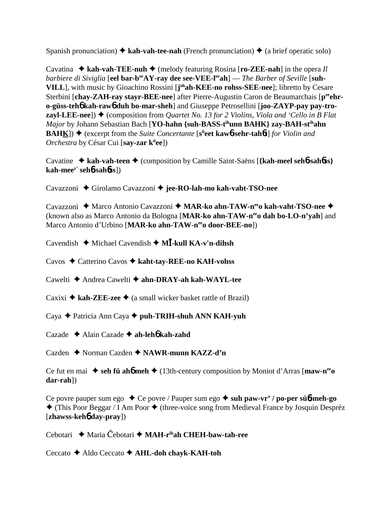Spanish pronunciation)  $\triangleq$  kah-vah-tee-nah (French pronunciation)  $\triangleq$  (a brief operatic solo)

Cavatina  $\triangle$  kah-vah-TEE-nuh  $\triangle$  (melody featuring Rosina [**ro-ZEE-nah**] in the opera *Il barbiere di Siviglia* [eel bar-b<sup>ee</sup>AY-ray dee see-VEE-l<sup>ee</sup>ah] — *The Barber of Seville* [suh-**VILL**], with music by Gioachino Rossini [**j ohah-KEE-no rohss-SEE-nee**]; libretto by Cesare Sterbini [chay-ZAH-ray stayr-BEE-nee] after Pierre-Augustin Caron de Beaumarchais [p<sup>ee</sup>ehr**o-güss-teh**6 **kah-raw**6 **duh bo-mar-sheh**] and Giuseppe Petrosellini [**joo-ZAYP-pay pay-trozayl-LEE-nee**])  $\blacklozenge$  (composition from *Quartet No. 13 for 2 Violins, Viola and 'Cello in B Flat Major* by Johann Sebastian Bach [**YO-hahn** {suh-BASS-t<sup>ih</sup>unn BAHK} zay-BAH-st<sup>ih</sup>ahn **BAHK**) ◆ (excerpt from the *Suite Concertante* [s<sup>ii</sup>eet kaw6-sehr-tah6t] *for Violin and Orchestra* by César Cui [**say-zar kü ee**])

Cavatine ◆ kah-vah-teen ◆ (composition by Camille Saint-Saëns [{kah-meel seh**6-sah6ss**} **kah-meey' seh**6**-sah**6**ss**])

Cavazzoni ◆ Girolamo Cavazzoni ◆ jee-RO-lah-mo kah-vaht-TSO-nee

Cavazzoni **→** Marco Antonio Cavazzoni → MAR-ko ahn-TAW-n<sup>ee</sup>o kah-vaht-TSO-nee → (known also as Marco Antonio da Bologna [**MAR-ko ahn-TAW-neeo dah bo-LO-n'yah**] and Marco Antonio d'Urbino [**MAR-ko ahn-TAW-neeo door-BEE-no**])

Cavendish ◆ Michael Cavendish ◆ M**Ī-kull KA-v'n-dihsh** 

Cavos Catterino Cavos **kaht-tay-REE-no KAH-vohss**

Cawelti **→** Andrea Cawelti → ahn-DRAY-ah kah-WAYL-tee

Caxixi  $\triangle$  **kah-ZEE-zee**  $\triangle$  (a small wicker basket rattle of Brazil)

Caya Patricia Ann Caya **puh-TRIH-shuh ANN KAH-yuh**

Cazade Alain Cazade **ah-leh**6 **kah-zahd**

Cazden Norman Cazden **NAWR-munn KAZZ-d'n**

Ce fut en mai  $\bullet$  seh fü ah**6** meh $\bullet$  (13th-century composition by Moniot d'Arras [maw-n<sup>ee</sup>o **dar-rah**])

Ce povre pauper sum ego ◆ Ce povre / Pauper sum ego ◆ suh paw-vr' / po-per süb-meh-go  $\triangle$  (This Poor Beggar / I Am Poor  $\triangle$  (three-voice song from Medieval France by Josquin Despréz [**zhawss-keh**6 **day-pray**])

Cebotari **→** Maria Cebotari → **MAH-r<sup>ih</sup>ah CHEH-baw-tah-ree** 

Ceccato Aldo Ceccato **AHL-doh chayk-KAH-toh**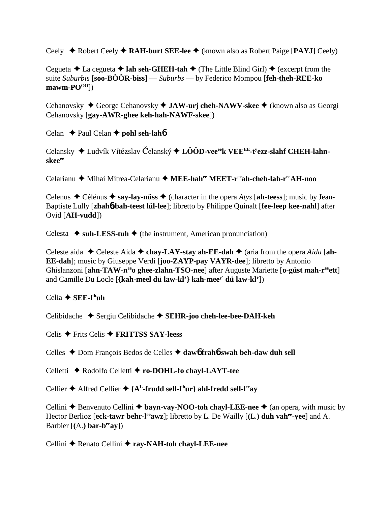Ceely Robert Ceely **RAH-burt SEE-lee** (known also as Robert Paige [**PAYJ**] Ceely)

Cegueta  $\triangle$  La cegueta  $\triangle$  **lah seh-GHEH-tah**  $\triangle$  (The Little Blind Girl)  $\triangle$  (excerpt from the suite *Suburbis* [**soo-BÔÔR-biss**] — *Suburbs* — by Federico Mompou [**feh-theh-REE-ko** mawm-PO<sup>00</sup>])

Cehanovsky ◆ George Cehanovsky ◆ **JAW-urj cheh-NAWV-skee** ◆ (known also as Georgi Cehanovsky [**gay-AWR-ghee keh-hah-NAWF-skee**])

Celan **← Paul Celan ← pohl seh-lah**6

Celansky ◆ Ludvík Vítězslav Čelanský ◆ LÔÔD-vee<sup>ee</sup>k VEE<sup>EE</sup>-t<sup>y</sup>ezz-sl**ahf CHEH-lahnskeeee**

Celarianu ◆ Mihai Mitrea-Celarianu ◆ MEE-hah<sup>ee</sup> MEET-r<sup>ee</sup>ah-cheh-lah-r<sup>ee</sup>AH-noo

Celenus  $\triangle$  Célénus  $\triangle$  say-lay-nüss  $\triangle$  (character in the opera *Atys* [ah-teess]; music by Jean-Baptiste Lully [**zhah**6**-bah-teest lül-lee**]; libretto by Philippe Quinalt [**fee-leep kee-nahl**] after Ovid [**AH-vudd**])

Celesta  $\triangle$  suh-LESS-tuh  $\triangle$  (the instrument, American pronunciation)

Celeste aida  $\blacklozenge$  Celeste Aida  $\blacklozenge$  chay-LAY-stay ah-EE-dah  $\blacklozenge$  (aria from the opera *Aida* [ah-**EE-dah**]; music by Giuseppe Verdi [**joo-ZAYP-pay VAYR-dee**]; libretto by Antonio Ghislanzoni [ahn-TAW-n<sup>ee</sup>o ghee-zlahn-TSO-nee] after Auguste Mariette [o-güst mah-r<sup>ee</sup>ett] and Camille Du Locle [**{kah-meel dü law-kl'} kah-meey' dü law-kl'**])

Celia **SEE-lihuh**

Celibidache Sergiu Celibidache **SEHR-joo cheh-lee-bee-DAH-keh**

Celis Frits Celis **FRITTSS SAY-leess**

Celles Dom François Bedos de Celles **daw**6 **frah**6**-swah beh-daw duh sell**

Celletti **←** Rodolfo Celletti ← ro-DOHL-fo chayl-LAYT-tee

Cellier  $\triangle$  Alfred Cellier  $\triangle$  {A<sup>L</sup>-frudd sell-l<sup>th</sup>ur} ahl-fredd sell-l<sup>ee</sup>ay

Cellini  $\triangle$  Benvenuto Cellini  $\triangle$  **bayn-vay-NOO-toh chayl-LEE-nee**  $\triangle$  (an opera, with music by Hector Berlioz [eck-tawr behr-l<sup>ee</sup>awz]; libretto by L. De Wailly [(L.) duh vah<sup>ee</sup>-vee] and A. Barbier [**(**A.**) bar-beeay**])

Cellini **←** Renato Cellini ← ray-NAH-toh chayl-LEE-nee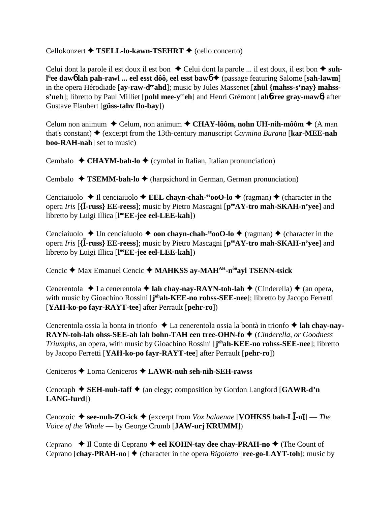## Cellokonzert **← TSELL-lo-kawn-TSEHRT** ← (cello concerto)

Celui dont la parole il est doux il est bon  $\triangle$  Celui dont la parole ... il est doux, il est bon  $\triangle$  suhl<sup>ü</sup>ee daw6 lah pah-rawl ... eel esst dôô, eel esst baw6 ♦ (passage featuring Salome [sah-lawm] in the opera Hérodiade [ay-raw-d<sup>ee</sup>ahd]; music by Jules Massenet [zhül {mahss-s'nay} mahss**s'neh**]; libretto by Paul Milliet [**pohl mee-yeeeh**] and Henri Grémont [**ah**6**-ree gray-maw**6] after Gustave Flaubert [**güss-tahv flo-bay**])

Celum non animum  $\triangle$  Celum, non animum  $\triangle$  CHAY-lôôm, nohn UH-nih-môôm  $\triangle$  (A man that's constant) (excerpt from the 13th-century manuscript *Carmina Burana* [**kar-MEE-nah boo-RAH-nah**] set to music)

Cembalo  $\triangleleft$  CHAYM-bah-lo  $\triangleleft$  (cymbal in Italian, Italian pronunciation)

Cembalo **← TSEMM-bah-lo ←** (harpsichord in German, German pronunciation)

Cenciaiuolo  $\triangle$  Il cenciaiuolo  $\triangle$  **EEL chayn-chah-<sup>ee</sup>ooO-lo**  $\triangle$  (ragman)  $\triangle$  (character in the opera *Iris* [**{-russ} EE-reess**]; music by Pietro Mascagni [**peeAY-tro mah-SKAH-n'yee**] and libretto by Luigi Illica [**l ooEE-jee eel-LEE-kah**])

Cenciaiuolo  $\triangle$  Un cenciaiuolo  $\triangle$  **oon chayn-chah-<sup>ee</sup>ooO-lo**  $\triangle$  (ragman)  $\triangle$  (character in the opera *Iris* [**{-russ} EE-reess**]; music by Pietro Mascagni [**peeAY-tro mah-SKAH-n'yee**] and libretto by Luigi Illica [**l ooEE-jee eel-LEE-kah**])

Cencic ◆ Max Emanuel Cencic ◆ MAHKSS ay-MAH<sup>AH</sup>-n<sup>ôô</sup>ayl TSENN-tsick

Cenerentola **→** La cenerentola → lah chay-nay-RAYN-toh-lah → (Cinderella) → (an opera, with music by Gioachino Rossini [johah-KEE-no rohss-SEE-nee]; libretto by Jacopo Ferretti [**YAH-ko-po fayr-RAYT-tee**] after Perrault [**pehr-ro**])

Cenerentola ossia la bonta in trionfo ◆ La cenerentola ossia la bontà in trionfo ◆ lah chay-nay-**RAYN-toh-lah ohss-SEE-ah lah bohn-TAH een tree-OHN-fo ♦** (*Cinderella, or Goodness Triumphs*, an opera, with music by Gioachino Rossini [**j ohah-KEE-no rohss-SEE-nee**]; libretto by Jacopo Ferretti [**YAH-ko-po fayr-RAYT-tee**] after Perrault [**pehr-ro**])

Ceniceros Lorna Ceniceros **LAWR-nuh seh-nih-SEH-rawss**

Cenotaph  $\blacklozenge$  **SEH-nuh-taff**  $\blacklozenge$  (an elegy; composition by Gordon Langford [GAWR-d'n **LANG-furd**])

Cenozoic ♦ see-nuh-ZO-ick ♦ (excerpt from *Vox balaenae* [**VOHKSS bah-LI-n<sub>I</sub>**] — *The Voice of the Whale* — by George Crumb [**JAW-urj KRUMM**])

Ceprano  $\blacklozenge$  Il Conte di Ceprano  $\blacklozenge$  **eel KOHN-tay dee chay-PRAH-no**  $\blacklozenge$  (The Count of Ceprano  $[char\text{-}PRAH\text{-}no] \triangleq$  (character in the opera *Rigoletto*  $[rec\text{-}go\text{-}LAYT\text{-}toh]$ ; music by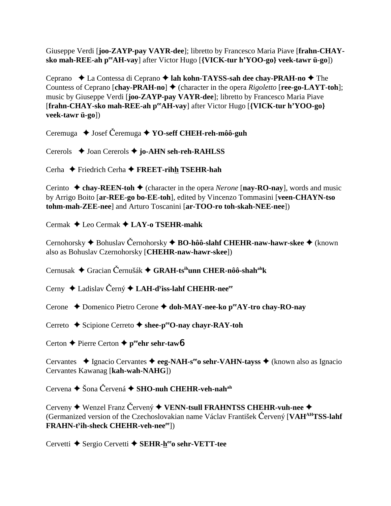Giuseppe Verdi [**joo-ZAYP-pay VAYR-dee**]; libretto by Francesco Maria Piave [**frahn-CHAYsko mah-REE-ah peeAH-vay**] after Victor Hugo [**{VICK-tur h'YOO-go} veek-tawr ü-go**])

Ceprano  $\triangle$  La Contessa di Ceprano **← lah kohn-TAYSS-sah dee chay-PRAH-no** ← The Countess of Ceprano  $[char\text{-}PRAH\text{-}no] \blacklozenge$  (character in the opera *Rigoletto*  $[rec\text{-}go\text{-}LAYT\text{-}toh]$ ; music by Giuseppe Verdi [**joo-ZAYP-pay VAYR-dee**]; libretto by Francesco Maria Piave [**frahn-CHAY-sko mah-REE-ah peeAH-vay**] after Victor Hugo [**{VICK-tur h'YOO-go} veek-tawr ü-go**])

Ceremuga **→** Josef Ceremuga → **YO-seff CHEH-reh-môô-guh** 

Cererols Joan Cererols **jo-AHN seh-reh-RAHLSS**

Cerha Friedrich Cerha **FREET-rihh TSEHR-hah**

Cerinto  $\triangle$  chay-REEN-toh  $\triangle$  (character in the opera *Nerone* [nay-RO-nay], words and music by Arrigo Boito [**ar-REE-go bo-EE-toh**], edited by Vincenzo Tommasini [**veen-CHAYN-tso tohm-mah-ZEE-nee**] and Arturo Toscanini [**ar-TOO-ro toh-skah-NEE-nee**])

Cermak Leo Cermak **LAY-o TSEHR-mahk**

Cernohorsky ◆ Bohuslav Černohorsky ◆ **BO-hôô-slahf CHEHR-naw-hawr-skee** ◆ (known also as Bohuslav Czernohorsky [**CHEHR-naw-hawr-skee**])

Cernusak ◆ Gracian Černušák ◆ GRAH-tsihunn CHER-nôô-shah<sup>ah</sup>k

Cerny ◆ Ladislav Černý ◆ LAH-d<sup>y</sup>iss-lahf CHEHR-nee<sup>ee</sup>

Cerone ◆ Domenico Pietro Cerone ◆ doh-MAY-nee-ko p<sup>ee</sup>AY-tro chay-RO-nay

Cerreto **→** Scipione Cerreto → shee-pe<sup>e</sup>O-nay chayr-RAY-toh

Certon **←** Pierre Certon ← peehr sehr-tawb

Cervantes ◆ Ignacio Cervantes ◆ eeg-NAH-s<sup>ee</sup>o sehr-VAHN-tayss ◆ (known also as Ignacio Cervantes Kawanag [**kah-wah-NAHG**])

Cervena **→** Šona Červená → SHO-nuh CHEHR-veh-nah<sup>ah</sup>

Cerveny **◆** Wenzel Franz Cervený ◆ VENN-tsull FRAHNTSS CHEHR-vuh-nee ◆ (Germanized version of the Czechoslovakian name Václav František Červený [VAH<sup>AH</sup>TSS-lahf  $\mathbf{FRAHN}\text{-}\mathbf{t}^{\text{y}}\mathbf{ih}\text{-}\mathbf{sheck}\ \mathbf{CHEHR}\text{-}\mathbf{veh}\text{-}\mathbf{nee}^{\text{ee}}])$ 

Cervetti ◆ Sergio Cervetti ◆ SEHR-h<sup>ee</sup>o sehr-VETT-tee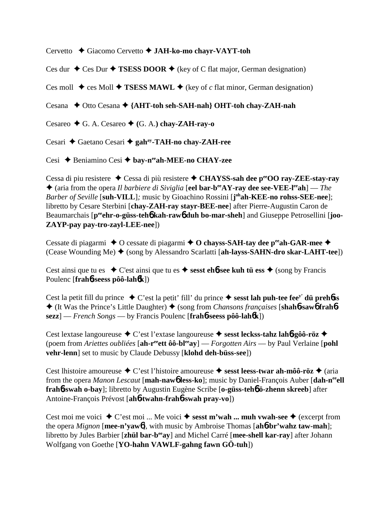Cervetto Giacomo Cervetto **JAH-ko-mo chayr-VAYT-toh**

Ces dur  $\triangle$  Ces Dur  $\triangle$  **TSESS DOOR**  $\triangle$  (key of C flat major, German designation)

Ces moll  $\triangle$  ces Moll  $\triangle$  **TSESS MAWL**  $\triangle$  (key of *c* flat minor, German designation)

Cesana ◆ Otto Cesana ◆ {AHT-toh seh-SAH-nah} OHT-toh chay-ZAH-nah

Cesareo  $\blacklozenge$  G. A. Cesareo  $\blacklozenge$  (G. A.) chay-ZAH-ray-o

Cesari Gaetano Cesari **gahay-TAH-no chay-ZAH-ree**

Cesi Beniamino Cesi  **bay-neeah-MEE-no CHAY-zee**

Cessa di piu resistere ◆ Cessa di più resistere ◆ CHAYSS-sah dee p<sup>ee</sup>OO ray-ZEE-stay-ray ◆ (aria from the opera *Il barbiere di Siviglia* [**eel bar-b<sup>ee</sup>AY-ray dee see-VEE-l<sup>ee</sup>ah**] — *The Barber of Seville* [**suh-VILL**]*;* music by Gioachino Rossini [**j ohah-KEE-no rohss-SEE-nee**]; libretto by Cesare Sterbini [**chay-ZAH-ray stayr-BEE-nee**] after Pierre-Augustin Caron de Beaumarchais [p<sup>ee</sup>ehr-o-güss-teh**6** kah-raw6 duh bo-mar-sheh] and Giuseppe Petrosellini [joo-**ZAYP-pay pay-tro-zayl-LEE-nee**])

Cessate di piagarmi  $\triangle$  O cessate di piagarmi  $\triangle$  O chayss-SAH-tay dee p<sup>ee</sup>ah-GAR-mee  $\triangle$ (Cease Wounding Me) ♦ (song by Alessandro Scarlatti [ah-layss-SAHN-dro skar-LAHT-tee])

Cest ainsi que tu es  $\bullet$  C'est ainsi que tu es  $\bullet$  sesst ehb-see kuh tü ess  $\bullet$  (song by Francis Poulenc [**frah**6**-seess pôô-lah**6**k**])

Cest la petit fill du prince  $\bullet$  C'est la petit' fill' du prince  $\bullet$  **sesst lah puh-tee fee<sup>y'</sup> dü prehôss** ◆ (It Was the Prince's Little Daughter) ◆ (song from *Chansons françaises* [shahb-sawb frahb**sezz**] — *French Songs* — by Francis Poulenc [**frah**6**-seess pôô-lah**6**k**])

Cest lextase langoureuse ◆ C'est l'extase langoureuse ◆ sesst leckss-tahz lah**6-gôô-röz** ◆ (poem from *Ariettes oubliées* [**ah-reeett ôô-bleeay**] — *Forgotten Airs* — by Paul Verlaine [**pohl vehr-lenn**] set to music by Claude Debussy [**klohd deh-büss-see**])

Cest lhistoire amoureuse ◆ C'est l'histoire amoureuse ◆ sesst leess-twar ah-môô-röz ◆ (aria from the opera *Manon Lescaut* [**mah-naw**6 **less-ko**]; music by Daniel-François Auber [**dah-neeell frah**6**-swah o-bay**]; libretto by Augustin Eugène Scribe [**o-güss-teh**6 **ö-zhenn skreeb**] after Antoine-François Prévost [**ah**6**-twahn-frah**6**-swah pray-vo**])

Cest moi me voici  $\triangle C$ 'est moi ... Me voici  $\triangle S$  **sesst m'wah ... muh vwah-see**  $\triangle$  (excerpt from the opera *Mignon* [**mee-n'yaw**6], with music by Ambroise Thomas [**ah**6**-br'wahz taw-mah**]; libretto by Jules Barbier [**zhül bar-beeay**] and Michel Carré [**mee-shell kar-ray**] after Johann Wolfgang von Goethe [**YO-hahn VAWLF-gahng fawn GÖ-tuh**])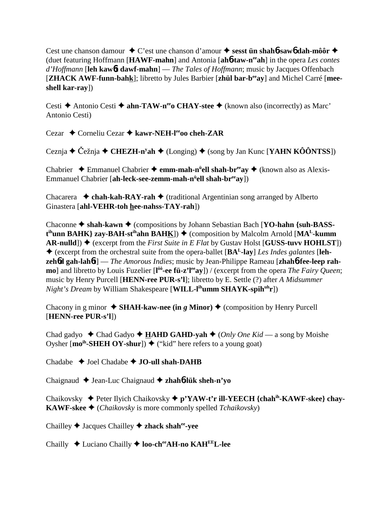Cest une chanson damour ◆ C'est une chanson d'amour ◆ sesst **ün shah6-saw6 dah-môôr** ◆ (duet featuring Hoffmann [**HAWF-mahn**] and Antonia [**ah**6**-taw-neeah**] in the opera *Les contes d'Hoffmann* [**leh kaw**6**t dawf-mahn**] — *The Tales of Hoffmann*; music by Jacques Offenbach [**ZHACK AWF-funn-bahk**]; libretto by Jules Barbier [**zhül bar-beeay**] and Michel Carré [**meeshell kar-ray**])

Cesti **→** Antonio Cesti → **ahn-TAW-n<sup>ee</sup>o CHAY-stee** → (known also (incorrectly) as Marc' Antonio Cesti)

Cezar ◆ Corneliu Cezar ◆ kawr-NEH-l<sup>ee</sup>oo cheh-ZAR

Ceznja ◆ Čežnja ◆ CHEZH-n<sup>y</sup>ah ◆ (Longing) ◆ (song by Jan Kunc [**YAHN KÔÔNTSS**])

Chabrier ◆ Emmanuel Chabrier ◆ **emm-mah-n<sup>ü</sup>ell shah-br<sup>ee</sup>ay ◆** (known also as Alexis-Emmanuel Chabrier [**ah-leck-see-zemm-mah-nü ell shah-breeay**])

Chacarera  $\rightarrow$  **chah-kah-RAY-rah**  $\rightarrow$  (traditional Argentinian song arranged by Alberto Ginastera [**ahl-VEHR-toh hee-nahss-TAY-rah**])

Chaconne  $\triangle$  shah-kawn  $\triangle$  (compositions by Johann Sebastian Bach [**YO-hahn** {suh-BASS**t**<sup>th</sup>unn BAHK} zay-BAH-st<sup>ih</sup>ahn BAH<u>K</u>]) ♦ (composition by Malcolm Arnold [MA<sup>L</sup>-kumm **AR-nulld**])  $\triangle$  (excerpt from the *First Suite in E Flat* by Gustav Holst [**GUSS-tuvv HOHLST**]) (excerpt from the orchestral suite from the opera-ballet [**BAL-lay**] *Les Indes galantes* [**lehzeh<sup>6</sup>d gah-lah<sup>6</sup>t**] — *The Amorous Indies*; music by Jean-Philippe Rameau [**zhah<sup>6</sup>-fee-leep rahmo**] and libretto by Louis Fuzelier [l<sup>ôô</sup>-ee fü-z'l<sup>ee</sup>ay]) / (excerpt from the opera *The Fairy Queen*; music by Henry Purcell [**HENN-ree PUR-s'l**]; libretto by E. Settle (?) after *A Midsummer Night's Dream* by William Shakespeare [**WILL-l<sup>ih</sup>umm SHAYK-spih<sup>uh</sup>r**])

Chacony in g minor  $\triangle$  **SHAH-kaw-nee (in** *g* Minor)  $\triangle$  (composition by Henry Purcell [**HENN-ree PUR-s'l**])

Chad gadyo  $\triangleleft$  Chad Gadyo  $\triangleleft$  **HAHD GAHD-yah**  $\triangleleft$  (*Only One Kid* — a song by Moishe Oysher  $[\text{mo}^{\text{ih}}\text{-SHEH OY-shur}]\blacklozenge$  ("kid" here refers to a young goat)

Chadabe  $\rightarrow$  Joel Chadabe  $\rightarrow$  **JO-ull shah-DAHB** 

Chaignaud Jean-Luc Chaignaud **zhah**6**-lük sheh-n'yo**

Chaikovsky Peter Ilyich Chaikovsky **p'YAW-t'r ill-YEECH {chahih-KAWF-skee} chay-KAWF-skee ♦** (*Chaikovsky* is more commonly spelled *Tchaikovsky*)

Chailley Jacques Chailley **zhack shahee-yee**

Chailly Luciano Chailly **loo-cheeAH-no KAHEEL-lee**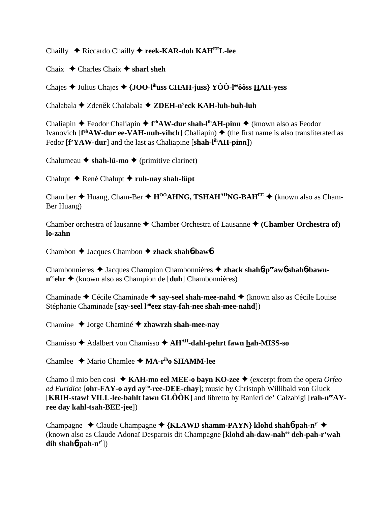Chailly Riccardo Chailly **reek-KAR-doh KAHEEL-lee**

Chaix  $\triangle$  Charles Chaix  $\triangle$  sharl sheh

Chajes Julius Chajes **{JOO-lihuss CHAH-juss} YÔÔ-leeôôss HAH-yess**

Chalabala ◆ Zdeněk Chalabala ◆ ZDEH-n<sup>y</sup>eck <u>K</u>AH-luh-buh-luh

Chaliapin ◆ Feodor Chaliapin ◆ f<sup>eh</sup>AW-dur shah-l<sup>ih</sup>AH-pinn ◆ (known also as Feodor Ivanovich [**f<sup>eh</sup>AW-dur ee-VAH-nuh-vihch**] Chaliapin) ♦ (the first name is also transliterated as Fedor [**f'YAW-dur**] and the last as Chaliapine [shah-l<sup>ih</sup>AH-pinn])

Chalumeau  $\triangle$  shah-lü-mo  $\triangle$  (primitive clarinet)

Chalupt René Chalupt **ruh-nay shah-lüpt**

Cham ber  $\triangle$  Huang, Cham-Ber  $\triangle$  H<sup>00</sup>AHNG, TSHAH<sup>AH</sup>NG-BAH<sup>EE</sup>  $\triangle$  (known also as Cham-Ber Huang)

Chamber orchestra of lausanne  $\triangle$  Chamber Orchestra of Lausanne  $\triangle$  (Chamber Orchestra of) **lo-zahn**

Chambon Jacques Chambon **zhack shah**6**-baw**6

Chambonnieres Jacques Champion Chambonnières **zhack shah**6**-peeaw**6 **shah**6**-bawnn<sup>ee</sup>ehr ◆** (known also as Champion de [**duh**] Chambonnières)

Chaminade ◆ Cécile Chaminade ◆ say-seel shah-mee-nahd ◆ (known also as Cécile Louise Stéphanie Chaminade [**say-seel lôôeez stay-fah-nee shah-mee-nahd**])

Chamine Jorge Chaminé **zhawrzh shah-mee-nay**

Chamisso Adalbert von Chamisso **AHAH-dahl-pehrt fawn hah-MISS-so**

Chamlee Mario Chamlee **MA-riho SHAMM-lee**

Chamo il mio ben cosi  $\triangle$  **KAH-mo eel MEE-o bayn KO-zee**  $\triangle$  (excerpt from the opera *Orfeo* ed Euridice [ohr-FAY-o ayd ay<sup>oo</sup>-ree-DEE-chay]; music by Christoph Willibald von Gluck [**KRIH-stawf VILL-lee-bahlt fawn GLÔÔK**] and libretto by Ranieri de' Calzabigi [**rah-neeAYree day kahl-tsah-BEE-jee**])

Champagne Claude Champagne **{KLAWD shamm-PAYN} klohd shah**6**-pah-ny'** (known also as Claude Adonaï Desparois dit Champagne [**klohd ah-daw-nahee deh-pah-r'wah dih shah**6**-pah-ny'**])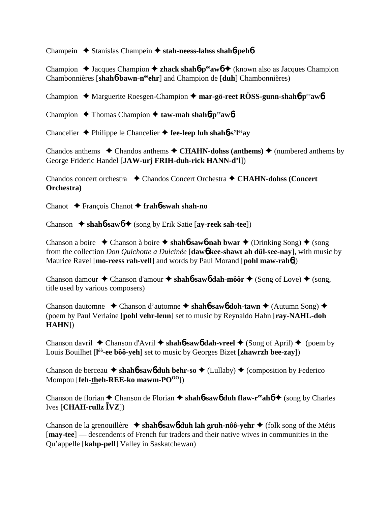Champein Stanislas Champein **stah-neess-lahss shah**6**-peh**6

Champion  $\triangle$  Jacques Champion  $\triangle$  **zhack shah<sup>6</sup>-p<sup>ee</sup>aw<sup>6</sup>** (known also as Jacques Champion Chambonnières [**shah**6**-bawn-neeehr**] and Champion de [**duh**] Chambonnières)

Champion Marguerite Roesgen-Champion **mar-gö-reet RÖSS-gunn-shah**6**-peeaw**6

- Champion **→** Thomas Champion → taw-mah shah**6**-p<sup>ee</sup>aw**6**
- Chancelier Philippe le Chancelier **fee-leep luh shah**6**-s'leeay**

Chandos anthems  $\triangle$  Chandos anthems  $\triangle$  CHAHN-dohss (anthems)  $\triangle$  (numbered anthems by George Frideric Handel [**JAW-urj FRIH-duh-rick HANN-d'l**])

Chandos concert orchestra **→** Chandos Concert Orchestra → CHAHN-dohss (Concert **Orchestra)**

Chanot François Chanot **frah**6**-swah shah-no**

Chanson **shah**6**-saw**6 (song by Erik Satie [**ay-reek sah-tee**])

Chanson a boire  $\triangle$  Chanson à boire  $\triangle$  shah**6**-saw**6-nah bwar**  $\triangle$  (Drinking Song)  $\triangle$  (song from the collection *Don Quichotte a Dulcinée* [**daw**6 **kee-shawt ah dül-see-nay**], with music by Maurice Ravel [**mo-reess rah-vell**] and words by Paul Morand [**pohl maw-rah**6])

Chanson damour  $\triangle$  Chanson d'amour  $\triangle$  shah**6**-saw**6** dah-môôr  $\triangle$  (Song of Love)  $\triangle$  (song, title used by various composers)

Chanson dautomne Chanson d'automne **shah**6**-saw**6 **doh-tawn** (Autumn Song) (poem by Paul Verlaine [**pohl vehr-lenn**] set to music by Reynaldo Hahn [**ray-NAHL-doh HAHN**])

Chanson davril  $\triangle$  Chanson d'Avril  $\triangle$  shah**6**-saw**6** dah-vreel  $\triangle$  (Song of April)  $\triangle$  (poem by Louis Bouilhet [**l ôô-ee bôô-yeh**] set to music by Georges Bizet [**zhawrzh bee-zay**])

Chanson de berceau  $\triangle$  shah**b-sawb** duh behr-so  $\triangle$  (Lullaby)  $\triangle$  (composition by Federico Mompou [**feh-theh-REE-ko** mawm-PO<sup>00</sup>])

Chanson de florian  $\triangle$  Chanson de Florian  $\triangle$  shah**6**-sawb duh flaw-r<sup>ee</sup>ahof  $\triangle$  (song by Charles  $Ives [CHAH-**rullz**  $\overline{I}VZ$ ]$ 

Chanson de la grenouillère  $\rightarrow$  shah**6**-saw**6** duh lah gruh-nôô-yehr  $\rightarrow$  (folk song of the Métis [**may-tee**] — descendents of French fur traders and their native wives in communities in the Qu'appelle [**kahp-pell**] Valley in Saskatchewan)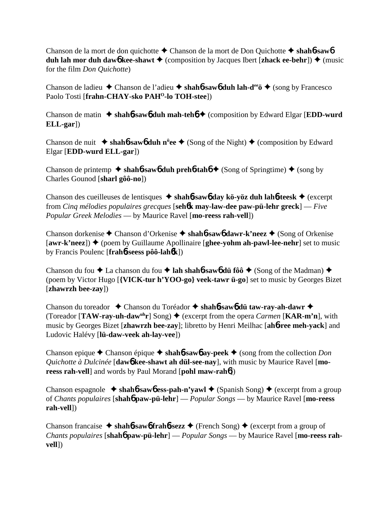Chanson de la mort de don quichotte Chanson de la mort de Don Quichotte  **shah**6**-saw**6 **duh lah mor duh daw6** kee-shawt  $\triangle$  (composition by Jacques Ibert [zhack ee-behr])  $\triangle$  (music for the film *Don Quichotte*)

Chanson de ladieu Chanson de l'adieu **shah**6**-saw**6 **duh lah-deeö** (song by Francesco Paolo Tosti [frahn-CHAY-sko PAH<sup>O</sup>-lo TOH-stee])

Chanson de matin  $\triangle$  shah**6**-sawb duh mah-tehb  $\triangle$  (composition by Edward Elgar [**EDD**-wurd **ELL-gar**])

Chanson de nuit **→ shahb-sawb duh n<sup>u</sup>ee** ◆ (Song of the Night) ◆ (composition by Edward Elgar [**EDD-wurd ELL-gar**])

Chanson de printemp  $\triangle$  shah**6**-saw**6** duh preh**6**-tah**6**  $\triangle$  (Song of Springtime)  $\triangle$  (song by Charles Gounod [**sharl gôô-no**])

Chanson des cueilleuses de lentisques **shah**6**-saw**6 **day kö-yöz duh lah**6**-teesk** (excerpt from *Cinq mélodies populaires grecques* [**seh**6**k may-law-dee paw-pü-lehr greck**] — *Five Popular Greek Melodies* — by Maurice Ravel [**mo-reess rah-vell**])

Chanson dorkenise **→** Chanson d'Orkenise → shah**6**-saw**6** dawr-k'neez → (Song of Orkenise  $[awr-k'neez]$ )  $\blacklozenge$  (poem by Guillaume Apollinaire [ghee-yohm ah-pawl-lee-nehr] set to music by Francis Poulenc [**frah**6**-seess pôô-lah**6**k**])

Chanson du fou  $\blacklozenge$  La chanson du fou  $\blacklozenge$  **lah shah<sup>6</sup>-saw<sup>6</sup> dü fôô**  $\blacklozenge$  (Song of the Madman)  $\blacklozenge$ (poem by Victor Hugo [**{VICK-tur h'YOO-go} veek-tawr ü-go**] set to music by Georges Bizet [**zhawrzh bee-zay**])

Chanson du toreador Chanson du Toréador **shah**6**-saw**6 **dü taw-ray-ah-dawr** (Toreador  $[TAW-ray-uh-daw<sup>uh</sup>r]$  Song)  $\blacklozenge$  (excerpt from the opera *Carmen* [**KAR-m'n**], with music by Georges Bizet [**zhawrzh bee-zay**]; libretto by Henri Meilhac [**ah**6**-ree meh-yack**] and Ludovic Halévy [**lü-daw-veek ah-lay-vee**])

Chanson epique  $\triangle$  Chanson épique  $\triangle$  shahb-sawb ay-peek  $\triangle$  (song from the collection *Don Quichotte à Dulcinée* [**daw**6 **kee-shawt ah dül-see-nay**], with music by Maurice Ravel [**moreess rah-vell**] and words by Paul Morand [**pohl maw-rah**6])

Chanson espagnole  $\blacklozenge$  **shahb-sawb** ess-pah-n'yawl  $\blacklozenge$  (Spanish Song)  $\blacklozenge$  (excerpt from a group of *Chants populaires* [**shah**6 **paw-pü-lehr**] — *Popular Songs* — by Maurice Ravel [**mo-reess rah-vell**])

Chanson francaise  $\triangle$  shah**6**-sawb frahb-sezz  $\triangle$  (French Song)  $\triangle$  (excerpt from a group of *Chants populaires* [**shah**6 **paw-pü-lehr**] — *Popular Songs* — by Maurice Ravel [**mo-reess rahvell**])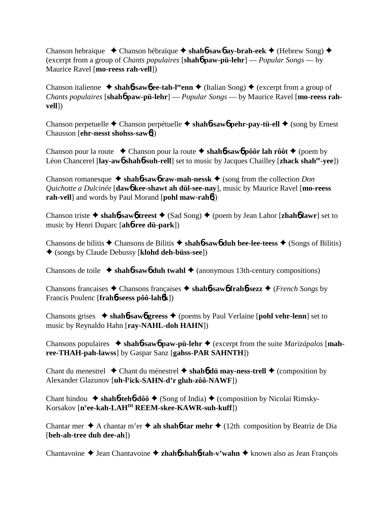Chanson hebraique **→** Chanson hébraïque → shah**6-saw6** av-brah-eek → (Hebrew Song) → (excerpt from a group of *Chants populaires* [**shah**6 **paw-pü-lehr**] — *Popular Songs* — by Maurice Ravel [**mo-reess rah-vell**])

Chanson italienne  $\triangle$  shah**6**-sawb ee-tah-l<sup>ee</sup>enn  $\triangle$  (Italian Song)  $\triangle$  (excerpt from a group of *Chants populaires* [**shah**6 **paw-pü-lehr**] — *Popular Songs* — by Maurice Ravel [**mo-reess rahvell**])

Chanson perpetuelle  $\triangle$  Chanson perpétuelle  $\triangle$  shahb-sawb pehr-pay-tü-ell  $\triangle$  (song by Ernest Chausson [**ehr-nesst shohss-saw**6])

Chanson pour la route  $\triangle$  Chanson pour la route  $\triangle$  shah**6**-saw6 pôôr lah rôôt  $\triangle$  (poem by Léon Chancerel [lay-awb shahb-suh-rell] set to music by Jacques Chailley [zhack shah<sup>ee</sup>-yee])

Chanson romanesque  $\triangle$  shah**6**-saw**6** raw-mah-nessk  $\triangle$  (song from the collection *Don Quichotte a Dulcinée* [**daw**6 **kee-shawt ah dül-see-nay**], music by Maurice Ravel [**mo-reess rah-vell**] and words by Paul Morand [**pohl maw-rah**6])

Chanson triste  $\triangle$  shah**6**-saw**6** treest  $\triangle$  (Sad Song)  $\triangle$  (poem by Jean Lahor [zhah**6** lawr] set to music by Henri Duparc [**ah**6**-ree dü-park**])

Chansons de bilitis  $\triangle$  Chansons de Bilitis  $\triangle$  shah**6**-saw**6** duh bee-lee-teess  $\triangle$  (Songs of Bilitis) (songs by Claude Debussy [**klohd deh-büss-see**])

Chansons de toile  $\triangle$  shah**6**-saw**6** duh twahl  $\triangle$  (anonymous 13th-century compositions)

Chansons francaises  $\triangle$  Chansons françaises  $\triangle$  shah**6**-saw**6** frah**6**-sezz  $\triangle$  (*French Songs* by Francis Poulenc [**frah**6**-seess pôô-lah**6**k**])

Chansons grises  $\rightarrow$  **shahb-sawb greess**  $\rightarrow$  (poems by Paul Verlaine [**pohl vehr-lenn**] set to music by Reynaldo Hahn [**ray-NAHL-doh HAHN**])

Chansons populaires **shah**6**-saw**6 **paw-pü-lehr** (excerpt from the suite *Marizápalos* [**mahree-THAH-pah-lawss**] by Gaspar Sanz [**gahss-PAR SAHNTH**])

Chant du menestrel  $\triangle$  Chant du ménestrel  $\triangle$  shah**6** dü may-ness-trell  $\triangle$  (composition by Alexander Glazunov [**uh-ly ick-SAHN-d'r gluh-zôô-NAWF**])

Chant hindou  $\rightarrow$  shah**6**-teh**6**-dôô  $\rightarrow$  (Song of India)  $\rightarrow$  (composition by Nicolai Rimsky-Korsakov [**ny ee-kah-LAHIH REEM-skee-KAWR-suh-kuff**])

Chantar mer  $\triangle$  A chantar m'er  $\triangle$  ah shah**6-tar mehr**  $\triangle$  (12th composition by Beatriz de Dia [**beh-ah-tree duh dee-ah**])

Chantavoine ◆ Jean Chantavoine ◆ zhah**6** shah**6-tah-v'wahn** ◆ known also as Jean François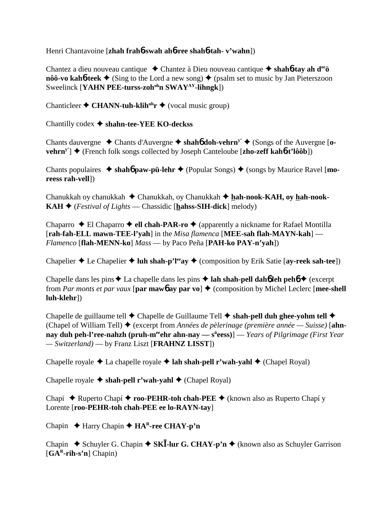Henri Chantavoine [**zhah frah**6**-swah ah**6**-ree shah**6**-tah- v'wahn**])

Chantez a dieu nouveau cantique Chantez à Dieu nouveau cantique **shah**6**-tay ah deeö** nôô-vo kahô-teek  $\triangleleft$  (Sing to the Lord a new song)  $\triangleleft$  (psalm set to music by Jan Pieterszoon Sweelinck [**YAHN PEE-turss-zoh<sup>oh</sup>n SWAY<sup>AY</sup>-lihngk**])

Chanticleer  $\triangle$  **CHANN-tuh-klih**<sup>uh</sup>**r**  $\triangle$  (vocal music group)

Chantilly codex **shahn-tee-YEE KO-deckss**

Chants dauvergne  $\triangle$  Chants d'Auvergne  $\triangle$  shah**6** doh-vehrn<sup>y'</sup>  $\triangle$  (Songs of the Auvergne [o**vehrn<sup>y'</sup>] ◆ (French folk songs collected by Joseph Canteloube [zho-zeff kah6<sup>***t***</sup>'lôôb])** 

Chants populaires  $\rightarrow$  shah**6** paw-pü-lehr  $\rightarrow$  (Popular Songs)  $\rightarrow$  (songs by Maurice Ravel [**moreess rah-vell**])

Chanukkah oy chanukkah ◆ Chanukkah, oy Chanukkah ◆ hah-nook-KAH, oy hah-nook-**KAH**  $\triangle$  (*Festival of Lights* — Chassidic [**hahss-SIH-dick**] melody)

Chaparro  $\triangle$  El Chaparro  $\triangle$  ell chah-PAR-ro  $\triangle$  (apparently a nickname for Rafael Montilla [**rah-fah-ELL mawn-TEE-l'yah**] in the *Misa flamenca* [**MEE-sah flah-MAYN-kah**] — *Flamenco* [**flah-MENN-ko**] *Mass* — by Paco Peña [**PAH-ko PAY-n'yah**])

Chapelier  $\triangle$  Le Chapelier  $\triangle$  luh shah-p'l<sup>ee</sup>ay  $\triangle$  (composition by Erik Satie [ay-reek sah-tee])

Chapelle dans les pins  $\triangle$  La chapelle dans les pins  $\triangle$  **lah shah-pell dahó leh pehó**  $\triangle$  (excerpt from *Par monts et par vaux* [**par maw6** ay **par vo**]  $\triangle$  (composition by Michel Leclerc [**mee-shell luh-klehr**])

Chapelle de guillaume tell  $\triangle$  Chapelle de Guillaume Tell  $\triangle$  shah-pell duh ghee-yohm tell  $\triangle$ (Chapel of William Tell) (excerpt from *Années de pèlerinage (première année — Suisse)* [**ahnnay duh peh-l'ree-nahzh (pruh-m<sup>ee</sup>ehr ahn-nay — s<sup>ü</sup>eess)] —** *Years of Pilgrimage (First Year***)** *— Switzerland)* — by Franz Liszt [**FRAHNZ LISST**])

Chapelle royale **→** La chapelle royale **→ lah shah-pell r'wah-yahl →** (Chapel Royal)

Chapelle royale **↓ shah-pell r'wah-yahl ↓** (Chapel Royal)

Chapi ◆ Ruperto Chapí ◆ **roo-PEHR-toh chah-PEE** ◆ (known also as Ruperto Chapí y Lorente [**roo-PEHR-toh chah-PEE ee lo-RAYN-tay**]

Chapin Harry Chapin **HAR-ree CHAY-p'n**

Chapin  $\blacklozenge$  Schuyler G. Chapin  $\blacklozenge$  **SKI**-lur G. CHAY-p'n  $\blacklozenge$  (known also as Schuyler Garrison [**GAR-rih-s'n**] Chapin)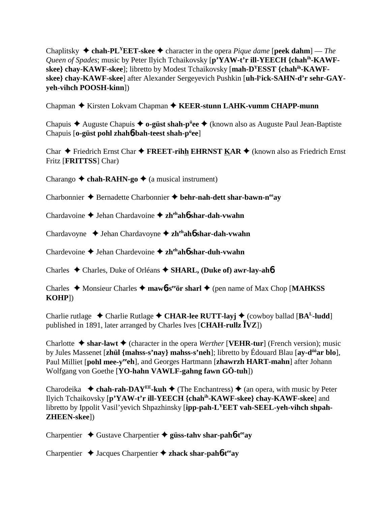Chaplitsky  $\triangle$  chah-PL<sup>Y</sup>EET-skee  $\triangle$  character in the opera *Pique dame* [**peek dahm**] — *The Queen of Spades*; music by Peter Ilyich Tchaikovsky [**p'YAW-t'r ill-YEECH {chahih-KAWFskee} chay-KAWF-skee**]; libretto by Modest Tchaikovsky [**mah-DYESST {chahih-KAWFskee} chay-KAWF-skee**] after Alexander Sergeyevich Pushkin [**uh-ly ick-SAHN-d'r sehr-GAYyeh-vihch POOSH-kinn**])

Chapman **→** Kirsten Lokvam Chapman → KEER-stunn LAHK-vumm CHAPP-munn

Chapuis Auguste Chapuis **o-güst shah-pü ee** (known also as Auguste Paul Jean-Baptiste Chapuis [**o-güst pohl zhah**6**-bah-teest shah-pü ee**]

Char  $\triangle$  Friedrich Ernst Char  $\triangle$  **FREET-rihh EHRNST KAR**  $\triangle$  (known also as Friedrich Ernst Fritz [**FRITTSS**] Char)

Charango  $\triangle$  chah-RAHN-go  $\triangle$  (a musical instrument)

Charbonnier **→** Bernadette Charbonnier → behr-nah-dett shar-bawn-n<sup>ee</sup>ay

Chardavoine Jehan Chardavoine **zhehah**6 **shar-dah-vwahn**

Chardavoyne Jehan Chardavoyne **zhehah**6 **shar-dah-vwahn**

Chardevoine Jehan Chardevoine **zhehah**6 **shar-duh-vwahn**

Charles Charles, Duke of Orléans **SHARL, (Duke of) awr-lay-ah**6

Charles  $\triangle$  Monsieur Charles  $\triangle$  mawb-s<sup>ee</sup>ör sharl  $\triangle$  (pen name of Max Chop [MAHKSS] **KOHP**])

Charlie rutlage  $\triangle$  Charlie Rutlage  $\triangle$  CHAR-lee RUTT-layj  $\triangle$  (cowboy ballad [BA<sup>L</sup>-ludd] published in 1891, later arranged by Charles Ives  $[CHAH\text{-}rullz \overline{I} VZ]$ 

Charlotte  $\triangle$  shar-lawt  $\triangle$  (character in the opera *Werther* [**VEHR-tur**] (French version); music by Jules Massenet [**zhül {mahss-s'nay} mahss-s'neh**]; libretto by Édouard Blau [**ay-dôôar blo**], Paul Milliet [pohl mee-y<sup>ee</sup>ch], and Georges Hartmann [zhawrzh HART-mahn] after Johann Wolfgang von Goethe [**YO-hahn VAWLF-gahng fawn GÖ-tuh**])

Charodeika  $\triangle$  **chah-rah-DAY<sup>EE</sup>-kuh**  $\triangle$  (The Enchantress)  $\triangle$  (an opera, with music by Peter Ilyich Tchaikovsky [**p'YAW-t'r ill-YEECH {chahih-KAWF-skee} chay-KAWF-skee**] and libretto by Ippolit Vasil'yevich Shpazhinsky [**ipp-pah-LYEET vah-SEEL-yeh-vihch shpah-ZHEEN-skee**])

Charpentier Gustave Charpentier **güss-tahv shar-pah**6**-teeay**

Charpentier Jacques Charpentier **zhack shar-pah**6**-teeay**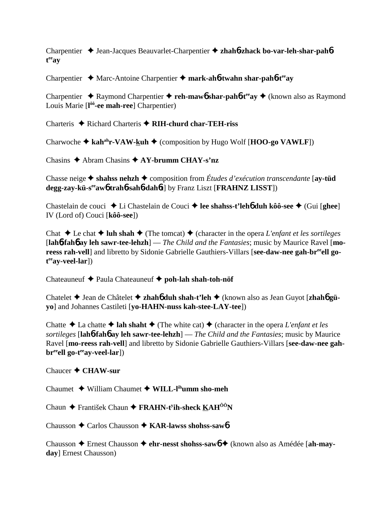Charpentier Jean-Jacques Beauvarlet-Charpentier **zhah**6**-zhack bo-var-leh-shar-pah**6 **t eeay**

Charpentier Marc-Antoine Charpentier **mark-ah**6**-twahn shar-pah**6**-teeay**

Charpentier **→** Raymond Charpentier → reh-mawb shar-pahb-t<sup>ee</sup>ay → (known also as Raymond Louis Marie [**l ôô-ee mah-ree**] Charpentier)

Charteris **→** Richard Charteris → RIH-churd char-TEH-riss

Charwoche  $\triangle$  kah<sup>ah</sup>r-VAW-kuh  $\triangle$  (composition by Hugo Wolf [**HOO-go VAWLF**])

Chasins Abram Chasins **AY-brumm CHAY-s'nz**

Chasse neige  $\triangle$  shahss nehzh  $\triangle$  composition from *Études d'exécution transcendante* [**ay-tüd**] **degg-zay-kü-seeaw**6 **trah**6**-sah**6**-dah**6**t**] by Franz Liszt [**FRAHNZ LISST**])

Chastelain de couci ◆ Li Chastelain de Couci ◆ lee shahss-t'leh**6** duh kôô-see ◆ (Gui [ghee] IV (Lord of) Couci [**kôô-see**])

Chat  $\triangle$  Le chat  $\triangle$  luh shah  $\triangle$  (The tomcat)  $\triangle$  (character in the opera *L'enfant et les sortileges* [**lah**6**-fah**6 **ay leh sawr-tee-lehzh**] — *The Child and the Fantasies*; music by Maurice Ravel [**mo**reess rah-vell] and libretto by Sidonie Gabrielle Gauthiers-Villars [see-daw-nee gah-br<sup>ee</sup>ell go**t eeay-veel-lar**])

Chateauneuf Paula Chateauneuf **poh-lah shah-toh-nöf**

Chatelet Jean de Châtelet **zhah**6 **duh shah-t'leh** (known also as Jean Guyot [**zhah**6 **güyo**] and Johannes Castileti [**yo-HAHN-nuss kah-stee-LAY-tee**])

Chatte  $\triangle$  La chatte  $\triangle$  lah shaht  $\triangle$  (The white cat)  $\triangle$  (character in the opera *L'enfant et les sortileges* [**lah**6**-fah**6 **ay leh sawr-tee-lehzh**] — *The Child and the Fantasies*; music by Maurice Ravel [**mo-reess rah-vell**] and libretto by Sidonie Gabrielle Gauthiers-Villars [**see-daw-nee gahbr**<sup>ee</sup>ell go-t<sup>ee</sup>ay-veel-lar])

Chaucer **CHAW-sur**

Chaumet William Chaumet **WILL-lihumm sho-meh**

Chaun František Chaun **FRAHN-ty ih-sheck KAHÔÔN**

Chausson **←** Carlos Chausson ← KAR-lawss shohss-saw6

Chausson Ernest Chausson **ehr-nesst shohss-saw**6 (known also as Amédée [**ah-mayday**] Ernest Chausson)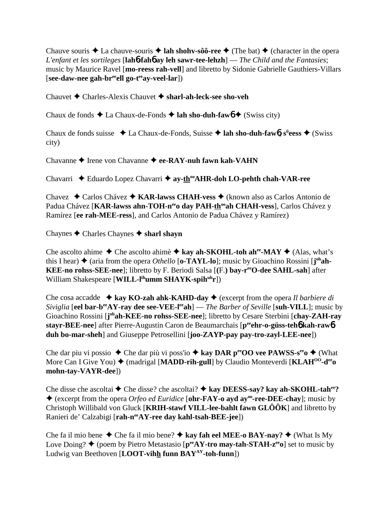Chauve souris  $\triangle$  La chauve-souris  $\triangle$  **lah shohv-sôô-ree**  $\triangle$  (The bat)  $\triangle$  (character in the opera *L'enfant et les sortileges* [**lah**6**-fah**6 **ay leh sawr-tee-lehzh**] — *The Child and the Fantasies*; music by Maurice Ravel [**mo-reess rah-vell**] and libretto by Sidonie Gabrielle Gauthiers-Villars [**see-daw-nee gah-breeell go-teeay-veel-lar**])

Chauvet Charles-Alexis Chauvet **sharl-ah-leck-see sho-veh**

Chaux de fonds  $\triangle$  La Chaux-de-Fonds  $\triangle$  **lah sho-duh-faw<sub>0</sub>**  $\triangle$  (Swiss city)

Chaux de fonds suisse La Chaux-de-Fonds, Suisse **lah sho-duh-faw**6**, sü eess** (Swiss city)

Chavanne **→** Irene von Chavanne → ee-RAY-nuh fawn kah-VAHN

Chavarri ◆ Eduardo Lopez Chavarri ◆ ay-th<sup>oo</sup>AHR-doh LO-pehth chah-VAR-ree

Chavez Carlos Chávez **KAR-lawss CHAH-vess** (known also as Carlos Antonio de Padua Chávez [KAR-lawss ahn-TOH-n<sup>ee</sup>o day PAH-th<sup>oo</sup>ah CHAH-vess], Carlos Chávez y Ramírez [**ee rah-MEE-ress**], and Carlos Antonio de Padua Chávez y Ramírez)

Chaynes Charles Chaynes **sharl shayn**

Che ascolto ahime  $\triangle$  Che ascolto ahimè  $\triangle$  kay ah-SKOHL-toh ah<sup>ee</sup>-MAY  $\triangle$  (Alas, what's this I hear)  $\blacklozenge$  (aria from the opera *Othello* [**o-TAYL-lo**]; music by Gioachino Rossini [ $j^{oh}$ ah-**KEE-no rohss-SEE-nee**]; libretto by F. Beriodi Salsa [**(**F.**) bay-reeO-dee SAHL-sah**] after William Shakespeare [**WILL-l<sup>ih</sup>umm SHAYK-spih<sup>uh</sup>r**])

Che cosa accadde **kay KO-zah ahk-KAHD-day** (excerpt from the opera *Il barbiere di Siviglia* [**eel bar-b<sup>ee</sup>AY-ray dee see-VEE-l<sup>ee</sup>ah**] — *The Barber of Seville* [**suh-VILL**]; music by Gioachino Rossini [j<sup>oh</sup>ah-KEE-no rohss-SEE-nee]; libretto by Cesare Sterbini [chay-ZAH-ray **stayr-BEE-nee**] after Pierre-Augustin Caron de Beaumarchais [**peeehr-o-güss-teh**6 **kah-raw**6 **duh bo-mar-sheh**] and Giuseppe Petrosellini [**joo-ZAYP-pay pay-tro-zayl-LEE-nee**])

Che dar piu vi possio ◆ Che dar più vi poss'io ◆ kay DAR peeOO vee PAWSS-s<sup>ee</sup>o ◆ (What More Can I Give You)  $\blacklozenge$  (madrigal [**MADD-rih-gull**] by Claudio Monteverdi [**KLAH<sup>00</sup>-d<sup>ee</sup>o**] **mohn-tay-VAYR-dee**])

Che disse che ascoltai **→** Che disse? che ascoltai? → kay DEESS-say? kay ah-SKOHL-tah<sup>ee</sup>? (excerpt from the opera *Orfeo ed Euridice* [**ohr-FAY-o ayd ayoo-ree-DEE-chay**]; music by Christoph Willibald von Gluck [**KRIH-stawf VILL-lee-bahlt fawn GLÔÔK**] and libretto by Ranieri de' Calzabigi [rah-n<sup>ee</sup>AY-ree day kahl-tsah-BEE-jee])

Che fa il mio bene  $\triangle$  Che fa il mio bene?  $\triangle$  kay fah eel MEE-o BAY-nay?  $\triangle$  (What Is My Love Doing?  $\triangle$  (poem by Pietro Metastasio [ $p^{ee}AY$ -tro may-tah-STAH- $z^{ee}$ o] set to music by Ludwig van Beethoven [**LOOT-vihh funn BAYAY-toh-funn**])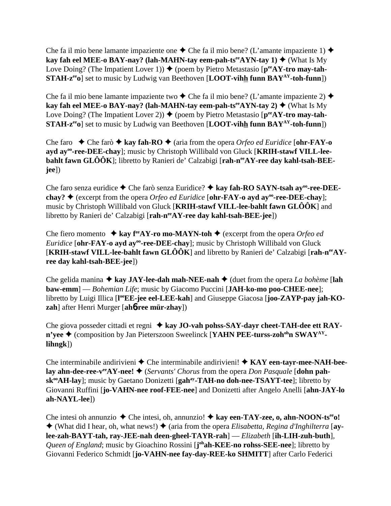Che fa il mio bene lamante impaziente one  $\triangle$  Che fa il mio bene? (L'amante impaziente 1)  $\triangle$ **kay fah eel MEE-o BAY-nay? (lah-MAHN-tay eem-pah-ts<sup>ee</sup>AYN-tay 1)**  $\blacklozenge$  **(What Is My)** Love Doing? (The Impatient Lover 1))  $\blacklozenge$  (poem by Pietro Metastasio [ $p^{ee}AY$ -tro may-tah-**STAH-z<sup>ee</sup>o**] set to music by Ludwig van Beethoven [**LOOT-vihh funn BAY<sup>AY</sup>-toh-funn**])

Che fa il mio bene lamante impaziente two  $\triangle$  Che fa il mio bene? (L'amante impaziente 2)  $\triangle$ **kay fah eel MEE-o BAY-nay? (lah-MAHN-tay eem-pah-ts<sup>ee</sup>AYN-tay 2)**  $\blacklozenge$  **(What Is My)** Love Doing? (The Impatient Lover 2))  $\blacklozenge$  (poem by Pietro Metastasio [ $p^{ee}AY$ -tro may-tah-**STAH-z<sup>ee</sup>o**] set to music by Ludwig van Beethoven [**LOOT-vihh funn BAY<sup>AY</sup>-toh-funn**])

Che faro  $\rightarrow$  Che farò  $\rightarrow$  kay fah-RO  $\rightarrow$  (aria from the opera *Orfeo ed Euridice* [**ohr-FAY-o** ayd ay<sup>oo</sup>-ree-DEE-chay]; music by Christoph Willibald von Gluck [KRIH-stawf VILL-lee**bahlt fawn GLÔÔK**]; libretto by Ranieri de' Calzabigi [**rah-neeAY-ree day kahl-tsah-BEEjee**])

Che faro senza euridice ◆ Che farò senza Euridice? ◆ kay fah-RO SAYN-tsah ay<sup>oo</sup>-ree-DEE**chay?**  $\blacklozenge$  (excerpt from the opera *Orfeo ed Euridice* [**ohr-FAY-o ayd ay**<sup>°</sup> ree-DEE-chay]; music by Christoph Willibald von Gluck [**KRIH-stawf VILL-lee-bahlt fawn GLÔÔK**] and libretto by Ranieri de' Calzabigi [rah-n<sup>ee</sup>AY-ree day kahl-tsah-BEE-jee])

Che fiero momento  $\triangle$  kay f<sup>ee</sup>AY-ro mo-MAYN-toh  $\triangle$  (excerpt from the opera *Orfeo ed Euridice* [ohr-FAY-o ayd ay<sup>oo</sup>-ree-DEE-chay]; music by Christoph Willibald von Gluck [**KRIH-stawf VILL-lee-bahlt fawn GLÔÔK**] and libretto by Ranieri de' Calzabigi [**rah-neeAYree day kahl-tsah-BEE-jee**])

Che gelida manina  $\triangle$  kay JAY-lee-dah mah-NEE-nah  $\triangle$  (duet from the opera *La bohème* [lah **baw-emm**] — *Bohemian Life*; music by Giacomo Puccini [**JAH-ko-mo poo-CHEE-nee**]; libretto by Luigi Illica [l<sup>oo</sup>EE-jee eel-LEE-kah] and Giuseppe Giacosa [joo-ZAYP-pay jah-KO**zah**] after Henri Murger [**ah**6**-ree mür-zhay**])

Che giova posseder cittadi et regni ◆ kay JO-vah pohss-SAY-dayr cheet-TAH-dee ett RAY**n'yee ♦** (composition by Jan Pieterszoon Sweelinck [**YAHN PEE-turss-zoh<sup>oh</sup>n SWAY**<sup>AY</sup> **lihngk**])

Che interminabile andirivieni ◆ Che interminabile andirivieni! ◆ KAY een-tayr-mee-NAH-bee**lay ahn-dee-ree-v<sup>ee</sup>AY-nee! ♦** (*Servants' Chorus* from the opera *Don Pasquale* [**dohn pahsk<sup>oo</sup>AH-lay**]; music by Gaetano Donizetti [**gah<sup>ay</sup>-TAH-no doh-nee-TSAYT-tee**]; libretto by Giovanni Ruffini [**jo-VAHN-nee roof-FEE-nee**] and Donizetti after Angelo Anelli [**ahn-JAY-lo ah-NAYL-lee**])

Che intesi oh annunzio  $\blacklozenge$  Che intesi, oh, annunzio!  $\blacklozenge$  kay een-TAY-zee, o, ahn-NOON-ts<sup>ee</sup>o!  $\triangle$  (What did I hear, oh, what news!)  $\triangle$  (aria from the opera *Elisabetta, Regina d'Inghilterra* [av**lee-zah-BAYT-tah, ray-JEE-nah deen-gheel-TAYR-rah**] — *Elizabeth* [**ih-LIH-zuh-buth**]*,* Queen of England; music by Gioachino Rossini [**j**<sup>oh</sup>**ah-KEE-no rohss-SEE-nee**]; libretto by Giovanni Federico Schmidt [**jo-VAHN-nee fay-day-REE-ko SHMITT**] after Carlo Federici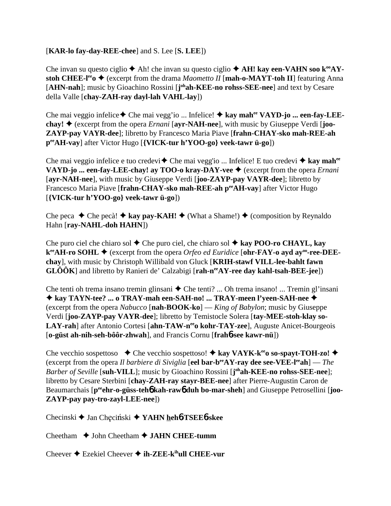## [**KAR-lo fay-day-REE-chee**] and S. Lee [**S. LEE**])

Che invan su questo ciglio  $\triangle$  Ah! che invan su questo ciglio  $\triangle$  AH! kay een-VAHN soo k<sup>oo</sup>AY**stoh CHEE-l<sup>ee</sup>o**  $\blacklozenge$  (excerpt from the drama *Maometto II* [**mah-o-MAYT-toh II**] featuring Anna [AHN-nah]; music by Gioachino Rossini [j<sup>oh</sup>ah-KEE-no rohss-SEE-nee] and text by Cesare della Valle [**chay-ZAH-ray dayl-lah VAHL-lay**])

Che mai veggio infelice ◆ Che mai vegg'io ... Infelice! ◆ kay mah<sup>ee</sup> VAYD-jo ... een-fay-LEE**chay!**  $\triangle$  (excerpt from the opera *Ernani* [ayr-NAH-nee], with music by Giuseppe Verdi [**joo-ZAYP-pay VAYR-dee**]; libretto by Francesco Maria Piave [**frahn-CHAY-sko mah-REE-ah peeAH-vay**] after Victor Hugo [**{VICK-tur h'YOO-go} veek-tawr ü-go**])

Che mai veggio infelice e tuo credevi **←** Che mai vegg'io ... Infelice! E tuo credevi ← kay mah<sup>ee</sup> **VAYD-jo ... een-fay-LEE-chay! ay TOO-o kray-DAY-vee ♦** (excerpt from the opera *Ernani* [**ayr-NAH-nee**], with music by Giuseppe Verdi [**joo-ZAYP-pay VAYR-dee**]; libretto by Francesco Maria Piave [**frahn-CHAY-sko mah-REE-ah peeAH-vay**] after Victor Hugo [**{VICK-tur h'YOO-go} veek-tawr ü-go**])

Che peca  $\triangle$  Che pecà!  $\triangle$  kay pay-KAH!  $\triangleq$  (What a Shame!)  $\triangleq$  (composition by Reynaldo Hahn [**ray-NAHL-doh HAHN**])

Che puro ciel che chiaro sol  $\triangle$  Che puro ciel, che chiaro sol  $\triangle$  kay **POO-ro CHAYL**, kay **k**<sup>ee</sup>**AH-ro SOHL ♦** (excerpt from the opera *Orfeo ed Euridice* [**ohr-FAY-o ayd ay<sup>oo</sup>-ree-DEEchay**], with music by Christoph Willibald von Gluck [**KRIH-stawf VILL-lee-bahlt fawn GLÔÔK**] and libretto by Ranieri de' Calzabigi [rah-n<sup>ee</sup>AY-ree day kahl-tsah-BEE-jee])

Che tenti oh trema insano tremin glinsani  $\triangle$  Che tenti? ... Oh trema insano! ... Tremin gl'insani **kay TAYN-tee? ... o TRAY-mah een-SAH-no! ... TRAY-meen l'yeen-SAH-nee** (excerpt from the opera *Nabucco* [**nah-BOOK-ko**] — *King of Babylon*; music by Giuseppe Verdi [**joo-ZAYP-pay VAYR-dee**]; libretto by Temistocle Solera [**tay-MEE-stoh-klay so-**LAY-rah] after Antonio Cortesi [ahn-TAW-neeo kohr-TAY-zee], Auguste Anicet-Bourgeois [**o-güst ah-nih-seh-bôôr-zhwah**], and Francis Cornu [**frah**6**-see kawr-nü**])

Che vecchio sospettoso  $\bullet$  Che vecchio sospettoso!  $\bullet$  kay VAYK-k<sup>ee</sup>o so-spayt-TOH-zo!  $\bullet$ (excerpt from the opera *Il barbiere di Siviglia* [**eel bar-beeAY-ray dee see-VEE-leeah**] — *The Barber of Seville* [**suh-VILL**]; music by Gioachino Rossini [**j ohah-KEE-no rohss-SEE-nee**]; libretto by Cesare Sterbini [**chay-ZAH-ray stayr-BEE-nee**] after Pierre-Augustin Caron de Beaumarchais [p<sup>ee</sup>ehr-o-güss-teh**6** kah-raw6 duh bo-mar-sheh] and Giuseppe Petrosellini [joo-**ZAYP-pay pay-tro-zayl-LEE-nee**])

Checinski **→** Jan Chęciński → YAHN heh**6**-TSEE**6**-skee

Cheetham  $\rightarrow$  John Cheetham  $\rightarrow$  **JAHN CHEE-tumm** 

Cheever **→** Ezekiel Cheever → ih-ZEE-k<sup>ih</sup>ull CHEE-vur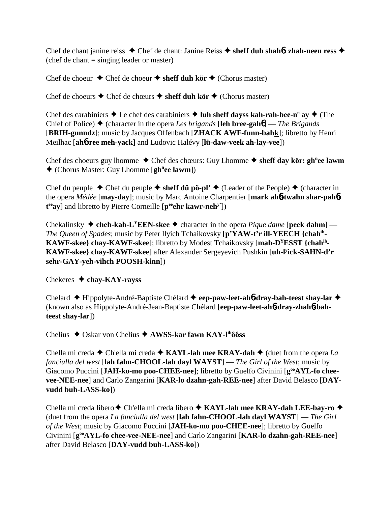Chef de chant janine reiss Chef de chant: Janine Reiss **sheff duh shah**6**: zhah-neen ress**  (chef de chant = singing leader or master)

Chef de choeur  $\triangle$  Chef de choeur  $\triangle$  sheff duh kör  $\triangle$  (Chorus master)

Chef de choeurs **↑** Chef de chœurs **↑ sheff duh kör ↑** (Chorus master)

Chef des carabiniers  $\triangle$  Le chef des carabiniers  $\triangle$  luh sheff dayss kah-rah-bee-n<sup>ee</sup>ay  $\triangle$  (The Chief of Police)  $\triangle$  (character in the opera *Les brigands* [leh bree-gah**6**] — *The Brigands* [**BRIH-gunndz**]; music by Jacques Offenbach [**ZHACK AWF-funn-bahk**]; libretto by Henri Meilhac [**ah**6**-ree meh-yack**] and Ludovic Halévy [**lü-daw-veek ah-lay-vee**])

Chef des choeurs guy lhomme ◆ Chef des chœurs: Guy Lhomme ◆ sheff day kör: gh<sup>ü</sup>ee lawm (Chorus Master: Guy Lhomme [**ghü ee lawm**])

Chef du peuple  $\triangle$  Chef du peuple  $\triangle$  sheff du po<sup>-p</sup>l'  $\triangle$  (Leader of the People)  $\triangle$  (character in the opera *Médée* [**may-day**]; music by Marc Antoine Charpentier [**mark ah**6**-twahn shar-pah**6 t<sup>ee</sup>ay] and libretto by Pierre Corneille [peehr kawr-neh<sup>y'</sup>])

Chekalinsky  $\triangle$  cheh-kah-L<sup>Y</sup>EEN-skee  $\triangle$  character in the opera *Pique dame* [peek dahm] — *The Queen of Spades*; music by Peter Ilyich Tchaikovsky [**p'YAW-t'r ill-YEECH {chahih-KAWF-skee} chay-KAWF-skee**]; libretto by Modest Tchaikovsky [**mah-DYESST {chahih-KAWF-skee} chay-KAWF-skee**] after Alexander Sergeyevich Pushkin [**uh-ly ick-SAHN-d'r sehr-GAY-yeh-vihch POOSH-kinn**])

## Chekeres  **chay-KAY-rayss**

Chelard Hippolyte-André-Baptiste Chélard  **eep-paw-leet-ah**6**-dray-bah-teest shay-lar** (known also as Hippolyte-André-Jean-Baptiste Chélard [**eep-paw-leet-ah**6**-dray-zhah**6**-bahteest shay-lar**])

Chelius **→** Oskar von Chelius **→ AWSS-kar fawn KAY-l<sup>ih</sup>ôôss** 

Chella mi creda  $\blacklozenge$  Ch'ella mi creda  $\blacklozenge$  **KAYL-lah mee KRAY-dah**  $\blacklozenge$  (duet from the opera *La fanciulla del west* [**lah fahn-CHOOL-lah dayl WAYST**] — *The Girl of the West*; music by Giacomo Puccini [JAH-ko-mo poo-CHEE-nee]; libretto by Guelfo Civinini [g<sup>oo</sup>AYL-fo chee**vee-NEE-nee**] and Carlo Zangarini [**KAR-lo dzahn-gah-REE-nee**] after David Belasco [**DAYvudd buh-LASS-ko**])

Chella mi creda libero Ch'ella mi creda libero **KAYL-lah mee KRAY-dah LEE-bay-ro** (duet from the opera *La fanciulla del west* [**lah fahn-CHOOL-lah dayl WAYST**] — *The Girl of the West*; music by Giacomo Puccini [**JAH-ko-mo poo-CHEE-nee**]; libretto by Guelfo Civinini [**gooAYL-fo chee-vee-NEE-nee**] and Carlo Zangarini [**KAR-lo dzahn-gah-REE-nee**] after David Belasco [**DAY-vudd buh-LASS-ko**])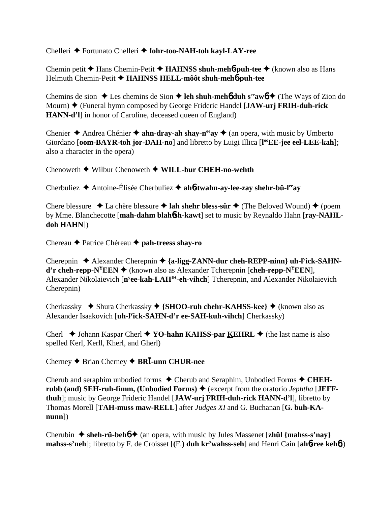## Chelleri Fortunato Chelleri **fohr-too-NAH-toh kayl-LAY-ree**

Chemin petit **→** Hans Chemin-Petit **→ HAHNSS shuh-meh6-puh-tee** → (known also as Hans Helmuth Chemin-Petit **HAHNSS HELL-môôt shuh-meh**6**-puh-tee**

Chemins de sion  $\triangle$  Les chemins de Sion  $\triangle$  leh shuh-meh**6** duh s<sup>ee</sup>aw**6**  $\triangle$  (The Ways of Zion do Mourn) (Funeral hymn composed by George Frideric Handel [**JAW-urj FRIH-duh-rick HANN-d'l**] in honor of Caroline, deceased queen of England)

Chenier  $\triangle$  Andrea Chénier  $\triangle$  **ahn-dray-ah shay-n<sup>ee</sup>ay**  $\triangle$  (an opera, with music by Umberto Giordano [oom-BAYR-toh jor-DAH-no] and libretto by Luigi Illica [l<sup>oo</sup>EE-jee eel-LEE-kah]; also a character in the opera)

Chenoweth Wilbur Chenoweth **WILL-bur CHEH-no-wehth**

Cherbuliez Antoine-Élisée Cherbuliez **ah**6**-twahn-ay-lee-zay shehr-bü-leeay**

Chere blessure  $\triangleleft$  La chère blessure  $\triangleleft$  lah shehr bless-sür  $\triangleleft$  (The Beloved Wound)  $\triangleleft$  (poem by Mme. Blanchecotte [**mah-dahm blah**6**sh-kawt**] set to music by Reynaldo Hahn [**ray-NAHLdoh HAHN**])

Chereau Patrice Chéreau **pah-treess shay-ro**

Cherepnin ♦ Alexander Cherepnin ♦ {a-ligg-ZANN-dur cheh-REPP-ninn} uh-l<sup>y</sup>ick-SAHN**d'r cheh-repp-N<sup>Y</sup>EEN**  $\blacklozenge$  (known also as Alexander Tcherepnin [**cheh-repp-N<sup>Y</sup>EEN**], Alexander Nikolaievich [**ny ee-kah-LAHIH-eh-vihch**] Tcherepnin, and Alexander Nikolaievich Cherepnin)

Cherkassky ◆ Shura Cherkassky ◆ {SHOO-ruh chehr-KAHSS-kee} ◆ (known also as Alexander Isaakovich [**uh-ly ick-SAHN-d'r ee-SAH-kuh-vihch**] Cherkassky)

Cherl  $\triangle$  Johann Kaspar Cherl  $\triangle$  YO-hahn KAHSS-par KEHRL  $\triangle$  (the last name is also spelled Kerl, Kerll, Kherl, and Gherl)

Cherney Brian Cherney **BR-unn CHUR-nee**

Cherub and seraphim unbodied forms  $\triangle$  Cherub and Seraphim, Unbodied Forms  $\triangle$  CHEHrubb (and) SEH-ruh-fimm, (Unbodied Forms)  $\triangle$  (excerpt from the oratorio *Jephtha* [JEFF**thuh**]; music by George Frideric Handel [**JAW-urj FRIH-duh-rick HANN-d'l**], libretto by Thomas Morell [**TAH-muss maw-RELL**] after *Judges XI* and G. Buchanan [**G. buh-KAnunn**])

Cherubin  $\blacklozenge$  sheh-rü-beh $\blacklozenge$  (an opera, with music by Jules Massenet [zhül {mahss-s'nay} **mahss-s'neh**]; libretto by F. de Croisset [**(**F.**) duh kr'wahss-seh**] and Henri Cain [**ah**6**-ree keh**6])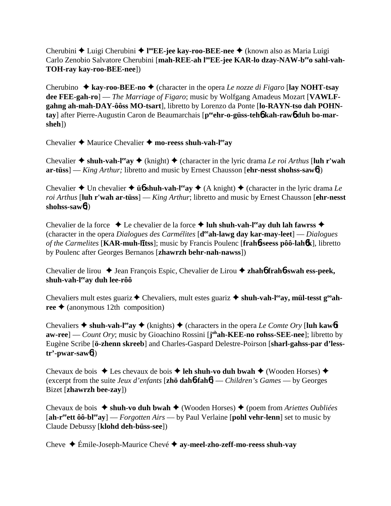Cherubini ◆ Luigi Cherubini ◆ l<sup>oo</sup>EE-jee kay-roo-BEE-nee ◆ (known also as Maria Luigi Carlo Zenobio Salvatore Cherubini [mah-REE-ah l<sup>oo</sup>EE-jee KAR-lo dzay-NAW-beeo sahl-vah-**TOH-ray kay-roo-BEE-nee**])

Cherubino  $\triangle$  **kay-roo-BEE-no**  $\triangle$  (character in the opera *Le nozze di Figaro* [lay NOHT-tsay **dee FEE-gah-ro**] — *The Marriage of Figaro*; music by Wolfgang Amadeus Mozart [**VAWLFgahng ah-mah-DAY-ôôss MO-tsart**], libretto by Lorenzo da Ponte [**lo-RAYN-tso dah POHN**tay] after Pierre-Augustin Caron de Beaumarchais [peen**-o-güss-teh6 kah-raw6 duh bo-marsheh**])

Chevalier **→** Maurice Chevalier → mo-reess shuh-vah-l<sup>ee</sup>ay

Chevalier  $\triangle$  shuh-vah-l<sup>ee</sup>ay  $\triangle$  (knight)  $\triangle$  (character in the lyric drama *Le roi Arthus* [luh r'wah **ar-tüss**] — *King Arthur;* libretto and music by Ernest Chausson [**ehr-nesst shohss-saw**6])

Chevalier  $\triangle$  Un chevalier  $\triangle$  **ü<sub>0</sub>** shuh-vah-l<sup>ee</sup>ay  $\triangle$  (A knight)  $\triangle$  (character in the lyric drama *Le roi Arthus* [**luh r'wah ar-tüss**] — *King Arthur*; libretto and music by Ernest Chausson [**ehr-nesst shohss-saw**6])

Chevalier de la force  $\triangle$  Le chevalier de la force  $\triangle$  luh shuh-vah-l<sup>ee</sup>ay duh lah fawrss  $\triangle$ (character in the opera *Dialogues des Carmélites* [**deeah-lawg day kar-may-leet**] — *Dialogues* of the Carmelites [KAR-muh-litss]; music by Francis Poulenc [frah6-seess pôô-lah6k], libretto by Poulenc after Georges Bernanos [**zhawrzh behr-nah-nawss**])

Chevalier de lirou ◆ Jean François Espic, Chevalier de Lirou ◆ zhah**6** frah**6**-swah ess-peek, **shuh-vah-leeay duh lee-rôô**

Chevaliers mult estes guariz  $\triangle$  Chevaliers, mult estes guariz  $\triangle$  shuh-vah-l<sup>ee</sup>ay, mül-tesst g<sup>oo</sup>ah $ree \triangleq$  (anonymous 12th composition)

Chevaliers  $\triangle$  shuh-vah-l<sup>ee</sup>ay  $\triangle$  (knights)  $\triangle$  (characters in the opera *Le Comte Ory* [luh kaw6**t aw-ree**] — *Count Ory*; music by Gioachino Rossini [**j ohah-KEE-no rohss-SEE-nee**]; libretto by Eugène Scribe [**ö-zhenn skreeb**] and Charles-Gaspard Delestre-Poirson [**sharl-gahss-par d'lesstr'-pwar-saw**6])

Chevaux de bois  $\triangleq$  Les chevaux de bois  $\triangleq$  **leh shuh-vo duh bwah**  $\triangleq$  (Wooden Horses)  $\triangleq$ (excerpt from the suite *Jeux d'enfants* [**zhö dah**6**-fah**6] — *Children's Games* — by Georges Bizet [**zhawrzh bee-zay**])

Chevaux de bois ◆ shuh-vo duh bwah ◆ (Wooden Horses) ◆ (poem from *Ariettes Oubliées* [**ah-reeett ôô-bleeay**] — *Forgotten Airs* — by Paul Verlaine [**pohl vehr-lenn**] set to music by Claude Debussy [**klohd deh-büss-see**])

Cheve Émile-Joseph-Maurice Chevé **ay-meel-zho-zeff-mo-reess shuh-vay**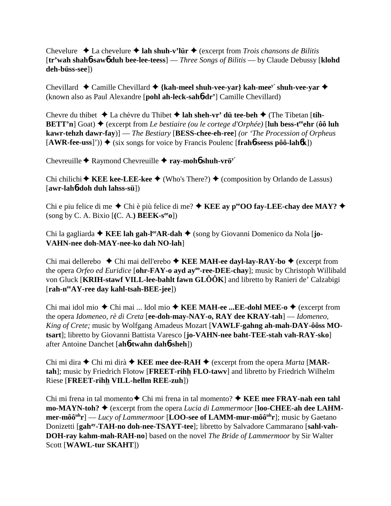Chevelure **↓** La chevelure **↓ lah shuh-v'lür ↓** (excerpt from *Trois chansons de Bilitis* [**tr'wah shah**6**-saw**6 **duh bee-lee-teess**] — *Three Songs of Bilitis* — by Claude Debussy [**klohd deh-büss-see**])

Chevillard  $\triangle$  Camille Chevillard  $\triangle$  {kah-meel shuh-vee-yar} kah-mee<sup>y'</sup> shuh-vee-yar  $\triangle$ (known also as Paul Alexandre [**pohl ah-leck-sah**6**-dr'**] Camille Chevillard)

Chevre du thibet  $\triangle$  La chèvre du Thibet  $\triangle$  lah sheh-vr' dü tee-beh  $\triangle$  (The Tibetan [tih-**BETT'n**] Goat)  $\triangle$  (excerpt from *Le bestiaire (ou le cortege d'Orphée)* [luh bess-t<sup>ee</sup> chr ( $\hat{o}\hat{o}$  luh **kawr-tehzh dawr-fay**)] — *The Bestiary* [**BESS-chee-eh-ree**] *(or 'The Procession of Orpheus*  $[AWR-free-uss]')$   $\blacklozenge$  (six songs for voice by Francis Poulenc  $[frahb-seess p\hat{o}\hat{o}-lah6k]$ )

Chevreuille  $\triangle$  Raymond Chevreuille  $\triangle$  **ray-moh6** shuh-vrö<sup>y'</sup>

Chi chilichi  $\blacklozenge$  **KEE kee-LEE-kee**  $\blacklozenge$  (Who's There?)  $\blacklozenge$  (composition by Orlando de Lassus) [**awr-lah**6**-doh duh lahss-sü**])

Chi e piu felice di me  $\triangle$  Chi è più felice di me?  $\triangle$  **KEE ay p<sup>ee</sup>OO fay-LEE-chay dee MAY?**  $\triangle$  $(\text{song by C. A. Bixio } [(C. A.) **BEEK-s<sup>ee</sup>o**])$ 

Chi la gagliarda **→ KEE lah gah-l<sup>ee</sup>AR-dah →** (song by Giovanni Domenico da Nola [**jo-VAHN-nee doh-MAY-nee-ko dah NO-lah**]

Chi mai dellerebo Chi mai dell'erebo **KEE MAH-ee dayl-lay-RAY-bo** (excerpt from the opera *Orfeo ed Euridice* [**ohr-FAY-o ayd ayoo-ree-DEE-chay**]; music by Christoph Willibald von Gluck [**KRIH-stawf VILL-lee-bahlt fawn GLÔÔK**] and libretto by Ranieri de' Calzabigi [**rah-neeAY-ree day kahl-tsah-BEE-jee**])

Chi mai idol mio ◆ Chi mai ... Idol mio ◆ KEE MAH-ee ...EE-dohl MEE-o ◆ (excerpt from the opera *Idomeneo, rè di Creta* [**ee-doh-may-NAY-o, RAY dee KRAY-tah**] — *Idomeneo, King of Crete;* music by Wolfgang Amadeus Mozart [**VAWLF-gahng ah-mah-DAY-ôôss MOtsart**]; libretto by Giovanni Battista Varesco [**jo-VAHN-nee baht-TEE-stah vah-RAY-sko**] after Antoine Danchet [**ah**6**-twahn dah**6**-sheh**])

Chi mi dira  $\triangle$  Chi mi dirà  $\triangle$  **KEE mee dee-RAH**  $\triangle$  (excerpt from the opera *Marta* [MAR**tah**]; music by Friedrich Flotow [**FREET-rihh FLO-tawv**] and libretto by Friedrich Wilhelm Riese [**FREET-rihh VILL-hellm REE-zuh**])

Chi mi frena in tal momento **↑** Chi mi frena in tal momento? ◆ KEE mee FRAY-nah een tahl **mo-MAYN-toh? ♦** (excerpt from the opera *Lucia di Lammermoor* [loo-CHEE-ah dee LAHM**mer-môô<sup>uh</sup>r**] — *Lucy of Lammermoor* [**LOO-see of LAMM-mur-môô<sup>uh</sup>r**]; music by Gaetano Donizetti [gah<sup>ay</sup>-TAH-no doh-nee-TSAYT-tee]; libretto by Salvadore Cammarano [sahl-vah-**DOH-ray kahm-mah-RAH-no**] based on the novel *The Bride of Lammermoor* by Sir Walter Scott [**WAWL-tur SKAHT**])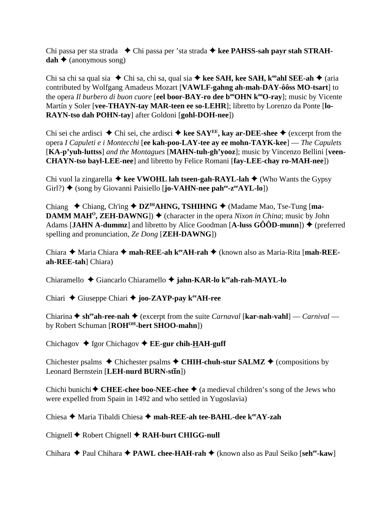Chi passa per sta strada **→** Chi passa per 'sta strada **→ kee PAHSS-sah payr stah STRAH** $dah \triangleq$  (anonymous song)

Chi sa chi sa qual sia  $\blacklozenge$  Chi sa, chi sa, qual sia  $\blacklozenge$  kee SAH, kee SAH, k<sup>oo</sup>ahl SEE-ah  $\blacklozenge$  (aria contributed by Wolfgang Amadeus Mozart [**VAWLF-gahng ah-mah-DAY-ôôss MO-tsart**] to the opera *Il burbero di buon cuore* [eel boor-BAY-ro dee b<sup>oo</sup>OHN k<sup>oo</sup>O-ray]; music by Vicente Martín y Soler [**vee-THAYN-tay MAR-teen ee so-LEHR**]; libretto by Lorenzo da Ponte [**lo-RAYN-tso dah POHN-tay**] after Goldoni [**gohl-DOH-nee**])

Chi sei che ardisci  $\triangle$  Chi sei, che ardisci  $\triangle$  kee SAY<sup>EE</sup>, kay ar-DEE-shee  $\triangle$  (excerpt from the opera *I Capuleti e i Montecchi* [**ee kah-poo-LAY-tee ay ee mohn-TAYK-kee**] — *The Capulets* [**KA-p'yuh-luttss**] *and the Montagues* [**MAHN-tuh-gh'yooz**]; music by Vincenzo Bellini [**veen-CHAYN-tso bayl-LEE-nee**] and libretto by Felice Romani [**fay-LEE-chay ro-MAH-nee**])

Chi vuol la zingarella  $\triangleq$  kee VWOHL lah tseen-gah-RAYL-lah  $\triangleq$  (Who Wants the Gypsy Girl?)  $\triangleq$  (song by Giovanni Paisiello [**jo-VAHN-nee pah<sup>ee</sup>-z<sup>ee</sup>AYL-lo**])

Chiang Chiang, Ch'ing **DZIHAHNG, TSHIHNG** (Madame Mao, Tse-Tung [**ma-DAMM MAH<sup>O</sup>, ZEH-DAWNG**])  $\blacklozenge$  (character in the opera *Nixon in China*; music by John Adams [JAHN A-dummz] and libretto by Alice Goodman  $[A$ -luss  $G\hat{O}OD$ -munn])  $\blacklozenge$  (preferred spelling and pronunciation, *Ze Dong* [**ZEH-DAWNG**])

Chiara ◆ Maria Chiara ◆ mah-REE-ah k<sup>ee</sup>AH-rah ◆ (known also as Maria-Rita [mah-REE**ah-REE-tah**] Chiara)

Chiaramello Giancarlo Chiaramello **jahn-KAR-lo keeah-rah-MAYL-lo**

Chiari Giuseppe Chiari **joo-ZAYP-pay keeAH-ree**

Chiarina  $\triangle$  sh<sup>ee</sup>ah-ree-nah  $\triangle$  (excerpt from the suite *Carnaval* [kar-nah-vahl] — *Carnival* by Robert Schuman [**ROH<sup>OH</sup>-bert SHOO-mahn**])

Chichagov **→** Igor Chichagov **→ EE-gur chih-HAH-guff** 

Chichester psalms  $\triangle$  Chichester psalms  $\triangle$  CHIH-chuh-stur SALMZ  $\triangle$  (compositions by Leonard Bernstein [LEH-nurd BURN-stin])

Chichi bunichi  $\blacklozenge$  CHEE-chee boo-NEE-chee  $\blacklozenge$  (a medieval children's song of the Jews who were expelled from Spain in 1492 and who settled in Yugoslavia)

Chiesa **→** Maria Tibaldi Chiesa → mah-REE-ah tee-BAHL-dee k<sup>ee</sup>AY-zah

Chignell ♦ Robert Chignell ♦ RAH-burt CHIGG-null

Chihara ◆ Paul Chihara ◆ PAWL chee-HAH-rah ◆ (known also as Paul Seiko [seh<sup>ee</sup>-kaw]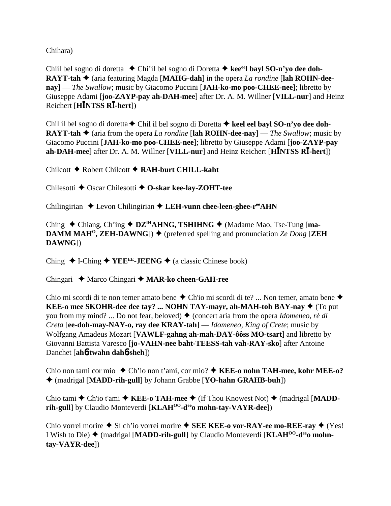Chihara)

Chiil bel sogno di doretta Chi'il bel sogno di Doretta **keeeel bayl SO-n'yo dee doh-RAYT-tah ♦** (aria featuring Magda [MAHG-dah] in the opera *La rondine* [lah ROHN-dee**nay**] — *The Swallow*; music by Giacomo Puccini [**JAH-ko-mo poo-CHEE-nee**]; libretto by Giuseppe Adami [**joo-ZAYP-pay ah-DAH-mee**] after Dr. A. M. Willner [**VILL-nur**] and Heinz Reichert [**HNTSS R-hert**])

Chil il bel sogno di doretta Chil il bel sogno di Doretta **keel eel bayl SO-n'yo dee doh-RAYT-tah**  $\triangle$  (aria from the opera *La rondine* [lah **ROHN-dee-nay**] — *The Swallow*; music by Giacomo Puccini [**JAH-ko-mo poo-CHEE-nee**]; libretto by Giuseppe Adami [**joo-ZAYP-pay ah-DAH-mee**] after Dr. A. M. Willner [**VILL-nur**] and Heinz Reichert [**HNTSS R-hert**])

Chilcott Robert Chilcott **RAH-burt CHILL-kaht**

Chilesotti **←** Oscar Chilesotti ← O-skar kee-lay-ZOHT-tee

Chilingirian ◆ Levon Chilingirian ◆ LEH-vunn chee-leen-ghee-r<sup>ee</sup>AHN

Ching ◆ Chiang, Ch'ing ◆ DZ<sup>IH</sup>AHNG, TSHIHNG ◆ (Madame Mao, Tse-Tung [ma-**DAMM MAH<sup>O</sup>, ZEH-DAWNG**])  $\blacklozenge$  (preferred spelling and pronunciation *Ze Dong* [**ZEH DAWNG**])

Ching  $\triangle$  I-Ching  $\triangle$  YEE<sup>EE</sup>-JEENG  $\triangle$  (a classic Chinese book)

Chingari ◆ Marco Chingari ◆ MAR-ko cheen-GAH-ree

Chio mi scordi di te non temer amato bene  $\triangle$  Ch'io mi scordi di te? ... Non temer, amato bene  $\triangle$ **KEE-o mee SKOHR-dee dee tay? ... NOHN TAY-mayr, ah-MAH-toh BAY-nay**  $\blacklozenge$  **(To put** you from my mind? ... Do not fear, beloved) ♦ (concert aria from the opera *Idomeneo, rè di Creta* [**ee-doh-may-NAY-o, ray dee KRAY-tah**] — *Idomeneo, King of Crete*; music by Wolfgang Amadeus Mozart [**VAWLF-gahng ah-mah-DAY-ôôss MO-tsart**] and libretto by Giovanni Battista Varesco [**jo-VAHN-nee baht-TEESS-tah vah-RAY-sko**] after Antoine Danchet [**ah**6**-twahn dah**6**-sheh**])

Chio non tami cor mio Ch'io non t'ami, cor mio?  **KEE-o nohn TAH-mee, kohr MEE-o?** (madrigal [**MADD-rih-gull**] by Johann Grabbe [**YO-hahn GRAHB-buh**])

Chio tami  $\triangle$  Ch'io t'ami  $\triangle$  **KEE-o TAH-mee**  $\triangle$  (If Thou Knowest Not)  $\triangle$  (madrigal [**MADD**rih-gull] by Claudio Monteverdi [KLAH<sup>OO</sup>-d<sup>ee</sup>o mohn-tay-VAYR-dee])

Chio vorrei morire  $\triangle$  Sì ch'io vorrei morire  $\triangle$  **SEE KEE-o vor-RAY-ee mo-REE-ray**  $\triangle$  (Yes!) I Wish to Die) (madrigal [**MADD-rih-gull**] by Claudio Monteverdi [**KLAHOO-deeo mohntay-VAYR-dee**])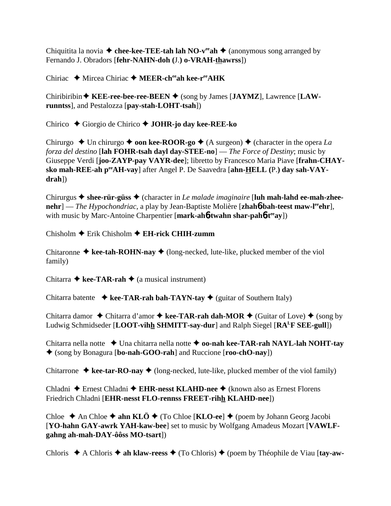Chiquitita la novia  $\triangle$  chee-kee-TEE-tah lah NO-v<sup>ee</sup>ah  $\triangle$  (anonymous song arranged by Fernando J. Obradors [**fehr-NAHN-doh (**J.**) o-VRAH-thawrss**])

Chiriac ◆ Mircea Chiriac ◆ MEER-ch<sup>ee</sup>ah kee-r<sup>ee</sup>AHK

Chiribiribin **KEE-ree-bee-ree-BEEN** (song by James [**JAYMZ**], Lawrence [**LAWrunntss**], and Pestalozza [**pay-stah-LOHT-tsah**])

Chirico Giorgio de Chirico **JOHR-jo day kee-REE-ko**

Chirurgo  $\triangle$  Un chirurgo  $\triangle$  **oon kee-ROOR-go**  $\triangle$  (A surgeon)  $\triangle$  (character in the opera *La forza del destino* [**lah FOHR-tsah dayl day-STEE-no**] — *The Force of Destiny*; music by Giuseppe Verdi [**joo-ZAYP-pay VAYR-dee**]; libretto by Francesco Maria Piave [**frahn-CHAYsko mah-REE-ah peeAH-vay**] after Angel P. De Saavedra [**ahn-HELL (**P.**) day sah-VAYdrah**])

Chirurgus **shee-rür-güss** (character in *Le malade imaginaire* [**luh mah-lahd ee-mah-zheenehr**] — *The Hypochondriac*, a play by Jean-Baptiste Molière [**zhah6-bah-teest maw-l<sup>ee</sup>ehr**], with music by Marc-Antoine Charpentier [**mark-ah**6**-twahn shar-pah**6**-teeay**])

Chisholm Erik Chisholm **EH-rick CHIH-zumm**

Chitaronne  $\triangleq$  kee-tah-ROHN-nay  $\triangleq$  (long-necked, lute-like, plucked member of the viol family)

Chitarra  $\triangle$  kee-TAR-rah  $\triangle$  (a musical instrument)

Chitarra batente  $\triangleleft$  kee-TAR-rah bah-TAYN-tay  $\triangleleft$  (guitar of Southern Italy)

Chitarra damor  $\triangle$  Chitarra d'amor  $\triangle$  kee-TAR-rah dah-MOR  $\triangle$  (Guitar of Love)  $\triangle$  (song by Ludwig Schmidseder [**LOOT-vihh SHMITT-say-dur**] and Ralph Siegel [**RALF SEE-gull**])

Chitarra nella notte **→** Una chitarra nella notte ◆ **oo-nah kee-TAR-rah NAYL-lah NOHT-tay** (song by Bonagura [**bo-nah-GOO-rah**] and Ruccione [**roo-chO-nay**])

Chitarrone  $\triangleq$  kee-tar-RO-nay  $\triangleq$  (long-necked, lute-like, plucked member of the viol family)

Chladni ◆ Ernest Chladni ◆ EHR-nesst KLAHD-nee ◆ (known also as Ernest Florens Friedrich Chladni [**EHR-nesst FLO-rennss FREET-rihh KLAHD-nee**])

Chloe  $\triangle$  An Chloe  $\triangle$  ahn KLÖ  $\triangle$  (To Chloe [KLO-ee]  $\triangle$  (poem by Johann Georg Jacobi [**YO-hahn GAY-awrk YAH-kaw-bee**] set to music by Wolfgang Amadeus Mozart [**VAWLFgahng ah-mah-DAY-ôôss MO-tsart**])

Chloris **→** A Chloris → ah klaw-reess → (To Chloris) → (poem by Théophile de Viau [tay-aw-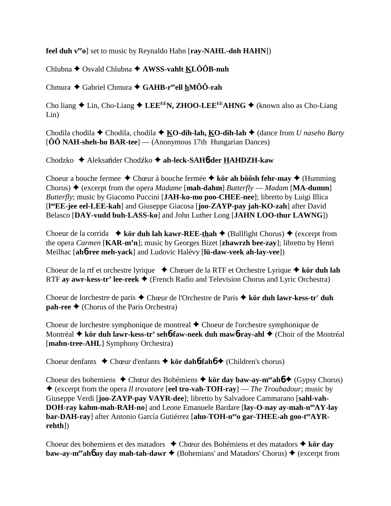**feel duh v<sup>ee</sup><sub>0</sub>**] set to music by Reynaldo Hahn [ray-NAHL-doh HAHN])

Chlubna Osvald Chlubna **AWSS-vahlt KLÔÔB-nuh**

Chmura Gabriel Chmura **GAHB-reeell hMÔÔ-rah**

Cho liang  $\triangle$  Lin, Cho-Liang  $\triangle$  LEE<sup>EE</sup>N, ZHOO-LEE<sup>EE</sup>AHNG  $\triangle$  (known also as Cho-Liang Lin)

Chodila chodila **←** Chodila, chodila ← **KO-dih-lah, KO-dih-lah** ← (dance from *U naseho Barty* [**ÔÔ NAH-sheh-ho BAR-tee**] — (Anonymous 17th Hungarian Dances)

Chodzko ◆ Aleksańder Chodźko ◆ ah-leck-SAH6**-der HAHDZH-kaw** 

Choeur a bouche fermee  $\triangle$  Chœur à bouche fermée  $\triangle$  kör ah bôôsh fehr-may  $\triangle$  (Humming Chorus)  $\triangle$  (excerpt from the opera *Madame* [**mah-dahm**] *Butterfly — Madam* [**MA-dumm**] *Butterfly*; music by Giacomo Puccini [**JAH-ko-mo poo-CHEE-nee**]; libretto by Luigi Illica [**l ooEE-jee eel-LEE-kah**] and Giuseppe Giacosa [**joo-ZAYP-pay jah-KO-zah**] after David Belasco [**DAY-vudd buh-LASS-ko**] and John Luther Long [**JAHN LOO-thur LAWNG**])

Choeur de la corrida  $\rightarrow$  kör duh lah kawr-REE-thah  $\rightarrow$  (Bullfight Chorus)  $\rightarrow$  (excerpt from the opera *Carmen* [**KAR-m'n**]; music by Georges Bizet [**zhawrzh bee-zay**]; libretto by Henri Meilhac [**ah**6**-ree meh-yack**] and Ludovic Halévy [**lü-daw-veek ah-lay-vee**])

Choeur de la rtf et orchestre lyrique ◆ Chœuer de la RTF et Orchestre Lyrique ◆ kör duh lah RTF **ay awr-kess-tr' lee-reek** (French Radio and Television Chorus and Lyric Orchestra)

Choeur de lorchestre de paris Chœur de l'Orchestre de Paris **kör duh lawr-kess-tr' duh pah-ree ←** (Chorus of the Paris Orchestra)

Choeur de lorchestre symphonique de montreal Choeur de l'orchestre symphonique de Montréal ◆ kör duh lawr-kess-tr' seh**6**-faw-neek duh maw6-ray-ahl ◆ (Choir of the Montréal [**mahn-tree-AHL**] Symphony Orchestra)

Choeur denfants Chœur d'enfants **kör dah**6**-fah**6 (Children's chorus)

Choeur des bohemiens **←** Chœur des Bohémiens ← kör day baw-ay-m<sup>ee</sup>ah**6** ← (Gypsy Chorus) (excerpt from the opera *Il trovatore* [**eel tro-vah-TOH-ray**] — *The Troubadour*; music by Giuseppe Verdi [**joo-ZAYP-pay VAYR-dee**]; libretto by Salvadore Cammarano [**sahl-vah-DOH-ray kahm-mah-RAH-no**] and Leone Emanuele Bardare [lay-O-nay ay-mah-n<sup>oo</sup>AY-lay bar-DAH-ray] after Antonio García Gutiérrez [ahn-TOH-n<sup>ee</sup>o gar-THEE-ah goo-t<sup>ee</sup>AYR**rehth**])

Choeur des bohemiens et des matadors Chœur des Bohémiens et des matadors **kör day baw-ay-m<sup>ee</sup>ah<sup>6</sup> ay day mah-tah-dawr**  $\triangle$  (Bohemians' and Matadors' Chorus)  $\triangle$  (excerpt from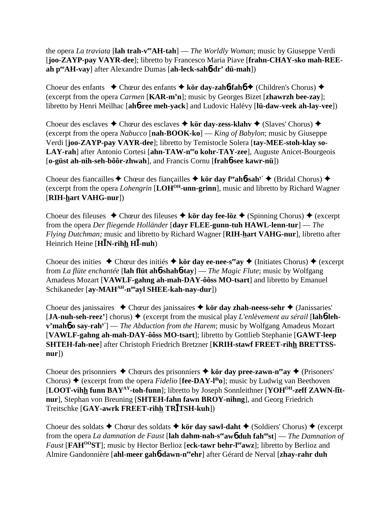the opera *La traviata* [**lah trah-veeAH-tah**] — *The Worldly Woman*; music by Giuseppe Verdi [**joo-ZAYP-pay VAYR-dee**]; libretto by Francesco Maria Piave [**frahn-CHAY-sko mah-REEah peeAH-vay**] after Alexandre Dumas [**ah-leck-sah**6**-dr' dü-mah**])

Choeur des enfants  **←** Chœur des enfants **← kör day-zah6-fah6 ←** (Children's Chorus) ← (excerpt from the opera *Carmen* [**KAR-m'n**]; music by Georges Bizet [**zhawrzh bee-zay**]; libretto by Henri Meilhac [**ah**6**-ree meh-yack**] and Ludovic Halévy [**lü-daw-veek ah-lay-vee**])

Choeur des esclaves **→** Chœur des esclaves **→ kör day-zess-klahv →** (Slaves' Chorus) ◆ (excerpt from the opera *Nabucco* [**nah-BOOK-ko**] — *King of Babylon*; music by Giuseppe Verdi [**joo-ZAYP-pay VAYR-dee**]; libretto by Temistocle Solera [**tay-MEE-stoh-klay so-**LAY-rah] after Antonio Cortesi [ahn-TAW-n<sup>ee</sup>o kohr-TAY-zee], Auguste Anicet-Bourgeois [**o-güst ah-nih-seh-bôôr-zhwah**], and Francis Cornu [**frah**6**-see kawr-nü**])

Choeur des fiancailles  $\triangle$  Chœur des fiançailles  $\triangle$  kör day f<sup>ee</sup>ah**6**-sah<sup>y'</sup>  $\triangle$  (Bridal Chorus)  $\triangle$ (excerpt from the opera *Lohengrin* [**LOHOH-unn-grinn**], music and libretto by Richard Wagner [**RIH-hart VAHG-nur**])

Choeur des fileuses  $\triangle$  Chœur des fileuses  $\triangle$  kör day fee-löz  $\triangle$  (Spinning Chorus)  $\triangle$  (excerpt from the opera *Der fliegende Holländer* [**dayr FLEE-gunn-tuh HAWL-lenn-tur**] — *The Flying Dutchman;* music and libretto by Richard Wagner [**RIH-hart VAHG-nur**], libretto after Heinrich Heine [**HN-rihh H-nuh**)

Choeur des inities  $\triangle$  Chœur des initiés  $\triangle$  kör day ee-nee-s<sup>ee</sup>ay  $\triangle$  (Initiates Chorus)  $\triangle$  (excerpt from *La flüte enchantée* [**lah flüt ah**6**-shah**6**-tay**] — *The Magic Flute*; music by Wolfgang Amadeus Mozart [**VAWLF-gahng ah-mah-DAY-ôôss MO-tsart**] and libretto by Emanuel Schikaneder [ay-MAH<sup>AH</sup>-n<sup>oo</sup>ayl SHEE-kah-nay-dur])

Choeur des janissaires Chœur des janissaires **kör day zhah-neess-sehr** (Janissaries'  $[\mathbf{JA-nuh-seh-reez'}]$  chorus)  $\blacklozenge$  (excerpt from the musical play *L'enlèvement au sérail* [lah**6-lehv'mah**6 **o say-rahy'**] — *The Abduction from the Harem*; music by Wolfgang Amadeus Mozart [**VAWLF-gahng ah-mah-DAY-ôôss MO-tsart**]; libretto by Gottlieb Stephanie [**GAWT-leep SHTEH-fah-nee**] after Christoph Friedrich Bretzner [**KRIH-stawf FREET-rihh BRETTSSnur**])

Choeur des prisonniers  $\triangle$  Chœurs des prisonniers  $\triangle$  kör day pree-zawn-n<sup>ee</sup>ay  $\triangle$  (Prisoners' Chorus)  $\triangle$  (excerpt from the opera *Fidelio* [**fee-DAY-l<sup>ih</sup>o**]; music by Ludwig van Beethoven [LOOT-vihh funn BAY<sup>AY</sup>-toh-funn]; libretto by Joseph Sonnleithner [YOH<sup>OH</sup>-zeff ZAWN-lit**nur**], Stephan von Breuning [**SHTEH-fahn fawn BROY-nihng**], and Georg Friedrich Treitschke [**GAY-awrk FREET-rihh TRTSH-kuh**])

Choeur des soldats  $\triangle$  Chœur des soldats  $\triangle$  kör day sawl-daht  $\triangle$  (Soldiers' Chorus)  $\triangle$  (excerpt from the opera *La damnation de Faust* [**lah dahm-nah-seeaw**6 **duh fahoost**] — *The Damnation of Faust* [**FAH<sup>00</sup>ST**]; music by Hector Berlioz [eck-tawr behr-l<sup>ee</sup>awz]; libretto by Berlioz and Almire Gandonnière [**ahl-meer gah**6**-dawn-neeehr**] after Gérard de Nerval [**zhay-rahr duh**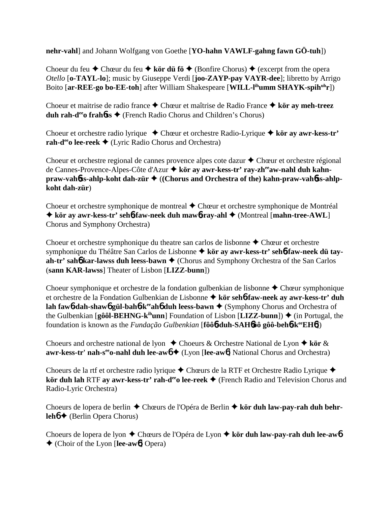**nehr-vahl**] and Johann Wolfgang von Goethe [**YO-hahn VAWLF-gahng fawn GÖ-tuh**])

Choeur du feu  $\triangle$  Chœur du feu  $\triangle$  kör dü fö  $\triangle$  (Bonfire Chorus)  $\triangle$  (excerpt from the opera *Otello* [**o-TAYL-lo**]; music by Giuseppe Verdi [**joo-ZAYP-pay VAYR-dee**]; libretto by Arrigo Boito [**ar-REE-go bo-EE-toh**] after William Shakespeare [**WILL-l<sup>ih</sup>umm SHAYK-spih<sup>uh</sup>r**])

Choeur et maitrise de radio france Chœur et maîtrise de Radio France **kör ay meh-treez duh rah-d<sup>ee</sup>o frah<b>6**ss ♦ (French Radio Chorus and Children's Chorus)

Choeur et orchestre radio lyrique Chœur et orchestre Radio-Lyrique **kör ay awr-kess-tr' rah-d<sup>ee</sup>o lee-reek ◆** (Lyric Radio Chorus and Orchestra)

Choeur et orchestre regional de cannes provence alpes cote dazur  $\triangle$  Chœur et orchestre régional de Cannes-Provence-Alpes-Côte d'Azur ◆ kör ay awr-kess-tr' ray-zh<sup>ee</sup>aw-nahl duh kahn**praw-vah6ss-ahlp-koht dah-zür ♦ ((Chorus and Orchestra of the) kahn-praw-vah6ss-ahlpkoht dah-zür**)

Choeur et orchestre symphonique de montreal  $\triangle$  Chœur et orchestre symphonique de Montréal  **kör ay awr-kess-tr' seh**6**-faw-neek duh maw**6**-ray-ahl** (Montreal [**mahn-tree-AWL**] Chorus and Symphony Orchestra)

Choeur et orchestre symphonique du theatre san carlos de lisbonne  $\triangle$  Chœur et orchestre symphonique du Théâtre San Carlos de Lisbonne **kör ay awr-kess-tr' seh**6**-faw-neek dü tayah-tr' sah<sup>6</sup> kar-lawss duh leess-bawn ♦** (Chorus and Symphony Orchestra of the San Carlos (**sann KAR-lawss**] Theater of Lisbon [**LIZZ-bunn**])

Choeur symphonique et orchestre de la fondation gulbenkian de lisbonne  $\triangle$  Chœur symphonique et orchestre de la Fondation Gulbenkian de Lisbonne **kör seh**6**-faw-neek ay awr-kess-tr' duh lah faw6-dah-shaw6 gül-bah6-k<sup>ee</sup>ah6 duh leess-bawn ♦ (Symphony Chorus and Orchestra of** the Gulbenkian  $[\hat{g} \hat{o} \hat{o}]$ **-BEHNG-k<sup>ih</sup>unn**] Foundation of Lisbon  $[\text{LIZZ-bunn}]$   $\blacklozenge$  (in Portugal, the foundation is known as the *Fundação Gulbenkian* [**fôô**6**-duh-SAH**6**ôô gôô-beh**6**-keeEH**6])

Choeurs and orchestre national de lyon  $\triangle$  Choeurs & Orchestre National de Lyon  $\triangle$  kör  $\&$ **awr-kess-tr' nah-s<sup>ee</sup>o-nahl duh lee-aw6 ♦** (Lyon [lee-aw6] National Chorus and Orchestra)

Choeurs de la rtf et orchestre radio lyrique  $\triangle$  Chœurs de la RTF et Orchestre Radio Lyrique  $\triangle$ **kör duh lah RTF ay awr-kess-tr' rah-d<sup>ee</sup>o lee-reek ♦** (French Radio and Television Chorus and Radio-Lyric Orchestra)

Choeurs de lopera de berlin Chœurs de l'Opéra de Berlin **kör duh law-pay-rah duh behrleh<sup>6 →</sup>** (Berlin Opera Chorus)

Choeurs de lopera de lyon Chœurs de l'Opéra de Lyon **kör duh law-pay-rah duh lee-aw**6 (Choir of the Lyon [**lee-aw**6] Opera)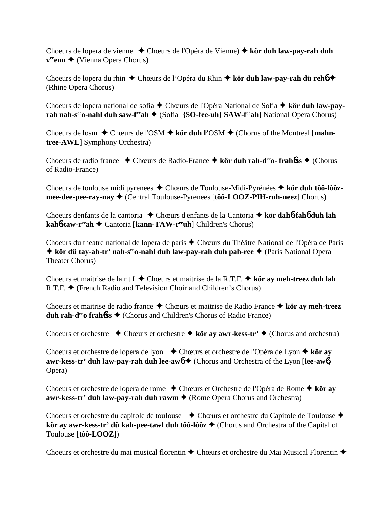Choeurs de lopera de vienne Chœurs de l'Opéra de Vienne)  **kör duh law-pay-rah duh v<sup>ee</sup>enn ◆** (Vienna Opera Chorus)

Choeurs de lopera du rhin ◆ Chœurs de l'Opéra du Rhin ◆ kör duh law-pay-rah dü reh**6** ◆ (Rhine Opera Chorus)

Choeurs de lopera national de sofia Chœurs de l'Opéra National de Sofia **kör duh law-payrah nah-s<sup>ee</sup>o-nahl duh saw-f<sup>ee</sup>ah ♦ (Sofia [{SO-fee-uh} SAW-f<sup>ee</sup>ah] National Opera Chorus)** 

Choeurs de losm  $\triangle$  Chœurs de l'OSM  $\triangle$  kör duh l'OSM  $\triangle$  (Chorus of the Montreal [mahn**tree-AWL**] Symphony Orchestra)

Choeurs de radio france Chœurs de Radio-France **kör duh rah-deeo- frah**6**ss** (Chorus of Radio-France)

Choeurs de toulouse midi pyrenees Chœurs de Toulouse-Midi-Pyrénées **kör duh tôô-lôôzmee-dee-pee-ray-nay ♦** (Central Toulouse-Pyrenees [tôô-LOOZ-PIH-ruh-neez] Chorus)

Choeurs denfants de la cantoria Chœurs d'enfants de la Cantoria  **kör dah**6**-fah**6 **duh lah kah6-taw-r<sup>ee</sup>ah ◆ Cantoria [kann-TAW-r<sup>ee</sup>uh] Children's Chorus)** 

Choeurs du theatre national de lopera de paris Chœurs du Théâtre National de l'Opéra de Paris  $\triangle$  **kör dü tay-ah-tr' nah-s<sup>ee</sup>o-nahl duh law-pay-rah duh pah-ree ◆ (Paris National Opera** Theater Chorus)

Choeurs et maitrise de la r t f Chœurs et maitrise de la R.T.F.  **kör ay meh-treez duh lah**  $R.T.F.$   $\blacklozenge$  (French Radio and Television Choir and Children's Chorus)

Choeurs et maitrise de radio france Chœurs et maitrise de Radio France **kör ay meh-treez duh rah-d<sup>ee</sup>o frah6ss ♦** (Chorus and Children's Chorus of Radio France)

Choeurs et orchestre  $\triangle$  Chœurs et orchestre  $\triangle$  kör ay awr-kess-tr'  $\triangle$  (Chorus and orchestra)

Choeurs et orchestre de lopera de lyon **← Chœurs et orchestre de l'Opéra de Lyon ← kör ay awr-kess-tr' duh law-pay-rah duh lee-aw6 ♦ (Chorus and Orchestra of the Lyon [lee-aw6]** Opera)

Choeurs et orchestre de lopera de rome Chœurs et Orchestre de l'Opéra de Rome **kör ay awr-kess-tr' duh law-pay-rah duh rawm ♦ (Rome Opera Chorus and Orchestra)** 

Choeurs et orchestre du capitole de toulouse  $\bullet$  Chœurs et orchestre du Capitole de Toulouse  $\bullet$ **kör ay awr-kess-tr' dü kah-pee-tawl duh tôô-lôôz ♦** (Chorus and Orchestra of the Capital of Toulouse [**tôô-LOOZ**])

Choeurs et orchestre du mai musical florentin  $\triangle$  Chœurs et orchestre du Mai Musical Florentin  $\triangle$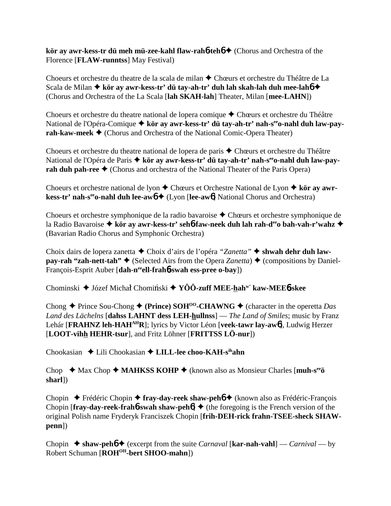**kör ay awr-kess-tr dü meh mü-zee-kahl flaw-rah∘teho ♦** (Chorus and Orchestra of the Florence [**FLAW-runntss**] May Festival)

Choeurs et orchestre du theatre de la scala de milan  $\triangle$  Chœurs et orchestre du Théâtre de La Scala de Milan  $\triangle$  kör ay awr-kess-tr' dü tay-ah-tr' duh lah skah-lah duh mee-lah**6**  $\triangle$ (Chorus and Orchestra of the La Scala [**lah SKAH-lah**] Theater, Milan [**mee-LAHN**])

Choeurs et orchestre du theatre national de lopera comique  $\triangle$  Chœurs et orchestre du Théâtre National de l'Opéra-Comique **+ kör ay awr-kess-tr' dü tay-ah-tr' nah-s<sup>ee</sup>o-nahl duh law-payrah-kaw-meek ♦** (Chorus and Orchestra of the National Comic-Opera Theater)

Choeurs et orchestre du theatre national de lopera de paris  $\triangle$  Chœurs et orchestre du Théâtre National de l'Opéra de Paris  $\triangleq$  kör ay awr-kess-tr' dü tay-ah-tr' nah-s<sup>ee</sup>o-nahl duh law-pay**rah duh pah-ree**  $\triangle$  (Chorus and orchestra of the National Theater of the Paris Opera)

Choeurs et orchestre national de lyon **→** Chœurs et Orchestre National de Lyon ◆ kör ay awr**kess-tr' nah-s<sup>ee</sup>o-nahl duh lee-aw6 ♦** (Lyon [lee-aw6] National Chorus and Orchestra)

Choeurs et orchestre symphonique de la radio bavaroise Chœurs et orchestre symphonique de la Radio Bavaroise **kör ay awr-kess-tr' seh**6**-faw-neek duh lah rah-deeo bah-vah-r'wahz** (Bavarian Radio Chorus and Symphonic Orchestra)

Choix dairs de lopera zanetta Choix d'airs de l'opéra *"Zanetta"*  **shwah dehr duh lawpay-rah "zah-nett-tah"**  $\blacklozenge$  (Selected Airs from the Opera *Zanetta*)  $\blacklozenge$  (compositions by Daniel-François-Esprit Auber [**dah-neeell-frah**6**-swah ess-pree o-bay**])

Chominski ◆ Józef Michał Chomiński ◆ YÔÔ-zuff MEE-hah<sup>w'</sup> kaw-MEE6-skee

Chong  $\triangle$  Prince Sou-Chong  $\triangle$  (Prince) SOH<sup>oo</sup>-CHAWNG  $\triangle$  (character in the operetta *Das Land des Lächelns* [**dahss LAHNT dess LEH-hullnss**] — *The Land of Smiles*; music by Franz Lehár [**FRAHNZ leh-HAHAHR**]; lyrics by Victor Léon [**veek-tawr lay-aw**6], Ludwig Herzer [**LOOT-vihh HEHR-tsur**], and Fritz Löhner [**FRITTSS LÖ-nur**])

Chookasian Lili Chookasian **LILL-lee choo-KAH-sihahn**

Chop ◆ Max Chop ◆ MAHKSS KOHP ◆ (known also as Monsieur Charles [muh-s<sup>ee</sup>ö **sharl**])

Chopin Frédéric Chopin **fray-day-reek shaw-peh**6 (known also as Frédéric-François Chopin  $[\text{fray-day-reak-frahb-swah shaw-pehb] \triangleq$  (the foregoing is the French version of the original Polish name Fryderyk Franciszek Chopin [**frih-DEH-rick frahn-TSEE-sheck SHAWpenn**])

Chopin  $\triangle$  shaw-peh $\stackrel{\triangle}{\bullet}$  (excerpt from the suite *Carnaval* [kar-nah-vahl] — *Carnival* — by Robert Schuman [**ROHOH-bert SHOO-mahn**])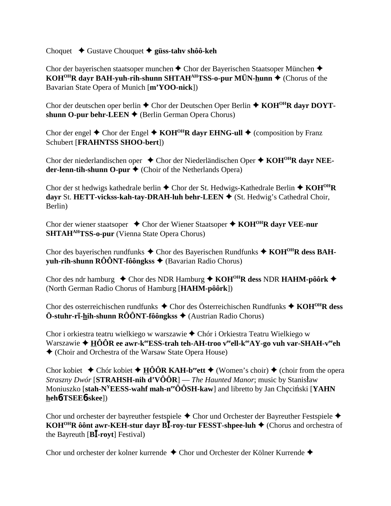Choquet Gustave Chouquet **güss-tahv shôô-keh**

Chor der bayerischen staatsoper munchen  $\triangle$  Chor der Bayerischen Staatsoper München  $\triangle$ **KOH<sup>OH</sup>R dayr BAH-yuh-rih-shunn SHTAH<sup>AH</sup>TSS-o-pur MÜN-hunn ♦ (Chorus of the** Bavarian State Opera of Munich [**m'YOO-nick**])

Chor der deutschen oper berlin **→** Chor der Deutschen Oper Berlin → KOH<sup>OH</sup>R dayr DOYTshunn O-pur behr-LEEN **→** (Berlin German Opera Chorus)

Chor der engel  $\blacklozenge$  Chor der Engel  $\blacklozenge$  KOH<sup>OH</sup>R dayr EHNG-ull  $\blacklozenge$  (composition by Franz Schubert [**FRAHNTSS SHOO-bert**])

Chor der niederlandischen oper Chor der Niederländischen Oper **KOHOHR dayr NEEder-lenn-tih-shunn O-pur ♦** (Choir of the Netherlands Opera)

Chor der st hedwigs kathedrale berlin ◆ Chor der St. Hedwigs-Kathedrale Berlin ◆ KOH<sup>OH</sup>R **dayr** St. **HETT-vickss-kah-tay-DRAH-luh behr-LEEN** (St. Hedwig's Cathedral Choir, Berlin)

Chor der wiener staatsoper ◆ Chor der Wiener Staatsoper ◆ KOH<sup>OH</sup>R dayr VEE-nur **SHTAH<sup>AH</sup>TSS-o-pur** (Vienna State Opera Chorus)

Chor des bayerischen rundfunks Chor des Bayerischen Rundfunks **KOHOHR dess BAHyuh-rih-shunn RÔÔNT-fôôngkss ♦** (Bavarian Radio Chorus)

Chor des ndr hamburg **→** Chor des NDR Hamburg → KOH<sup>OH</sup>R dess NDR HAHM-pôôrk → (North German Radio Chorus of Hamburg [**HAHM-pôôrk**])

Chor des osterreichischen rundfunks Chor des Österreichischen Rundfunks **KOHOHR dess** Ö-stuhr-rī-hih-shunn RÔÔNT-fôôngkss ◆ (Austrian Radio Chorus)

Chor i orkiestra teatru wielkiego w warszawie ◆ Chór i Orkiestra Teatru Wielkiego w Warszawie **→ HÔÔR ee awr-k<sup>ee</sup>ESS-trah teh-AH-troo v<sup>ee</sup>ell-k<sup>ee</sup>AY-go vuh var-SHAH-v<sup>ee</sup>eh** (Choir and Orchestra of the Warsaw State Opera House)

Chor kobiet  $\triangle$  Chór kobiet  $\triangle$  **HÔÔR KAH-b<sup>ee</sup>ett**  $\triangle$  (Women's choir)  $\triangle$  (choir from the opera *Straszny Dwór* [**STRAHSH-nih d'VÔÔR**] — *The Haunted Manor*; music by Stanisaw Moniuszko [stah-N<sup>Y</sup>EESS-wahf mah-n<sup>ee</sup>ÔÔSH-kaw] and libretto by Jan Checinski [YAHN] **heh**6**-TSEE**6**-skee**])

Chor und orchester der bayreuther festspiele  $\triangle$  Chor und Orchester der Bayreuther Festspiele  $\triangle$ **KOH<sup>OH</sup>R ôônt awr-KEH-stur dayr BI-roy-tur FESST-shpee-luh ♦ (Chorus and orchestra of** the Bayreuth [**B-royt**] Festival)

Chor und orchester der kolner kurrende  $\triangle$  Chor und Orchester der Kölner Kurrende  $\triangle$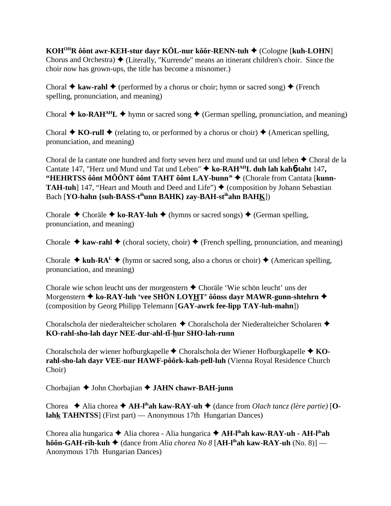**KOHOHR ôônt awr-KEH-stur dayr KÖL-nur kôôr-RENN-tuh** (Cologne [**kuh-LOHN**] Chorus and Orchestra)  $\triangle$  (Literally, "Kurrende" means an itinerant children's choir. Since the choir now has grown-ups, the title has become a misnomer.)

Choral  $\triangle$  kaw-rahl  $\triangle$  (performed by a chorus or choir; hymn or sacred song)  $\triangle$  (French spelling, pronunciation, and meaning)

Choral  $\triangle$  ko-RAH<sup>AH</sup>L  $\triangle$  hymn or sacred song  $\triangle$  (German spelling, pronunciation, and meaning)

Choral  $\triangle$  **KO-rull**  $\triangle$  (relating to, or performed by a chorus or choir)  $\triangle$  (American spelling, pronunciation, and meaning)

Choral de la cantate one hundred and forty seven herz und mund und tat und leben  $\triangle$  Choral de la Cantate 147, "Herz und Mund und Tat und Leben" **ko-RAHAHL duh lah kah**6**-taht** 147**,** "HEHRTSS ôônt MÔÔNT ôônt TAHT ôônt LAY-bunn" ♦ (Chorale from Cantata [kunn-**TAH-tuh**] 147, "Heart and Mouth and Deed and Life")  $\triangle$  (composition by Johann Sebastian Bach [**YO-hahn** {suh-BASS-t<sup>ih</sup>unn BAHK} zay-BAH-st<sup>ih</sup>ahn BAHK])

Chorale  $\triangle$  Choräle  $\triangle$  ko-RAY-luh  $\triangle$  (hymns or sacred songs)  $\triangle$  (German spelling, pronunciation, and meaning)

Chorale  $\triangle$  **kaw-rahl**  $\triangle$  (choral society, choir)  $\triangle$  (French spelling, pronunciation, and meaning)

Chorale  $\triangleq$  kuh-RA<sup>L</sup>  $\triangleq$  (hymn or sacred song, also a chorus or choir)  $\triangleq$  (American spelling, pronunciation, and meaning)

Chorale wie schon leucht uns der morgenstern ◆ Choräle 'Wie schön leucht' uns der Morgenstern ◆ ko-RAY-luh 'vee SHÖN LOYHT' ôônss dayr MAWR-gunn-shtehrn ◆ (composition by Georg Philipp Telemann [**GAY-awrk fee-lipp TAY-luh-mahn**])

Choralschola der niederalteicher scholaren ◆ Choralschola der Niederalteicher Scholaren ◆ **KO-rahl-sho-lah dayr NEE-dur-ahl-t**-**-hur SHO-lah-runn**

Choralschola der wiener hofburgkapelle Choralschola der Wiener Hofburgkapelle **KOrahl-sho-lah dayr VEE-nur HAWF-pôôrk-kah-pell-luh** (Vienna Royal Residence Church Choir)

Chorbajian ♦ John Chorbajian ♦ **JAHN chawr-BAH-junn** 

Chorea  $\triangle$  Alia chorea  $\triangle$  AH-l<sup>ih</sup>ah kaw-RAY-uh  $\triangle$  (dance from *Olach tancz* (lère partie) [**Olahk TAHNTSS**] (First part) — Anonymous 17th Hungarian Dances)

Chorea alia hungarica **→** Alia chorea - Alia hungarica → **AH-l<sup>ih</sup>ah kaw-RAY-uh - AH-l<sup>ih</sup>ah hôôn-GAH-rih-kuh ♦** (dance from *Alia chorea No 8* [AH-l<sup>ih</sup>ah kaw-RAY-uh (No. 8)] — Anonymous 17th Hungarian Dances)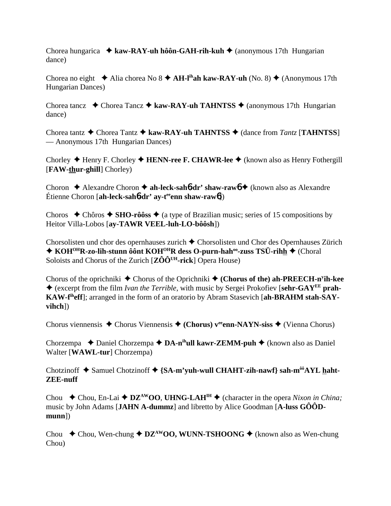Chorea hungarica **→ kaw-RAY-uh hôôn-GAH-rih-kuh →** (anonymous 17th Hungarian dance)

Chorea no eight  $\triangleq$  Alia chorea No 8  $\triangleq$  AH-l<sup>ih</sup>ah kaw-RAY-uh (No. 8)  $\triangleq$  (Anonymous 17th Hungarian Dances)

Chorea tancz  $\rightarrow$  Chorea Tancz  $\rightarrow$  kaw-RAY-uh TAHNTSS  $\rightarrow$  (anonymous 17th Hungarian dance)

Chorea tantz **→** Chorea Tantz **→ kaw-RAY-uh TAHNTSS** → (dance from *Tantz* [TAHNTSS] — Anonymous 17th Hungarian Dances)

Chorley ◆ Henry F. Chorley ◆ HENN-ree F. CHAWR-lee ◆ (known also as Henry Fothergill [**FAW-thur-ghill**] Chorley)

Choron **→** Alexandre Choron → ah-leck-sah**6-dr' shaw-raw6** → (known also as Alexandre Étienne Choron [**ah-leck-sah**6**-dr' ay-teeenn shaw-raw**6])

Choros  $\triangle$  Chôros  $\triangle$  SHO-rôôss  $\triangle$  (a type of Brazilian music; series of 15 compositions by Heitor Villa-Lobos [**ay-TAWR VEEL-luh-LO-bôôsh**])

Chorsolisten und chor des opernhauses zurich  $\triangle$  Chorsolisten und Chor des Opernhauses Zürich ◆ KOH<sup>OH</sup>R-zo-lih-stunn ôônt KOH<sup>OH</sup>R dess O-purn-hah<sup>oo</sup>-zuss TSÜ-rihh ◆ (Choral Soloists and Chorus of the Zurich [ $Z\hat{O}\hat{O}^{UH}\text{-rick}$ ] Opera House)

Chorus of the oprichniki ◆ Chorus of the Oprichniki ◆ (Chorus of the) ah-PREECH-n<sup>y</sup>ih-kee (excerpt from the film *Ivan the Terrible*, with music by Sergei Prokofiev [**sehr-GAYEE prah-KAW-fiheff**]; arranged in the form of an oratorio by Abram Stasevich [**ah-BRAHM stah-SAYvihch**])

Chorus viennensis Chorus Viennensis **(Chorus) veeenn-NAYN-siss** (Vienna Chorus)

Chorzempa **→** Daniel Chorzempa → DA-n<sup>ih</sup>ull kawr-ZEMM-puh → (known also as Daniel Walter [**WAWL-tur**] Chorzempa)

Chotzinoff  $\triangle$  Samuel Chotzinoff  $\triangle$  {SA-m'yuh-wull CHAHT-zih-nawf} sah-m<sup>ôô</sup>AYL haht-**ZEE-nuff**

Chou  $\blacklozenge$  Chou, En-Lai  $\blacklozenge$  **DZ<sup>AW</sup>OO**, **UHNG-LAH<sup>IH</sup>**  $\blacklozenge$  (character in the opera *Nixon in China*; music by John Adams [**JAHN A-dummz**] and libretto by Alice Goodman [**A-luss GÔÔDmunn**])

Chou  $\triangle$  Chou, Wen-chung  $\triangle$  **DZ<sup>AW</sup>OO, WUNN-TSHOONG**  $\triangle$  (known also as Wen-chung Chou)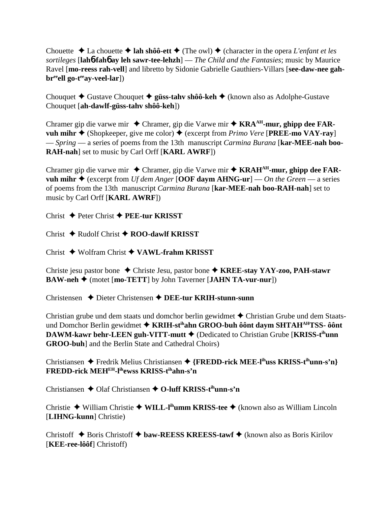Chouette  $\triangle$  La chouette  $\triangle$  **lah shôô-ett**  $\triangle$  (The owl)  $\triangle$  (character in the opera *L'enfant et les sortileges* [**lah**6**-fah**6 **ay leh sawr-tee-lehzh**] — *The Child and the Fantasies*; music by Maurice Ravel [**mo-reess rah-vell**] and libretto by Sidonie Gabrielle Gauthiers-Villars [**see-daw-nee gahbr**<sup>ee</sup>ell go-t<sup>ee</sup>ay-veel-lar])

Chouquet **→** Gustave Chouquet ◆ güss-tahv shôô-keh ◆ (known also as Adolphe-Gustave Chouquet [**ah-dawlf-güss-tahv shôô-keh**])

Chramer gip die varwe mir Chramer, gip die Varwe mir **KRAAH-mur, ghipp dee FARvuh mihr**  $\triangle$  (Shopkeeper, give me color)  $\triangle$  (excerpt from *Primo Vere* [**PREE-mo VAY-ray**] — *Spring* — a series of poems from the 13th manuscript *Carmina Burana* [**kar-MEE-nah boo-RAH-nah**] set to music by Carl Orff [**KARL AWRF**])

Chramer gip die varwe mir Chramer, gip die Varwe mir **KRAHAH-mur, ghipp dee FARvuh mihr**  $\triangle$  (excerpt from *Uf dem Anger* [OOF daym AHNG-ur] — *On the Green* — a series of poems from the 13th manuscript *Carmina Burana* [**kar-MEE-nah boo-RAH-nah**] set to music by Carl Orff [**KARL AWRF**])

Christ Peter Christ **PEE-tur KRISST**

Christ Rudolf Christ **ROO-dawlf KRISST**

Christ Wolfram Christ **VAWL-frahm KRISST**

Christe jesu pastor bone Christe Jesu, pastor bone **KREE-stay YAY-zoo, PAH-stawr BAW-neh ♦** (motet [**mo-TETT**] by John Taverner [**JAHN TA-vur-nur**])

Christensen Dieter Christensen **DEE-tur KRIH-stunn-sunn**

Christian grube und dem staats und domchor berlin gewidmet  $\triangle$  Christian Grube und dem Staatsund Domchor Berlin gewidmet  **KRIH-stihahn GROO-buh ôônt daym SHTAHAHTSS- ôônt DAWM-kawr behr-LEEN guh-VITT-mutt ♦** (Dedicated to Christian Grube [**KRISS-t<sup>ih</sup>unn GROO-buh**] and the Berlin State and Cathedral Choirs)

Christiansen Fredrik Melius Christiansen **{FREDD-rick MEE-lihuss KRISS-tihunn-s'n} FREDD-rick MEHEH-lihewss KRISS-tihahn-s'n**

Christiansen **←** Olaf Christiansen ← O-luff KRISS-t<sup>ih</sup>unn-s'n

Christie ◆ William Christie ◆ WILL-I<sup>ih</sup>umm KRISS-tee ◆ (known also as William Lincoln [**LIHNG-kunn**] Christie)

Christoff  $\triangle$  Boris Christoff  $\triangle$  baw-REESS KREESS-tawf  $\triangle$  (known also as Boris Kirilov [**KEE-ree-lôôf**] Christoff)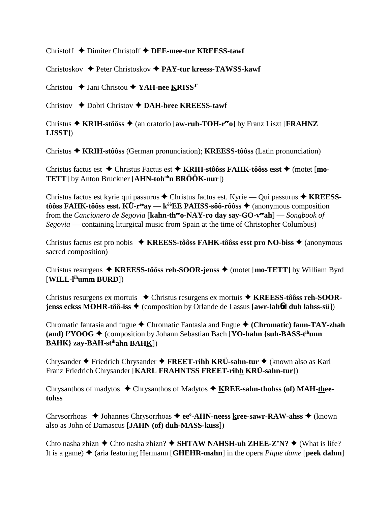Christoff Dimiter Christoff **DEE-mee-tur KREESS-tawf**

Christoskov Peter Christoskov **PAY-tur kreess-TAWSS-kawf**

Christou **→** Jani Christou ◆ YAH-nee KRISS<sup>T</sup>'

Christov Dobri Christov **DAH-bree KREESS-tawf**

Christus **KRIH-stôôss** (an oratorio [**aw-ruh-TOH-reeo**] by Franz Liszt [**FRAHNZ LISST**])

Christus **KRIH-stôôss** (German pronunciation); **KREESS-tôôss** (Latin pronunciation)

Christus factus est **→** Christus Factus est → KRIH-stôôss FAHK-tôôss esst → (motet [**mo-TETT**] by Anton Bruckner [AHN-toh<sup>oh</sup>n BRÔÔK-nur])

Christus factus est kyrie qui passurus Christus factus est. Kyrie — Qui passurus **KREESStôôss FAHK-tôôss esst. KÜ-r<sup>ee</sup>ay — k<sup>ôô</sup>EE PAHSS-sôô-rôôss**  $\triangle$  **(anonymous composition** from the *Cancionero de Segovia* [**kahn-theeo-NAY-ro day say-GO-veeah**] — *Songbook of Segovia* — containing liturgical music from Spain at the time of Christopher Columbus)

Christus factus est pro nobis **KREESS-tôôss FAHK-tôôss esst pro NO-biss** (anonymous sacred composition)

Christus resurgens ◆ KREESS-tôôss reh-SOOR-jenss ◆ (motet [mo-TETT] by William Byrd [**WILL-lihumm BURD**])

Christus resurgens ex mortuis ◆ Christus resurgens ex mortuis ◆ **KREESS-tôôss reh-SOORjenss eckss MOHR-tôô-iss ♦** (composition by Orlande de Lassus [**awr-lah6d duh lahss-sü**])

Chromatic fantasia and fugue  $\triangle$  Chromatic Fantasia and Fugue  $\triangle$  (Chromatic) fann-TAY-zhah **(and)**  $f'YOOG \triangleq$  **(composition by Johann Sebastian Bach [YO-hahn {suh-BASS-t<sup>ih</sup>unn] BAHK} zay-BAH-stihahn BAHK**])

Chrysander Friedrich Chrysander **FREET-rihh KRÜ-sahn-tur** (known also as Karl Franz Friedrich Chrysander [**KARL FRAHNTSS FREET-rihh KRÜ-sahn-tur**])

Chrysanthos of madytos Chrysanthos of Madytos **KREE-sahn-thohss (of) MAH-theetohss**

Chrysorrhoas ◆ Johannes Chrysorrhoas ◆ ee<sup>o</sup>-AHN-neess kree-sawr-RAW-ahss ◆ (known also as John of Damascus [**JAHN (of) duh-MASS-kuss**])

Chto nasha zhizn  $\triangle$  Chto nasha zhizn?  $\triangle$  **SHTAW NAHSH-uh ZHEE-Z'N?**  $\triangle$  (What is life? It is a game)  $\triangle$  (aria featuring Hermann [**GHEHR-mahn**] in the opera *Pique dame* [**peek dahm**]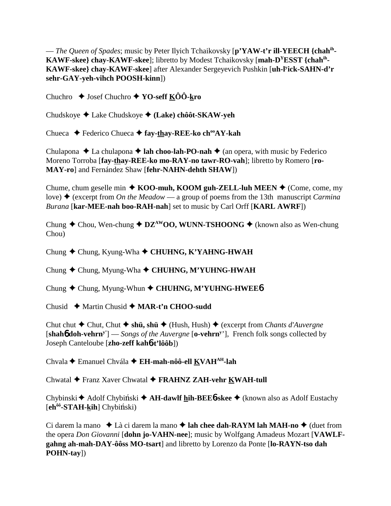— *The Queen of Spades*; music by Peter Ilyich Tchaikovsky [**p'YAW-t'r ill-YEECH {chahih-KAWF-skee} chay-KAWF-skee**]; libretto by Modest Tchaikovsky [**mah-DYESST {chahih-KAWF-skee} chay-KAWF-skee**] after Alexander Sergeyevich Pushkin [**uh-ly ick-SAHN-d'r sehr-GAY-yeh-vihch POOSH-kinn**])

Chuchro **→** Josef Chuchro **→ YO-seff KÔÔ-kro** 

Chudskoye Lake Chudskoye **(Lake) chôôt-SKAW-yeh**

Chueca Federico Chueca **fay-thay-REE-ko chooAY-kah**

Chulapona  $\triangle$  La chulapona  $\triangle$  **lah choo-lah-PO-nah**  $\triangle$  (an opera, with music by Federico Moreno Torroba [**fay-thay-REE-ko mo-RAY-no tawr-RO-vah**]; libretto by Romero [**ro-MAY-ro**] and Fernández Shaw [**fehr-NAHN-dehth SHAW**])

Chume, chum geselle min  $\triangle$  **KOO-muh, KOOM guh-ZELL-luh MEEN**  $\triangle$  (Come, come, my love) (excerpt from *On the Meadow* — a group of poems from the 13th manuscript *Carmina Burana* [**kar-MEE-nah boo-RAH-nah**] set to music by Carl Orff [**KARL AWRF**])

Chung  $\triangle$  Chou, Wen-chung  $\triangle$  **DZ**<sup>AW</sup>**OO, WUNN-TSHOONG**  $\triangle$  (known also as Wen-chung Chou)

Chung Chung, Kyung-Wha  **CHUHNG, K'YAHNG-HWAH**

Chung Chung, Myung-Wha  **CHUHNG, M'YUHNG-HWAH**

Chung ◆ Chung, Myung-Whun ◆ CHUHNG, M'YUHNG-HWEE6

Chusid Martin Chusid **MAR-t'n CHOO-sudd**

Chut chut **→** Chut, Chut → sh**ü, shü** → (Hush, Hush) → (excerpt from *Chants d'Auvergne* [**shah**6 **doh-vehrny'**] — *Songs of the Auvergne* [**o-vehrny** '], French folk songs collected by Joseph Canteloube [**zho-zeff kah**6**-t'lôôb**])

Chvala Emanuel Chvála **EH-mah-nôô-ell KVAHAH-lah**

Chwatal Franz Xaver Chwatal **FRAHNZ ZAH-vehr KWAH-tull**

Chybinski **←** Adolf Chybiński ← **AH-dawlf hih-BEE6-skee** ← (known also as Adolf Eustachy [eh<sup>ôô</sup>-STAH-kih] Chybiński)

Ci darem la mano  $\triangle$  Là ci darem la mano  $\triangle$  lah chee dah-RAYM lah MAH-no  $\triangle$  (duet from the opera *Don Giovanni* [**dohn jo-VAHN-nee**]; music by Wolfgang Amadeus Mozart [**VAWLFgahng ah-mah-DAY-ôôss MO-tsart**] and libretto by Lorenzo da Ponte [**lo-RAYN-tso dah POHN-tay**])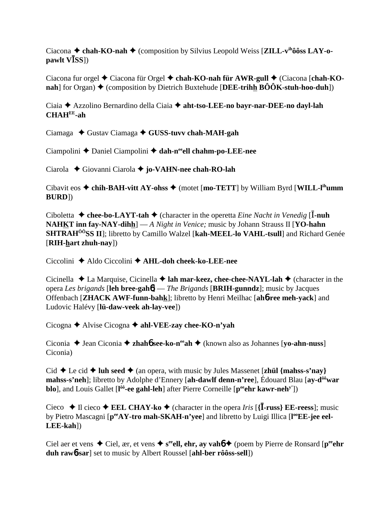Ciacona  $\triangle$  chah-KO-nah  $\triangle$  (composition by Silvius Leopold Weiss [**ZILL-v<sup>ihooss</sup> LAY-opawlt VSS**])

Ciacona fur orgel  $\triangle$  Ciacona für Orgel  $\triangle$  chah-KO-nah für AWR-gull  $\triangle$  (Ciacona [chah-KO**nah**] for Organ)  $\triangle$  (composition by Dietrich Buxtehude [DEE-trihh  $\angle B\angle O\angle K$ -stuh-hoo-duh])

Ciaia Azzolino Bernardino della Ciaia **aht-tso-LEE-no bayr-nar-DEE-no dayl-lah CHAHEE-ah**

Ciamaga ◆ Gustav Ciamaga ◆ GUSS-tuvv chah-MAH-gah

Ciampolini ◆ Daniel Ciampolini ◆ dah-n<sup>ee</sup>ell chahm-po-LEE-nee

Ciarola Giovanni Ciarola **jo-VAHN-nee chah-RO-lah**

Cibavit eos  $\triangle$  chih-BAH-vitt AY-ohss  $\triangle$  (motet [mo-TETT] by William Byrd [WILL-l<sup>ih</sup>umm] **BURD**])

Ciboletta  $\triangle$  chee-bo-LAYT-tah  $\triangle$  (character in the operetta *Eine Nacht in Venedig* [I-nuh **NAHKT inn fay-NAY-dihh**] — *A Night in Venice;* music by Johann Strauss II [**YO-hahn SHTRAHÔÔSS II**]; libretto by Camillo Walzel [**kah-MEEL-lo VAHL-tsull**] and Richard Genée [**RIH-hart zhuh-nay**])

Ciccolini Aldo Ciccolini **AHL-doh cheek-ko-LEE-nee**

Cicinella  $\triangle$  La Marquise, Cicinella  $\triangle$  **lah mar-keez, chee-chee-NAYL-lah**  $\triangle$  (character in the opera *Les brigands* [**leh bree-gah**6] — *The Brigands* [**BRIH-gunndz**]; music by Jacques Offenbach [**ZHACK AWF-funn-bahk**]; libretto by Henri Meilhac [**ah**6**-ree meh-yack**] and Ludovic Halévy [**lü-daw-veek ah-lay-vee**])

Cicogna Alvise Cicogna **ahl-VEE-zay chee-KO-n'yah**

Ciconia  $\triangle$  Jean Ciconia  $\triangle$  **zhahó see-ko-n<sup>ee</sup>ah**  $\triangle$  (known also as Johannes [**yo-ahn-nuss**] Ciconia)

Cid  $\blacklozenge$  Le cid  $\blacklozenge$  **luh seed**  $\blacklozenge$  (an opera, with music by Jules Massenet [**zhül** {mahss-s'nay} **mahss-s'neh**]; libretto by Adolphe d'Ennery [**ah-dawlf denn-n'ree**], Édouard Blau [**ay-dôôwar blo**], and Louis Gallet [l<sup>ôô</sup>-ee gahl-leh] after Pierre Corneille [p<sup>ee</sup>ehr kawr-neh<sup>y'</sup>])

Cieco  $\blacklozenge$  Il cieco  $\blacklozenge$  **EEL CHAY-ko**  $\blacklozenge$  (character in the opera *Iris* [{**I**-russ} **EE-reess**]; music by Pietro Mascagni [ $p^{ee}AY$ -tro mah-SKAH-n'yee] and libretto by Luigi Illica [l<sup>oo</sup>EE-jee eel-**LEE-kah**])

Ciel aer et vens  $\triangle$  Ciel, ær, et vens  $\triangle$  s<sup>ee</sup>ell, ehr, ay vahó  $\triangle$  (poem by Pierre de Ronsard [p<sup>ee</sup>ehr **duh raw**6**-sar**] set to music by Albert Roussel [**ahl-ber rôôss-sell**])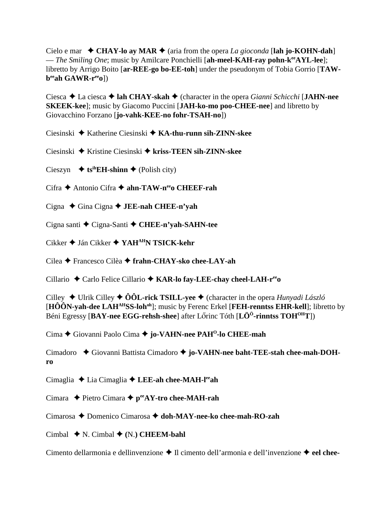Cielo e mar  $\triangle$  CHAY-lo ay MAR  $\triangle$  (aria from the opera *La gioconda* [lah jo-KOHN-dah] — *The Smiling One*; music by Amilcare Ponchielli [ah-meel-KAH-ray pohn-k<sup>ee</sup>AYL-lee]; libretto by Arrigo Boito [**ar-REE-go bo-EE-toh**] under the pseudonym of Tobia Gorrio [**TAWbeeah GAWR-reeo**])

Ciesca La ciesca **lah CHAY-skah** (character in the opera *Gianni Schicchi* [**JAHN-nee SKEEK-kee**]; music by Giacomo Puccini [**JAH-ko-mo poo-CHEE-nee**] and libretto by Giovacchino Forzano [**jo-vahk-KEE-no fohr-TSAH-no**])

Ciesinski Katherine Ciesinski **KA-thu-runn sih-ZINN-skee**

Ciesinski Kristine Ciesinski **kriss-TEEN sih-ZINN-skee**

Cieszyn  $\leftrightarrow$  ts<sup>ih</sup>EH-shinn  $\leftrightarrow$  (Polish city)

Cifra **←** Antonio Cifra ← ahn-TAW-n<sup>ee</sup>o CHEEF-rah

Cigna Gina Cigna **JEE-nah CHEE-n'yah**

Cigna santi Cigna-Santi **CHEE-n'yah-SAHN-tee**

Cikker Ján Cikker **YAHAHN TSICK-kehr**

Cilea Francesco Cilèa **frahn-CHAY-sko chee-LAY-ah**

Cillario Carlo Felice Cillario **KAR-lo fay-LEE-chay cheel-LAH-reeo**

Cilley  $\triangle$  Ulrik Cilley  $\triangle$  ÔÔL-rick TSILL-yee  $\triangle$  (character in the opera *Hunyadi László* [**HÔÔN-yah-dee LAHAHSS-lohoh**]; music by Ferenc Erkel [**FEH-renntss EHR-kell**]; libretto by Béni Egressy [BAY-nee EGG-rehsh-shee] after Lőrinc Tóth [LÖ<sup>Ö</sup>-rinntss TOH<sup>OH</sup>T])

Cima Giovanni Paolo Cima **jo-VAHN-nee PAHO-lo CHEE-mah**

Cimadoro  $\blacklozenge$  Giovanni Battista Cimadoro  $\blacklozenge$  jo-VAHN-nee baht-TEE-stah chee-mah-DOH**ro**

Cimaglia Lia Cimaglia **LEE-ah chee-MAH-leeah**

Cimara ◆ Pietro Cimara ◆ p<sup>ee</sup>AY-tro chee-MAH-rah

Cimarosa **→** Domenico Cimarosa → doh-MAY-nee-ko chee-mah-RO-zah

Cimbal  $\blacklozenge$  N. Cimbal  $\blacklozenge$  (N.) **CHEEM-bahl** 

Cimento dellarmonia e dellinvenzione **→** Il cimento dell'armonia e dell'invenzione → eel chee-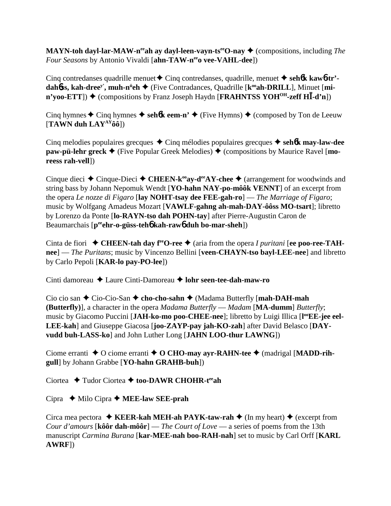**MAYN-toh dayl-lar-MAW-n<sup>ee</sup>ah ay dayl-leen-vayn-ts<sup>ee</sup>O-nay ♦ (compositions, including** *The Four Seasons* by Antonio Vivaldi [ahn-TAW-neeo vee-VAHL-dee])

Cinq contredanses quadrille menuet  $\triangle$  Cinq contredanses, quadrille, menuet  $\triangle$  seh**6k kaw6-tr'dah6ss, kah-dree<sup>y'</sup>, muh-n<sup>ü</sup>eh ♦** (Five Contradances, Quadrille [k<sup>oo</sup>ah-DRILL], Minuet [mi- $\mathbf{n'yoo-ETT}$ )  $\blacklozenge$  (compositions by Franz Joseph Haydn [**FRAHNTSS YOH<sup>OH</sup>-zeff HI-d'n**])

Cinq hymnes  $\triangle$  Cinq hymnes  $\triangle$  seh**6k eem-n'**  $\triangle$  (Five Hymns)  $\triangle$  (composed by Ton de Leeuw [**TAWN duh LAYAYôô**])

Cinq melodies populaires grecques Cinq mélodies populaires grecques **seh**6**k may-law-dee paw-pü-lehr greck**  $\blacklozenge$  (Five Popular Greek Melodies)  $\blacklozenge$  (compositions by Maurice Ravel [**moreess rah-vell**])

Cinque dieci  $\triangle$  Cinque-Dieci  $\triangle$  CHEEN-k<sup>oo</sup>ay-d<sup>ee</sup>AY-chee  $\triangle$  (arrangement for woodwinds and string bass by Johann Nepomuk Wendt [**YO-hahn NAY-po-môôk VENNT**] of an excerpt from the opera *Le nozze di Figaro* [**lay NOHT-tsay dee FEE-gah-ro**] — *The Marriage of Figaro*; music by Wolfgang Amadeus Mozart [**VAWLF-gahng ah-mah-DAY-ôôss MO-tsart**]; libretto by Lorenzo da Ponte [**lo-RAYN-tso dah POHN-tay**] after Pierre-Augustin Caron de Beaumarchais [**peeehr-o-güss-teh**6 **kah-raw**6 **duh bo-mar-sheh**])

Cinta de fiori  $\blacklozenge$  **CHEEN-tah day f<sup>ee</sup>O-ree**  $\blacklozenge$  (aria from the opera *I puritani* [ee poo-ree-TAH**nee**] — *The Puritans*; music by Vincenzo Bellini [**veen-CHAYN-tso bayl-LEE-nee**] and libretto by Carlo Pepoli [**KAR-lo pay-PO-lee**])

Cinti damoreau Laure Cinti-Damoreau **lohr seen-tee-dah-maw-ro**

Cio cio san Cio-Cio-San **cho-cho-sahn** (Madama Butterfly [**mah-DAH-mah (Butterfly)**], a character in the opera *Madama Butterfly* — *Madam* [**MA-dumm**] *Butterfly*; music by Giacomo Puccini [JAH-ko-mo poo-CHEE-nee]; libretto by Luigi Illica [l<sup>oo</sup>EE-jee eel-**LEE-kah**] and Giuseppe Giacosa [**joo-ZAYP-pay jah-KO-zah**] after David Belasco [**DAYvudd buh-LASS-ko**] and John Luther Long [**JAHN LOO-thur LAWNG**])

Ciome erranti  $\triangle$  O ciome erranti  $\triangle$  O CHO-may ayr-RAHN-tee  $\triangle$  (madrigal [MADD-rih**gull**] by Johann Grabbe [**YO-hahn GRAHB-buh**])

Ciortea  $\rightarrow$  Tudor Ciortea  $\rightarrow$  too-DAWR CHOHR-t<sup>ee</sup>ah

Cipra Milo Cipra **MEE-law SEE-prah**

Circa mea pectora  $\triangle$  **KEER-kah MEH-ah PAYK-taw-rah**  $\triangle$  (In my heart)  $\triangle$  (excerpt from *Cour d'amours* [**kôôr dah-môôr**] — *The Court of Love* — a series of poems from the 13th manuscript *Carmina Burana* [**kar-MEE-nah boo-RAH-nah**] set to music by Carl Orff [**KARL AWRF**])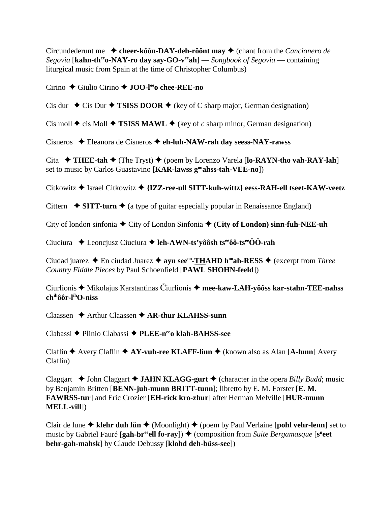Circundederunt me  $\triangle$  cheer-kôôn-DAY-deh-rôônt may  $\triangle$  (chant from the *Cancionero de Segovia* [**kahn-th<sup>ee</sup>o-NAY-ro day say-GO-v<sup>ee</sup>ah**] — *Songbook of Segovia* — containing liturgical music from Spain at the time of Christopher Columbus)

Cirino ◆ Giulio Cirino ◆ **JOO-l<sup>ee</sup>o chee-REE-no** 

Cis dur  $\triangle$  Cis Dur  $\triangle$  **TSISS DOOR**  $\triangle$  (key of C sharp major, German designation)

Cis moll  $\blacklozenge$  cis Moll  $\blacklozenge$  **TSISS MAWL**  $\blacklozenge$  (key of *c* sharp minor, German designation)

Cisneros Eleanora de Cisneros **eh-luh-NAW-rah day seess-NAY-rawss**

Cita  $\rightarrow$  THEE-tah  $\rightarrow$  (The Tryst)  $\rightarrow$  (poem by Lorenzo Varela [**lo-RAYN-tho vah-RAY-lah**] set to music by Carlos Guastavino [**KAR-lawss g<sup>oo</sup>ahss-tah-VEE-no**])

Citkowitz **→** Israel Citkowitz → {IZZ-ree-ull SITT-kuh-wittz} eess-RAH-ell tseet-KAW-veetz

Cittern  $\rightarrow$  **SITT-turn**  $\rightarrow$  (a type of guitar especially popular in Renaissance England)

City of london sinfonia  $\blacklozenge$  City of London Sinfonia  $\blacklozenge$  (City of London) sinn-fuh-NEE-uh

Ciuciura Leoncjusz Ciuciura **leh-AWN-ts'yôôsh tseeôô-tseeÔÔ-rah**

Ciudad juarez **→** En ciudad Juarez → **ayn see<sup>oo</sup>-THAHD h<sup>oo</sup>ah-RESS** → (excerpt from *Three Country Fiddle Pieces* by Paul Schoenfield [**PAWL SHOHN-feeld**])

Ciurlionis **→** Mikolajus Karstantinas Čiurlionis → mee-kaw-LAH-yôôss kar-stahn-TEE-nahss **chihôôr-lihO-niss**

Claassen **→** Arthur Claassen **→ AR-thur KLAHSS-sunn** 

Clabassi Plinio Clabassi **PLEE-neeo klah-BAHSS-see**

Claflin **→** Avery Claflin **→ AY-vuh-ree KLAFF-linn →** (known also as Alan [**A-lunn**] Avery Claflin)

Claggart  $\triangleleft$  John Claggart  $\triangleleft$  **JAHN KLAGG-gurt**  $\triangleleft$  (character in the opera *Billy Budd*; music by Benjamin Britten [**BENN-juh-munn BRITT-tunn**]; libretto by E. M. Forster [**E. M. FAWRSS-tur**] and Eric Crozier [**EH-rick kro-zhur**] after Herman Melville [**HUR-munn MELL-vill**])

Clair de lune  $\triangle$  klehr duh lün  $\triangle$  (Moonlight)  $\triangle$  (poem by Paul Verlaine [**pohl vehr-lenn**] set to music by Gabriel Fauré [**gah-br<sup>ee</sup>ell fo-ray**])  $\triangleq$  (composition from *Suite Bergamasque* [s<sup>ü</sup>eet **behr-gah-mahsk**] by Claude Debussy [**klohd deh-büss-see**])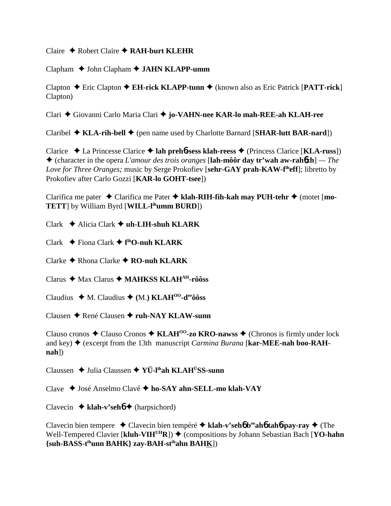Claire  $\triangle$  Robert Claire  $\triangle$  RAH-burt KLEHR

Clapham John Clapham **JAHN KLAPP-umm**

Clapton Eric Clapton **EH-rick KLAPP-tunn** (known also as Eric Patrick [**PATT-rick**] Clapton)

Clari Giovanni Carlo Maria Clari **jo-VAHN-nee KAR-lo mah-REE-ah KLAH-ree**

Claribel **KLA-rih-bell** (pen name used by Charlotte Barnard [**SHAR-lutt BAR-nard**])

Clarice La Princesse Clarice  **lah preh**6**-sess klah-reess** (Princess Clarice [**KLA-russ**]) (character in the opera *L'amour des trois oranges* [**lah-môôr day tr'wah aw-rah**6**zh**] *— The Love for Three Oranges;* music by Serge Prokofiev [**sehr-GAY prah-KAW-fiheff**]; libretto by Prokofiev after Carlo Gozzi [**KAR-lo GOHT-tsee**])

Clarifica me pater  $\triangle$  Clarifica me Pater  $\triangle$  klah-RIH-fih-kah may PUH-tehr  $\triangle$  (motet [mo-**TETT**] by William Byrd [**WILL-lihumm BURD**])

Clark Alicia Clark **uh-LIH-shuh KLARK**

Clark Fiona Clark **f ihO-nuh KLARK**

Clarke **→** Rhona Clarke **→ RO-nuh KLARK** 

Clarus Max Clarus **MAHKSS KLAHAH-rôôss**

Claudius  $\blacklozenge$  M. Claudius  $\blacklozenge$  (M.) **KLAH<sup>OO</sup>-d<sup>ee</sup>ôôss** 

Clausen René Clausen **ruh-NAY KLAW-sunn**

Clauso cronos  $\triangle$  Clauso Cronos  $\triangle$  **KLAH<sup>00</sup>-zo KRO-nawss**  $\triangle$  (Chronos is firmly under lock and key)  $\triangle$  (excerpt from the 13th manuscript *Carmina Burana* [kar-MEE-nah boo-RAH**nah**])

Claussen Julia Claussen **YÜ-lihah KLAHÜSS-sunn**

Clave José Anselmo Clavé **ho-SAY ahn-SELL-mo klah-VAY**

Clavecin **klah-v'seh**6 (harpsichord)

Clavecin bien tempere Clavecin bien tempéré **klah-v'seh**6 **beeah**6 **tah**6**-pay-ray** (The Well-Tempered Clavier [**kluh-VIH<sup>UH</sup>R**]) ♦ (compositions by Johann Sebastian Bach [**YO-hahn**] **{suh-BASS-tihunn BAHK} zay-BAH-stihahn BAHK**])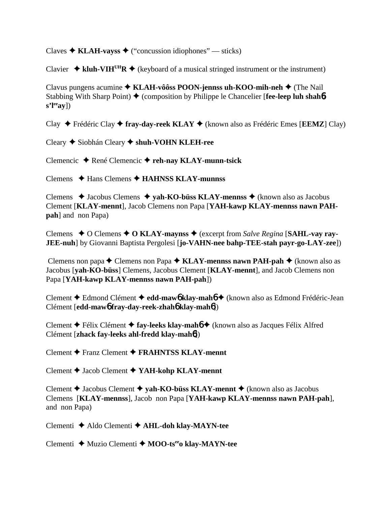Claves  $\triangle$  **KLAH-vayss**  $\triangle$  ("concussion idiophones" — sticks)

Clavier  $\triangleq$  kluh-VIH<sup>UH</sup>R  $\triangleq$  (keyboard of a musical stringed instrument or the instrument)

Clavus pungens acumine **↑ KLAH-vôôss POON-jennss uh-KOO-mih-neh ◆** (The Nail Stabbing With Sharp Point)  $\blacklozenge$  (composition by Philippe le Chancelier [**fee-leep luh shah<sup>6</sup>s'l<sup>ee</sup>ay**])

Clay Frédéric Clay **fray-day-reek KLAY** (known also as Frédéric Emes [**EEMZ**] Clay)

Cleary Siobhán Cleary **shuh-VOHN KLEH-ree**

Clemencic René Clemencic **reh-nay KLAY-munn-tsick**

Clemens Hans Clemens **HAHNSS KLAY-munnss**

Clemens **→** Jacobus Clemens → yah-KO-büss KLAY-mennss → (known also as Jacobus Clement [**KLAY-mennt**], Jacob Clemens non Papa [**YAH-kawp KLAY-mennss nawn PAHpah**] and non Papa)

Clemens  $\triangle$  O Clemens  $\triangle$  O KLAY-maynss  $\triangle$  (excerpt from *Salve Regina* [SAHL-vay ray-**JEE-nuh**] by Giovanni Baptista Pergolesi [**jo-VAHN-nee bahp-TEE-stah payr-go-LAY-zee**])

Clemens non papa **←** Clemens non Papa ← **KLAY-mennss nawn PAH-pah** ← (known also as Jacobus [**yah-KO-büss**] Clemens, Jacobus Clement [**KLAY-mennt**], and Jacob Clemens non Papa [**YAH-kawp KLAY-mennss nawn PAH-pah**])

Clement Edmond Clément **edd-maw**6 **klay-mah**6 (known also as Edmond Frédéric-Jean Clément [**edd-maw**6 **fray-day-reek-zhah**6 **klay-mah**6])

Clement Félix Clément **fay-leeks klay-mah**6 (known also as Jacques Félix Alfred Clément [**zhack fay-leeks ahl-fredd klay-mah**6])

Clement Franz Clement **FRAHNTSS KLAY-mennt**

Clement Jacob Clement **YAH-kohp KLAY-mennt**

Clement **→** Jacobus Clement **→ vah-KO-büss KLAY-mennt →** (known also as Jacobus Clemens [**KLAY-mennss**], Jacob non Papa [**YAH-kawp KLAY-mennss nawn PAH-pah**], and non Papa)

Clementi Aldo Clementi **AHL-doh klay-MAYN-tee**

Clementi **→** Muzio Clementi → MOO-ts<sup>ee</sup>o klay-MAYN-tee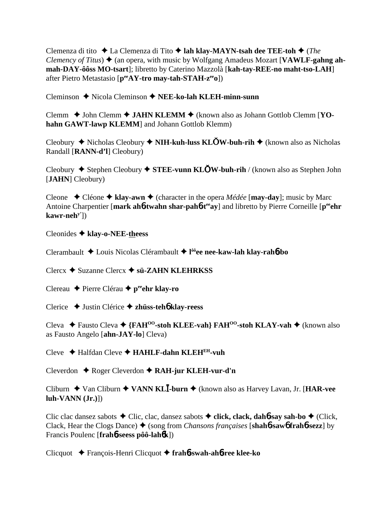Clemenza di tito La Clemenza di Tito **lah klay-MAYN-tsah dee TEE-toh** (*The Clemency of Titus*)  $\triangle$  (an opera, with music by Wolfgang Amadeus Mozart [VAWLF-gahng ah**mah-DAY-ôôss MO-tsart**]; libretto by Caterino Mazzolà [**kah-tay-REE-no maht-tso-LAH**] after Pietro Metastasio [**peeAY-tro may-tah-STAH-zeeo**])

Cleminson Nicola Cleminson **NEE-ko-lah KLEH-minn-sunn**

Clemm ◆ John Clemm ◆ JAHN KLEMM ◆ (known also as Johann Gottlob Clemm [YO**hahn GAWT-lawp KLEMM**] and Johann Gottlob Klemm)

Cleobury **→** Nicholas Cleobury ◆ **NIH-kuh-luss KLOW-buh-rih** ◆ (known also as Nicholas Randall [**RANN-d'l**] Cleobury)

Cleobury **→** Stephen Cleobury ◆ **STEE-vunn KLOW-buh-rih** / (known also as Stephen John [**JAHN**] Cleobury)

Cleone  $\rightarrow$  Cléone  $\rightarrow$  klay-awn  $\rightarrow$  (character in the opera *Médée* [**may-day**]; music by Marc Antoine Charpentier [mark ah**6**-twahn shar-pah**6**-t<sup>ee</sup>ay] and libretto by Pierre Corneille [p<sup>ee</sup>ehr **kawr-nehy'**])

Cleonides **klay-o-NEE-theess**

Clerambault Louis Nicolas Clérambault **l ôôee nee-kaw-lah klay-rah**6**-bo**

Clercx Suzanne Clercx **sü-ZAHN KLEHRKSS**

Clereau **←** Pierre Clérau ← p<sup>ee</sup>ehr klay-ro

Clerice Justin Clérice  **zhüss-teh**6 **klay-reess**

Cleva **→** Fausto Cleva → {FAH<sup>oo</sup>-stoh KLEE-vah} FAH<sup>oo</sup>-stoh KLAY-vah → (known also as Fausto Angelo [**ahn-JAY-lo**] Cleva)

Cleve Halfdan Cleve **HAHLF-dahn KLEHEH-vuh**

Cleverdon Roger Cleverdon **RAH-jur KLEH-vur-d'n**

Cliburn ◆ Van Cliburn ◆ **VANN KL<sup>I</sup>-burn ◆** (known also as Harvey Lavan, Jr. [HAR-vee **luh-VANN (Jr.)**])

Clic clac dansez sabots Clic, clac, dansez sabots **click, clack, dah**6**-say sah-bo** (Click, Clack, Hear the Clogs Dance) (song from *Chansons françaises* [**shah**6**-saw**6 **frah**6**-sezz**] by Francis Poulenc [**frah**6**-seess pôô-lah**6**k**])

Clicquot François-Henri Clicquot **frah**6**-swah-ah**6**-ree klee-ko**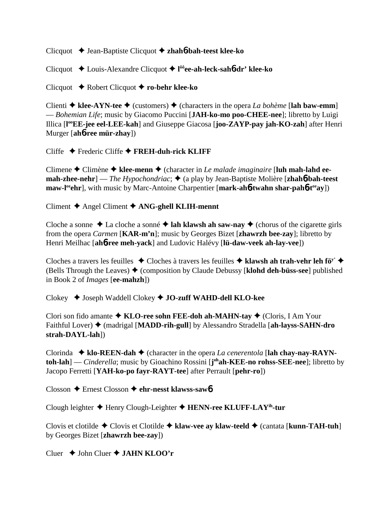Clicquot Jean-Baptiste Clicquot **zhah**6**-bah-teest klee-ko**

Clicquot Louis-Alexandre Clicquot **l ôôee-ah-leck-sah**6**-dr' klee-ko**

Clicquot Robert Clicquot **ro-behr klee-ko**

Clienti  $\triangle$  klee-AYN-tee  $\triangle$  (customers)  $\triangle$  (characters in the opera *La bohème* [lah baw-emm] — *Bohemian Life*; music by Giacomo Puccini [**JAH-ko-mo poo-CHEE-nee**]; libretto by Luigi Illica [**l ooEE-jee eel-LEE-kah**] and Giuseppe Giacosa [**joo-ZAYP-pay jah-KO-zah**] after Henri Murger [**ah**6**-ree mür-zhay**])

Cliffe Frederic Cliffe **FREH-duh-rick KLIFF**

Climene ◆ Climène ◆ klee-menn ◆ (character in *Le malade imaginaire* [luh mah-lahd ee**mah-zhee-nehr**] — *The Hypochondriac*; ♦ (a play by Jean-Baptiste Molière [zhah6-bah-teest **maw-l<sup>ee</sup>chr**, with music by Marc-Antoine Charpentier [mark-ah6-twahn shar-pah6-t<sup>ee</sup>ay])

Climent Angel Climent **ANG-ghell KLIH-mennt**

Cloche a sonne  $\triangle$  La cloche a sonné  $\triangle$  **lah klawsh ah saw-nay**  $\triangle$  (chorus of the cigarette girls from the opera *Carmen* [**KAR-m'n**]; music by Georges Bizet [**zhawrzh bee-zay**]; libretto by Henri Meilhac [**ah**6**-ree meh-yack**] and Ludovic Halévy [**lü-daw-veek ah-lay-vee**])

Cloches a travers les feuilles  $\triangle$  Cloches à travers les feuilles  $\triangle$  klawsh ah trah-vehr leh fö<sup>y'</sup>  $\triangle$ (Bells Through the Leaves) (composition by Claude Debussy [**klohd deh-büss-see**] published in Book 2 of *Images* [**ee-mahzh**])

Clokey  $\triangle$  Joseph Waddell Clokey  $\triangle$  **JO-zuff WAHD-dell KLO-kee** 

Clori son fido amante **KLO-ree sohn FEE-doh ah-MAHN-tay** (Cloris, I Am Your Faithful Lover) (madrigal [**MADD-rih-gull**] by Alessandro Stradella [**ah-layss-SAHN-dro strah-DAYL-lah**])

Clorinda  $\blacklozenge$  klo-REEN-dah  $\blacklozenge$  (character in the opera *La cenerentola* [lah chay-nay-RAYN**toh-lah**] — *Cinderella*; music by Gioachino Rossini [**j ohah-KEE-no rohss-SEE-nee**]; libretto by Jacopo Ferretti [**YAH-ko-po fayr-RAYT-tee**] after Perrault [**pehr-ro**])

Closson Ernest Closson **ehr-nesst klawss-saw**6

Clough leighter Henry Clough-Leighter **HENN-ree KLUFF-LAYih-tur**

Clovis et clotilde Clovis et Clotilde **klaw-vee ay klaw-teeld** (cantata [**kunn-TAH-tuh**] by Georges Bizet [**zhawrzh bee-zay**])

Cluer  $\triangle$  John Cluer  $\triangle$  **JAHN KLOO'r**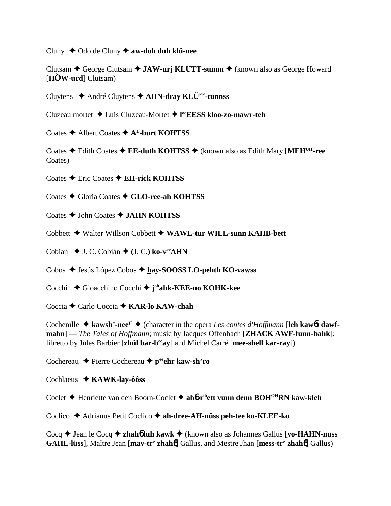Cluny Odo de Cluny **aw-doh duh klü-nee**

Clutsam ◆ George Clutsam ◆ **JAW-urj KLUTT-summ** ◆ (known also as George Howard [**HW-urd**] Clutsam)

Cluytens André Cluytens **AHN-dray KLÜEE-tunnss**

Cluzeau mortet Luis Cluzeau-Mortet **l ooEESS kloo-zo-mawr-teh**

Coates **→** Albert Coates **→ A<sup>L</sup>-burt KOHTSS** 

Coates **→** Edith Coates → **EE-duth KOHTSS** → (known also as Edith Mary [MEH<sup>UH</sup>-ree] Coates)

Coates Eric Coates **EH-rick KOHTSS**

Coates ◆ Gloria Coates ◆ GLO-ree-ah KOHTSS

Coates John Coates **JAHN KOHTSS**

Cobbett ◆ Walter Willson Cobbett ◆ WAWL-tur WILL-sunn KAHB-bett

Cobian  $\blacklozenge$  J. C. Cobián  $\blacklozenge$  (J. C.) ko-v<sup>ee</sup>AHN

Cobos Jesús López Cobos **hay-SOOSS LO-pehth KO-vawss**

Cocchi Gioacchino Cocchi **j ohahk-KEE-no KOHK-kee**

Coccia **←** Carlo Coccia ← **KAR-lo KAW-chah** 

Cochenille  $\triangle$  kawsh'-nee<sup>y'</sup>  $\triangle$  (character in the opera *Les contes d'Hoffmann* [leh kaw6t dawf**mahn**] — *The Tales of Hoffmann*; music by Jacques Offenbach [**ZHACK AWF-funn-bahk**]; libretto by Jules Barbier [**zhül bar-beeay**] and Michel Carré [**mee-shell kar-ray**])

Cochereau **←** Pierre Cochereau ← peehr kaw-sh'ro

Cochlaeus **KAWK-lay-ôôss**

Coclet Henriette van den Boorn-Coclet **ah**6**-rihett vunn denn BOHOHRN kaw-kleh**

Coclico Adrianus Petit Coclico **ah-dree-AH-nüss peh-tee ko-KLEE-ko**

Cocq ◆ Jean le Cocq ◆ zhah**6** luh kawk ◆ (known also as Johannes Gallus [yo-HAHN-nuss **GAHL-lüss**], Maître Jean [**may-tr' zhah**6] Gallus, and Mestre Jhan [**mess-tr' zhah**6] Gallus)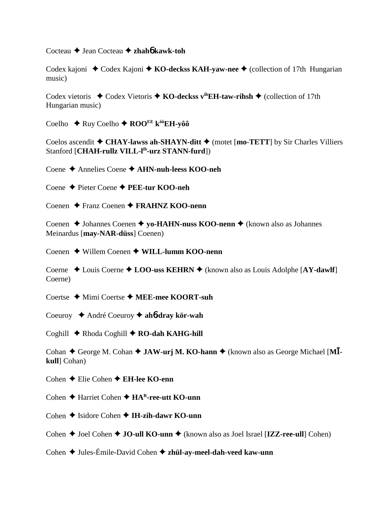Cocteau Jean Cocteau **zhah**6 **kawk-toh**

Codex kajoni ◆ Codex Kajoni ◆ **KO-deckss KAH-yaw-nee** ◆ (collection of 17th Hungarian music)

Codex vietoris  $\triangleleft$  Codex Vietoris  $\triangleleft$  **KO-deckss v<sup>ih</sup>EH-taw-rihsh**  $\triangleleft$  (collection of 17th Hungarian music)

Coelho ◆ Ruy Coelho ◆ ROO<sup>EE</sup> k<sup>ôô</sup>EH-yôô

Coelos ascendit  $\triangle$  CHAY-lawss ah-SHAYN-ditt  $\triangle$  (motet [mo-TETT] by Sir Charles Villiers Stanford [**CHAH-rullz VILL-lih-urz STANN-furd**])

Coene Annelies Coene **AHN-nuh-leess KOO-neh**

Coene Pieter Coene **PEE-tur KOO-neh**

Coenen Franz Coenen **FRAHNZ KOO-nenn**

Coenen **→** Johannes Coenen **→ yo-HAHN-nuss KOO-nenn →** (known also as Johannes Meinardus [**may-NAR-düss**] Coenen)

Coenen Willem Coenen **WILL-lumm KOO-nenn**

Coerne ◆ Louis Coerne ◆ LOO-uss KEHRN ◆ (known also as Louis Adolphe [AY-dawlf] Coerne)

Coertse **→** Mimi Coertse → MEE-mee KOORT-suh

Coeuroy André Coeuroy **ah**6**-dray kör-wah**

Coghill **← Rhoda Coghill ← RO-dah KAHG-hill** 

Cohan  $\triangle$  George M. Cohan  $\triangle$  **JAW-urj M. KO-hann**  $\triangle$  (known also as George Michael [MI**kull**] Cohan)

Cohen **←** Elie Cohen ← **EH-lee KO-enn** 

Cohen **→ Harriet Cohen → HAR-ree-utt KO-unn** 

Cohen **→** Isidore Cohen → **IH-zih-dawr KO-unn** 

Cohen **→** Joel Cohen ◆ **JO-ull KO-unn ◆** (known also as Joel Israel [**IZZ-ree-ull**] Cohen)

Cohen ◆ Jules-Émile-David Cohen ◆ zh**ül-ay-meel-dah-veed kaw-unn**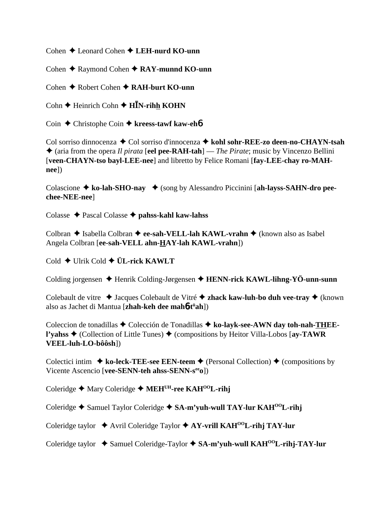Cohen **→** Leonard Cohen **→ LEH-nurd KO-unn** 

Cohen **← Raymond Cohen ← RAY-munnd KO-unn** 

Cohen **← Robert Cohen ← RAH-burt KO-unn** 

Cohn **←** Heinrich Cohn ← H**I**N-rihh KOHN

Coin **←** Christophe Coin ← kreess-tawf kaw-eh**6** 

Col sorriso dinnocenza ◆ Col sorriso d'innocenza ◆ kohl sohr-REE-zo deen-no-CHAYN-tsah (aria from the opera *Il pirata* [**eel pee-RAH-tah**] — *The Pirate*; music by Vincenzo Bellini [**veen-CHAYN-tso bayl-LEE-nee**] and libretto by Felice Romani [**fay-LEE-chay ro-MAHnee**])

Colascione  $\triangle$  ko-lah-SHO-nay  $\triangle$  (song by Alessandro Piccinini [ah-layss-SAHN-dro pee**chee-NEE-nee**]

Colasse Pascal Colasse **pahss-kahl kaw-lahss**

Colbran ◆ Isabella Colbran ◆ ee-sah-VELL-lah KAWL-vrahn ◆ (known also as Isabel Angela Colbran [**ee-sah-VELL ahn-HAY-lah KAWL-vrahn**])

Cold Ulrik Cold **ÜL-rick KAWLT**

Colding jorgensen **→** Henrik Colding-Jørgensen → **HENN-rick KAWL-lihng-YÖ-unn-sunn** 

Colebault de vitre ◆ Jacques Colebault de Vitré ◆ zhack kaw-luh-bo duh vee-tray ◆ (known also as Jachet di Mantua [**zhah-keh dee mah**6**-tü ah**])

Coleccion de tonadillas ◆ Colección de Tonadillas ◆ ko-layk-see-AWN day toh-nah-THEE**l'yahss ♦ (Collection of Little Tunes) ♦ (compositions by Heitor Villa-Lobos [ay-TAWR VEEL-luh-LO-bôôsh**])

Colectici intim  $\triangle$  ko-leck-TEE-see EEN-teem  $\triangle$  (Personal Collection)  $\triangle$  (compositions by Vicente Ascencio [**vee-SENN-teh ahss-SENN-seeo**])

Coleridge **←** Mary Coleridge ← MEH<sup>UH</sup>-ree KAH<sup>OO</sup>L-rihj

Coleridge **→** Samuel Taylor Coleridge → SA-m'yuh-wull TAY-lur KAH<sup>00</sup>L-rihj

Coleridge taylor ◆ Avril Coleridge Taylor ◆ AY-vrill KAH<sup>00</sup>L-rihj TAY-lur

Coleridge taylor ◆ Samuel Coleridge-Taylor ◆ SA-m'yuh-wull KAH<sup>00</sup>L-rihj-TAY-lur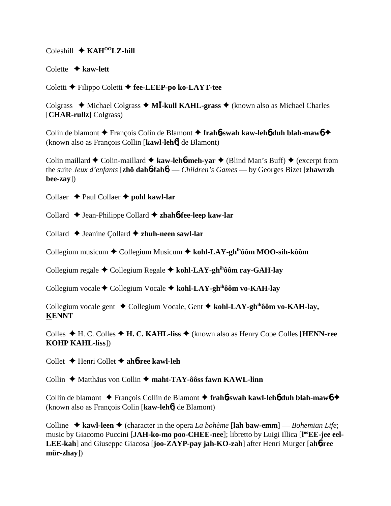Coleshill **↓ KAH<sup>00</sup>LZ-hill** 

Colette **kaw-lett**

Coletti Filippo Coletti **fee-LEEP-po ko-LAYT-tee**

Colgrass  $\triangleleft$  Michael Colgrass  $\triangleleft$  **MI**-kull KAHL-grass  $\triangleleft$  (known also as Michael Charles [**CHAR-rullz**] Colgrass)

Colin de blamont François Colin de Blamont **frah**6**-swah kaw-leh**6 **duh blah-maw**6 (known also as François Collin [**kawl-leh**6] de Blamont)

Colin maillard  $\triangle$  Colin-maillard  $\triangle$  kaw-leh**6-meh-yar**  $\triangle$  (Blind Man's Buff)  $\triangle$  (excerpt from the suite *Jeux d'enfants* [**zhö dah**6**-fah**6] — *Children's Games* — by Georges Bizet [**zhawrzh bee-zay**])

Collaer **← Paul Collaer ← pohl kawl-lar** 

Collard Jean-Philippe Collard **zhah**6**-fee-leep kaw-lar**

Collard **↓** Jeanine Collard **◆ zhuh-neen sawl-lar** 

Collegium musicum Collegium Musicum **kohl-LAY-ghihôôm MOO-sih-kôôm**

Collegium regale Collegium Regale **kohl-LAY-ghihôôm ray-GAH-lay**

Collegium vocale Collegium Vocale **kohl-LAY-ghihôôm vo-KAH-lay**

Collegium vocale gent ◆ Collegium Vocale, Gent ◆ kohl-LAY-gh<sup>ih</sup>ôôm vo-KAH-lay, **KENNT**

Colles H. C. Colles **H. C. KAHL-liss** (known also as Henry Cope Colles [**HENN-ree KOHP KAHL-liss**])

Collet Henri Collet **ah**6**-ree kawl-leh**

Collin ◆ Matthäus von Collin ◆ maht-TAY-ôôss fawn KAWL-linn

Collin de blamont François Collin de Blamont **frah**6**-swah kawl-leh**6 **duh blah-maw**6 (known also as François Colin [**kaw-leh**6] de Blamont)

Colline  $\triangle$  **kawl-leen**  $\triangle$  (character in the opera *La bohème* [lah baw-emm] — *Bohemian Life*; music by Giacomo Puccini [JAH-ko-mo poo-CHEE-nee]; libretto by Luigi Illica [l<sup>oo</sup>EE-jee eel-**LEE-kah**] and Giuseppe Giacosa [**joo-ZAYP-pay jah-KO-zah**] after Henri Murger [**ah**6**-ree mür-zhay**])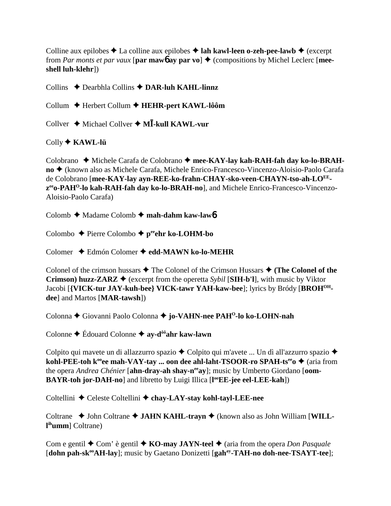Colline aux epilobes  $\triangle$  La colline aux epilobes  $\triangle$  lah kawl-leen o-zeh-pee-lawb  $\triangle$  (excerpt from *Par monts et par vaux* [par mawb ay par vo]  $\triangle$  (compositions by Michel Leclerc [mee**shell luh-klehr**])

Collins ◆ Dearbhla Collins ◆ DAR-luh KAHL-linnz

Collum Herbert Collum **HEHR-pert KAWL-lôôm**

Collver ◆ Michael Collver ◆ M**Ī-kull KAWL-vur** 

Colly **KAWL-lü**

Colobrano ◆ Michele Carafa de Colobrano ◆ mee-KAY-lay kah-RAH-fah day ko-lo-BRAH**no** ◆ (known also as Michele Carafa, Michele Enrico-Francesco-Vincenzo-Aloisio-Paolo Carafa de Colobrano [mee-KAY-lay ayn-REE-ko-frahn-CHAY-sko-veen-CHAYN-tso-ah-LO<sup>EE</sup>**zeeo-PAHO-lo kah-RAH-fah day ko-lo-BRAH-no**], and Michele Enrico-Francesco-Vincenzo-Aloisio-Paolo Carafa)

Colomb **→** Madame Colomb → mah-dahm kaw-lawb

Colombo Pierre Colombo **peeehr ko-LOHM-bo**

Colomer Edmón Colomer **edd-MAWN ko-lo-MEHR**

Colonel of the crimson hussars  $\triangle$  The Colonel of the Crimson Hussars  $\triangle$  (The Colonel of the **Crimson) huzz-ZARZ**  $\blacklozenge$  (excerpt from the operetta *Sybil* [**SIH-b'l**], with music by Viktor Jacobi [**{VICK-tur JAY-kuh-bee} VICK-tawr YAH-kaw-bee**]; lyrics by Bródy [**BROHOHdee**] and Martos [**MAR-tawsh**])

Colonna ◆ Giovanni Paolo Colonna ◆ jo-VAHN-nee PAH<sup>O</sup>-lo ko-LOHN-nah

Colonne Édouard Colonne **ay-dôôahr kaw-lawn**

Colpito qui mavete un di allazzurro spazio  $\triangle$  Colpito qui m'avete ... Un dì all'azzurro spazio  $\triangle$ **kohl-PEE-toh k<sup>∞</sup>ee mah-VAY-tay ... oon dee ahl-laht-TSOOR-ro SPAH-ts<sup>ee</sup>o ◆ (aria from** the opera *Andrea Chénier* [ahn-dray-ah shay-n<sup>ee</sup>ay]; music by Umberto Giordano [oom-**BAYR-toh jor-DAH-no**] and libretto by Luigi Illica [**l ooEE-jee eel-LEE-kah**])

Coltellini ◆ Celeste Coltellini ◆ chay-LAY-stay kohl-tayl-LEE-nee

Coltrane  $\triangle$  John Coltrane  $\triangle$  JAHN KAHL-trayn  $\triangle$  (known also as John William [WILL**l ihumm**] Coltrane)

Com e gentil  $\triangle$  Com' è gentil  $\triangle$  **KO-may JAYN-teel**  $\triangle$  (aria from the opera *Don Pasquale* [dohn pah-sk<sup>oo</sup>AH-lay]; music by Gaetano Donizetti [gah<sup>ay</sup>-TAH-no doh-nee-TSAYT-tee];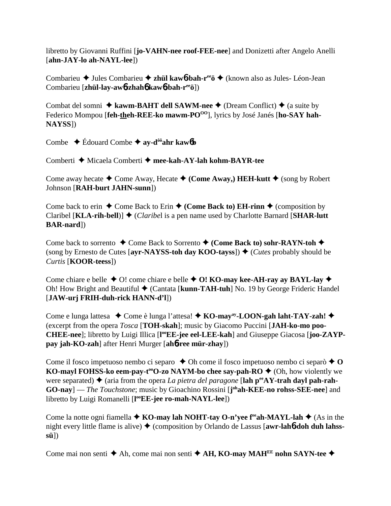libretto by Giovanni Ruffini [**jo-VAHN-nee roof-FEE-nee**] and Donizetti after Angelo Anelli [**ahn-JAY-lo ah-NAYL-lee**])

Combarieu **→** Jules Combarieu → zhül kawb-bah-ree  $\ddot{\theta}$  (known also as Jules- Léon-Jean Combarieu [**zhül-lay-aw**6**-zhah**6 **kaw**6**-bah-reeö**])

Combat del somni  $\triangle$  kawm-BAHT dell SAWM-nee  $\triangle$  (Dream Conflict)  $\triangle$  (a suite by Federico Mompou [feh-theh-REE-ko mawm-PO<sup>OO</sup>], lyrics by José Janés [ho-SAY hah-**NAYSS**])

Combe  $\triangle$  Édouard Combe  $\triangle$  av-d<sup>ôô</sup>ahr kaw6**b** 

Comberti **→** Micaela Comberti → mee-kah-AY-lah kohm-BAYR-tee

Come away hecate  $\triangle$  Come Away, Hecate  $\triangle$  (Come Away,) HEH-kutt  $\triangle$  (song by Robert Johnson [**RAH-burt JAHN-sunn**])

Come back to erin  $\triangle$  Come Back to Erin  $\triangle$  (Come Back to) EH-rinn  $\triangle$  (composition by Claribel [KLA-rih-bell]] ♦ (*Claribel* is a pen name used by Charlotte Barnard [SHAR-lutt] **BAR-nard**])

Come back to sorrento **→** Come Back to Sorrento **← (Come Back to) sohr-RAYN-toh ←** (song by Ernesto de Cutes [ayr-NAYSS-toh day KOO-tayss])  $\triangle$  (*Cutes* probably should be *Curtis* [**KOOR-teess**])

Come chiare e belle  $\triangle$  O! come chiare e belle  $\triangle$  O! KO-may kee-AH-ray ay BAYL-lay  $\triangle$ Oh! How Bright and Beautiful **→** (Cantata [**kunn-TAH-tuh**] No. 19 by George Frideric Handel [**JAW-urj FRIH-duh-rick HANN-d'l**])

Come e lunga lattesa Come è lunga l'attesa!  **KO-mayay-LOON-gah laht-TAY-zah!** (excerpt from the opera *Tosca* [**TOH-skah**]; music by Giacomo Puccini [**JAH-ko-mo poo-**CHEE-nee]; libretto by Luigi Illica [l<sup>oo</sup>EE-jee eel-LEE-kah] and Giuseppe Giacosa [joo-ZAYP**pay jah-KO-zah**] after Henri Murger [**ah**6**-ree mür-zhay**])

Come il fosco impetuoso nembo ci separo  $\triangle$  Oh come il fosco impetuoso nembo ci separò  $\triangle$  O **KO-mayl FOHSS-ko eem-pay-t<sup>oo</sup>O-zo NAYM-bo chee say-pah-RO ♦** (Oh, how violently we were separated)  $\blacklozenge$  (aria from the opera *La pietra del paragone* [lah  $p^{\text{ee}}AY$ -trah dayl pah-rah-GO-nay] — *The Touchstone*; music by Gioachino Rossini [j<sup>oh</sup>ah-KEE-no rohss-SEE-nee] and libretto by Luigi Romanelli [**l ooEE-jee ro-mah-NAYL-lee**])

Come la notte ogni fiamella  $\blacklozenge$  **KO-may lah NOHT-tay O-n'yee f<sup>ee</sup>ah-MAYL-lah**  $\blacklozenge$  (As in the night every little flame is alive) (composition by Orlando de Lassus [**awr-lah**6**-doh duh lahsssü**])

Come mai non senti **→** Ah, come mai non senti **→ AH, KO-may MAH<sup>EE</sup> nohn SAYN-tee** ◆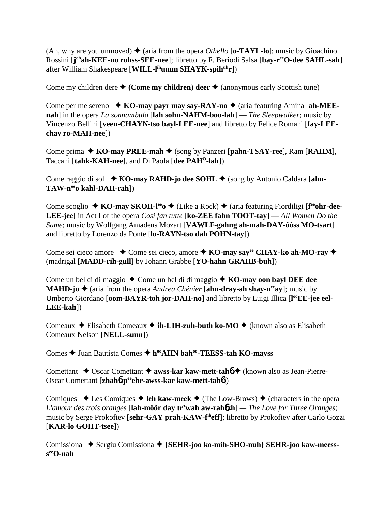(Ah, why are you unmoved)  $\triangleleft$  (aria from the opera *Othello* [**o-TAYL-lo**]; music by Gioachino Rossini [**j ohah-KEE-no rohss-SEE-nee**]; libretto by F. Beriodi Salsa [**bay-reeO-dee SAHL-sah**] after William Shakespeare [**WILL-lihumm SHAYK-spihuhr**])

Come my children dere  $\triangle$  (Come my children) deer  $\triangle$  (anonymous early Scottish tune)

Come per me sereno **→ KO-may payr may say-RAY-no →** (aria featuring Amina [ah-MEE**nah**] in the opera *La sonnambula* [**lah sohn-NAHM-boo-lah**] — *The Sleepwalker*; music by Vincenzo Bellini [**veen-CHAYN-tso bayl-LEE-nee**] and libretto by Felice Romani [**fay-LEEchay ro-MAH-nee**])

Come prima ◆ **KO-may PREE-mah** ◆ (song by Panzeri [**pahn-TSAY-ree**], Ram [**RAHM**], Taccani [**tahk-KAH-nee**], and Di Paola [**dee PAHO-lah**])

Come raggio di sol **→ KO-may RAHD-jo dee SOHL →** (song by Antonio Caldara [ahn-**TAW-neeo kahl-DAH-rah**])

Come scoglio ◆ KO-may SKOH-l<sup>ee</sup> o◆ (Like a Rock) ◆ (aria featuring Fiordiligi [f<sup>ee</sup>ohr-dee-**LEE-jee**] in Act I of the opera *Così fan tutte* [**ko-ZEE fahn TOOT-tay**] — *All Women Do the Same*; music by Wolfgang Amadeus Mozart [**VAWLF-gahng ah-mah-DAY-ôôss MO-tsart**] and libretto by Lorenzo da Ponte [**lo-RAYN-tso dah POHN-tay**])

Come sei cieco amore ◆ Come sei cieco, amore ◆ KO-may say<sup>ee</sup> CHAY-ko ah-MO-ray ◆ (madrigal [**MADD-rih-gull**] by Johann Grabbe [**YO-hahn GRAHB-buh**])

Come un bel di di maggio **→** Come un bel dì di maggio **→ KO-may oon bayl DEE dee MAHD-jo**  $\triangle$  (aria from the opera *Andrea Chénier* [**ahn-dray-ah shay-n<sup>ee</sup>ay**]; music by Umberto Giordano [oom-BAYR-toh jor-DAH-no] and libretto by Luigi Illica [l<sup>oo</sup>EE-jee eel-**LEE-kah**])

Comeaux **→** Elisabeth Comeaux → **ih-LIH-zuh-buth ko-MO** → (known also as Elisabeth Comeaux Nelson [**NELL-sunn**])

Comes ◆ Juan Bautista Comes ◆ h<sup>oo</sup>AHN bah<sup>oo</sup>-TEESS-tah KO-mayss

Comettant **↓** Oscar Comettant **↓ awss-kar kaw-mett-tah6 ◆** (known also as Jean-Pierre-Oscar Comettant [**zhah**6**-peeehr-awss-kar kaw-mett-tah**6])

Comiques  $\triangle$  Les Comiques  $\triangle$  leh kaw-meek  $\triangle$  (The Low-Brows)  $\triangle$  (characters in the opera *L'amour des trois oranges* [**lah-môôr day tr'wah aw-rah**6**zh**] *— The Love for Three Oranges*; music by Serge Prokofiev [**sehr-GAY prah-KAW-fiheff**]; libretto by Prokofiev after Carlo Gozzi [**KAR-lo GOHT-tsee**])

Comissiona ◆ Sergiu Comissiona ◆ {SEHR-joo ko-mih-SHO-nuh} SEHR-joo kaw-meess**seeO-nah**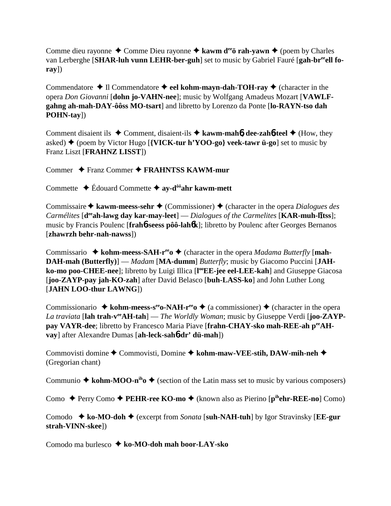Comme dieu rayonne  $\triangle$  Comme Dieu rayonne  $\triangle$  kawm d<sup>ee</sup> o<sup>o</sup> rah-yawn  $\triangle$  (poem by Charles van Lerberghe [SHAR-luh vunn LEHR-ber-guh] set to music by Gabriel Fauré [gah-br<sup>ee</sup>ell fo**ray**])

Commendatore  $\triangle$  Il Commendatore  $\triangle$  eel kohm-mayn-dah-TOH-ray  $\triangle$  (character in the opera *Don Giovanni* [**dohn jo-VAHN-nee**]; music by Wolfgang Amadeus Mozart [**VAWLFgahng ah-mah-DAY-ôôss MO-tsart**] and libretto by Lorenzo da Ponte [**lo-RAYN-tso dah POHN-tay**])

Comment disaient ils  $\triangle$  Comment, disaient-ils  $\triangle$  **kawm-mah<sub>6</sub>, dee-zah<sub>6</sub>-teel**  $\triangle$  (How, they asked)  $\triangle$  (poem by Victor Hugo [**{VICK-tur h'YOO-go} veek-tawr ü-go**] set to music by Franz Liszt [**FRAHNZ LISST**])

Commer Franz Commer **FRAHNTSS KAWM-mur**

Commette Édouard Commette **ay-dôôahr kawm-mett**

Commissaire **↑ kawm-meess-sehr ↑** (Commissioner) **↑** (character in the opera *Dialogues des Carmélites* [d<sup>ee</sup>ah-lawg day kar-may-leet] — *Dialogues of the Carmelites* [KAR-muh-litss]; music by Francis Poulenc [**frah**6**-seess pôô-lah**6**k**]; libretto by Poulenc after Georges Bernanos [**zhawrzh behr-nah-nawss**])

Commissario  $\triangle$  **kohm-meess-SAH-r<sup>ee</sup>o**  $\triangle$  (character in the opera *Madama Butterfly* [mah-**DAH-mah (Butterfly)**] — *Madam* [**MA-dumm**] *Butterfly*; music by Giacomo Puccini [**JAH**ko-mo poo-CHEE-nee]; libretto by Luigi Illica [l<sup>oo</sup>EE-jee eel-LEE-kah] and Giuseppe Giacosa [**joo-ZAYP-pay jah-KO-zah**] after David Belasco [**buh-LASS-ko**] and John Luther Long [**JAHN LOO-thur LAWNG**])

Commissionario  $\triangleq$  kohm-meess-s<sup>ee</sup> o-NAH-r<sup>ee</sup> o $\triangleq$  (a commissioner)  $\triangleq$  (character in the opera *La traviata* [**lah trah-veeAH-tah**] — *The Worldly Woman*; music by Giuseppe Verdi [**joo-ZAYPpay VAYR-dee**; libretto by Francesco Maria Piave [**frahn-CHAY-sko mah-REE-ah peeAHvay**] after Alexandre Dumas [**ah-leck-sah**6**-dr' dü-mah**])

Commovisti domine ◆ Commovisti, Domine ◆ kohm-maw-VEE-stih, DAW-mih-neh ◆ (Gregorian chant)

Communio  $\triangle$  kohm-MOO-n<sup>ih</sup>o  $\triangle$  (section of the Latin mass set to music by various composers)

Como Perry Como **PEHR-ree KO-mo** (known also as Pierino [**pihehr-REE-no**] Como)

Comodo **ko-MO-doh** (excerpt from *Sonata* [**suh-NAH-tuh**] by Igor Stravinsky [**EE-gur strah-VINN-skee**])

Comodo ma burlesco **ko-MO-doh mah boor-LAY-sko**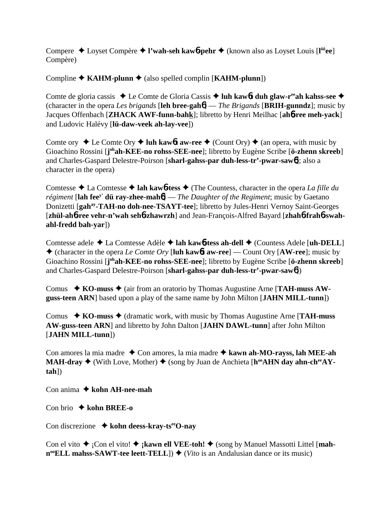Compere Loyset Compère **l'wah-seh kaw**6**-pehr** (known also as Loyset Louis [**l ôôee**] Compère)

Compline  $\triangle$  **KAHM-plunn**  $\triangle$  (also spelled complin [**KAHM-plunn**])

Comte de gloria cassis ◆ Le Comte de Gloria Cassis ◆ luh kaw6**t duh glaw-r<sup>ee</sup>ah kahss-see ◆** (character in the opera *Les brigands* [**leh bree-gah**6] — *The Brigands* [**BRIH-gunndz**]; music by Jacques Offenbach [**ZHACK AWF-funn-bahk**]; libretto by Henri Meilhac [**ah**6**-ree meh-yack**] and Ludovic Halévy [**lü-daw-veek ah-lay-vee**])

Comte ory  $\triangle$  Le Comte Ory  $\triangle$  luh kaw6**t** aw-ree  $\triangle$  (Count Ory)  $\triangle$  (an opera, with music by Gioachino Rossini [j<sup>oh</sup>ah-KEE-no rohss-SEE-nee]; libretto by Eugène Scribe [ö-zhenn skreeb] and Charles-Gaspard Delestre-Poirson [**sharl-gahss-par duh-less-tr'-pwar-saw**6]; also a character in the opera)

Comtesse La Comtesse **lah kaw**6**-tess** (The Countess, character in the opera *La fille du régiment* [**lah feey' dü ray-zhee-mah**6] — *The Daughter of the Regiment*; music by Gaetano Donizetti [**gahay-TAH-no doh-nee-TSAYT-tee**]; libretto by Jules-Henri Vernoy Saint-Georges [zhül-ah**6**-ree vehr-n'wah seh**6**-zhawrzh] and Jean-François-Alfred Bayard [zhah**6**-frah6-swah**ahl-fredd bah-yar**])

Comtesse adele **→** La Comtesse Adèle **→ lah kaw6-tess ah-dell** → (Countess Adele [**uh-DELL**] (character in the opera *Le Comte Ory* [**luh kaw**6**t aw-ree**] — Count Ory [**AW-ree**]; music by Gioachino Rossini [j<sup>oh</sup>ah-KEE-no rohss-SEE-nee]; libretto by Eugène Scribe [ö-zhenn skreeb] and Charles-Gaspard Delestre-Poirson [**sharl-gahss-par duh-less-tr'-pwar-saw**6])

Comus **→ KO-muss →** (air from an oratorio by Thomas Augustine Arne [**TAH-muss AWguss-teen ARN**] based upon a play of the same name by John Milton [**JAHN MILL-tunn**])

Comus  $\rightarrow$  KO-muss  $\rightarrow$  (dramatic work, with music by Thomas Augustine Arne [**TAH-muss AW-guss-teen ARN**] and libretto by John Dalton [**JAHN DAWL-tunn**] after John Milton [**JAHN MILL-tunn**])

Con amores la mia madre ◆ Con amores, la mia madre ◆ kawn ah-MO-rayss, lah MEE-ah **MAH-dray**  $\blacklozenge$  (With Love, Mother)  $\blacklozenge$  (song by Juan de Anchieta [h<sup>oo</sup>AHN day ahn-ch<sup>ee</sup>AY**tah**])

Con anima **→ kohn AH-nee-mah** 

Con brio **kohn BREE-o**

Con discrezione **→ kohn deess-kray-ts<sup>ee</sup>O-nay** 

Con el vito  $\triangle$  <sub>i</sub>Con el vito!  $\triangle$  **; kawn ell VEE-toh!**  $\triangle$  (song by Manuel Massotti Littel [**mah-** $\mathbf{n}^{\omega}$ **ELL mahss-SAWT-tee leett-TELL**])  $\blacklozenge$  (*Vito* is an Andalusian dance or its music)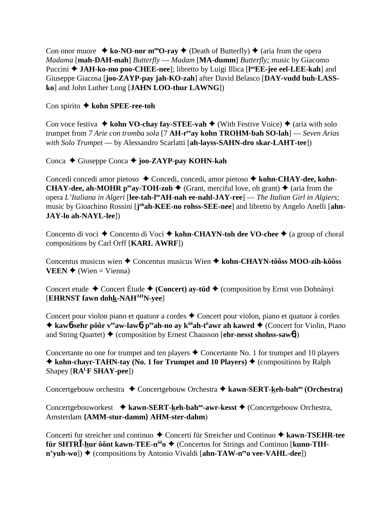Con onor muore  $\triangleq$  ko-NO-nor m<sup>oo</sup>O-ray  $\triangleq$  (Death of Butterfly)  $\triangleq$  (aria from the opera *Madama* [**mah-DAH-mah**] *Butterfly* — *Madam* [**MA-dumm**] *Butterfly;* music by Giacomo Puccini ◆ JAH-ko-mo poo-CHEE-nee]; libretto by Luigi Illica [l<sup>oo</sup>EE-jee eel-LEE-kah] and Giuseppe Giacosa [**joo-ZAYP-pay jah-KO-zah**] after David Belasco [**DAY-vudd buh-LASSko**] and John Luther Long [**JAHN LOO-thur LAWNG**])

## Con spirito **kohn SPEE-ree-toh**

Con voce festiva  $\triangle$  kohn VO-chay fay-STEE-vah  $\triangle$  (With Festive Voice)  $\triangle$  (aria with solo trumpet from *7 Arie con tromba sola* [7 **AH-reeay kohn TROHM-bah SO-lah**] — *Seven Arias with Solo Trumpet* — by Alessandro Scarlatti [**ah-layss-SAHN-dro skar-LAHT-tee**])

Conca ◆ Giuseppe Conca ◆ joo-ZAYP-pay KOHN-kah

Concedi concedi amor pietoso ◆ Concedi, concedi, amor pietoso ◆ kohn-CHAY-dee, kohn-**CHAY-dee, ah-MOHR p<sup>ee</sup>ay-TOH-zoh**  $\blacklozenge$  (Grant, merciful love, oh grant)  $\blacklozenge$  (aria from the opera *L'Italiana in Algeri* [**lee-tah-leeAH-nah ee-nahl-JAY-ree**] — *The Italian Girl in Algiers*; music by Gioachino Rossini [j<sup>oh</sup>ah-KEE-no rohss-SEE-nee] and libretto by Angelo Anelli [ahn-**JAY-lo ah-NAYL-lee**])

Concento di voci ◆ Concento di Voci ◆ kohn-CHAYN-toh dee VO-chee ◆ (a group of choral compositions by Carl Orff [**KARL AWRF**])

Concentus musicus wien Concentus musicus Wien **kohn-CHAYN-tôôss MOO-zih-kôôss VEEN**  $\blacklozenge$  (Wien = Vienna)

Concert etude ◆ Concert Étude ◆ (Concert) ay-tüd ◆ (composition by Ernst von Dohnányi [**EHRNST fawn dohk-NAHAHN-yee**]

Concert pour violon piano et quatuor a cordes  $\triangle$  Concert pour violon, piano et quatuor à cordes **★ kaw6-sehr pôôr v<sup>ee</sup>aw-law6, peeah-no ay k<sup>ôô</sup>ah-t<sup>ü</sup>awr ah kawrd ◆ (Concert for Violin, Piano** and String Quartet) **→** (composition by Ernest Chausson [**ehr-nesst shohss-saw6**])

Concertante no one for trumpet and ten players  $\triangle$  Concertante No. 1 for trumpet and 10 players  $\triangle$  kohn-chayr-TAHN-tay (No. 1 for Trumpet and 10 Players)  $\triangle$  (compositions by Ralph Shapey [**RALF SHAY-pee**])

Concertgebouw orchestra **←** Concertgebouw Orchestra ← kawn-SERT-keh-bah<sup>oo</sup> (Orchestra)

Concertgebouworkest **→ kawn-SERT-keh-bah<sup>oo</sup>-awr-kesst →** (Concertgebouw Orchestra, Amsterdam **{AMM-stur-damm} AHM-ster-dahm**)

Concerti fur streicher und continuo ◆ Concerti für Streicher und Continuo ◆ kawn-TSEHR-tee **für SHTR<sup>T</sup>-hur ôônt kawn-TEE-n<sup>ôô</sup>o ♦ (Concertos for Strings and Continuo [kunn-TIHn'yuh-wo**]) ♦ (compositions by Antonio Vivaldi [**ahn-TAW-n<sup>ee</sup>o vee-VAHL-dee**])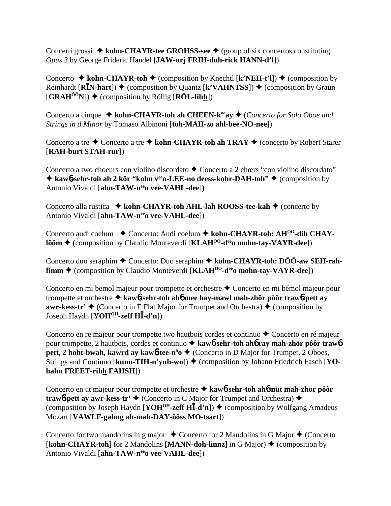Concerti grossi ◆ kohn-CHAYR-tee GROHSS-see ◆ (group of six concertos constituting *Opus 3* by George Frideric Handel [**JAW-urj FRIH-duh-rick HANN-d'l**])

Concerto  $\triangle$  kohn-CHAYR-toh  $\triangle$  (composition by Knechtl [k'NEH-t'l])  $\triangle$  (composition by Reinhardt [**RĪN-hart**]) ♦ (composition by Quantz [**k'VAHNTSS**]) ♦ (composition by Graun  $[\mathbf{GRAH}^{00}N]$   $\blacklozenge$  (composition by Röllig  $[\mathbf{ROL-Iihh}]$ )

Concerto a cinque ◆ kohn-CHAYR-toh ah CHEEN-k<sup>oo</sup>ay ◆ (*Concerto for Solo Oboe and Strings in d Minor* by Tomaso Albinoni [**toh-MAH-zo ahl-bee-NO-nee**])

Concerto a tre  $\triangle$  Concerto a tre  $\triangle$  kohn-CHAYR-toh ah TRAY  $\triangle$  (concerto by Robert Starer [**RAH-burt STAH-rur**])

Concerto a two choeurs con violino discordato  $\triangle$  Concerto a 2 chœrs "con violino discordato"  $\triangle$  **kaw6-sehr-toh ah 2 kör "kohn v<sup>ee</sup>o-LEE-no deess-kohr-DAH-toh"** ♦ (composition by Antonio Vivaldi [ahn-TAW-neeo vee-VAHL-dee])

Concerto alla rustica **↓ kohn-CHAYR-toh AHL-lah ROOSS-tee-kah ◆** (concerto by Antonio Vivaldi [ahn-TAW-neeo vee-VAHL-dee])

Concerto audi coelum ◆ Concerto: Audi coelum ◆ kohn-CHAYR-toh: AH<sup>00</sup>-dih CHAY**lôôm ♦** (composition by Claudio Monteverdi [**KLAH<sup>00</sup>-d<sup>ee</sup>o mohn-tay-VAYR-dee**])

Concerto duo seraphim ◆ Concerto: Duo seraphim ◆ kohn-CHAYR-toh: DÔÔ-aw SEH-rah**fimm ♦** (composition by Claudio Monteverdi [**KLAH<sup>00</sup>-d<sup>ee</sup>o mohn-tay-VAYR-dee**])

Concerto en mi bemol majeur pour trompette et orchestre  $\triangle$  Concerto en mi bémol majeur pour trompette et orchestre **kaw**6**-sehr-toh ah**6 **mee bay-mawl mah-zhör pôôr traw**6**-pett ay awr-kess-tr'**  $\triangle$  (Concerto in E Flat Major for Trumpet and Orchestra)  $\triangle$  (composition by Joseph Haydn [**YOHOH-zeff H-d'n**])

Concerto en re majeur pour trompette two hautbois cordes et continuo  $\triangle$  Concerto en ré majeur pour trompette, 2 hautbois, cordes et continuo **kaw**6**-sehr-toh ah**6 **ray mah-zhör pôôr traw**6 **pett, 2 hoht-bwah, kawrd ay kaw<sup>6</sup>-tee-n<sup>ü</sup>o ♦ (Concerto in D Major for Trumpet, 2 Oboes,** Strings and Continuo [**kunn-TIH-n'yuh-wo**])  $\blacklozenge$  (composition by Johann Friedrich Fasch [YO**hahn FREET-rihh FAHSH**])

Concerto en ut majeur pour trompette et orchestre  **kaw**6**-sehr-toh ah**6**-nüt mah-zhör pôôr trawb-pett ay awr-kess-tr'**  $\blacklozenge$  (Concerto in C Major for Trumpet and Orchestra)  $\blacklozenge$ (composition by Joseph Haydn  $[\text{YOH}^{OH}\text{-}z\text{eff H}\bar{I}\text{-}d'n]$ )  $\blacklozenge$  (composition by Wolfgang Amadeus Mozart [**VAWLF-gahng ah-mah-DAY-ôôss MO-tsart**])

Concerto for two mandolins in g major  $\triangle$  Concerto for 2 Mandolins in G Major  $\triangle$  (Concerto  $[\textbf{kohn-CHAYR-toh}]$  for 2 Mandolins  $[\textbf{MANN-doh-linnz}]$  in G Major)  $\blacklozenge$  (composition by Antonio Vivaldi [ahn-TAW-neeo vee-VAHL-dee])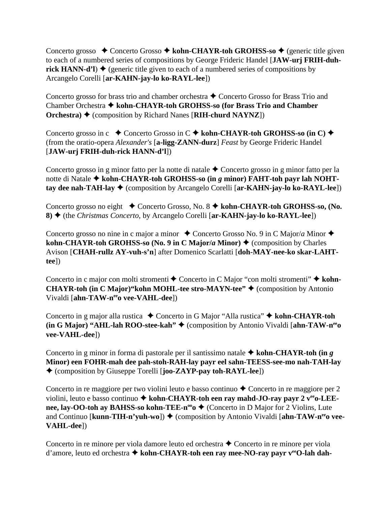Concerto grosso ◆ Concerto Grosso ◆ kohn-CHAYR-toh GROHSS-so ◆ (generic title given to each of a numbered series of compositions by George Frideric Handel [**JAW-urj FRIH-duhrick HANN-d'l)**  $\blacklozenge$  (generic title given to each of a numbered series of compositions by Arcangelo Corelli [**ar-KAHN-jay-lo ko-RAYL-lee**])

Concerto grosso for brass trio and chamber orchestra ◆ Concerto Grosso for Brass Trio and Chamber Orchestra **kohn-CHAYR-toh GROHSS-so (for Brass Trio and Chamber Orchestra) ♦ (composition by Richard Nanes [RIH-churd NAYNZ])** 

Concerto grosso in c ◆ Concerto Grosso in C ◆ kohn-CHAYR-toh GROHSS-so (in C) ◆ (from the oratio-opera *Alexander's* [**a-ligg-ZANN-durz**] *Feast* by George Frideric Handel [**JAW-urj FRIH-duh-rick HANN-d'l**])

Concerto grosso in g minor fatto per la notte di natale  $\triangle$  Concerto grosso in g minor fatto per la notte di Natale **kohn-CHAYR-toh GROHSS-so (in** *g* **minor) FAHT-toh payr lah NOHTtay dee nah-TAH-lay ♦** (composition by Arcangelo Corelli [ar-KAHN-jay-lo ko-RAYL-lee])

Concerto grosso no eight **←** Concerto Grosso, No. 8 ← kohn-CHAYR-toh GROHSS-so, (No. **8)** (the *Christmas Concerto*, by Arcangelo Corelli [**ar-KAHN-jay-lo ko-RAYL-lee**])

Concerto grosso no nine in c major a minor  $\triangle$  Concerto Grosso No. 9 in C Major/*a* Minor  $\triangle$ **kohn-CHAYR-toh GROHSS-so (No. 9 in C Major/***a* **Minor)**  $\triangle$  **(composition by Charles)** Avison [**CHAH-rullz AY-vuh-s'n**] after Domenico Scarlatti [**doh-MAY-nee-ko skar-LAHTtee**])

Concerto in c major con molti stromenti ◆ Concerto in C Major "con molti stromenti" ◆ kohn-**CHAYR-toh (in C Major)"kohn MOHL-tee stro-MAYN-tee" ♦ (composition by Antonio** Vivaldi [ahn-TAW-neeo vee-VAHL-dee])

Concerto in g major alla rustica **→** Concerto in G Major "Alla rustica" **→ kohn-CHAYR-toh (in G Major) "AHL-lah ROO-stee-kah"** (composition by Antonio Vivaldi [**ahn-TAW-neeo vee-VAHL-dee**])

Concerto in g minor in forma di pastorale per il santissimo natale  $\triangle$  kohn-CHAYR-toh (in *g* **Minor) een FOHR-mah dee pah-stoh-RAH-lay payr eel sahn-TEESS-see-mo nah-TAH-lay** (composition by Giuseppe Torelli [**joo-ZAYP-pay toh-RAYL-lee**])

Concerto in re maggiore per two violini leuto e basso continuo  $\triangle$  Concerto in re maggiore per 2 violini, leuto e basso continuo  $\triangle$  **kohn-CHAYR-toh een ray mahd-JO-ray payr 2 v<sup>ee</sup> o-LEEnee, lay-OO-toh ay BAHSS-so kohn-TEE-n<sup>oo</sup>o ♦ (Concerto in D Major for 2 Violins, Lute** and Continuo [**kunn-TIH-n'yuh-wo**]) ♦ (composition by Antonio Vivaldi [ahn-TAW-n<sup>ee</sup>o vee-**VAHL-dee**])

Concerto in re minore per viola damore leuto ed orchestra ◆ Concerto in re minore per viola d'amore, leuto ed orchestra **kohn-CHAYR-toh een ray mee-NO-ray payr veeO-lah dah-**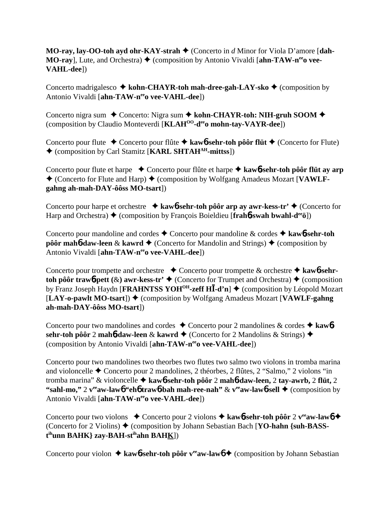**MO-ray, lay-OO-toh ayd ohr-KAY-strah**  $\blacklozenge$  **(Concerto in** *d* **Minor for Viola D'amore [dah-MO-ray**], Lute, and Orchestra) ♦ (composition by Antonio Vivaldi [ahn-TAW-n<sup>ee</sup>o vee-**VAHL-dee**])

Concerto madrigalesco **→ kohn-CHAYR-toh mah-dree-gah-LAY-sko →** (composition by Antonio Vivaldi [ahn-TAW-neeo vee-VAHL-dee])

Concerto nigra sum ◆ Concerto: Nigra sum ◆ kohn-CHAYR-toh: NIH-gruh SOOM ◆ (composition by Claudio Monteverdi [**KLAHOO-deeo mohn-tay-VAYR-dee**])

Concerto pour flute **←** Concerto pour flûte ← kaw**6-sehr-toh pôôr flüt** ← (Concerto for Flute) (composition by Carl Stamitz [**KARL SHTAHAH-mittss**])

Concerto pour flute et harpe Concerto pour flûte et harpe **kaw**6**-sehr-toh pôôr flüt ay arp** ◆ (Concerto for Flute and Harp) ◆ (composition by Wolfgang Amadeus Mozart [VAWLF**gahng ah-mah-DAY-ôôss MO-tsart**])

Concerto pour harpe et orchestre  $\rightarrow$  kaw**6**-sehr-toh pôôr arp ay awr-kess-tr'  $\rightarrow$  (Concerto for Harp and Orchestra) **→** (composition by François Boieldieu [**frahb-swah bwahl-d<sup>ee</sup>ö**])

Concerto pour mandoline and cordes Concerto pour mandoline & cordes **kaw**6**-sehr-toh pôôr mah<sup>6</sup>-daw-leen & kawrd**  $\blacklozenge$  (Concerto for Mandolin and Strings)  $\blacklozenge$  (composition by Antonio Vivaldi [ahn-TAW-neeo vee-VAHL-dee])

Concerto pour trompette and orchestre  $\rightarrow$  Concerto pour trompette  $\&$  orchestre  $\rightarrow$  kawb-sehr**toh pôôr trawb-pett** ( $\&$ ) awr-kess-tr'  $\bigstar$  (Concerto for Trumpet and Orchestra)  $\bigstar$  (composition by Franz Joseph Haydn [**FRAHNTSS YOH<sup>OH</sup>-zeff HĪ-d'n**] ♦ (composition by Léopold Mozart [LAY-o-pawlt MO-tsart]) ♦ (composition by Wolfgang Amadeus Mozart [VAWLF-gahng] **ah-mah-DAY-ôôss MO-tsart**])

Concerto pour two mandolines and cordes  $\triangle$  Concerto pour 2 mandolines & cordes  $\triangle$  kaw6 **sehr-toh pôôr 2 mah•6daw-leen & kawrd ◆** (Concerto for 2 Mandolins & Strings) ◆ (composition by Antonio Vivaldi [ahn-TAW-neeo vee-VAHL-dee])

Concerto pour two mandolines two theorbes two flutes two salmo two violons in tromba marina and violoncelle  $\triangle$  Concerto pour 2 mandolines, 2 théorbes, 2 flûtes, 2 "Salmo," 2 violons "in tromba marina" & violoncelle **kaw**6**-sehr-toh pôôr** 2 **mah**6**-daw-leen,** 2 **tay-awrb,** 2 **flüt,** 2 "sahl-mo," 2  $v^{\text{ee}}$ aw-lawb" ehb trawb-bah mah-ree-nah" &  $v^{\text{ee}}$ aw-lawb-sell  $\blacklozenge$  (composition by Antonio Vivaldi [ahn-TAW-neeo vee-VAHL-dee])

Concerto pour two violons  $\triangle$  Concerto pour 2 violons  $\triangle$  kaw**6**-sehr-toh pôôr 2 v<sup>ee</sup>aw-lawb  $\triangle$ (Concerto for 2 Violins) (composition by Johann Sebastian Bach [**YO-hahn {suh-BASSt ihunn BAHK} zay-BAH-stihahn BAHK**])

Concerto pour violon  $\triangle$  kaw**6**-sehr-toh pôôr v<sup>ee</sup>aw-law<sub>0</sub>  $\triangle$  (composition by Johann Sebastian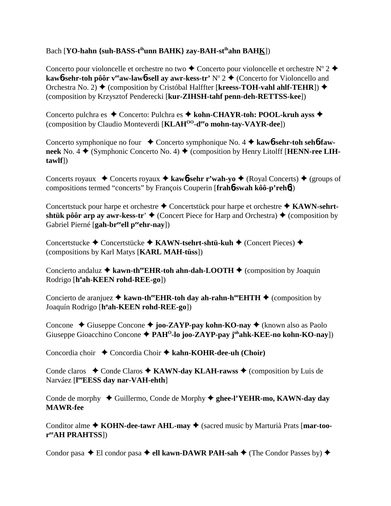## Bach [**YO-hahn** {suh-BASS-t<sup>ih</sup>unn BAHK} zay-BAH-st<sup>ih</sup>ahn BAHK])

Concerto pour violoncelle et orchestre no two  $\triangle$  Concerto pour violoncelle et orchestre N° 2  $\triangle$ **kaw6-sehr-toh pôôr v<sup>ee</sup>aw-law6-sell ay awr-kess-tr' N° 2 → (Concerto for Violoncello and** Orchestra No. 2) ♦ (composition by Cristóbal Halffter [**kreess-TOH-vahl ahlf-TEHR**]) ♦ (composition by Krzysztof Penderecki [**kur-ZIHSH-tahf penn-deh-RETTSS-kee**])

Concerto pulchra es ◆ Concerto: Pulchra es ◆ kohn-CHAYR-toh: POOL-kruh ayss ◆ (composition by Claudio Monteverdi [**KLAHOO-deeo mohn-tay-VAYR-dee**])

Concerto symphonique no four ◆ Concerto symphonique No. 4 ◆ kaw**6-sehr-toh seh6-faw**neek No. 4  $\blacklozenge$  (Symphonic Concerto No. 4)  $\blacklozenge$  (composition by Henry Litolff [**HENN-ree LIHtawlf**])

Concerts royaux  $\triangle$  Concerts royaux  $\triangle$  **kaw6-sehr r'wah-yo**  $\triangle$  (Royal Concerts)  $\triangle$  (groups of compositions termed "concerts" by François Couperin [**frah**6**-swah kôô-p'reh**6])

Concertstuck pour harpe et orchestre ◆ Concertstück pour harpe et orchestre ◆ KAWN-sehrt**shtük pôôr arp ay awr-kess-tr'**  $\blacklozenge$  (Concert Piece for Harp and Orchestra)  $\blacklozenge$  (composition by Gabriel Pierné [gah-br<sup>ee</sup>ell peehr-nay])

Concertstucke **←** Concertstücke ← KAWN-tsehrt-shtü-kuh ← (Concert Pieces) ← (compositions by Karl Matys [**KARL MAH-tüss**])

Concierto andaluz  $\triangleq$  kawn-th<sup>ee</sup>EHR-toh ahn-dah-LOOTH  $\triangleq$  (composition by Joaquin Rodrigo [**ho ah-KEEN rohd-REE-go**])

Concierto de aranjuez  $\triangle$  kawn-th<sup>ee</sup>EHR-toh day ah-rahn-h<sup>oo</sup>EHTH  $\triangle$  (composition by Joaquín Rodrigo [h°ah-KEEN rohd-REE-go])

Concone **→** Giuseppe Concone → joo-ZAYP-pay kohn-KO-nay → (known also as Paolo Giuseppe Gioacchino Concone  $\triangle$  PAH<sup>O</sup>-lo joo-ZAYP-pay j<sup>oh</sup>ahk-KEE-no kohn-KO-nay])

Concordia choir ◆ Concordia Choir ◆ kahn-KOHR-dee-uh (Choir)

Conde claros  $\triangle$  Conde Claros  $\triangle$  **KAWN-day KLAH-rawss**  $\triangle$  (composition by Luis de Narváez [**l ooEESS day nar-VAH-ehth**]

Conde de morphy ◆ Guillermo, Conde de Morphy ◆ ghee-l'YEHR-mo, KAWN-day day **MAWR-fee**

Conditor alme  $\triangle$  **KOHN-dee-tawr AHL-may**  $\triangle$  (sacred music by Marturià Prats [**mar-tooreeAH PRAHTSS**])

Condor pasa  $\triangle$  El condor pasa  $\triangle$  ell kawn-DAWR PAH-sah  $\triangle$  (The Condor Passes by)  $\triangle$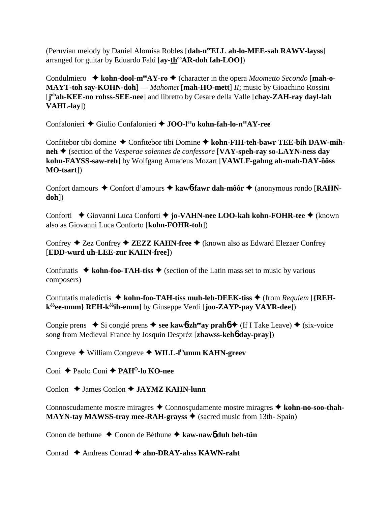(Peruvian melody by Daniel Alomisa Robles [**dah-neeELL ah-lo-MEE-sah RAWV-layss**] arranged for guitar by Eduardo Falú [ay-th<sup>oo</sup>AR-doh fah-LOO])

Condulmiero ◆ kohn-dool-m<sup>ee</sup>AY-ro ◆ (character in the opera *Maometto Secondo* [mah-o-**MAYT-toh say-KOHN-doh**] — *Mahomet* [**mah-HO-mett**] *II*; music by Gioachino Rossini [**j ohah-KEE-no rohss-SEE-nee**] and libretto by Cesare della Valle [**chay-ZAH-ray dayl-lah VAHL-lay**])

Confalonieri ◆ Giulio Confalonieri ◆ **JOO-l<sup>ee</sup>o kohn-fah-lo-n<sup>ee</sup>AY-ree** 

Confitebor tibi domine **→** Confitebor tibi Domine → kohn-FIH-teh-bawr TEE-bih DAW-mih**neh** (section of the *Vesperae solennes de confessore* [**VAY-speh-ray so-LAYN-ness day kohn-FAYSS-saw-reh**] by Wolfgang Amadeus Mozart [**VAWLF-gahng ah-mah-DAY-ôôss MO-tsart**])

Confort damours ◆ Confort d'amours ◆ kaw6**-fawr dah-môôr** ◆ (anonymous rondo [**RAHNdoh**])

Conforti **←** Giovanni Luca Conforti ← jo-VAHN-nee LOO-kah kohn-FOHR-tee ← (known also as Giovanni Luca Conforto [**kohn-FOHR-toh**])

Confrey ◆ Zez Confrey ◆ **ZEZZ KAHN-free** ◆ (known also as Edward Elezaer Confrey [**EDD-wurd uh-LEE-zur KAHN-free**])

Confutatis  $\triangle$  kohn-foo-TAH-tiss  $\triangle$  (section of the Latin mass set to music by various composers)

Confutatis maledictis ◆ kohn-foo-TAH-tiss muh-leh-DEEK-tiss ◆ (from *Requiem* [**{REHkôôee-umm} REH-kôôih-emm**] by Giuseppe Verdi [**joo-ZAYP-pay VAYR-dee**])

Congie prens  $\blacklozenge$  Si congié prens  $\blacklozenge$  see kaw**6**-zh<sup>ee</sup>ay prah**6**  $\blacklozenge$  (If I Take Leave)  $\blacklozenge$  (six-voice song from Medieval France by Josquin Despréz [**zhawss-keh**6 **day-pray**])

Congreve William Congreve **WILL-lihumm KAHN-greev**

Coni ◆ Paolo Coni **◆ PAH<sup>O</sup>-lo KO-nee** 

Conlon **→ James Conlon → JAYMZ KAHN-lunn** 

Connoscudamente mostre miragres ◆ Connoscudamente mostre miragres ◆ kohn-no-soo-thah-**MAYN-tay MAWSS-tray mee-RAH-grayss**  $\triangle$  (sacred music from 13th- Spain)

Conon de bethune Conon de Bèthune **kaw-naw**6 **duh beh-tün**

Conrad ◆ Andreas Conrad ◆ ahn-DRAY-ahss KAWN-raht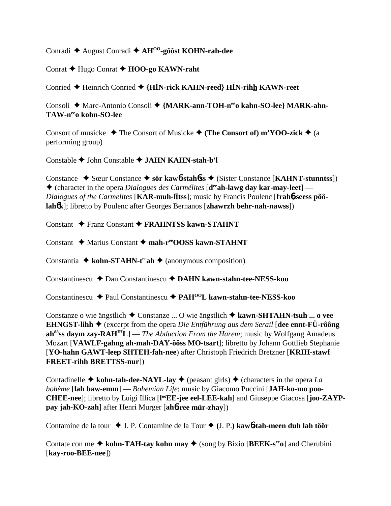Conradi August Conradi **AHOO-gôôst KOHN-rah-dee**

Conrat **→** Hugo Conrat **→ HOO-go KAWN-raht** 

Conried Heinrich Conried **{HN-rick KAHN-reed} HN-rihh KAWN-reet**

Consoli ◆ Marc-Antonio Consoli ◆ {MARK-ann-TOH-n<sup>ee</sup>o kahn-SO-lee} MARK-ahn-**TAW-neeo kohn-SO-lee**

Consort of musicke  $\triangle$  The Consort of Musicke  $\triangle$  (The Consort of) m'YOO-zick  $\triangle$  (a performing group)

Constable John Constable **JAHN KAHN-stah-b'l**

Constance Sœur Constance **sör kaw**6**-stah**6**ss** (Sister Constance [**KAHNT-stunntss**])  $\triangle$  (character in the opera *Dialogues des Carmélites* [**d**<sup>ee</sup>**ah-lawg day kar-may-leet**] — *Dialogues of the Carmelites* [KAR-muh-litss]; music by Francis Poulenc [frah6-seess pôô**lah**6**k**]; libretto by Poulenc after Georges Bernanos [**zhawrzh behr-nah-nawss**])

Constant Franz Constant **FRAHNTSS kawn-STAHNT**

Constant **→** Marius Constant → mah-reeOOSS kawn-STAHNT

Constantia  $\triangle$  kohn-STAHN-t<sup>ee</sup>ah  $\triangle$  (anonymous composition)

Constantinescu Dan Constantinescu **DAHN kawn-stahn-tee-NESS-koo**

Constantinescu Paul Constantinescu **PAHOOL kawn-stahn-tee-NESS-koo**

Constanze o wie ängstlich Constanze ... O wie ängstlich  **kawn-SHTAHN-tsuh ... o vee EHNGST-lihh** (excerpt from the opera *Die Entführung aus dem Serail* [**dee ennt-FÜ-rôông ahôôss daym zay-RAHIHL**] — *The Abduction From the Harem*; music by Wolfgang Amadeus Mozart [**VAWLF-gahng ah-mah-DAY-ôôss MO-tsart**]; libretto by Johann Gottlieb Stephanie [**YO-hahn GAWT-leep SHTEH-fah-nee**) after Christoph Friedrich Bretzner [**KRIH-stawf FREET-rihh BRETTSS-nur**])

Contadinelle  $\triangle$  **kohn-tah-dee-NAYL-lay**  $\triangle$  (peasant girls)  $\triangle$  (characters in the opera *La bohème* [**lah baw-emm**] — *Bohemian Life*; music by Giacomo Puccini [**JAH-ko-mo poo-**CHEE-nee]; libretto by Luigi Illica [l<sup>oo</sup>EE-jee eel-LEE-kah] and Giuseppe Giacosa [joo-ZAYP**pay jah-KO-zah**] after Henri Murger [**ah**6**-ree mür-zhay**])

Contamine de la tour **↓** J. P. Contamine de la Tour ♦ (J. P.) kaw**6-tah-meen duh lah tôôr** 

Contate con me  $\triangle$  kohn-TAH-tay kohn may  $\triangle$  (song by Bixio [BEEK-s<sup>ee</sup>o] and Cherubini [**kay-roo-BEE-nee**])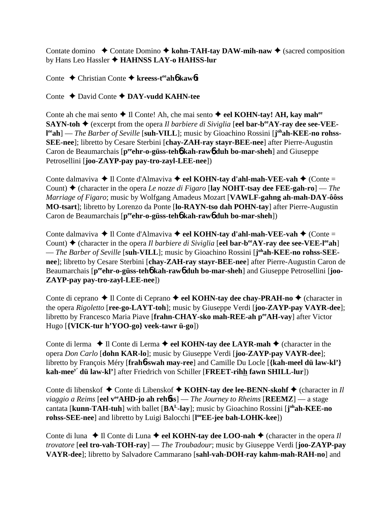Contate domino  $\triangle$  Contate Domino  $\triangle$  kohn-TAH-tay DAW-mih-naw  $\triangle$  (sacred composition by Hans Leo Hassler **HAHNSS LAY-o HAHSS-lur**

Conte Christian Conte **kreess-teeah**6 **kaw**6**t**

Conte David Conte **DAY-vudd KAHN-tee**

Conte ah che mai sento **→** Il Conte! Ah, che mai sento **→ eel KOHN-tay! AH, kay mah<sup>ee</sup> SAYN-toh**  $\blacklozenge$  (excerpt from the opera *Il barbiere di Siviglia* [eel **bar-b<sup>ee</sup>AY-ray dee see-VEE**l<sup>ee</sup>ah] — *The Barber of Seville* [suh-VILL]; music by Gioachino Rossini [j<sup>oh</sup>ah-KEE-no rohss-**SEE-nee**]; libretto by Cesare Sterbini [**chay-ZAH-ray stayr-BEE-nee**] after Pierre-Augustin Caron de Beaumarchais [p<sup>ee</sup>ehr-o-güss-teh**6** kah-raw**6** duh bo-mar-sheh] and Giuseppe Petrosellini [**joo-ZAYP-pay pay-tro-zayl-LEE-nee**])

Conte dalmaviva **→ Il Conte d'Almaviva → eel KOHN-tay d'ahl-mah-VEE-vah →** (Conte = Count) (character in the opera *Le nozze di Figaro* [**lay NOHT-tsay dee FEE-gah-ro**] — *The Marriage of Figaro*; music by Wolfgang Amadeus Mozart [**VAWLF-gahng ah-mah-DAY-ôôss MO-tsart**]; libretto by Lorenzo da Ponte [**lo-RAYN-tso dah POHN-tay**] after Pierre-Augustin Caron de Beaumarchais [p<sup>ee</sup>ehr-o-güss-teh**o** kah-rawo duh bo-mar-sheh])

Conte dalmaviva **→ Il Conte d'Almaviva → eel KOHN-tay d'ahl-mah-VEE-vah →** (Conte = Count)  $\triangle$  (character in the opera *Il barbiere di Siviglia* [**eel bar-b<sup>ee</sup>AY-ray dee see-VEE-l<sup>ee</sup>ah**] — *The Barber of Seville* [suh-VILL]; music by Gioachino Rossini [j<sup>oh</sup>ah-KEE-no rohss-SEE**nee**]; libretto by Cesare Sterbini [**chay-ZAH-ray stayr-BEE-nee**] after Pierre-Augustin Caron de Beaumarchais [p<sup>ee</sup>ehr-o-güss-teh**6** kah-raw**6** duh bo-mar-sheh] and Giuseppe Petrosellini [joo-**ZAYP-pay pay-tro-zayl-LEE-nee**])

Conte di ceprano ◆ Il Conte di Ceprano ◆ eel KOHN-tay dee chay-PRAH-no ◆ (character in the opera *Rigoletto* [**ree-go-LAYT-toh**]; music by Giuseppe Verdi [**joo-ZAYP-pay VAYR-dee**]; libretto by Francesco Maria Piave [**frahn-CHAY-sko mah-REE-ah peeAH-vay**] after Victor Hugo [**{VICK-tur h'YOO-go} veek-tawr ü-go**])

Conte di lerma  $\blacklozenge$  Il Conte di Lerma  $\blacklozenge$  **eel KOHN-tay dee LAYR-mah**  $\blacklozenge$  (character in the opera *Don Carlo* [**dohn KAR-lo**]; music by Giuseppe Verdi [**joo-ZAYP-pay VAYR-dee**]; libretto by François Méry [**frah**6**-swah may-ree**] and Camille Du Locle [**{kah-meel dü law-kl'} kah-meey' dü law-kl'**] after Friedrich von Schiller [**FREET-rihh fawn SHILL-lur**])

Conte di libenskof ◆ Conte di Libenskof ◆ KOHN-tay dee lee-BENN-skohf ◆ (character in *Il viaggio a Reims* [eel v<sup>ee</sup>AHD-jo ah rehbss] — *The Journey to Rheims* [REEMZ] — a stage cantata [**kunn-TAH-tuh**] with ballet [**BAL-lay**]; music by Gioachino Rossini [**j ohah-KEE-no rohss-SEE-nee**] and libretto by Luigi Balocchi [**l ooEE-jee bah-LOHK-kee**])

Conte di luna  $\triangle$  Il Conte di Luna  $\triangle$  eel KOHN-tay dee LOO-nah  $\triangle$  (character in the opera *Il trovatore* [**eel tro-vah-TOH-ray**] — *The Troubadour*; music by Giuseppe Verdi [**joo-ZAYP-pay VAYR-dee**]; libretto by Salvadore Cammarano [**sahl-vah-DOH-ray kahm-mah-RAH-no**] and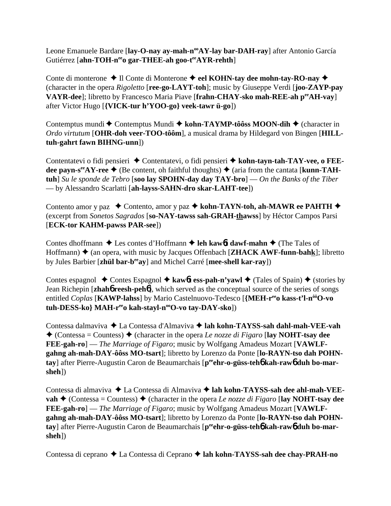Leone Emanuele Bardare [lay-O-nay ay-mah-n<sup>oo</sup>AY-lay bar-DAH-ray] after Antonio García Gutiérrez [ahn-TOH-n<sup>ee</sup>o gar-THEE-ah goo-t<sup>ee</sup>AYR-rehth]

Conte di monterone  $\triangle$  Il Conte di Monterone  $\triangle$  **eel KOHN-tay dee mohn-tay-RO-nay** ◆ (character in the opera *Rigoletto* [**ree-go-LAYT-toh**]; music by Giuseppe Verdi [**joo-ZAYP-pay VAYR-dee**]; libretto by Francesco Maria Piave [**frahn-CHAY-sko mah-REE-ah peeAH-vay**] after Victor Hugo [**{VICK-tur h'YOO-go} veek-tawr ü-go**])

Contemptus mundi ◆ Contemptus Mundi ◆ kohn-TAYMP-tôôss MOON-dih ◆ (character in *Ordo virtutum* [**OHR-doh veer-TOO-tôôm**], a musical drama by Hildegard von Bingen [**HILLtuh-gahrt fawn BIHNG-unn**])

Contentatevi o fidi pensieri ◆ Contentatevi, o fidi pensieri ◆ kohn-tayn-tah-TAY-vee, o FEEdee payn-s<sup>ee</sup> AY-ree  $\triangle$  (Be content, oh faithful thoughts)  $\triangle$  (aria from the cantata [**kunn-TAHtuh**] *Su le sponde de Tebro* [**soo lay SPOHN-day day TAY-bro**] — *On the Banks of the Tiber* — by Alessandro Scarlatti [**ah-layss-SAHN-dro skar-LAHT-tee**])

Contento amor y paz  **←** Contento, amor y paz ← kohn-TAYN-toh, ah-MAWR ee PAHTH ← (excerpt from *Sonetos Sagrados* [**so-NAY-tawss sah-GRAH-thawss**] by Héctor Campos Parsi [**ECK-tor KAHM-pawss PAR-see**])

Contes dhoffmann **→** Les contes d'Hoffmann **→ leh kaw6t dawf-mahn →** (The Tales of Hoffmann)  $\triangle$  (an opera, with music by Jacques Offenbach [**ZHACK AWF-funn-bahk**]; libretto by Jules Barbier [**zhül bar-beeay**] and Michel Carré [**mee-shell kar-ray**])

Contes espagnol  $\triangle$  Contes Espagnol  $\triangle$  **kaw6t ess-pah-n'yawl**  $\triangle$  (Tales of Spain)  $\triangle$  (stories by Jean Richepin [**zhah**6 **reesh-peh**6], which served as the conceptual source of the series of songs entitled *Coplas* [**KAWP-lahss**] by Mario Castelnuovo-Tedesco [**{MEH-reeo kass-t'l-nôôO-vo** tuh-DESS-ko} MAH-r<sup>ee</sup>o kah-stayl-n<sup>oo</sup>O-vo tay-DAY-sko])

Contessa dalmaviva  **←** La Contessa d'Almaviva **← lah kohn-TAYSS-sah dahl-mah-VEE-vah**  $\triangle$  (Contessa = Countess)  $\triangle$  (character in the opera *Le nozze di Figaro* [**lay NOHT-tsay dee FEE-gah-ro**] — *The Marriage of Figaro*; music by Wolfgang Amadeus Mozart [**VAWLFgahng ah-mah-DAY-ôôss MO-tsart**]; libretto by Lorenzo da Ponte [**lo-RAYN-tso dah POHN**tay] after Pierre-Augustin Caron de Beaumarchais [peen**-o-güss-teh6 kah-raw6 duh bo-marsheh**])

Contessa di almaviva ◆ La Contessa di Almaviva ◆ lah kohn-TAYSS-sah dee ahl-mah-VEE**vah**  $\triangle$  (Contessa = Countess)  $\triangle$  (character in the opera *Le nozze di Figaro* [**lay NOHT-tsay dee FEE-gah-ro**] — *The Marriage of Figaro*; music by Wolfgang Amadeus Mozart [**VAWLFgahng ah-mah-DAY-ôôss MO-tsart**]; libretto by Lorenzo da Ponte [**lo-RAYN-tso dah POHN**tay] after Pierre-Augustin Caron de Beaumarchais [peen**-o-güss-teh6 kah-raw6 duh bo-marsheh**])

Contessa di ceprano ◆ La Contessa di Ceprano ◆ lah kohn-TAYSS-sah dee chay-PRAH-no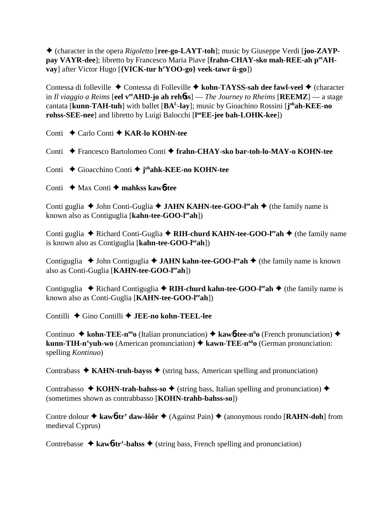(character in the opera *Rigoletto* [**ree-go-LAYT-toh**]; music by Giuseppe Verdi [**joo-ZAYPpay VAYR-dee**]; libretto by Francesco Maria Piave [**frahn-CHAY-sko mah-REE-ah peeAHvay**] after Victor Hugo [**{VICK-tur h'YOO-go} veek-tawr ü-go**])

Contessa di folleville ◆ Contessa di Folleville ◆ kohn-TAYSS-sah dee fawl-veel ◆ (character in *Il viaggio a Reims* [**eel v<sup>ee</sup>AHD-jo ah reh6ss**] — *The Journey to Rheims* [**REEMZ**] — a stage cantata [**kunn-TAH-tuh**] with ballet [**BAL-lay**]; music by Gioachino Rossini [**j ohah-KEE-no rohss-SEE-nee**] and libretto by Luigi Balocchi [**l ooEE-jee bah-LOHK-kee**])

Conti **←** Carlo Conti ← **KAR-lo KOHN-tee** 

Conti Francesco Bartolomeo Conti **frahn-CHAY-sko bar-toh-lo-MAY-o KOHN-tee**

Conti Gioacchino Conti **j ohahk-KEE-no KOHN-tee**

Conti **→** Max Conti → mahkss kaw6-tee

Conti guglia ◆ John Conti-Guglia ◆ **JAHN KAHN-tee-GOO-l<sup>ee</sup>ah** ◆ (the family name is known also as Contiguglia [**kahn-tee-GOO-leeah**])

Conti guglia ◆ Richard Conti-Guglia ◆ **RIH-churd KAHN-tee-GOO-l<sup>ee</sup>ah** ◆ (the family name is known also as Contiguglia [**kahn-tee-GOO-leeah**])

Contiguglia **→** John Contiguglia **→ JAHN kahn-tee-GOO-l<sup>ee</sup>ah** → (the family name is known also as Conti-Guglia [**KAHN-tee-GOO-leeah**])

Contiguglia  $\blacklozenge$  Richard Contiguglia  $\blacklozenge$  **RIH-churd kahn-tee-GOO-l<sup>ee</sup>ah**  $\blacklozenge$  (the family name is known also as Conti-Guglia [**KAHN-tee-GOO-leeah**])

Contilli Gino Contilli **JEE-no kohn-TEEL-lee**

Continuo ◆ kohn-TEE-n<sup>oo</sup>o (Italian pronunciation) ◆ kaw6-tee-n<sup>ü</sup>o (French pronunciation) ◆ **kunn-TIH-n'yuh-wo** (American pronunciation) **kawn-TEE-nôôo** (German pronunciation: spelling *Kontinuo*)

Contrabass  $\triangle$  **KAHN-truh-bayss**  $\triangle$  (string bass, American spelling and pronunciation)

Contrabasso  $\triangle$  **KOHN-trah-bahss-so**  $\triangle$  (string bass, Italian spelling and pronunciation)  $\triangle$ (sometimes shown as contrabbasso [**KOHN-trahb-bahss-so**])

Contre dolour ◆ kaw6-tr' daw-lôôr ◆ (Against Pain) ◆ (anonymous rondo [RAHN-doh] from medieval Cyprus)

Contrebasse  $\triangle$  kawb-tr'-bahss  $\triangle$  (string bass, French spelling and pronunciation)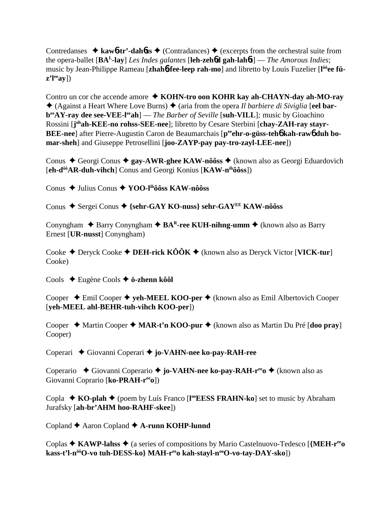Contredanses  $\triangle$  kaw<sup>6</sup>-tr'-dah*b*ss  $\triangle$  (Contradances)  $\triangle$  (excerpts from the orchestral suite from the opera-ballet [**BAL-lay**] *Les Indes galantes* [**leh-zeh**6**d gah-lah**6**t**] — *The Amorous Indies*; music by Jean-Philippe Rameau [**zhah**6**-fee-leep rah-mo**] and libretto by Louis Fuzelier [**l ôôee füz'l**ee<sub>ay</sub>])

Contro un cor che accende amore  **KOHN-tro oon KOHR kay ah-CHAYN-day ah-MO-ray** ◆ (Against a Heart Where Love Burns) ◆ (aria from the opera *Il barbiere di Siviglia* [eel bar**beeAY-ray dee see-VEE-leeah**] — *The Barber of Seville* [**suh-VILL**]*;* music by Gioachino Rossini [j<sup>oh</sup>ah-KEE-no rohss-SEE-nee]; libretto by Cesare Sterbini [chay-ZAH-ray stayr-**BEE-nee**] after Pierre-Augustin Caron de Beaumarchais [peehr-o-güss-tehb kah-rawb duh bo**mar-sheh**] and Giuseppe Petrosellini [**joo-ZAYP-pay pay-tro-zayl-LEE-nee**])

Conus Georgi Conus **gay-AWR-ghee KAW-nôôss** (known also as Georgi Eduardovich [**eh-dôôAR-duh-vihch**] Conus and Georgi Konius [**KAW-nihôôss**])

Conus Julius Conus **YOO-lihôôss KAW-nôôss**

Conus ◆ Sergei Conus ◆ {sehr-GAY KO-nuss} sehr-GAY<sup>EE</sup> KAW-nôôss

Conyngham  $\triangle$  Barry Conyngham  $\triangle$  **BA<sup>R</sup>-ree KUH-nihng-umm**  $\triangle$  (known also as Barry Ernest [**UR-nusst**] Conyngham)

Cooke  $\triangle$  Deryck Cooke  $\triangle$  **DEH-rick KÔÔK**  $\triangle$  (known also as Deryck Victor [**VICK-tur**] Cooke)

Cools Eugène Cools **ö-zhenn kôôl**

Cooper **→** Emil Cooper **→ yeh-MEEL KOO-per** → (known also as Emil Albertovich Cooper [**yeh-MEEL ahl-BEHR-tuh-vihch KOO-per**])

Cooper  $\triangle$  Martin Cooper  $\triangle$  **MAR-t'n KOO-pur**  $\triangle$  (known also as Martin Du Pré [**doo pray**] Cooper)

Coperari **←** Giovanni Coperari ← jo-VAHN-nee ko-pay-RAH-ree

Coperario **←** Giovanni Coperario ← jo-VAHN-nee ko-pay-RAH-r<sup>ee</sup>o ← (known also as Giovanni Coprario [**ko-PRAH-reeo**])

Copla **→ KO-plah →** (poem by Luís Franco [l<sup>oo</sup>EESS FRAHN-ko] set to music by Abraham Jurafsky [**ah-br'AHM hoo-RAHF-skee**])

Copland **←** Aaron Copland ← **A-runn KOHP-lunnd** 

Coplas **KAWP-lahss**  (a series of compositions by Mario Castelnuovo-Tedesco [**{MEH-reeo** kass-t'l-n<sup>ôô</sup>O-vo tuh-DESS-ko} MAH-r<sup>ee</sup>o kah-stayl-n<sup>oo</sup>O-vo-tay-DAY-sko])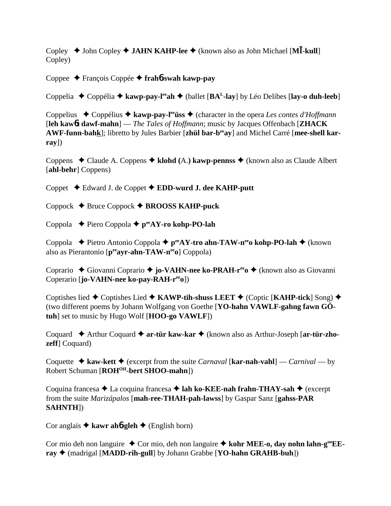Copley  $\blacklozenge$  John Copley  $\blacklozenge$  **JAHN KAHP-lee**  $\blacklozenge$  (known also as John Michael [M**I**-kull] Copley)

Coppee François Coppée **frah**6**-swah kawp-pay**

Coppelia  $\triangle$  Coppélia  $\triangle$  kawp-pay-l<sup>ee</sup>ah  $\triangle$  (ballet [BA<sup>L</sup>-lay] by Léo Delibes [lay-o duh-leeb]

Coppelius Coppélius **kawp-pay-leeüss** (character in the opera *Les contes d'Hoffmann* [**leh kaw**6**t dawf-mahn**] — *The Tales of Hoffmann*; music by Jacques Offenbach [**ZHACK AWF-funn-bahk**]; libretto by Jules Barbier [**zhül bar-beeay**] and Michel Carré [**mee-shell karray**])

Coppens Claude A. Coppens **klohd (**A.**) kawp-pennss** (known also as Claude Albert [**ahl-behr**] Coppens)

Coppet Edward J. de Coppet **EDD-wurd J. dee KAHP-putt**

Coppock Bruce Coppock **BROOSS KAHP-puck**

Coppola Piero Coppola **peeAY-ro kohp-PO-lah**

Coppola **→** Pietro Antonio Coppola → p<sup>ee</sup>AY-tro ahn-TAW-n<sup>ee</sup>o kohp-PO-lah → (known also as Pierantonio [**peeayr-ahn-TAW-neeo**] Coppola)

Coprario ◆ Giovanni Coprario ◆ jo-VAHN-nee ko-PRAH-r<sup>ee</sup>o ◆ (known also as Giovanni Coperario [**jo-VAHN-nee ko-pay-RAH-reeo**])

Coptishes lied **←** Coptishes Lied ← KAWP-tih-shuss LEET ← (Coptic [KAHP-tick] Song) ← (two different poems by Johann Wolfgang von Goethe [**YO-hahn VAWLF-gahng fawn GÖtuh**] set to music by Hugo Wolf [**HOO-go VAWLF**])

Coquard Arthur Coquard **ar-tür kaw-kar** (known also as Arthur-Joseph [**ar-tür-zhozeff**] Coquard)

Coquette  $\triangle$  **kaw-kett**  $\triangle$  (excerpt from the suite *Carnaval* [**kar-nah-vahl**] — *Carnival* — by Robert Schuman [**ROHOH-bert SHOO-mahn**])

Coquina francesa **→** La coquina francesa → lah ko-KEE-nah frahn-THAY-sah → (excerpt from the suite *Marizápalos* [**mah-ree-THAH-pah-lawss**] by Gaspar Sanz [**gahss-PAR SAHNTH**])

Cor anglais  $\triangle$  **kawr ah<sub>6</sub>-gleh**  $\triangle$  (English horn)

Cor mio deh non languire ◆ Cor mio, deh non languire ◆ kohr MEE-o, day nohn lahn-g<sup>oo</sup>EE**ray** (madrigal [**MADD-rih-gull**] by Johann Grabbe [**YO-hahn GRAHB-buh**])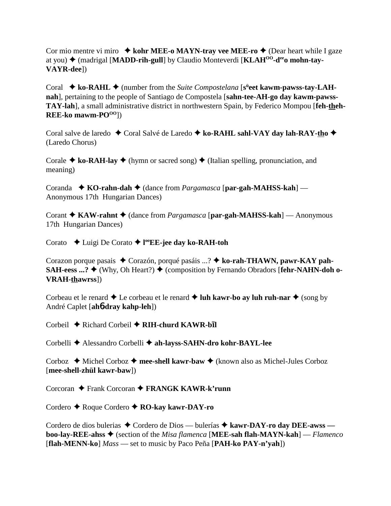Cor mio mentre vi miro **↓ kohr MEE-o MAYN-tray vee MEE-ro ◆** (Dear heart while I gaze at you) ◆ (madrigal [MADD-rih-gull] by Claudio Monteverdi [KLAH<sup>00</sup>-d<sup>ee</sup>o mohn-tay-**VAYR-dee**])

Coral ◆ ko-RAHL ◆ (number from the *Suite Compostelana* [s<sup>ü</sup>eet kawm-pawss-tay-LAH**nah**], pertaining to the people of Santiago de Compostela [**sahn-tee-AH-go day kawm-pawss-TAY-lah**], a small administrative district in northwestern Spain, by Federico Mompou [**feh-theh-REE-ko** mawm-PO<sup>OO</sup>l)

Coral salve de laredo ◆ Coral Salvé de Laredo ◆ ko-RAHL sahl-VAY day lah-RAY-tho ◆ (Laredo Chorus)

Corale  $\triangle$  ko-RAH-lay  $\triangle$  (hymn or sacred song)  $\triangle$  (Italian spelling, pronunciation, and meaning)

Coranda  **↑ KO-rahn-dah ◆** (dance from *Pargamasca* [par-gah-MAHSS-kah] — Anonymous 17th Hungarian Dances)

Corant **→ KAW-rahnt** → (dance from *Pargamasca* [par-gah-MAHSS-kah] — Anonymous 17th Hungarian Dances)

Corato Luigi De Corato **l ooEE-jee day ko-RAH-toh**

Corazon porque pasais Corazón, porqué pasáis ...? **ko-rah-THAWN, pawr-KAY pah-SAH-eess ...? ♦ (Why, Oh Heart?) ♦ (composition by Fernando Obradors [fehr-NAHN-doh o-VRAH-thawrss**])

Corbeau et le renard  $\triangle$  Le corbeau et le renard  $\triangle$  luh kawr-bo ay luh ruh-nar  $\triangle$  (song by André Caplet [**ah**6**-dray kahp-leh**])

Corbeil  $\triangle$  Richard Corbeil  $\triangle$  RIH-churd KAWR-bil

Corbelli Alessandro Corbelli **ah-layss-SAHN-dro kohr-BAYL-lee**

Corboz ◆ Michel Corboz ◆ mee-shell kawr-baw ◆ (known also as Michel-Jules Corboz [**mee-shell-zhül kawr-baw**])

Corcoran Frank Corcoran **FRANGK KAWR-k'runn**

Cordero Roque Cordero **RO-kay kawr-DAY-ro**

Cordero de dios bulerias ◆ Cordero de Dios — bulerías ◆ kawr-DAY-ro day DEE-awss **boo-lay-REE-ahss** (section of the *Misa flamenca* [**MEE-sah flah-MAYN-kah**] — *Flamenco* [**flah-MENN-ko**] *Mass* — set to music by Paco Peña [**PAH-ko PAY-n'yah**])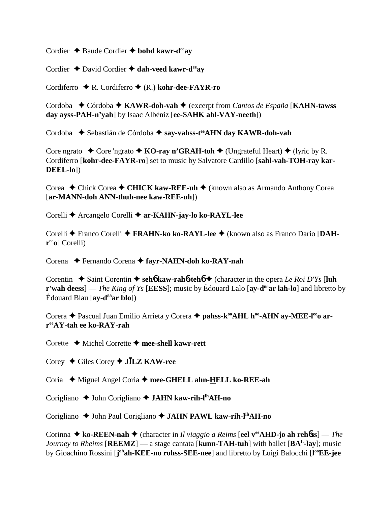Cordier **→** Baude Cordier **→ bohd kawr-d<sup>ee</sup>av** 

Cordier  $\triangle$  David Cordier  $\triangle$  dah-veed kawr-d<sup>ee</sup>av

Cordiferro R. Cordiferro **(**R.**) kohr-dee-FAYR-ro**

Cordoba **←** Córdoba ← **KAWR-doh-vah** ← (excerpt from *Cantos de España* [**KAHN-tawss day ayss-PAH-n'yah**] by Isaac Albéniz [**ee-SAHK ahl-VAY-neeth**])

Cordoba  **◆** Sebastián de Córdoba ◆ say-vahss-t<sup>ee</sup>AHN day KAWR-doh-vah

Core ngrato  $\triangle$  Core 'ngrato  $\triangle$  **KO-ray n'GRAH-toh**  $\triangle$  (Ungrateful Heart)  $\triangle$  (lyric by R. Cordiferro [**kohr-dee-FAYR-ro**] set to music by Salvatore Cardillo [**sahl-vah-TOH-ray kar-DEEL-lo**])

Corea ◆ Chick Corea ◆ CHICK kaw-REE-uh ◆ (known also as Armando Anthony Corea [**ar-MANN-doh ANN-thuh-nee kaw-REE-uh**])

Corelli ◆ Arcangelo Corelli ◆ ar-KAHN-jay-lo ko-RAYL-lee

Corelli Franco Corelli **FRAHN-ko ko-RAYL-lee** (known also as Franco Dario [**DAHreeo**] Corelli)

Corena Fernando Corena **fayr-NAHN-doh ko-RAY-nah**

Corentin  $\triangle$  Saint Corentin  $\triangle$  seh**6** kaw-rah**6**-teh**6**  $\triangle$  (character in the opera *Le Roi D'Ys* [luh **r'wah deess**] — *The King of Ys* [**EESS**]; music by Édouard Lalo [**av-d<sup>ôô</sup>ar lah-lo**] and libretto by Édouard Blau [**ay-dôôar blo**])

Corera ◆ Pascual Juan Emilio Arrieta y Corera ◆ pahss-k<sup>oo</sup>AHL h<sup>oo</sup>-AHN ay-MEE-l<sup>ee</sup>o ar**reeAY-tah ee ko-RAY-rah**

Corette Michel Corrette **mee-shell kawr-rett**

Corey Giles Corey **JLZ KAW-ree**

Coria ◆ Miguel Angel Coria ◆ mee-GHELL ahn-HELL ko-REE-ah

Corigliano ◆ John Corigliano ◆ **JAHN kaw-rih-l<sup>ih</sup>AH-no** 

Corigliano ◆ John Paul Corigliano ◆ JAHN PAWL kaw-rih-l<sup>ih</sup>AH-no

Corinna **→ ko-REEN-nah →** (character in *Il viaggio a Reims* [eel v<sup>ee</sup>AHD-jo ah reh6ss] — *The Journey to Rheims* [**REEMZ**] — a stage cantata [**kunn-TAH-tuh**] with ballet [**BAL-lay**]; music by Gioachino Rossini [*j*<sup>oh</sup>ah-KEE-no rohss-SEE-nee] and libretto by Luigi Balocchi [l<sup>oo</sup>EE-jee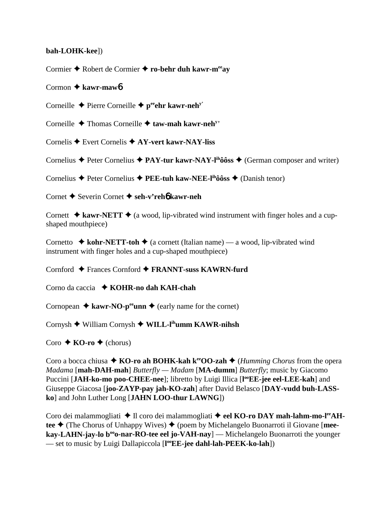## **bah-LOHK-kee**])

Cormier ◆ Robert de Cormier ◆ ro-behr duh kawr-m<sup>ee</sup>av

## Cormon **kawr-maw**6

Corneille  $\triangle$  Pierre Corneille  $\triangle$  p<sup>ee</sup>ehr kawr-neh<sup>y'</sup>

Corneille ◆ Thomas Corneille ◆ taw-mah kawr-neh<sup>y</sup>

Cornelis Evert Cornelis **AY-vert kawr-NAY-liss**

Cornelius  $\triangle$  Peter Cornelius  $\triangle$  **PAY-tur kawr-NAY-l<sup>ih</sup>ôôss**  $\triangle$  (German composer and writer)

Cornelius Peter Cornelius **PEE-tuh kaw-NEE-lihôôss** (Danish tenor)

Cornet Severin Cornet  **seh-v'reh**6 **kawr-neh**

Cornett  $\triangle$  **kawr-NETT**  $\triangle$  (a wood, lip-vibrated wind instrument with finger holes and a cupshaped mouthpiece)

Cornetto  $\triangle$  **kohr-NETT-toh**  $\triangle$  (a cornett (Italian name) — a wood, lip-vibrated wind instrument with finger holes and a cup-shaped mouthpiece)

Cornford Frances Cornford **FRANNT-suss KAWRN-furd**

Corno da caccia **KOHR-no dah KAH-chah**

Cornopean  $\triangle$  **kawr-NO-p<sup>ee</sup>unn**  $\triangle$  (early name for the cornet)

Cornysh William Cornysh **WILL-lihumm KAWR-nihsh**

 $\text{Coro} \triangleleft \text{KO-ro} \triangleleft (\text{chorus})$ 

Coro a bocca chiusa  $\triangle$  **KO-ro ah BOHK-kah k<sup>ee</sup>OO-zah**  $\triangle$  (*Humming Chorus* from the opera *Madama* [**mah-DAH-mah**] *Butterfly — Madam* [**MA-dumm**] *Butterfly*; music by Giacomo Puccini [JAH-ko-mo poo-CHEE-nee]; libretto by Luigi Illica [l<sup>oo</sup>EE-jee eel-LEE-kah] and Giuseppe Giacosa [**joo-ZAYP-pay jah-KO-zah**] after David Belasco [**DAY-vudd buh-LASSko**] and John Luther Long [**JAHN LOO-thur LAWNG**])

Coro dei malammogliati  $\triangleq$  Il coro dei malammogliati  $\triangleq$  eel KO-ro DAY mah-lahm-mo-l<sup>ee</sup>AHtee **→** (The Chorus of Unhappy Wives) ◆ (poem by Michelangelo Buonarroti il Giovane [**meekay-LAHN-jay-lo b<sup>oo</sup>o-nar-RO-tee eel jo-VAH-nay**] — Michelangelo Buonarroti the younger — set to music by Luigi Dallapiccola [**l ooEE-jee dahl-lah-PEEK-ko-lah**])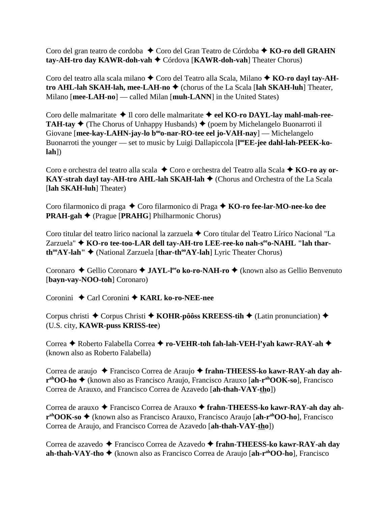Coro del gran teatro de cordoba ◆ Coro del Gran Teatro de Córdoba ◆ KO-ro dell GRAHN **tay-AH-tro day KAWR-doh-vah** Córdova [**KAWR-doh-vah**] Theater Chorus)

Coro del teatro alla scala milano  $\triangle$  Coro del Teatro alla Scala, Milano  $\triangle$  KO-ro dayl tay-AH**tro AHL-lah SKAH-lah, mee-LAH-no**  (chorus of the La Scala [**lah SKAH-luh**] Theater, Milano [**mee-LAH-no**] — called Milan [**muh-LANN**] in the United States)

Coro delle malmaritate ◆ Il coro delle malmaritate ◆ eel KO-ro DAYL-lay mahl-mah-ree-**TAH-tay**  $\triangle$  (The Chorus of Unhappy Husbands)  $\triangle$  (poem by Michelangelo Buonarroti il Giovane [mee-kay-LAHN-jay-lo b<sup>oo</sup>o-nar-RO-tee eel jo-VAH-nay] — Michelangelo Buonarroti the younger — set to music by Luigi Dallapiccola [l<sup>oo</sup>EE-jee dahl-lah-PEEK-ko**lah**])

Coro e orchestra del teatro alla scala  $\triangle$  Coro e orchestra del Teatro alla Scala  $\triangle$  KO-ro ay or-**KAY-strah dayl tay-AH-tro AHL-lah SKAH-lah** ♦ (Chorus and Orchestra of the La Scala [**lah SKAH-luh**] Theater)

Coro filarmonico di praga ◆ Coro filarmonico di Praga ◆ **KO-ro fee-lar-MO-nee-ko dee PRAH-gah ♦ (Prague [PRAHG] Philharmonic Chorus)** 

Coro titular del teatro lirico nacional la zarzuela  $\triangle$  Coro titular del Teatro Lírico Nacional "La Zarzuela" ◆ KO-ro tee-too-LAR dell tay-AH-tro LEE-ree-ko nah-s<sup>ee</sup>o-NAHL "lah thar**th<sup>∞</sup>AY-lah'' ◆** (National Zarzuela [**thar-th<sup>∞</sup>AY-lah**] Lyric Theater Chorus)

Coronaro ◆ Gellio Coronaro ◆ **JAYL-l<sup>ee</sup>o ko-ro-NAH-ro** ◆ (known also as Gellio Benvenuto [**bayn-vay-NOO-toh**] Coronaro)

Coronini ◆ Carl Coronini ◆ KARL ko-ro-NEE-nee

Corpus christi ◆ Corpus Christi ◆ KOHR-pôôss KREESS-tih ◆ (Latin pronunciation) ◆ (U.S. city, **KAWR-puss KRISS-tee**)

Correa ◆ Roberto Falabella Correa ◆ ro-VEHR-toh fah-lah-VEH-l'yah kawr-RAY-ah ◆ (known also as Roberto Falabella)

Correa de araujo ◆ Francisco Correa de Araujo ◆ frahn-THEESS-ko kawr-RAY-ah day ah**rahOO-ho** (known also as Francisco Araujo, Francisco Arauxo [**ah-rahOOK-so**], Francisco Correa de Arauxo, and Francisco Correa de Azavedo [**ah-thah-VAY-tho**])

Correa de arauxo ◆ Francisco Correa de Arauxo ◆ frahn-THEESS-ko kawr-RAY-ah day ah**rahOOK-so** (known also as Francisco Arauxo, Francisco Araujo [**ah-rahOO-ho**], Francisco Correa de Araujo, and Francisco Correa de Azavedo [**ah-thah-VAY-tho**])

Correa de azavedo Francisco Correa de Azavedo **frahn-THEESS-ko kawr-RAY-ah day ah-thah-VAY-tho** (known also as Francisco Correa de Araujo [**ah-rahOO-ho**], Francisco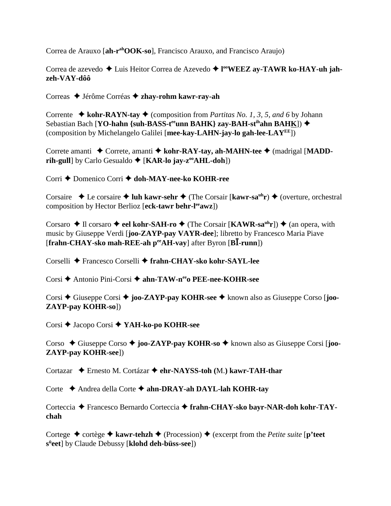Correa de Arauxo [**ah-rahOOK-so**], Francisco Arauxo, and Francisco Araujo)

Correa de azevedo ◆ Luis Heitor Correa de Azevedo ◆ l<sup>oo</sup>WEEZ ay-TAWR ko-HAY-uh jah**zeh-VAY-dôô**

Correas Jérôme Corréas **zhay-rohm kawr-ray-ah**

Corrente  $\triangleleft$  **kohr-RAYN-tay**  $\triangleleft$  (composition from *Partitas No. 1, 3, 5, and 6 by Johann* Sebastian Bach [**YO-hahn** {suh-BASS-t<sup>ee</sup>unn BAHK} zay-BAH-st<sup>ih</sup>ahn BAHK]) ◆ (composition by Michelangelo Galilei [**mee-kay-LAHN-jay-lo gah-lee-LAYEE**])

Correte amanti ◆ Correte, amanti ◆ kohr-RAY-tay, ah-MAHN-tee ◆ (madrigal [MADD**rih-gull**] by Carlo Gesualdo ♦ [**KAR-lo jay-z<sup>oo</sup>AHL-doh**])

Corri ◆ Domenico Corri ◆ doh-MAY-nee-ko KOHR-ree

Corsaire  $\triangle$  Le corsaire  $\triangle$  luh kawr-sehr  $\triangle$  (The Corsair [kawr-sa<sup>uh</sup>r)  $\triangle$  (overture, orchestral composition by Hector Berlioz [**eck-tawr behr-leeawz**])

Corsaro ◆ Il corsaro ◆ eel kohr-SAH-ro ◆ (The Corsair [KAWR-sa<sup>uh</sup>r]) ◆ (an opera, with music by Giuseppe Verdi [**joo-ZAYP-pay VAYR-dee**]; libretto by Francesco Maria Piave [**frahn-CHAY-sko mah-REE-ah p<sup>ee</sup>AH-vay**] after Byron [**BI**-runn])

Corselli Francesco Corselli **frahn-CHAY-sko kohr-SAYL-lee**

Corsi **→** Antonio Pini-Corsi → ahn-TAW-n<sup>ee</sup>o PEE-nee-KOHR-see

Corsi ◆ Giuseppe Corsi ◆ **joo-ZAYP-pay KOHR-see** ◆ known also as Giuseppe Corso [**joo-ZAYP-pay KOHR-so**])

Corsi Jacopo Corsi **YAH-ko-po KOHR-see**

Corso ◆ Giuseppe Corso ◆ **joo-ZAYP-pay KOHR-so** ◆ known also as Giuseppe Corsi [**joo-ZAYP-pay KOHR-see**])

Cortazar Ernesto M. Cortázar **ehr-NAYSS-toh (**M.**) kawr-TAH-thar**

Corte Andrea della Corte **ahn-DRAY-ah DAYL-lah KOHR-tay**

Corteccia Francesco Bernardo Corteccia **frahn-CHAY-sko bayr-NAR-doh kohr-TAYchah**

Cortege  $\triangle$  cortège  $\triangle$  kawr-tehzh  $\triangle$  (Procession)  $\triangle$  (excerpt from the *Petite suite* [**p'teet sü eet**] by Claude Debussy [**klohd deh-büss-see**])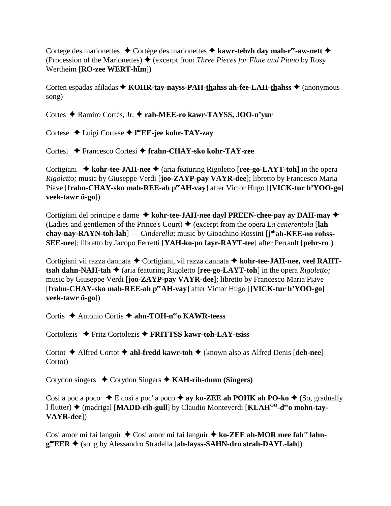Cortege des marionettes **→** Cortège des marionettes **→ kawr-tehzh day mah-r<sup>ee</sup>-aw-nett →** (Procession of the Marionettes)  $\triangleq$  (excerpt from *Three Pieces for Flute and Piano* by Rosy  $\overrightarrow{\text{Wertheim [RO-zee WERT-hīm]}}$ 

Corten espadas afiladas ◆ KOHR-tay-nayss-PAH-thahss ah-fee-LAH-thahss ◆ (anonymous song)

Cortes Ramiro Cortés, Jr. **rah-MEE-ro kawr-TAYSS, JOO-n'yur**

Cortese Luigi Cortese **l ooEE-jee kohr-TAY-zay**

Cortesi Francesco Cortesi **frahn-CHAY-sko kohr-TAY-zee**

Cortigiani ◆ kohr-tee-JAH-nee ◆ (aria featuring Rigoletto [ree-go-LAYT-toh] in the opera *Rigoletto;* music by Giuseppe Verdi [**joo-ZAYP-pay VAYR-dee**]; libretto by Francesco Maria Piave [frahn-CHAY-sko mah-REE-ah peeAH-vay] after Victor Hugo [{VICK-tur h'YOO-go} **veek-tawr ü-go**])

Cortigiani del principe e dame **kohr-tee-JAH-nee dayl PREEN-chee-pay ay DAH-may** (Ladies and gentlemen of the Prince's Court) (excerpt from the opera *La cenerentola* [**lah** chay-nay-RAYN-toh-lah] — *Cinderella*; music by Gioachino Rossini [j<sup>oh</sup>ah-KEE-no rohss-**SEE-nee**]; libretto by Jacopo Ferretti [**YAH-ko-po fayr-RAYT-tee**] after Perrault [**pehr-ro**])

Cortigiani vil razza dannata ◆ Cortigiani, vil razza dannata ◆ kohr-tee-JAH-nee, veel RAHT**tsah dahn-NAH-tah ♦** (aria featuring Rigoletto [**ree-go-LAYT-toh**] in the opera *Rigoletto*; music by Giuseppe Verdi [**joo-ZAYP-pay VAYR-dee**]; libretto by Francesco Maria Piave [**frahn-CHAY-sko mah-REE-ah peeAH-vay**] after Victor Hugo [**{VICK-tur h'YOO-go} veek-tawr ü-go**])

Cortis ◆ Antonio Cortis ◆ ahn-TOH-n<sup>ee</sup>o KAWR-teess

Cortolezis Fritz Cortolezis **FRITTSS kawr-toh-LAY-tsiss**

Cortot  $\triangle$  Alfred Cortot  $\triangle$  ahl-fredd kawr-toh  $\triangle$  (known also as Alfred Denis [deh-nee] Cortot)

Corydon singers ◆ Corydon Singers ◆ KAH-rih-dunn (Singers)

Cosi a poc a poco  $\blacklozenge$  E così a poc' a poco  $\blacklozenge$  ay ko-ZEE ah POHK ah PO-ko  $\blacklozenge$  (So, gradually I flutter) (madrigal [**MADD-rih-gull**] by Claudio Monteverdi [**KLAHOO-deeo mohn-tay-VAYR-dee**])

Cosi amor mi fai languir ◆ Così amor mi fai languir ◆ ko-ZEE ah-MOR mee fah<sup>ee</sup> lahn**gooEER** (song by Alessandro Stradella [**ah-layss-SAHN-dro strah-DAYL-lah**])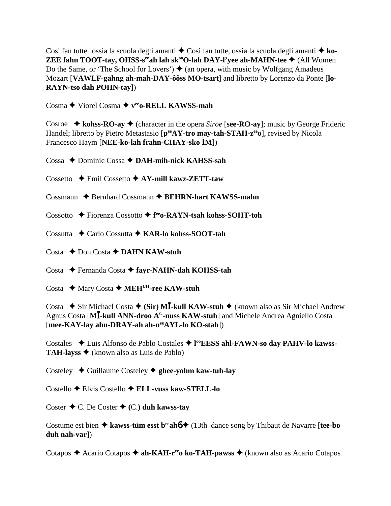Cosi fan tutte ossia la scuola degli amanti  $\triangle$  Così fan tutte, ossia la scuola degli amanti  $\triangle$  ko-**ZEE fahn TOOT-tay, OHSS-s<sup>ee</sup>ah lah sk<sup>oo</sup>O-lah DAY-l'yee ah-MAHN-tee**  $\blacklozenge$  **(All Women)** Do the Same, or 'The School for Lovers')  $\blacklozenge$  (an opera, with music by Wolfgang Amadeus Mozart [**VAWLF-gahng ah-mah-DAY-ôôss MO-tsart**] and libretto by Lorenzo da Ponte [**lo-RAYN-tso dah POHN-tay**])

Cosma ◆ Viorel Cosma ◆ v<sup>ee</sup>o-RELL KAWSS-mah

Cosroe  $\triangle$  kohss-RO-ay  $\triangle$  (character in the opera *Siroe* [see-RO-ay]; music by George Frideric Handel; libretto by Pietro Metastasio [ $p^{ee}AY$ -tro may-tah-STAH-z<sup>ee</sup>o], revised by Nicola Francesco Haym [**NEE-ko-lah frahn-CHAY-sko M**])

Cossa ◆ Dominic Cossa **◆ DAH-mih-nick KAHSS-sah** 

Cossetto Emil Cossetto **AY-mill kawz-ZETT-taw**

Cossmann  $\triangle$  Bernhard Cossmann  $\triangle$  BEHRN-hart KAWSS-mahn

Cossotto **←** Fiorenza Cossotto ← f<sup>ee</sup>o-RAYN-tsah kohss-SOHT-toh

Cossutta Carlo Cossutta **KAR-lo kohss-SOOT-tah**

Costa **← Don Costa ← DAHN KAW-stuh** 

Costa Fernanda Costa **fayr-NAHN-dah KOHSS-tah**

Costa ◆ Mary Costa ◆ MEH<sup>UH</sup>-ree KAW-stuh

Costa **→** Sir Michael Costa ◆ (Sir) M**I**-kull KAW-stuh ◆ (known also as Sir Michael Andrew Agnus Costa [**M-kull ANN-droo AG-nuss KAW-stuh**] and Michele Andrea Agniello Costa [**mee-KAY-lay ahn-DRAY-ah ah-neeAYL-lo KO-stah**])

Costales ◆ Luis Alfonso de Pablo Costales ◆ l<sup>oo</sup>EESS ahl-FAWN-so day PAHV-lo kawss-**TAH-layss**  $\triangle$  (known also as Luis de Pablo)

Costeley Guillaume Costeley **ghee-yohm kaw-tuh-lay**

Costello Elvis Costello **ELL-vuss kaw-STELL-lo**

Coster  $\triangle$  C. De Coster  $\triangle$  (C.) duh kawss-tay

Costume est bien  $\triangle$  kawss-tüm esst b<sup>ee</sup>ah**6**  $\triangle$  (13th dance song by Thibaut de Navarre [tee-bo **duh nah-var**])

Cotapos ◆ Acario Cotapos ◆ ah-KAH-r<sup>ee</sup>o ko-TAH-pawss ◆ (known also as Acario Cotapos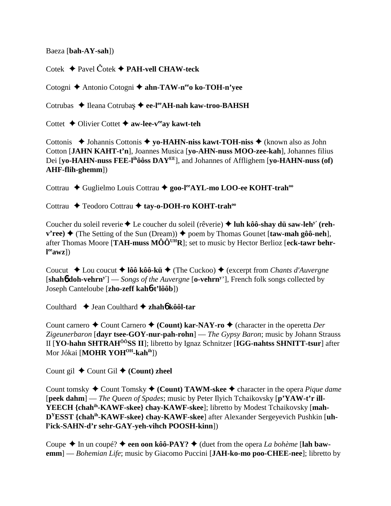Baeza [**bah-AY-sah**])

Cotek **→** Pavel Čotek **→ PAH-vell CHAW-teck** 

Cotogni ◆ Antonio Cotogni ◆ ahn-TAW-n<sup>ee</sup>o ko-TOH-n'yee

Cotrubas ◆ Ileana Cotrubaş ◆ ee-l<sup>ee</sup>AH-nah kaw-troo-BAHSH

Cottet **→** Olivier Cottet ◆ aw-lee-v<sup>ee</sup>ay kawt-teh

Cottonis **→** Johannis Cottonis ◆ yo-HAHN-niss kawt-TOH-niss ◆ (known also as John Cotton [**JAHN KAHT-t'n**], Joannes Musica [**yo-AHN-nuss MOO-zee-kah**], Johannes filius Dei [**yo-HAHN-nuss FEE-lihôôss DAYEE**], and Johannes of Afflighem [**yo-HAHN-nuss (of) AHF-flih-ghemm**])

Cottrau ◆ Guglielmo Louis Cottrau ◆ goo-l<sup>ee</sup>AYL-mo LOO-ee KOHT-trah<sup>oo</sup>

Cottrau ◆ Teodoro Cottrau ◆ tay-o-DOH-ro KOHT-trah<sup>oo</sup>

Coucher du soleil reverie ♦ Le coucher du soleil (rêverie) ♦ luh kôô-shay dü saw-leh<sup>y'</sup> (reh- $\mathbf{v'ree} \rightarrow (\text{The Setting of the Sun (Dream)}) \rightarrow \text{poem by Thomas Gounet [taw-mah gôô-neh]},$ after Thomas Moore [**TAH-muss MÔÔUHR**]; set to music by Hector Berlioz [**eck-tawr behrl eeawz**])

Coucut **→** Lou coucut → **lôô kôô-kü** → (The Cuckoo) → (excerpt from *Chants d'Auvergne* [**shah**6 **doh-vehrny'**] — *Songs of the Auvergne* [**o-vehrny** '], French folk songs collected by Joseph Canteloube [**zho-zeff kah**6**-t'lôôb**])

Coulthard Jean Coulthard **zhah**6 **kôôl-tar**

Count carnero  $\triangle$  Count Carnero  $\triangle$  (Count) kar-NAY-ro  $\triangle$  (character in the operetta *Der Zigeunerbaron* [**dayr tsee-GOY-nur-pah-rohn**] — *The Gypsy Baron*; music by Johann Strauss II [**YO-hahn SHTRAHÔÔSS II**]; libretto by Ignaz Schnitzer [**IGG-nahtss SHNITT-tsur**] after Mor Jókai [MOHR YOH<sup>OH</sup>-kahih<sub>]</sub>)

Count gil  $\triangle$  Count Gil  $\triangle$  (Count) zheel

Count tomsky ◆ Count Tomsky ◆ (Count) TAWM-skee ◆ character in the opera *Pique dame* [**peek dahm**] — *The Queen of Spades*; music by Peter Ilyich Tchaikovsky [**p'YAW-t'r ill-YEECH {chahih-KAWF-skee} chay-KAWF-skee**]; libretto by Modest Tchaikovsky [**mah-DYESST {chahih-KAWF-skee} chay-KAWF-skee**] after Alexander Sergeyevich Pushkin [**uhl y ick-SAHN-d'r sehr-GAY-yeh-vihch POOSH-kinn**])

Coupe  $\triangle$  In un coupé?  $\triangle$  een oon kôô-PAY?  $\triangle$  (duet from the opera *La bohème* [lah baw**emm**] — *Bohemian Life*; music by Giacomo Puccini [**JAH-ko-mo poo-CHEE-nee**]; libretto by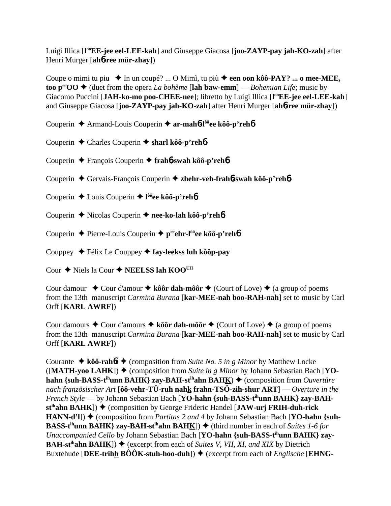Luigi Illica [**l ooEE-jee eel-LEE-kah**] and Giuseppe Giacosa [**joo-ZAYP-pay jah-KO-zah**] after Henri Murger [**ah**6**-ree mür-zhay**])

Coupe o mimi tu piu ◆ In un coupé? ... O Mimì, tu più ◆ een oon kôô-PAY? ... o mee-MEE, **too p<sup>ee</sup>OO**  $\blacklozenge$  (duet from the opera *La bohème* [lah baw-emm] — *Bohemian Life*; music by Giacomo Puccini [JAH-ko-mo poo-CHEE-nee]; libretto by Luigi Illica [l<sup>oo</sup>EE-jee eel-LEE-kah] and Giuseppe Giacosa [**joo-ZAYP-pay jah-KO-zah**] after Henri Murger [**ah**6**-ree mür-zhay**])

Couperin Armand-Louis Couperin **ar-mah**6**-lôôee kôô-p'reh**6

Couperin Charles Couperin **sharl kôô-p'reh**6

Couperin François Couperin **frah**6**-swah kôô-p'reh**6

Couperin Gervais-François Couperin  **zhehr-veh-frah**6**-swah kôô-p'reh**6

Couperin Louis Couperin **l ôôee kôô-p'reh**6

Couperin **←** Nicolas Couperin ← nee-ko-lah kôô-p'reh**6** 

Couperin **←** Pierre-Louis Couperin ← p<sup>ee</sup>ehr-l<sup>ôô</sup>ee kôô-p'reh**6** 

Couppey Félix Le Couppey **fay-leekss luh kôôp-pay**

Cour **→** Niels la Cour ◆ NEELSS lah KOO<sup>UH</sup>

Cour damour  $\rightarrow$  Cour d'amour  $\rightarrow$  kôôr dah-môôr  $\rightarrow$  (Court of Love)  $\rightarrow$  (a group of poems from the 13th manuscript *Carmina Burana* [**kar-MEE-nah boo-RAH-nah**] set to music by Carl Orff [**KARL AWRF**])

Cour damours  $\triangle$  Cour d'amours  $\triangle$  kôôr dah-môôr  $\triangle$  (Court of Love)  $\triangle$  (a group of poems from the 13th manuscript *Carmina Burana* [**kar-MEE-nah boo-RAH-nah**] set to music by Carl Orff [**KARL AWRF**])

Courante  $\triangle$  **kôô-rahót**  $\triangle$  (composition from *Suite No. 5 in g Minor* by Matthew Locke  $(\text{[MATH-} \, \text{voo LAHK]}) \triangleq$  (composition from *Suite in g Minor* by Johann Sebastian Bach [YO**hahn {suh-BASS-t<sup>ih</sup>unn BAHK} zay-BAH-st<sup>ih</sup>ahn BAHK) ♦ (composition from** *Ouvertüre nach französischer Art* [**ôô-vehr-TÜ-ruh nahk frahn-TSÖ-zih-shur ART**] — *Overture in the French Style* — by Johann Sebastian Bach [YO-hahn {suh-BASS-t<sup>ih</sup>unn BAHK} zay-BAHst<sup>ih</sup>ahn BAH<u>K</u>]) ◆ (composition by George Frideric Handel [**JAW-urj FRIH-duh-rick HANN-d'l**])  $\blacklozenge$  (composition from *Partitas 2 and 4* by Johann Sebastian Bach [**YO-hahn** {suh-**BASS-t<sup>ih</sup>unn BAHK} zay-BAH-st<sup>ih</sup>ahn BAHK])**  $\blacklozenge$  **(third number in each of** *Suites 1-6 for Unaccompanied Cello* by Johann Sebastian Bach [**YO-hahn {suh-BASS-tihunn BAHK} zay-BAH-st<sup>ih</sup>ahn BAHK**])  $\blacklozenge$  (excerpt from each of *Suites V, VII, XI, and XIX* by Dietrich Buxtehude [DEE-trihh  $\angle B\hat{O}\hat{O}K$ -stuh-hoo-duh])  $\blacklozenge$  (excerpt from each of *Englische* [EHNG-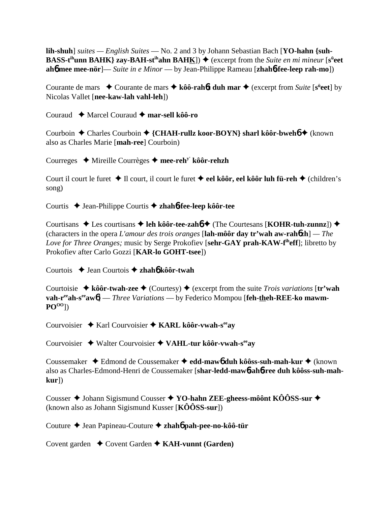**lih-shuh**] *suites — English Suites* — No. 2 and 3 by Johann Sebastian Bach [**YO-hahn {suh-BASS-t<sup>ih</sup>unn BAHK**} zay-BAH-st<sup>ih</sup>ahn BAH<u>K</u>])  $\blacklozenge$  (excerpt from the *Suite en mi mineur* [s<sup>ü</sup>eet **ah**6 **mee mee-nör**]— *Suite in e Minor* — by Jean-Philippe Rameau [**zhah**6**-fee-leep rah-mo**])

Courante de mars **→** Courante de mars ◆ kôô-rah6t duh mar ◆ (excerpt from *Suite* [s<sup>ü</sup>eet] by Nicolas Vallet [**nee-kaw-lah vahl-leh**])

Couraud Marcel Couraud **mar-sell kôô-ro**

Courboin ◆ Charles Courboin ◆ {CHAH-rullz koor-BOYN} sharl kôôr-bweh6 ◆ (known also as Charles Marie [**mah-ree**] Courboin)

Courreges Mireille Courrèges **mee-rehy' kôôr-rehzh**

Court il court le furet **↓** Il court, il court le furet **→ eel kôôr, eel kôôr luh fü-reh →** (children's song)

Courtis ◆ Jean-Philippe Courtis ◆ zhah**6-fee-leep kôôr-tee** 

Courtisans ◆ Les courtisans ◆ leh kôôr-tee-zah6 ◆ (The Courtesans [**KOHR-tuh-zunnz**]) ◆ (characters in the opera *L'amour des trois oranges* [**lah-môôr day tr'wah aw-rah**6**zh**] *— The Love for Three Oranges;* music by Serge Prokofiev [**sehr-GAY prah-KAW-fiheff**]; libretto by Prokofiev after Carlo Gozzi [**KAR-lo GOHT-tsee**])

Courtois Jean Courtois  **zhah**6 **kôôr-twah**

Courtoisie  $\triangle$  **kôôr-twah-zee**  $\triangle$  (Courtesy)  $\triangle$  (excerpt from the suite *Trois variations* [**tr'wah vah-r<sup>ee</sup>ah-s<sup>ee</sup>aw<sub>6</sub>**] — *Three Variations* — by Federico Mompou [feh-theh-REE-ko mawm-**POOO**])

Courvoisier **→ Karl Courvoisier → KARL kôôr-vwah-s<sup>ee</sup>ay** 

Courvoisier Walter Courvoisier **VAHL-tur kôôr-vwah-seeay**

Coussemaker Edmond de Coussemaker  **edd-maw**6 **duh kôôss-suh-mah-kur** (known also as Charles-Edmond-Henri de Coussemaker [**shar-ledd-maw**6**-ah**6**-ree duh kôôss-suh-mahkur**])

Cousser ◆ Johann Sigismund Cousser ◆ **YO-hahn ZEE-gheess-môônt KÔÔSS-sur** ◆ (known also as Johann Sigismund Kusser [**KÔÔSS-sur**])

Couture Jean Papineau-Couture **zhah**6 **pah-pee-no-kôô-tür**

Covent garden **→** Covent Garden **→ KAH-vunnt (Garden)**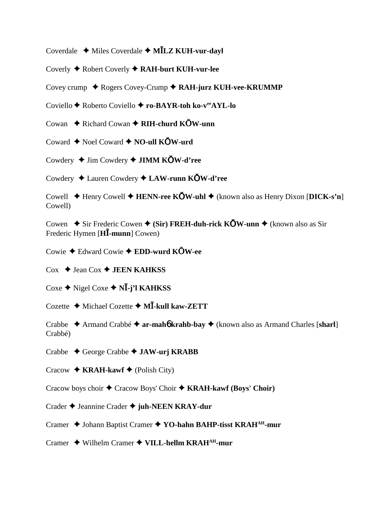Coverdale Miles Coverdale **MLZ KUH-vur-dayl**

Coverly Robert Coverly  **RAH-burt KUH-vur-lee**

Covey crump ◆ Rogers Covey-Crump ◆ RAH-jurz KUH-vee-KRUMMP

Coviello **←** Roberto Coviello ← ro-BAYR-toh ko-v<sup>ee</sup>AYL-lo

Cowan **→** Richard Cowan → RIH-churd KOW-unn

Coward  $\blacklozenge$  Noel Coward  $\blacklozenge$  **NO-ull KOW-urd** 

Cowdery Jim Cowdery **JIMM KW-d'ree**

Cowdery Lauren Cowdery **LAW-runn KW-d'ree**

Cowell Henry Cowell **HENN-ree KW-uhl** (known also as Henry Dixon [**DICK-s'n**] Cowell)

Cowen **→** Sir Frederic Cowen ◆ (Sir) FREH-duh-rick KOW-unn ◆ (known also as Sir Frederic Hymen [**H-munn**] Cowen)

Cowie Edward Cowie **EDD-wurd KW-ee**

 $\cos \triangleleft \text{ Jean Cox} \triangleleft \text{ JEEN KAHKSS}$ 

 $\cos \phi$  Nigel Coxe  $\phi$  N**I**-j'l KAHKSS

Cozette Michael Cozette **M-kull kaw-ZETT**

Crabbe Armand Crabbé **ar-mah**6 **krahb-bay** (known also as Armand Charles [**sharl**] Crabbé)

- Crabbe George Crabbe **JAW-urj KRABB**
- Cracow  $\triangle$  **KRAH-kawf**  $\triangle$  (Polish City)

Cracow boys choir  $\triangle$  Cracow Boys' Choir  $\triangle$  **KRAH-kawf (Boys' Choir)** 

Crader Jeannine Crader **juh-NEEN KRAY-dur**

Cramer ◆ Johann Baptist Cramer ◆ YO-hahn BAHP-tisst KRAH<sup>AH</sup>-mur

Cramer Wilhelm Cramer **VILL-hellm KRAHAH-mur**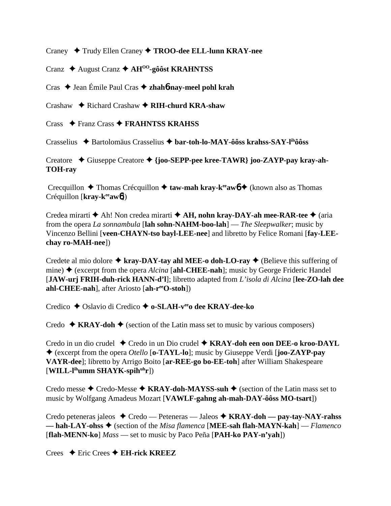Craney Trudy Ellen Craney **TROO-dee ELL-lunn KRAY-nee**

Cranz August Cranz **AHOO-gôôst KRAHNTSS**

Cras ◆ Jean Émile Paul Cras ◆ zhah**6-nay-meel pohl krah** 

Crashaw Richard Crashaw  **RIH-churd KRA-shaw**

Crass  $\rightarrow$  Franz Crass  $\rightarrow$  **FRAHNTSS KRAHSS** 

Crasselius Bartolomäus Crasselius **bar-toh-lo-MAY-ôôss krahss-SAY-lihôôss**

Creatore Giuseppe Creatore **{joo-SEPP-pee kree-TAWR} joo-ZAYP-pay kray-ah-TOH-ray**

Crecquillon **→** Thomas Crécquillon **→ taw-mah kray-k<sup>ee</sup>aw<sub>6</sub> →** (known also as Thomas Créquillon [**kray-k<sup>ee</sup>aw6**])

Credea mirarti **→** Ah! Non credea mirarti **→ AH, nohn kray-DAY-ah mee-RAR-tee** → (aria from the opera *La sonnambula* [**lah sohn-NAHM-boo-lah**] — *The Sleepwalker*; music by Vincenzo Bellini [**veen-CHAYN-tso bayl-LEE-nee**] and libretto by Felice Romani [**fay-LEEchay ro-MAH-nee**])

Credete al mio dolore  $\triangle$  kray-DAY-tay ahl MEE-o doh-LO-ray  $\triangle$  (Believe this suffering of mine) (excerpt from the opera *Alcina* [**ahl-CHEE-nah**]; music by George Frideric Handel [**JAW-urj FRIH-duh-rick HANN-d'l**]; libretto adapted from *L'isola di Alcina* [**lee-ZO-lah dee ahl-CHEE-nah**], after Ariosto [**ah-reeO-stoh**])

Credico **→** Oslavio di Credico → **o-SLAH-v<sup>ee</sup>o dee KRAY-dee-ko** 

Credo  $\triangle$  **KRAY-doh**  $\triangle$  (section of the Latin mass set to music by various composers)

Credo in un dio crudel ◆ Credo in un Dio crudel ◆ KRAY-doh een oon DEE-o kroo-DAYL (excerpt from the opera *Otello* [**o-TAYL-lo**]; music by Giuseppe Verdi [**joo-ZAYP-pay VAYR-dee**]; libretto by Arrigo Boito [**ar-REE-go bo-EE-toh**] after William Shakespeare [**WILL-lihumm SHAYK-spihuhr**])

Credo messe  $\triangle$  Credo-Messe  $\triangle$  **KRAY-doh-MAYSS-suh**  $\triangle$  (section of the Latin mass set to music by Wolfgang Amadeus Mozart [**VAWLF-gahng ah-mah-DAY-ôôss MO-tsart**])

Credo peteneras jaleos Credo — Peteneras — Jaleos **KRAY-doh — pay-tay-NAY-rahss — hah-LAY-ohss** (section of the *Misa flamenca* [**MEE-sah flah-MAYN-kah**] — *Flamenco* [**flah-MENN-ko**] *Mass* — set to music by Paco Peña [**PAH-ko PAY-n'yah**])

Crees Eric Crees **EH-rick KREEZ**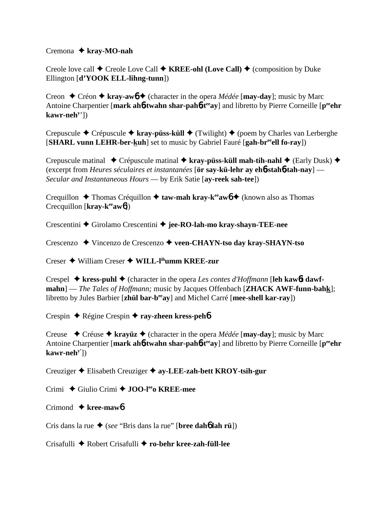#### Cremona **kray-MO-nah**

Creole love call  $\blacklozenge$  Creole Love Call  $\blacklozenge$  **KREE-ohl (Love Call)**  $\blacklozenge$  (composition by Duke Ellington [**d'YOOK ELL-lihng-tunn**])

Creon  $\triangle$  Créon  $\triangle$  kray-aw**6**  $\triangle$  (character in the opera *Médée* [may-day]; music by Marc Antoine Charpentier [mark ah**6**-twahn shar-pah**6**-t<sup>ee</sup>ay] and libretto by Pierre Corneille [p<sup>ee</sup>ehr] **kawr-nehy** '])

Crepuscule Crépuscule **kray-püss-küll** (Twilight) (poem by Charles van Lerberghe [**SHARL vunn LEHR-ber-kuh**] set to music by Gabriel Fauré [**gah-breeell fo-ray**])

Crepuscule matinal **→** Crépuscule matinal → kray-püss-küll mah-tih-nahl → (Early Dusk) → (excerpt from *Heures séculaires et instantanées* [**ör say-kü-lehr ay eh**6**-stah**6**-tah-nay**] — *Secular and Instantaneous Hours* — by Erik Satie [**ay-reek sah-tee**])

Crequillon **→** Thomas Créquillon **→ taw-mah kray-k<sup>ee</sup>aw<sub>0</sub> →** (known also as Thomas Crecquillon [**kray-k<sup>ee</sup>aw6**])

Crescentini Girolamo Crescentini **jee-RO-lah-mo kray-shayn-TEE-nee**

Crescenzo Vincenzo de Crescenzo **veen-CHAYN-tso day kray-SHAYN-tso**

Creser William Creser **WILL-lihumm KREE-zur**

Crespel  $\triangle$  kress-puhl  $\triangle$  (character in the opera *Les contes d'Hoffmann* [leh kaw6t dawf**mahn**] — *The Tales of Hoffmann;* music by Jacques Offenbach [**ZHACK AWF-funn-bahk**]; libretto by Jules Barbier [**zhül bar-beeay**] and Michel Carré [**mee-shell kar-ray**])

Crespin Régine Crespin **ray-zheen kress-peh**6

Creuse  $\rightarrow$  Créuse  $\rightarrow$  krayüz  $\rightarrow$  (character in the opera *Médée* [**may-day**]; music by Marc Antoine Charpentier [mark ah**6**-twahn shar-pah6-t<sup>ee</sup>ay] and libretto by Pierre Corneille [p<sup>ee</sup>ehr **kawr-nehy'**])

Creuziger Elisabeth Creuziger **ay-LEE-zah-bett KROY-tsih-gur**

Crimi Giulio Crimi **JOO-leeo KREE-mee**

Crimond **kree-maw**6

Cris dans la rue  $\triangle$  (*see* "Bris dans la rue" [**bree dah<sup>6</sup> lah rü**])

Crisafulli Robert Crisafulli **ro-behr kree-zah-füll-lee**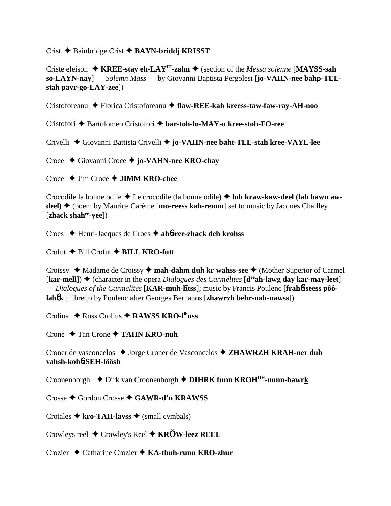Crist Bainbridge Crist **BAYN-briddj KRISST**

Criste eleison  $\triangle$  **KREE-stay eh-LAY<sup>IH</sup>-zahn**  $\triangle$  (section of the *Messa solenne* [**MAYSS-sah so-LAYN-nay**] — *Solemn Mass* — by Giovanni Baptista Pergolesi [**jo-VAHN-nee bahp-TEEstah payr-go-LAY-zee**])

Cristoforeanu Florica Cristoforeanu **flaw-REE-kah kreess-taw-faw-ray-AH-noo**

Cristofori Bartolomeo Cristofori **bar-toh-lo-MAY-o kree-stoh-FO-ree**

Crivelli Giovanni Battista Crivelli **jo-VAHN-nee baht-TEE-stah kree-VAYL-lee**

Croce Giovanni Croce **jo-VAHN-nee KRO-chay**

Croce Jim Croce **JIMM KRO-chee**

Crocodile la bonne odile  $\triangle$  Le crocodile (la bonne odile)  $\triangle$  luh kraw-kaw-deel (lah bawn awdeel) ♦ (poem by Maurice Carême [mo-reess kah-remm] set to music by Jacques Chailley [**zhack shahee-yee**])

Croes Henri-Jacques de Croes **ah**6**-ree-zhack deh krohss**

 $Corotut \triangleleft$  Bill Crofut  $\triangleleft$  **BILL KRO-futt** 

Croissy  $\triangleleft$  Madame de Croissy  $\triangleleft$  **mah-dahm duh kr'wahss-see**  $\triangleleft$  (Mother Superior of Carmel  $\lceil \textbf{kar-mell} \rceil$ )  $\blacklozenge$  (character in the opera *Dialogues des Carmélites*  $\lceil \textbf{d}^{ee} \textbf{ah-lawg day kar-may-leet} \rceil$  $\overline{\text{E}}$  *Dialogues of the Carmelites* [**KAR-muh-litss**]; music by Francis Poulenc [**frahb-seess pôôlah**6**k**]; libretto by Poulenc after Georges Bernanos [**zhawrzh behr-nah-nawss**])

Crolius Ross Crolius **RAWSS KRO-lihuss**

Crone Tan Crone **TAHN KRO-nuh**

Croner de vasconcelos ◆ Jorge Croner de Vasconcelos ◆ **ZHAWRZH KRAH-ner duh vahsh-koh**6**-SEH-lôôsh**

Croonenborgh  **◆** Dirk van Croonenborgh **◆ DIHRK funn KROH<sup>OH</sup>-nunn-bawrk** 

Crosse  $\triangle$  Gordon Crosse  $\triangle$  GAWR-d'n KRAWSS

Crotales  $\triangle$  kro-TAH-layss  $\triangle$  (small cymbals)

Crowleys reel Crowley's Reel **KRW-leez REEL**

Crozier Catharine Crozier **KA-thuh-runn KRO-zhur**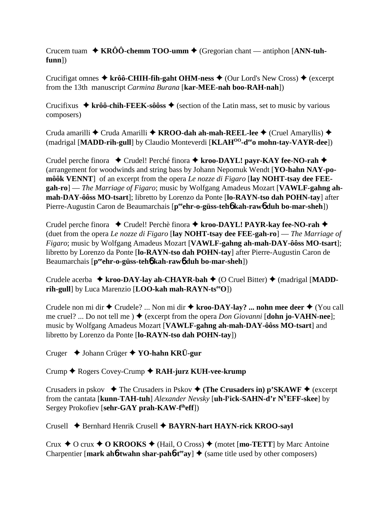Crucem tuam  $\rightarrow$  KRÔÔ-chemm TOO-umm  $\rightarrow$  (Gregorian chant — antiphon [ANN-tuh**funn**])

Crucifigat omnes  $\triangleq$  krôô-CHIH-fih-gaht OHM-ness  $\triangleq$  (Our Lord's New Cross)  $\triangleq$  (excerpt from the 13th manuscript *Carmina Burana* [**kar-MEE-nah boo-RAH-nah**])

Crucifixus  $\triangle$  krôô-chih-FEEK-sôôss  $\triangle$  (section of the Latin mass, set to music by various composers)

Cruda amarilli ◆ Cruda Amarilli ◆ KROO-dah ah-mah-REEL-lee ◆ (Cruel Amaryllis) ◆ (madrigal [**MADD-rih-gull**] by Claudio Monteverdi [**KLAHOO-deeo mohn-tay-VAYR-dee**])

Crudel perche finora ◆ Crudel! Perché finora ◆ kroo-DAYL! payr-KAY fee-NO-rah ◆ (arrangement for woodwinds and string bass by Johann Nepomuk Wendt [**YO-hahn NAY-pomôôk VENNT**] of an excerpt from the opera *Le nozze di Figaro* [**lay NOHT-tsay dee FEEgah-ro**] — *The Marriage of Figaro*; music by Wolfgang Amadeus Mozart [**VAWLF-gahng ahmah-DAY-ôôss MO-tsart**]; libretto by Lorenzo da Ponte [**lo-RAYN-tso dah POHN-tay**] after Pierre-Augustin Caron de Beaumarchais [p<sup>ee</sup>ehr-o-güss-teh**6** kah-raw6 duh bo-mar-sheh])

Crudel perche finora ◆ Crudel! Perchè finora ◆ kroo-DAYL! PAYR-kay fee-NO-rah ◆ (duet from the opera *Le nozze di Figaro* [**lay NOHT-tsay dee FEE-gah-ro**] — *The Marriage of Figaro*; music by Wolfgang Amadeus Mozart [**VAWLF-gahng ah-mah-DAY-ôôss MO-tsart**]; libretto by Lorenzo da Ponte [**lo-RAYN-tso dah POHN-tay**] after Pierre-Augustin Caron de Beaumarchais [**peeehr-o-güss-teh**6 **kah-raw**6 **duh bo-mar-sheh**])

Crudele acerba **↓ kroo-DAY-lay ah-CHAYR-bah ♦** (O Cruel Bitter) ♦ (madrigal [MADD**rih-gull**] by Luca Marenzio [**LOO-kah mah-RAYN-ts<sup>ee</sup>O**])

Crudele non mi dir ◆ Crudele? ... Non mi dir ◆ kroo-DAY-lay? ... nohn mee deer ◆ (You call me cruel? ... Do not tell me ) (excerpt from the opera *Don Giovanni* [**dohn jo-VAHN-nee**]; music by Wolfgang Amadeus Mozart [**VAWLF-gahng ah-mah-DAY-ôôss MO-tsart**] and libretto by Lorenzo da Ponte [**lo-RAYN-tso dah POHN-tay**])

Cruger Johann Crüger  **YO-hahn KRÜ-gur**

Crump Rogers Covey-Crump **RAH-jurz KUH-vee-krump**

Crusaders in pskov  $\triangle$  The Crusaders in Pskov  $\triangle$  (The Crusaders in) p'SKAWF  $\triangle$  (excerpt from the cantata [**kunn-TAH-tuh**] *Alexander Nevsky* [**uh-ly ick-SAHN-d'r NYEFF-skee**] by Sergey Prokofiev [**sehr-GAY prah-KAW-fiheff**])

Crusell Bernhard Henrik Crusell **BAYRN-hart HAYN-rick KROO-sayl**

Crux  $\triangle$  O crux  $\triangle$  O KROOKS  $\triangle$  (Hail, O Cross)  $\triangle$  (motet [**mo-TETT**] by Marc Antoine Charpentier [mark ah**6**-twahn shar-pah**6**-t<sup>ee</sup>ay]  $\triangle$  (same title used by other composers)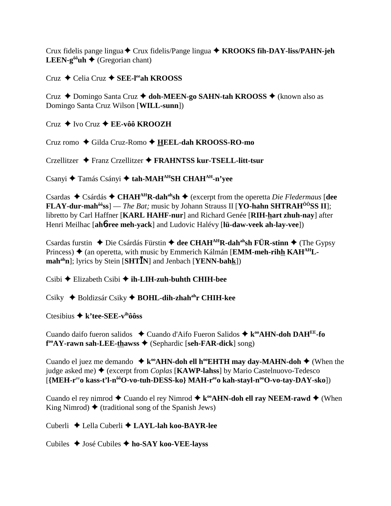Crux fidelis pange lingua  $\triangle$  Crux fidelis/Pange lingua  $\triangle$  KROOKS fih-DAY-liss/PAHN-jeh **LEEN-g<sup>ôô</sup>uh**  $\triangle$  (Gregorian chant)

## $Cruz \triangleleft$  Celia Cruz  $\triangleleft$  SEE-lee ah KROOSS

Cruz ◆ Domingo Santa Cruz ◆ doh-MEEN-go SAHN-tah KROOSS ◆ (known also as Domingo Santa Cruz Wilson [WILL-sunn])

 $Cruz \triangleleft Ivo Cruz \triangleleft E E-vôô KROOZH$ 

Cruz romo ◆ Gilda Cruz-Romo ◆ HEEL-dah KROOSS-RO-mo

Crzellitzer ◆ Franz Crzellitzer ◆ FRAHNTSS kur-TSELL-litt-tsur

Csanvi ◆ Tamás Csányi ◆ tah-MAH<sup>AH</sup>SH CHAH<sup>AH</sup>-n'yee

Csardas ◆ Csárdás ◆ CHAH<sup>AH</sup>R-dah<sup>ah</sup>sh ◆ (excerpt from the operetta *Die Fledermaus* [dee **FLAY-dur-mah<sup>** $\hat{\omega}$ **</sup>ss**] — *The Bat*; music by Johann Strauss II [**YO-hahn SHTRAH** $\hat{\omega}$ **SS II**]; libretto by Carl Haffner [KARL HAHF-nur] and Richard Genée [RIH-hart zhuh-nay] after Henri Meilhac [ah6-ree meh-yack] and Ludovic Halévy [lü-daw-veek ah-lay-vee])

Csardas furstin ◆ Die Csárdás Fürstin ◆ dee CHAH<sup>AH</sup>R-dah<sup>ah</sup>sh FÜR-stinn ◆ (The Gypsy Princess)  $\triangle$  (an operetta, with music by Emmerich Kálmán [EMM-meh-rihh KAH<sup>AH</sup>Lmah<sup>ah</sup>n]; lyrics by Stein [SHT**IN**] and Jenbach [YENN-bahk])

 $\text{Csibi} \triangleq \text{Elizabeth Csibi} \triangleq \text{ih-LIH-zuh-buth CHIH-bee}$ 

Csiky ◆ Boldizsár Csiky ◆ BOHL-dih-zhah<sup>ah</sup>r CHIH-kee

Ctesibius  $\triangleq$  k'tee-SEE-v<sup>ih</sup>ôôss

Cuando daifo fueron salidos  $\triangle$  Cuando d'Aifo Fueron Salidos  $\triangle$  k<sup>oo</sup>**AHN-doh DAH**<sup>EE</sup>-fo f<sup>oo</sup>AY-rawn sah-LEE-thawss ♦ (Sephardic [seh-FAR-dick] song)

Cuando el juez me demando  $\star$  k<sup>oo</sup>AHN-doh ell h<sup>oo</sup>EHTH may day-MAHN-doh  $\star$  (When the judge asked me)  $\triangleq$  (excerpt from *Coplas* [KAWP-lahss] by Mario Castelnuovo-Tedesco [{MEH-r<sup>ee</sup>o kass-t'l-n<sup>ôô</sup>O-vo-tuh-DESS-ko} MAH-r<sup>ee</sup>o kah-stayl-n<sup>oo</sup>O-vo-tay-DAY-sko])

Cuando el rey nimrod  $\triangle$  Cuando el rey Nimrod  $\triangle$  k<sup>oo</sup>AHN-doh ell ray NEEM-rawd  $\triangle$  (When King Nimrod)  $\blacklozenge$  (traditional song of the Spanish Jews)

Cuberli ◆ Lella Cuberli ◆ LAYL-lah koo-BAYR-lee

Cubiles  $\triangle$  José Cubiles  $\triangle$  ho-SAY koo-VEE-layss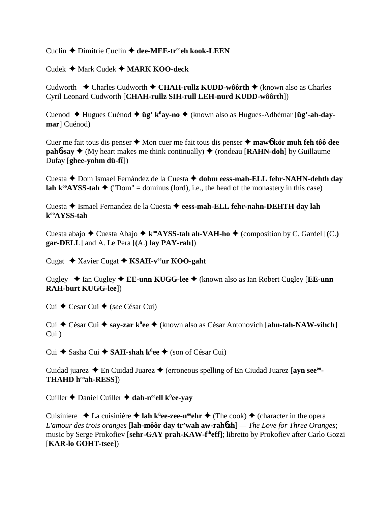Cuclin **→** Dimitrie Cuclin → dee-MEE-treeh kook-LEEN

Cudek Mark Cudek **MARK KOO-deck**

Cudworth **←** Charles Cudworth ← CHAH-rullz KUDD-wôôrth ← (known also as Charles Cyril Leonard Cudworth [**CHAH-rullz SIH-rull LEH-nurd KUDD-wôôrth**])

Cuenod Hugues Cuénod **üg' kü ay-no** (known also as Hugues-Adhémar [**üg'-ah-daymar**] Cuénod)

Cuer me fait tous dis penser **→** Mon cuer me fait tous dis penser **→ maw6 kör muh feh tôô dee pah<sup>6</sup>-say**  $\blacklozenge$  **(My heart makes me think continually)**  $\blacklozenge$  **(rondeau [<b>RAHN-doh**] by Guillaume **D**ufay [**ghee-yohm dü-fī**])

Cuesta Dom Ismael Fernández de la Cuesta **dohm eess-mah-ELL fehr-NAHN-dehth day lah k<sup>oo</sup>AYSS-tah**  $\blacklozenge$  ("Dom" = dominus (lord), i.e., the head of the monastery in this case)

Cuesta Ismael Fernandez de la Cuesta **eess-mah-ELL fehr-nahn-DEHTH day lah kooAYSS-tah**

Cuesta abajo  $\blacklozenge$  Cuesta Abajo  $\blacklozenge$  **k**<sup>oo</sup>**AYSS-tah ah-VAH-ho**  $\blacklozenge$  (composition by C. Gardel [(C.) **gar-DELL**] and A. Le Pera [**(**A.**) lay PAY-rah**])

Cugat **→** Xavier Cugat ◆ KSAH-v<sup>ee</sup>ur KOO-gaht

Cugley ◆ Ian Cugley ◆ **EE-unn KUGG-lee** ◆ (known also as Ian Robert Cugley [**EE-unn RAH-burt KUGG-lee**])

Cui ◆ Cesar Cui ◆ (*see* César Cui)

Cui César Cui **say-zar kü ee** (known also as César Antonovich [**ahn-tah-NAW-vihch**] Cui )

Cui ◆ Sasha Cui ◆ SAH-shah k<sup>ü</sup>ee ◆ (son of César Cui)

Cuidad juarez **→** En Cuidad Juarez → (erroneous spelling of En Ciudad Juarez [ayn see<sup>oo</sup>-THAHD h<sup>oo</sup>ah-RESS])

Cuiller Daniel Cuiller **dah-neeell kü ee-yay**

Cuisiniere **→** La cuisinière → lah k<sup>ü</sup>ee-zee-n<sup>ee</sup>ehr → (The cook) → (character in the opera *L'amour des trois oranges* [**lah-môôr day tr'wah aw-rah**6**zh**] *— The Love for Three Oranges*; music by Serge Prokofiev [**sehr-GAY prah-KAW-fiheff**]; libretto by Prokofiev after Carlo Gozzi [**KAR-lo GOHT-tsee**])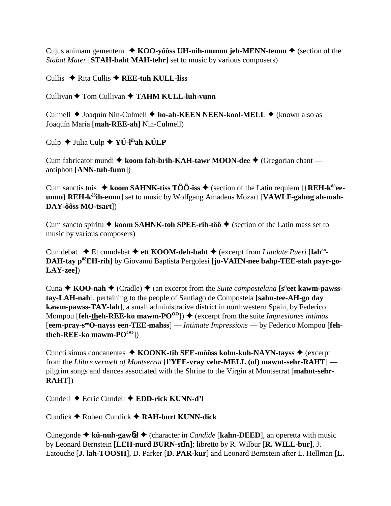Cujus animam gementem  $\triangle$  KOO-yôôss UH-nih-mumm jeh-MENN-temm  $\triangle$  (section of the *Stabat Mater* [**STAH-baht MAH-tehr**] set to music by various composers)

Cullis  $\triangle$  Rita Cullis  $\triangle$  REE-tuh KULL-liss

Cullivan **←** Tom Cullivan ← TAHM KULL-luh-vunn

Culmell ◆ Joaquín Nin-Culmell ◆ ho-ah-KEEN NEEN-kool-MELL ◆ (known also as Joaquín María [**mah-REE-ah**] Nin-Culmell)

Culp Julia Culp **YÜ-lihah KÜLP**

Cum fabricator mundi ◆ koom fah-brih-KAH-tawr MOON-dee ◆ (Gregorian chant antiphon [**ANN-tuh-funn**])

Cum sanctis tuis  $\triangle$  koom SAHNK-tiss TÔÔ-iss  $\triangle$  (section of the Latin requiem [{REH-k<sup>ôô</sup>ee**umm} REH-kôôih-emm**] set to music by Wolfgang Amadeus Mozart [**VAWLF-gahng ah-mah-DAY-ôôss MO-tsart**])

Cum sancto spiritu  $\triangle$  koom SAHNK-toh SPEE-rih-tôô  $\triangle$  (section of the Latin mass set to music by various composers)

Cumdebat **→** Et cumdebat → ett KOOM-deh-baht → (excerpt from *Laudate Pueri* [lah<sup>oo</sup>-**DAH-tay pôôEH-rih**] by Giovanni Baptista Pergolesi [**jo-VAHN-nee bahp-TEE-stah payr-go-LAY-zee**])

Cuna ◆ KOO-nah ◆ (Cradle) ◆ (an excerpt from the *Suite compostelana* [s<sup>ü</sup>eet kawm-pawss**tay-LAH-nah**], pertaining to the people of Santiago de Compostela [**sahn-tee-AH-go day kawm-pawss-TAY-lah**], a small administrative district in northwestern Spain, by Federico Mompou [**feh-theh-REE-ko mawm-PO<sup>OO</sup>])**  $\blacklozenge$  (excerpt from the suite *Impresiones intimas* [**eem-pray-seeO-nayss een-TEE-mahss**] — *Intimate Impressions* — by Federico Mompou [**fehtheh-REE-ko** mawm-PO<sup>OO</sup>])

Cuncti simus concanentes **↓ KOONK-tih SEE-môôss kohn-kuh-NAYN-tayss ◆** (excerpt from the *Llibre vermell of Montserrat* [**l'YEE-vray vehr-MELL (of) mawnt-sehr-RAHT**] pilgrim songs and dances associated with the Shrine to the Virgin at Montserrat [**mahnt-sehr-RAHT**])

Cundell Edric Cundell **EDD-rick KUNN-d'l**

Cundick Robert Cundick **RAH-burt KUNN-dick**

Cunegonde **kü-nuh-gaw**6**d** (character in *Candide* [**kahn-DEED**], an operetta with music by Leonard Bernstein [LEH-nurd BURN-st**In**]; libretto by R. Wilbur [R. WILL-bur], J. Latouche [**J. lah-TOOSH**], D. Parker [**D. PAR-kur**] and Leonard Bernstein after L. Hellman [**L.**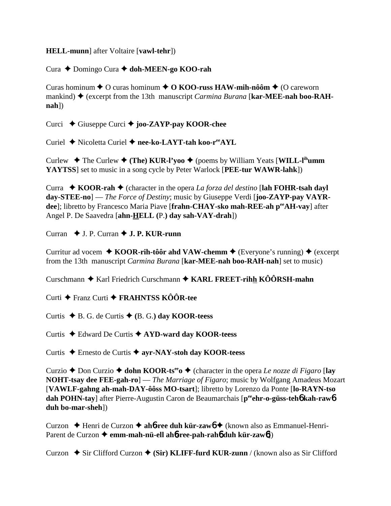**HELL-munn**] after Voltaire [vawl-tehr])

Cura ◆ Domingo Cura ◆ doh-MEEN-go KOO-rah

Curas hominum  $\triangle$  O curas hominum  $\triangle$  O KOO-russ HAW-mih-nôôm  $\triangle$  (O careworn mankind)  $\blacklozenge$  (excerpt from the 13th manuscript *Carmina Burana* [kar-MEE-nah boo-RAH-**])** 

Curci  $\div$  Giuseppe Curci  $\div$  joo-ZAYP-pay KOOR-chee

Curiel ◆ Nicoletta Curiel ◆ nee-ko-LAYT-tah koo-r<sup>ee</sup>AYL

Curlew  $\div$  The Curlew  $\div$  (The) KUR-l'yoo  $\div$  (poems by William Yeats [WILL-l<sup>ih</sup>umm YAYTSS] set to music in a song cycle by Peter Warlock [PEE-tur WAWR-lahk])

Curra  $\bullet$  KOOR-rah  $\bullet$  (character in the opera *La forza del destino* [lah FOHR-tsah dayl]  $day\text{-}STEE\text{-}no$  – *The Force of Destiny*; music by Giuseppe Verdi [joo-ZAYP-pay VAYRdee]; libretto by Francesco Maria Piave [frahn-CHAY-sko mah-REE-ah perAH-vay] after Angel P. De Saavedra [ahn-HELL (P.) day sah-VAY-drah])

Curran  $\blacklozenge$  J. P. Curran  $\blacklozenge$  J. P. KUR-runn

Curritur ad vocem  $\triangle$  KOOR-rih-tôôr ahd VAW-chemm  $\triangle$  (Everyone's running)  $\triangle$  (excerpt from the 13th manuscript *Carmina Burana* [kar-MEE-nah boo-RAH-nah] set to music)

Curschmann  $\triangle$  Karl Friedrich Curschmann  $\triangle$  KARL FREET-rihh KÔÔRSH-mahn

Curti ← Franz Curti ← FRAHNTSS KÔÔR-tee

Curtis  $\blacklozenge$  B. G. de Curtis  $\blacklozenge$  (B. G.) day KOOR-teess

Curtis  $\triangle$  Edward De Curtis  $\triangle$  AYD-ward day KOOR-teess

Curtis  $\triangle$  Ernesto de Curtis  $\triangle$  ayr-NAY-stoh day KOOR-teess

Curzio ♦ Don Curzio ♦ dohn KOOR-ts<sup>ee</sup> o♦ (character in the opera Le nozze di Figaro [lay **NOHT-tsay dee FEE-gah-ro**] — The Marriage of Figaro; music by Wolfgang Amadeus Mozart [VAWLF-gahng ah-mah-DAY-ôôss MO-tsart]; libretto by Lorenzo da Ponte [lo-RAYN-tso] dah POHN-tay] after Pierre-Augustin Caron de Beaumarchais [pee ehr-o-güss-teho kah-rawo duh bo-mar-sheh])

Curzon → Henri de Curzon → aho-ree duh kür-zawo → (known also as Emmanuel-Henri-Parent de Curzon  $\triangleq$  emm-mah-nü-ell ah $\phi$ -ree-pah-rah $\phi$  duh kür-zaw $\phi$ ])

Curzon  $\bullet$  Sir Clifford Curzon  $\bullet$  (Sir) KLIFF-furd KUR-zunn / (known also as Sir Clifford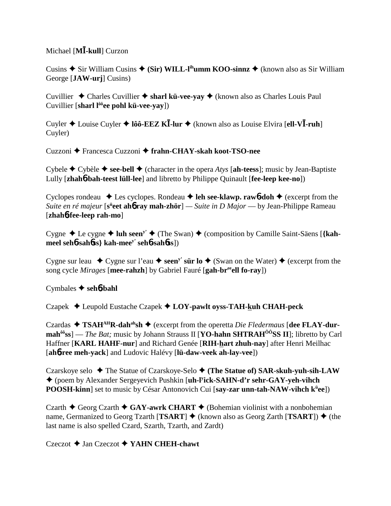# Michael [**M-kull**] Curzon

Cusins **→** Sir William Cusins ◆ (Sir) WILL-l<sup>ih</sup>umm KOO-sinnz ◆ (known also as Sir William George [**JAW-urj**] Cusins)

Cuvillier  $\triangle$  Charles Cuvillier  $\triangle$  sharl kü-vee-yay  $\triangle$  (known also as Charles Louis Paul Cuvillier [**sharl lôôee pohl kü-vee-yay**])

Cuyler Louise Cuyler **lôô-EEZ K-lur** (known also as Louise Elvira [**ell-V-ruh**] Cuyler)

Cuzzoni Francesca Cuzzoni **frahn-CHAY-skah koot-TSO-nee**

Cybele  $\triangle$  Cybèle  $\triangle$  see-bell  $\triangle$  (character in the opera *Atys* [ah-teess]; music by Jean-Baptiste Lully [**zhah**6**-bah-teest lüll-lee**] and libretto by Philippe Quinault [**fee-leep kee-no**])

Cyclopes rondeau  $\triangle$  Les cyclopes. Rondeau  $\triangle$  leh see-klawp. rawb-doh  $\triangle$  (excerpt from the *Suite en ré majeur* [s<sup>ü</sup>eet ah**6 ray mah-zhör**] — Suite in D Major — by Jean-Philippe Rameau [**zhah**6**-fee-leep rah-mo**]

Cygne  $\triangle$  Le cygne  $\triangle$  luh seen<sup>y'</sup>  $\triangle$  (The Swan)  $\triangle$  (composition by Camille Saint-Säens [{kah**meel seh**6**-sah**6**ss} kah-meey' seh**6**-sah**6**ss**])

Cygne sur leau  $\bullet$  Cygne sur l'eau  $\bullet$  seen<sup>y</sup>' sür lo  $\bullet$  (Swan on the Water)  $\bullet$  (excerpt from the song cycle *Mirages* [**mee-rahzh**] by Gabriel Fauré [**gah-breeell fo-ray**])

Cymbales  **seh**6**-bahl**

Czapek Leupold Eustache Czapek **LOY-pawlt oyss-TAH-kuh CHAH-peck**

Czardas **TSAHAHR-dahahsh** (excerpt from the operetta *Die Fledermaus* [**dee FLAY-durmahôôss**] — *The Bat;* music by Johann Strauss II [**YO-hahn SHTRAHÔÔSS II**]; libretto by Carl Haffner [**KARL HAHF-nur**] and Richard Genée [**RIH-hart zhuh-nay**] after Henri Meilhac [**ah**6**-ree meh-yack**] and Ludovic Halévy [**lü-daw-veek ah-lay-vee**])

Czarskoye selo ◆ The Statue of Czarskoye-Selo ◆ (The Statue of) SAR-skuh-yuh-sih-LAW (poem by Alexander Sergeyevich Pushkin [**uh-ly ick-SAHN-d'r sehr-GAY-yeh-vihch POOSH-kinn**] set to music by César Antonovich Cui [**say-zar unn-tah-NAW-vihch kü ee**])

Czarth  $\blacklozenge$  Georg Czarth  $\blacklozenge$  GAY-awrk CHART  $\blacklozenge$  (Bohemian violinist with a nonbohemian name, Germanized to Georg Tzarth  $[TSART] \leftrightarrow$  (known also as Georg Zarth  $[TSART] \leftrightarrow$  (the last name is also spelled Czard, Szarth, Tzarth, and Zardt)

### Czeczot Jan Czeczot **YAHN CHEH-chawt**